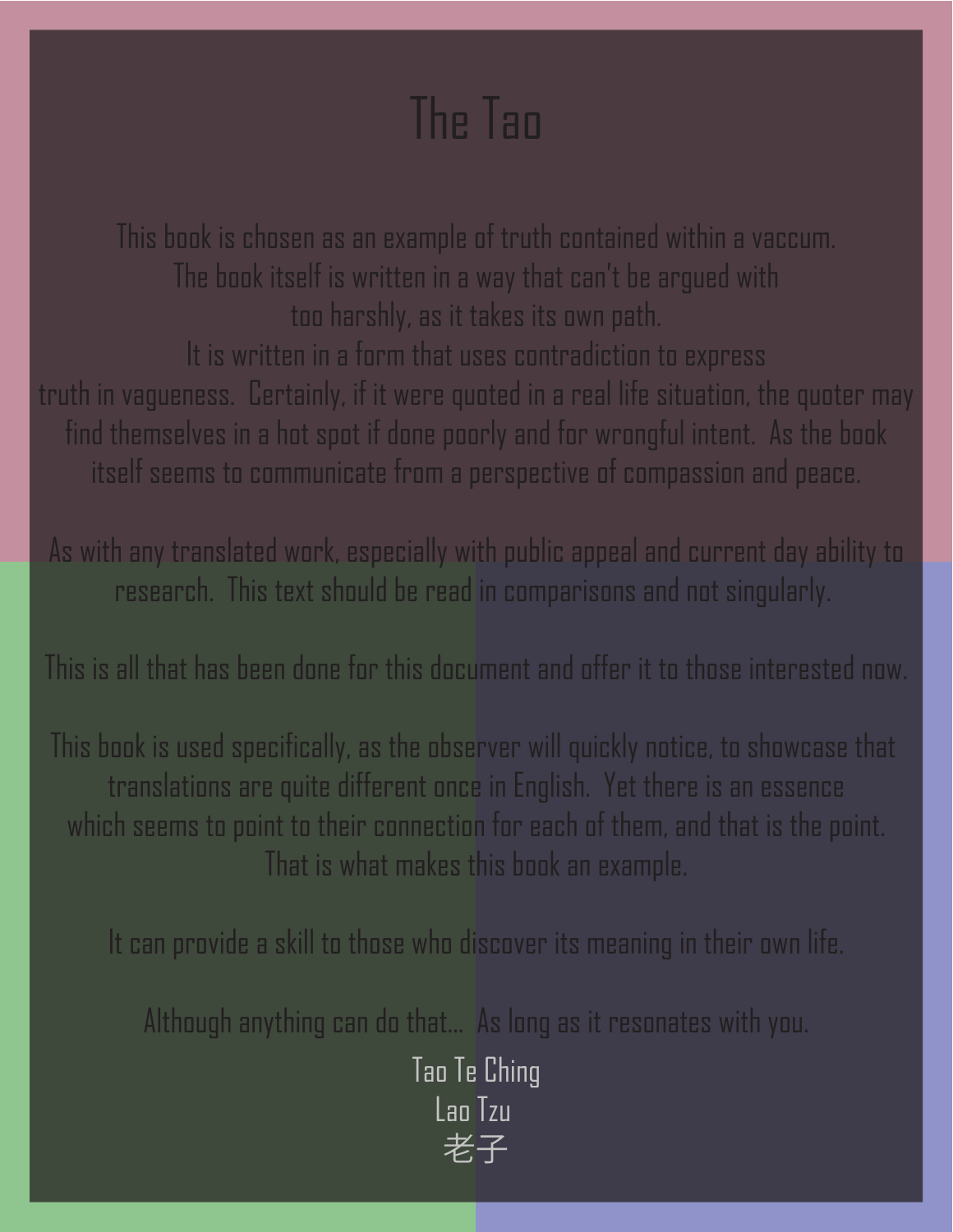# The Tao

This book is chosen as an example of truth contained within a vaccum. The book itself is written in a way that can't be argued with too harshly, as it takes its own path. It is written in a form that uses contradiction to express truth in vagueness. Certainly, if it were quoted in a real life situation, the quoter may find themselves in a hot spot if done poorly and for wrongful intent. As the book itself seems to communicate from a perspective of compassion and peace.

As with any translated work, especially with public appeal and current day ability to research. This text should be read in comparisons and not singularly.

This is all that has been done for this document and offer it to those interested now.

This book is used specifically, as the observer will quickly notice, to showcase that translations are quite different once in English. Yet there is an essence which seems to point to their connection for each of them, and that is the point. That is what makes this book an example.

It can provide a skill to those who discover its meaning in their own life.

Although anything can do that... As long as it resonates with you.

Tao Te Ching Lao Tzu 老子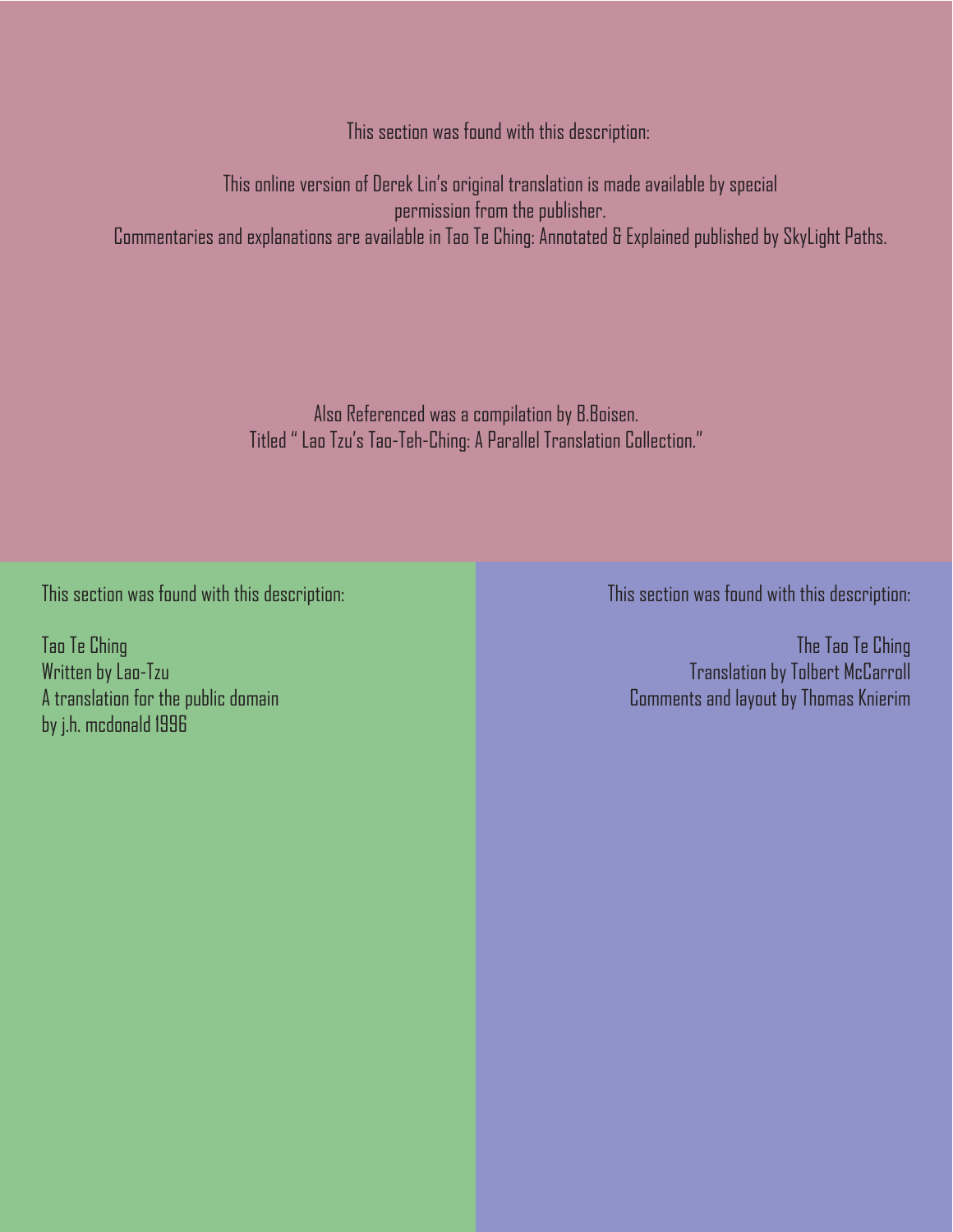This section was found with this description:

This online version of Derek Lin's original translation is made available by special permission from the publisher. Commentaries and explanations are available in Tao Te Ching: Annotated & Explained published by SkyLight Paths.

> Also Referenced was a compilation by B.Boisen. Titled " Lao Tzu's Tao-Teh-Ching: A Parallel Translation Collection."

This section was found with this description:

Tao Te Ching Written by Lao-Tzu A translation for the public domain by j.h. mcdonald 1996

This section was found with this description:

The Tao Te Ching Translation by Tolbert McCarroll Comments and layout by Thomas Knierim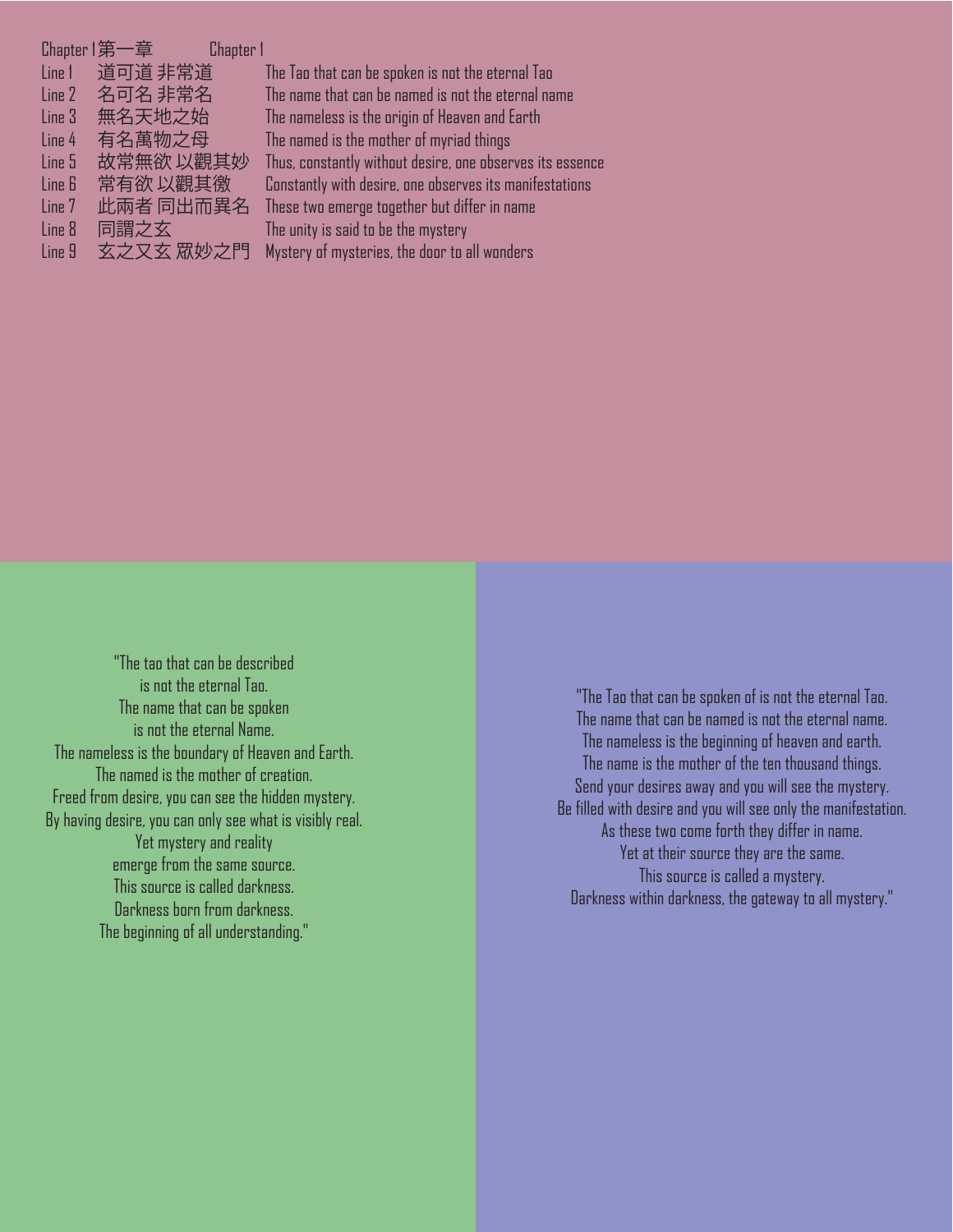|        | Chapter 1第一章<br>Chapter 1 |                                                           |
|--------|---------------------------|-----------------------------------------------------------|
| Line 1 | 道可道 非常道                   | The Tao that can be spoken is not the eternal Tao         |
| Line 2 | 名可名 非常名                   | The name that can be named is not the eternal name        |
| Line 3 | 無名天地之始                    | The nameless is the origin of Heaven and Earth            |
| Line 4 | 有名萬物之母                    | The named is the mother of myriad things                  |
| Line 5 | 故常無欲以觀其妙                  | Thus, constantly without desire, one observes its essence |
| Line 6 | 常有欲以觀其徼                   | Constantly with desire, one observes its manifestations   |
| Line 7 | 此兩者 同出而異名                 | These two emerge together but differ in name              |
| Line 8 | 同謂之玄                      | The unity is said to be the mystery                       |
| Line 9 | 玄之又玄 眾妙之門                 | Mystery of mysteries, the door to all wonders             |

"The tao that can be described is not the eternal Tao. The name that can be spoken is not the eternal Name. The nameless is the boundary of Heaven and Earth. The named is the mother of creation. Freed from desire, you can see the hidden mystery. By having desire, you can only see what is visibly real. Yet mystery and reality emerge from the same source. This source is called darkness. Darkness born from darkness. The beginning of all understanding."

"The Tao that can be spoken of is not the eternal Tao. The name that can be named is not the eternal name. The nameless is the beginning of heaven and earth. The name is the mother of the ten thousand things. Send your desires away and you will see the mystery. Be filled with desire and you will see only the manifestation. As these two come forth they differ in name. Yet at their source they are the same. This source is called a mystery. Darkness within darkness, the gateway to all mystery."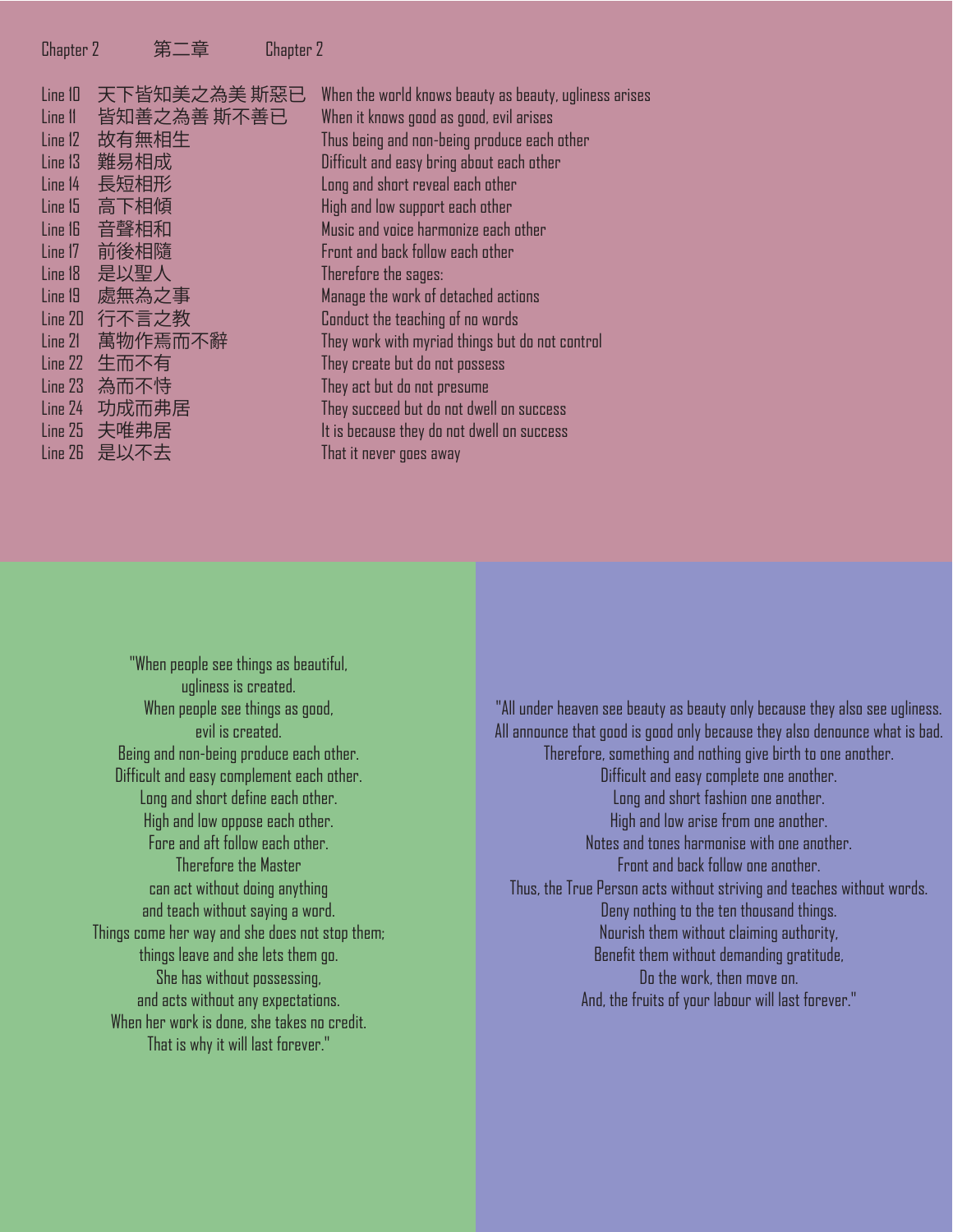Chapter 2 第二章 Chapter 2

| Line 10 | 天下皆知美之為美 斯惡已                       | When the world knows beauty as beauty, ugliness arises |
|---------|------------------------------------|--------------------------------------------------------|
| Line 11 | 皆知善之為善 斯不善已                        | When it knows good as good, evil arises                |
| Line 12 | 故有無相生                              | Thus being and non-being produce each other            |
| Line 13 | 難易相成                               | Difficult and easy bring about each other              |
| Line 14 | 長短相形                               | Long and short reveal each other                       |
|         | $\text{Line 15}$ 高下相傾              | High and low support each other                        |
| Line 16 | 音聲相和                               | Music and voice harmonize each other                   |
|         | Line 17 前後相隨                       | Front and back follow each other                       |
|         | $\mathsf{Line}$ $\mathsf{IB}$ 是以聖人 | Therefore the sages:                                   |
| Line 19 | - 處無為之事                            | Manage the work of detached actions                    |
|         | Line 20 行不言之教                      | Conduct the teaching of no words                       |
|         | Line 21 萬物作焉而不辭                    | They work with myriad things but do not control        |
|         | Line 22 生而不有                       | They create but do not possess                         |
|         | Line 23 為而不恃                       | They act but do not presume                            |
|         | Line 24 功成而弗居                      | They succeed but do not dwell on success               |
|         | Line 25 夫唯弗居                       | It is because they do not dwell on success             |
|         | Line 26 是以不去                       | That it never goes away                                |
|         |                                    |                                                        |

"When people see things as beautiful, ugliness is created. When people see things as good, evil is created. Being and non-being produce each other. Difficult and easy complement each other. Long and short define each other. High and low oppose each other. Fore and aft follow each other. Therefore the Master can act without doing anything and teach without saying a word. Things come her way and she does not stop them; things leave and she lets them go. She has without possessing, and acts without any expectations. When her work is done, she takes no credit. That is why it will last forever."

"All under heaven see beauty as beauty only because they also see ugliness. All announce that good is good only because they also denounce what is bad. Therefore, something and nothing give birth to one another. Difficult and easy complete one another. Long and short fashion one another. High and low arise from one another. Notes and tones harmonise with one another. Front and back follow one another. Thus, the True Person acts without striving and teaches without words. Deny nothing to the ten thousand things. Nourish them without claiming authority, Benefit them without demanding gratitude, Do the work, then move on. And, the fruits of your labour will last forever."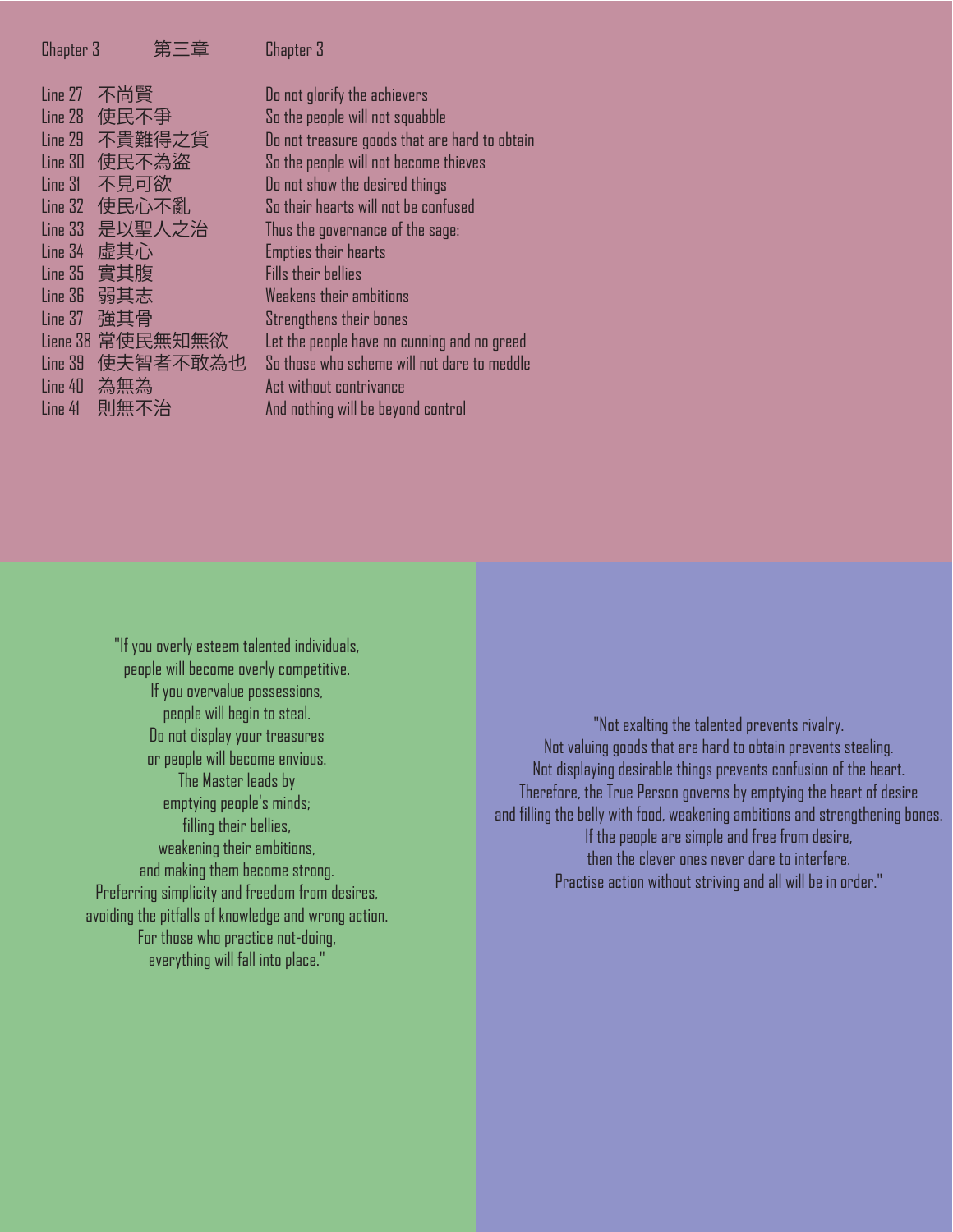| Chapter 3 | 第三章                                                                     | Chapter 3                                     |
|-----------|-------------------------------------------------------------------------|-----------------------------------------------|
|           |                                                                         |                                               |
|           | Line 27 不尚賢                                                             | Do not glorify the achievers                  |
|           | Line 28 使民不爭                                                            | So the people will not squabble               |
|           | Line 29 不貴難得之貨                                                          | Do not treasure goods that are hard to obtain |
|           | Line 30 使民不為盜                                                           | So the people will not become thieves         |
|           | Line 31 不見可欲                                                            | Do not show the desired things                |
|           | Line 32 使民心不亂                                                           | So their hearts will not be confused          |
|           | Line 33 是以聖人之治                                                          | Thus the governance of the sage:              |
|           | Line 34 虛其心                                                             | <b>Empties their hearts</b>                   |
|           | Line 35 實其腹                                                             | <b>Fills their bellies</b>                    |
|           | Line 36 弱其志                                                             | Weakens their ambitions                       |
| Line 37   | 強其骨                                                                     | Strengthens their bones                       |
|           | Liene 38 常使民無知無欲                                                        | Let the people have no cunning and no greed   |
|           | Line 39 使夫智者不敢為也                                                        | So those who scheme will not dare to meddle   |
|           | Line 40 為無為                                                             | Act without contrivance                       |
|           | $\mathsf{Line} \, 4 \quad  \text{H} \, \text{H} \, \overline{\text{H}}$ | And nothing will be beyond control            |

"If you overly esteem talented individuals, people will become overly competitive. If you overvalue possessions, people will begin to steal. Do not display your treasures or people will become envious. The Master leads by emptying people's minds; filling their bellies, weakening their ambitions, and making them become strong. Preferring simplicity and freedom from desires, avoiding the pitfalls of knowledge and wrong action. For those who practice not-doing, everything will fall into place."

"Not exalting the talented prevents rivalry. Not valuing goods that are hard to obtain prevents stealing. Not displaying desirable things prevents confusion of the heart. Therefore, the True Person governs by emptying the heart of desire and filling the belly with food, weakening ambitions and strengthening bones. If the people are simple and free from desire, then the clever ones never dare to interfere. Practise action without striving and all will be in order."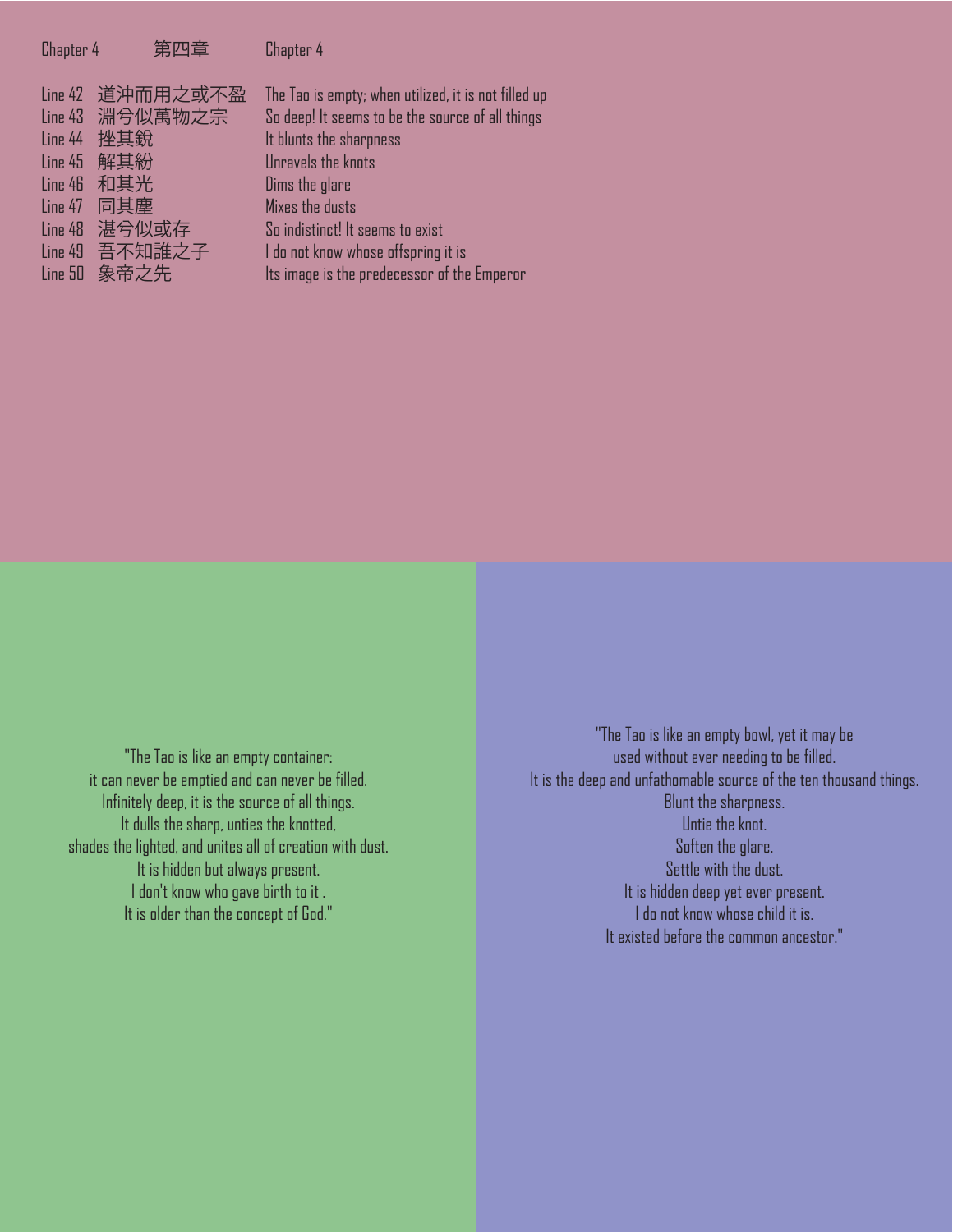| Chapter 4                                                      | 第四章                                                                                                | Chapter 4                                                                                                                                                                                                                                                                                                                |
|----------------------------------------------------------------|----------------------------------------------------------------------------------------------------|--------------------------------------------------------------------------------------------------------------------------------------------------------------------------------------------------------------------------------------------------------------------------------------------------------------------------|
| Line 42<br>Line 45<br>Line 46<br>Line 47<br>Line 48<br>Line 50 | 道沖而用之或不盈<br>Line 43 淵兮似萬物之宗<br>Line 44 挫其銳<br>解其紛<br>和其光<br>同其塵<br>湛兮似或存<br>Line 49 吾不知誰之子<br>象帝之先 | The Tao is empty; when utilized, it is not filled up<br>So deep! It seems to be the source of all things<br>It blunts the sharpness<br>Unravels the knots<br>Dims the glare<br>Mixes the dusts<br>So indistinct! It seems to exist<br>I do not know whose offspring it is<br>Its image is the predecessor of the Emperor |
|                                                                |                                                                                                    |                                                                                                                                                                                                                                                                                                                          |

"The Tao is like an empty container: it can never be emptied and can never be filled. Infinitely deep, it is the source of all things. It dulls the sharp, unties the knotted, shades the lighted, and unites all of creation with dust. It is hidden but always present. I don't know who gave birth to it . It is older than the concept of God."

"The Tao is like an empty bowl, yet it may be used without ever needing to be filled. It is the deep and unfathomable source of the ten thousand things. Blunt the sharpness. Untie the knot. Soften the glare. Settle with the dust. It is hidden deep yet ever present. I do not know whose child it is. It existed before the common ancestor."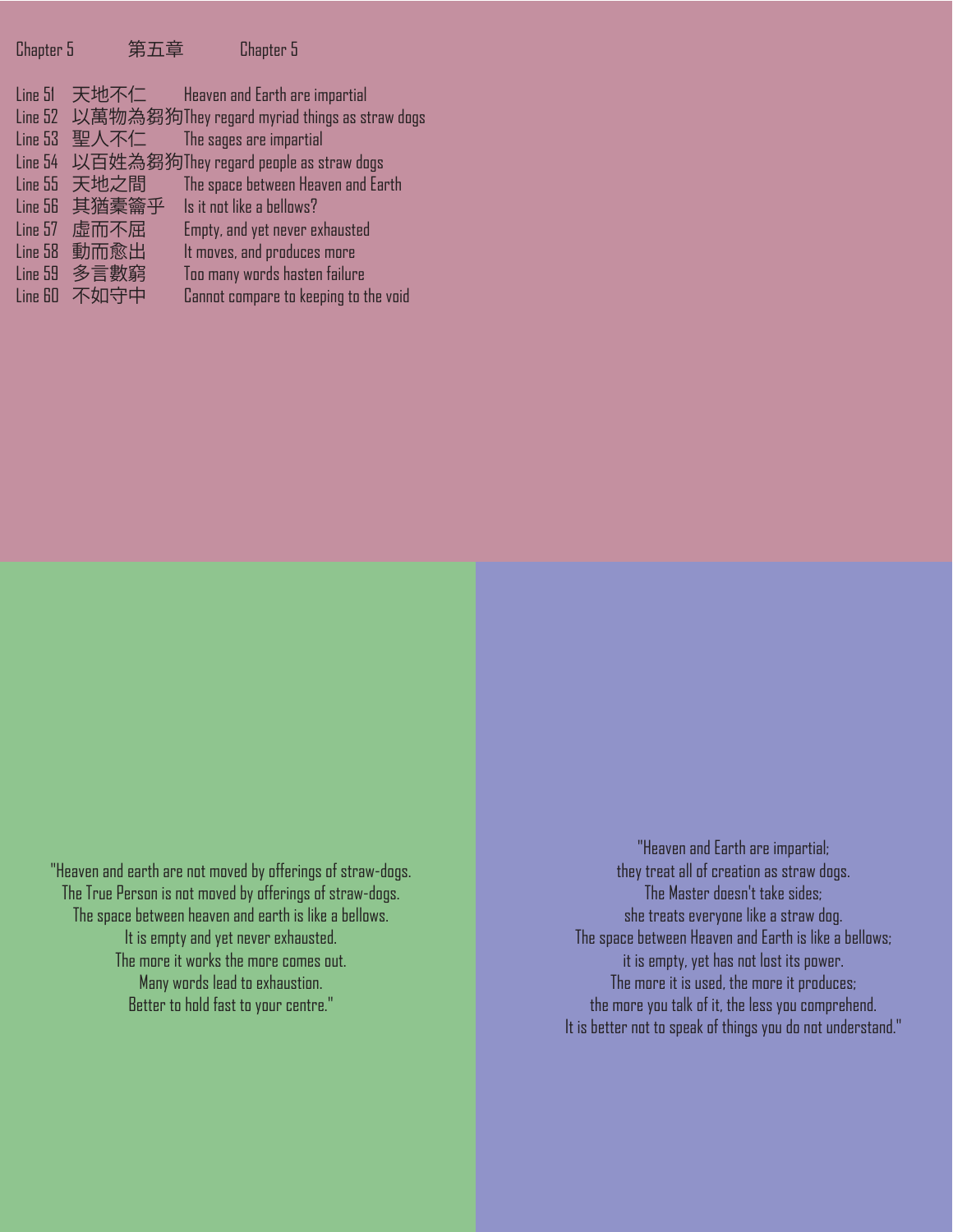# Chapter 5 第五章 Chapter 5

|                                                      | Line 51 天地不仁 Heaven and Earth are impartial           |
|------------------------------------------------------|-------------------------------------------------------|
|                                                      | Line 52 以萬物為芻狗They regard myriad things as straw dogs |
|                                                      | Line 53 聖人不仁 The sages are impartial                  |
|                                                      | Line 54 以百姓為芻狗They regard people as straw dogs        |
| $\mathop{\rm Line}\nolimits 55$ 天地之間 $\qquad \qquad$ | The space between Heaven and Earth                    |
| $\mathop{\rm Line}\nolimits$ 56 其猶橐籥乎                | Is it not like a bellows?                             |
| Line 57 虛而不屈                                         | Empty, and yet never exhausted                        |
| Line 58 動而愈出                                         | It moves, and produces more                           |
| Line 59 多言數窮                                         | Too many words hasten failure                         |
| Line 60 不如守中                                         | Cannot compare to keeping to the void                 |

"Heaven and earth are not moved by offerings of straw-dogs. The True Person is not moved by offerings of straw-dogs. The space between heaven and earth is like a bellows. It is empty and yet never exhausted. The more it works the more comes out. Many words lead to exhaustion. Better to hold fast to your centre."

"Heaven and Earth are impartial; they treat all of creation as straw dogs. The Master doesn't take sides; she treats everyone like a straw dog. The space between Heaven and Earth is like a bellows; it is empty, yet has not lost its power. The more it is used, the more it produces; the more you talk of it, the less you comprehend. It is better not to speak of things you do not understand."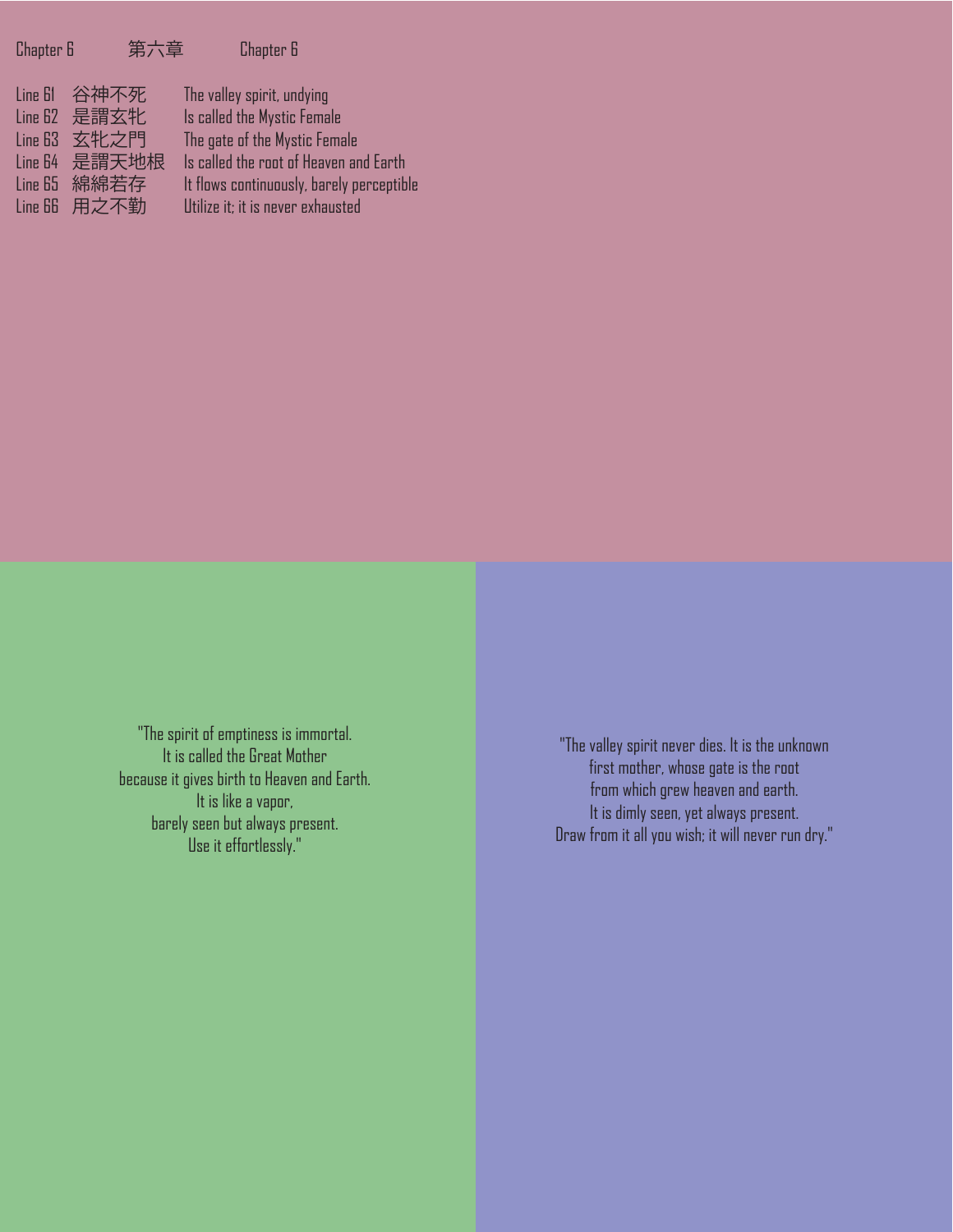| <b>Chapter 6</b> | 第六章                              | Chapter 6                                 |
|------------------|----------------------------------|-------------------------------------------|
|                  | $\lim_{h \to 0} \mathbb{S}$ 谷神不死 | The valley spirit, undying                |
|                  | Line 62 是謂玄牝                     | Is called the Mystic Female               |
|                  | Line 63 玄牝之門                     | The gate of the Mystic Female             |
|                  | Line B4 是謂天地根                    | Is called the root of Heaven and Earth    |
|                  | Line 65 綿綿若存                     | It flows continuously, barely perceptible |
|                  | Line 品 用之不勤                      | Utilize it; it is never exhausted         |
|                  |                                  |                                           |

"The spirit of emptiness is immortal. It is called the Great Mother because it gives birth to Heaven and Earth. It is like a vapor, barely seen but always present. Use it effortlessly."

"The valley spirit never dies. It is the unknown first mother, whose gate is the root from which grew heaven and earth. It is dimly seen, yet always present. Draw from it all you wish; it will never run dry."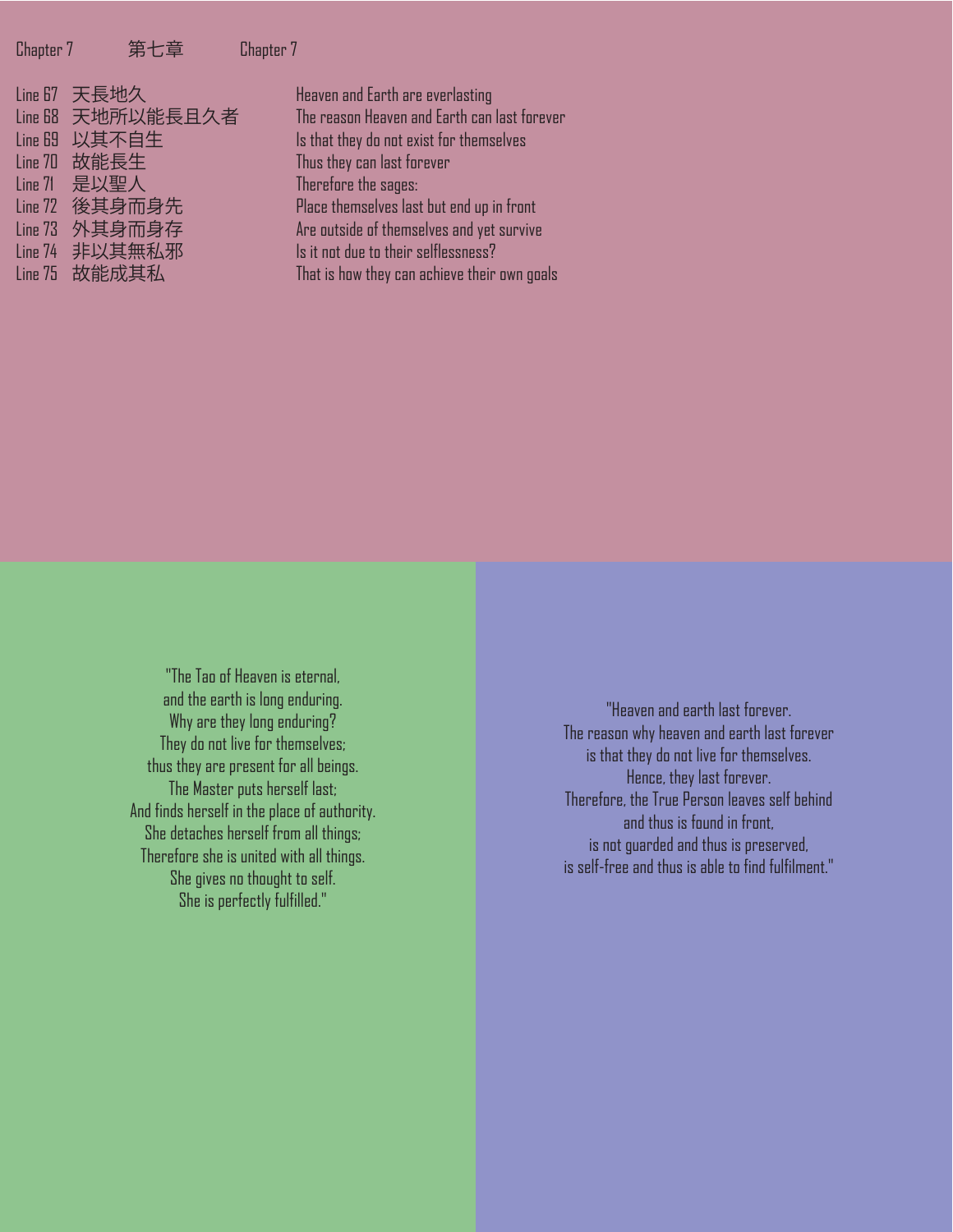## Chapter 7 第七章 Chapter 7

| Line 67 天長地久      | Heaven and Earth are everlasting             |
|-------------------|----------------------------------------------|
| Line 68 天地所以能長且久者 | The reason Heaven and Earth can last forever |
| Line 69 以其不自生     | Is that they do not exist for themselves     |
| Line 70 故能長生      | Thus they can last forever                   |
| Line 71 是以聖人      | Therefore the sages:                         |
| Line 72 後其身而身先    | Place themselves last but end up in front    |
| Line 73 外其身而身存    | Are outside of themselves and yet survive    |
| Line 74 非以其無私邪    | Is it not due to their selflessness?         |
| Line 75 故能成其私     | That is how they can achieve their own goals |

"The Tao of Heaven is eternal, and the earth is long enduring. Why are they long enduring? They do not live for themselves; thus they are present for all beings. The Master puts herself last; And finds herself in the place of authority. She detaches herself from all things; Therefore she is united with all things. She gives no thought to self. She is perfectly fulfilled."

"Heaven and earth last forever. The reason why heaven and earth last forever is that they do not live for themselves. Hence, they last forever. Therefore, the True Person leaves self behind and thus is found in front, is not guarded and thus is preserved, is self-free and thus is able to find fulfilment."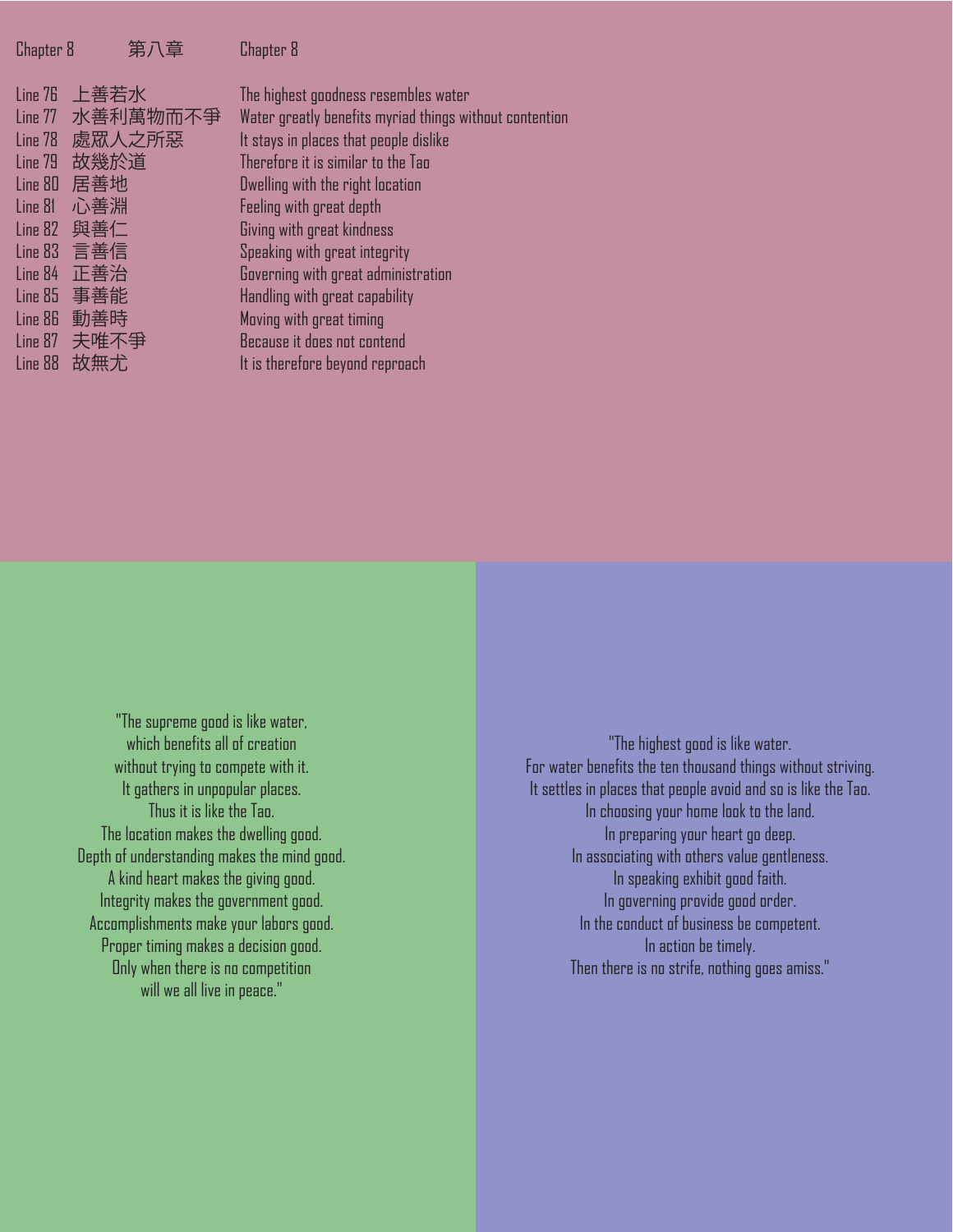| Line 76 上善若水<br>The highest goodness resembles water<br>Line 77 水善利萬物而不爭<br>Water greatly benefits myriad things without contention                                                                                                                                                    |                                  | 第八章<br>Chapter 8<br>Chapter 8                            |  |
|----------------------------------------------------------------------------------------------------------------------------------------------------------------------------------------------------------------------------------------------------------------------------------------|----------------------------------|----------------------------------------------------------|--|
| Line 79 故幾於道<br>Therefore it is similar to the Tao<br>Line 80 居善地                                                                                                                                                                                                                      |                                  | Line 78 處眾人之所惡<br>It stays in places that people dislike |  |
| Line 81 心善淵<br>Feeling with great depth<br>Line 82 與善仁<br>Giving with great kindness<br>Line 83 言善信<br>Speaking with great integrity<br>Line 84 正善治<br>Governing with great administration<br>Line 85 事善能<br>Handling with great capability<br>Line 86 動善時<br>Moving with great timing | Dwelling with the right location |                                                          |  |
|                                                                                                                                                                                                                                                                                        |                                  |                                                          |  |
|                                                                                                                                                                                                                                                                                        |                                  |                                                          |  |
|                                                                                                                                                                                                                                                                                        |                                  |                                                          |  |

"The supreme good is like water, which benefits all of creation without trying to compete with it. It gathers in unpopular places. Thus it is like the Tao. The location makes the dwelling good. Depth of understanding makes the mind good. A kind heart makes the giving good. Integrity makes the government good. Accomplishments make your labors good. Proper timing makes a decision good. Only when there is no competition will we all live in peace."

"The highest good is like water. For water benefits the ten thousand things without striving. It settles in places that people avoid and so is like the Tao. In choosing your home look to the land. In preparing your heart go deep. In associating with others value gentleness. In speaking exhibit good faith. In governing provide good order. In the conduct of business be competent. In action be timely. Then there is no strife, nothing goes amiss."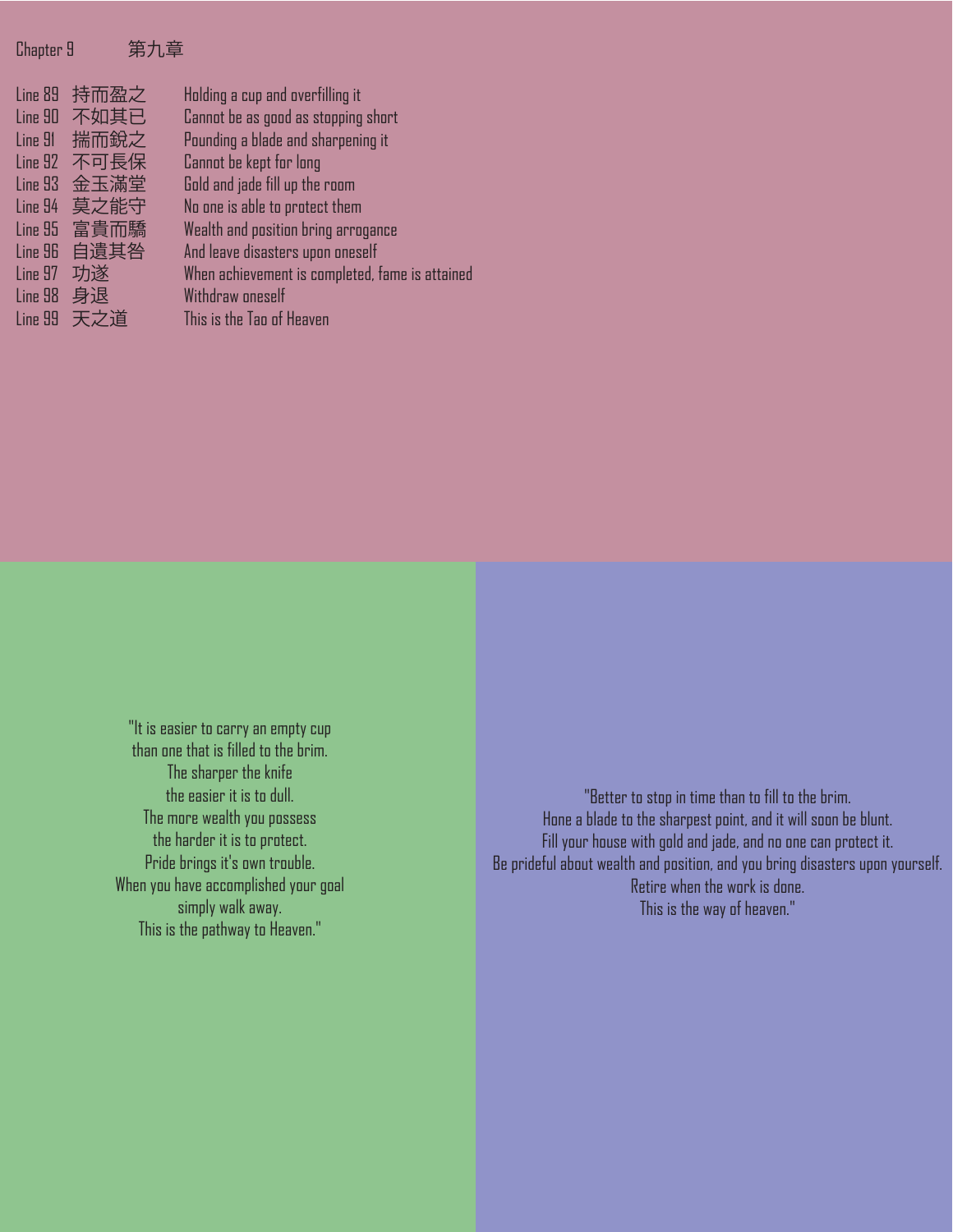## Chapter 9 第九章

| Line 97 功遂<br>Line 98 | $\mathop{\rm Line}\nolimits$ 89 持而盈之<br>Line 90 不如其已<br>Line 91 揣而銳之<br>Line 92 不可長保<br>Line 93 金玉滿堂<br>Line 94 莫之能守<br>Line 95 富貴而驕<br>Line SG 自遺其咎<br>身退 | Holding a cup and overfilling it<br>Cannot be as good as stopping short<br>Pounding a blade and sharpening it<br>Cannot be kept for long<br>Gold and jade fill up the room<br>No one is able to protect them<br>Wealth and position bring arrogance<br>And leave disasters upon oneself<br>When achievement is completed, fame is attained<br>Withdraw oneself |
|-----------------------|------------------------------------------------------------------------------------------------------------------------------------------------------------|----------------------------------------------------------------------------------------------------------------------------------------------------------------------------------------------------------------------------------------------------------------------------------------------------------------------------------------------------------------|
|                       | Line 99 天之道                                                                                                                                                | This is the Tao of Heaven                                                                                                                                                                                                                                                                                                                                      |
|                       |                                                                                                                                                            |                                                                                                                                                                                                                                                                                                                                                                |

"It is easier to carry an empty cup than one that is filled to the brim. The sharper the knife the easier it is to dull. The more wealth you possess the harder it is to protect. Pride brings it's own trouble. When you have accomplished your goal simply walk away. This is the pathway to Heaven."

"Better to stop in time than to fill to the brim. Hone a blade to the sharpest point, and it will soon be blunt. Fill your house with gold and jade, and no one can protect it. Be prideful about wealth and position, and you bring disasters upon yourself. Retire when the work is done. This is the way of heaven."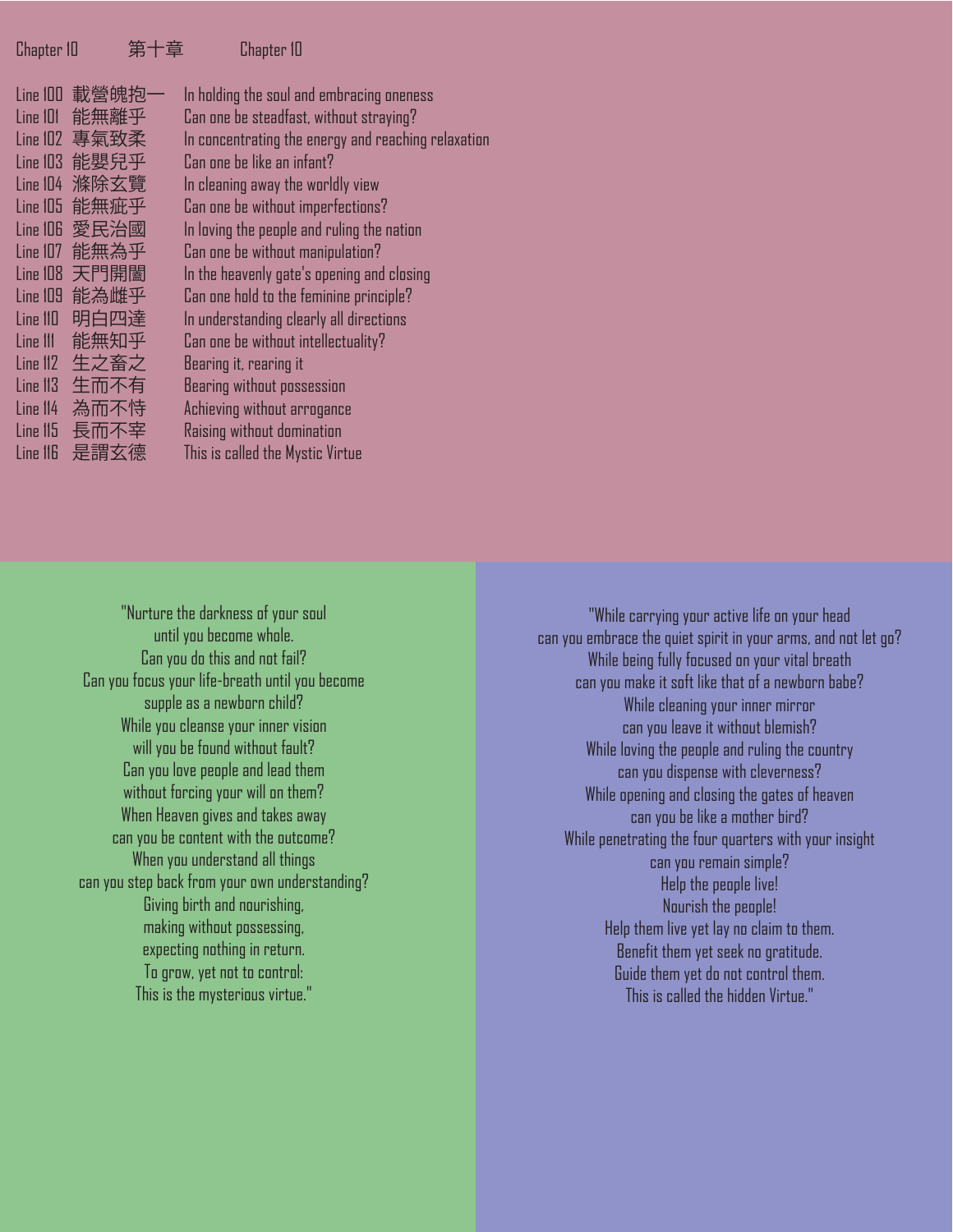|            | Line IOO 載營魄抱一 | In holding the soul and embracing oneness           |
|------------|----------------|-----------------------------------------------------|
|            | Line IOI 能無離平  | Can one be steadfast, without straying?             |
|            | Line IO2 專氣致柔  | In concentrating the energy and reaching relaxation |
|            | Line IO3 能嬰兒乎  | Can one be like an infant?                          |
|            | Line ID4 滌除玄覽  | In cleaning away the worldly view                   |
|            | Line IO5 能無疵乎  | Can one be without imperfections?                   |
|            | Line IOG 愛民治國  | In loving the people and ruling the nation          |
|            | Line ID7 能無為平  | Can one be without manipulation?                    |
|            | Line 108 天門開闔  | In the heavenly gate's opening and closing          |
|            | Line IO9 能為雌乎  | Can one hold to the feminine principle?             |
|            | Line 110 明白四達  | In understanding clearly all directions             |
|            | Line III 能無知平  | Can one be without intellectuality?                 |
|            | Line II2 生之畜之  | Bearing it, rearing it                              |
|            | Line ll3 生而不有  | Bearing without possession                          |
| $Line$ 114 | 為而不恃           | Achieving without arrogance                         |
|            | Line ll5 長而不宰  | Raising without domination                          |
| Line 116   | 是謂玄德           | This is called the Mystic Virtue                    |
|            |                |                                                     |

"Nurture the darkness of your soul until you become whole. Can you do this and not fail? Can you focus your life-breath until you become supple as a newborn child? While you cleanse your inner vision will you be found without fault? Can you love people and lead them without forcing your will on them? When Heaven gives and takes away can you be content with the outcome? When you understand all things can you step back from your own understanding? Giving birth and nourishing, making without possessing, expecting nothing in return. To grow, yet not to control: This is the mysterious virtue."

"While carrying your active life on your head can you embrace the quiet spirit in your arms, and not let go? While being fully focused on your vital breath can you make it soft like that of a newborn babe? While cleaning your inner mirror can you leave it without blemish? While loving the people and ruling the country can you dispense with cleverness? While opening and closing the gates of heaven can you be like a mother bird? While penetrating the four quarters with your insight can you remain simple? Help the people live! Nourish the people! Help them live yet lay no claim to them. Benefit them yet seek no gratitude. Guide them yet do not control them. This is called the hidden Virtue."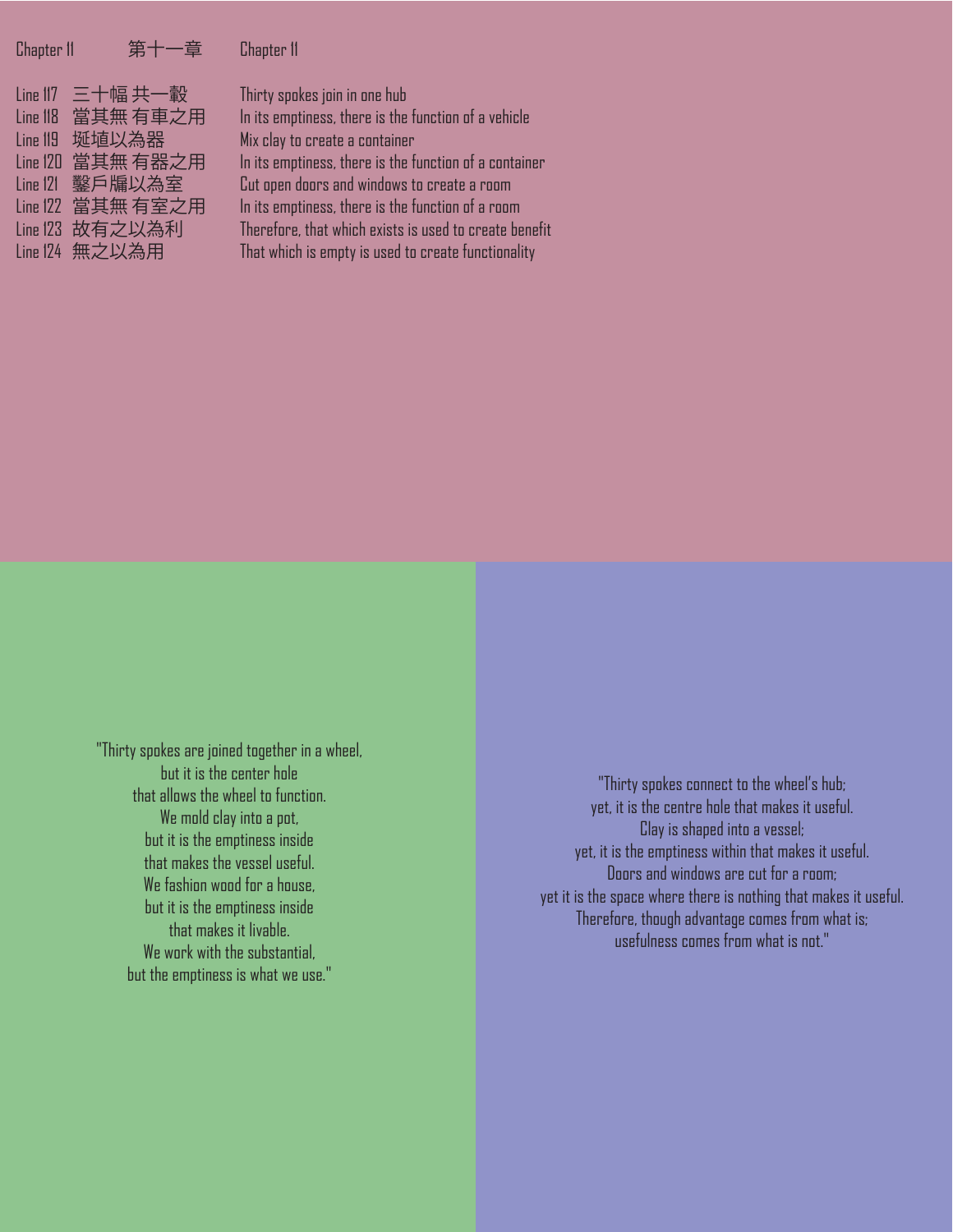| <b>Chapter II</b>   | 第十一章     |
|---------------------|----------|
| Line 117            | 三十幅 共一轂  |
| Line 118            | 當其無 有車之用 |
| $Line$ 119          | 埏埴以為器    |
| <b>Line 120</b>     | 當其無有器之用  |
| Line 121            | 鑿戶牖以為室   |
| <b>Line 122</b>     | 當其無 有室之用 |
| <b>Line 123</b>     | 故有之以為利   |
| $\cdots$ in $\iota$ | ᇭᆠᇇᄼᇑ    |

Chapter 11

Thirty spokes join in one hub In its emptiness, there is the function of a vehicle Mix clay to create a container In its emptiness, there is the function of a container Cut open doors and windows to create a room In its emptiness, there is the function of a room Therefore, that which exists is used to create benefit Line 124 無之以為用 That which is empty is used to create functionality

> "Thirty spokes are joined together in a wheel, but it is the center hole that allows the wheel to function. We mold clay into a pot, but it is the emptiness inside that makes the vessel useful. We fashion wood for a house, but it is the emptiness inside that makes it livable. We work with the substantial, but the emptiness is what we use."

"Thirty spokes connect to the wheel's hub; yet, it is the centre hole that makes it useful. Clay is shaped into a vessel; yet, it is the emptiness within that makes it useful. Doors and windows are cut for a room; yet it is the space where there is nothing that makes it useful. Therefore, though advantage comes from what is; usefulness comes from what is not."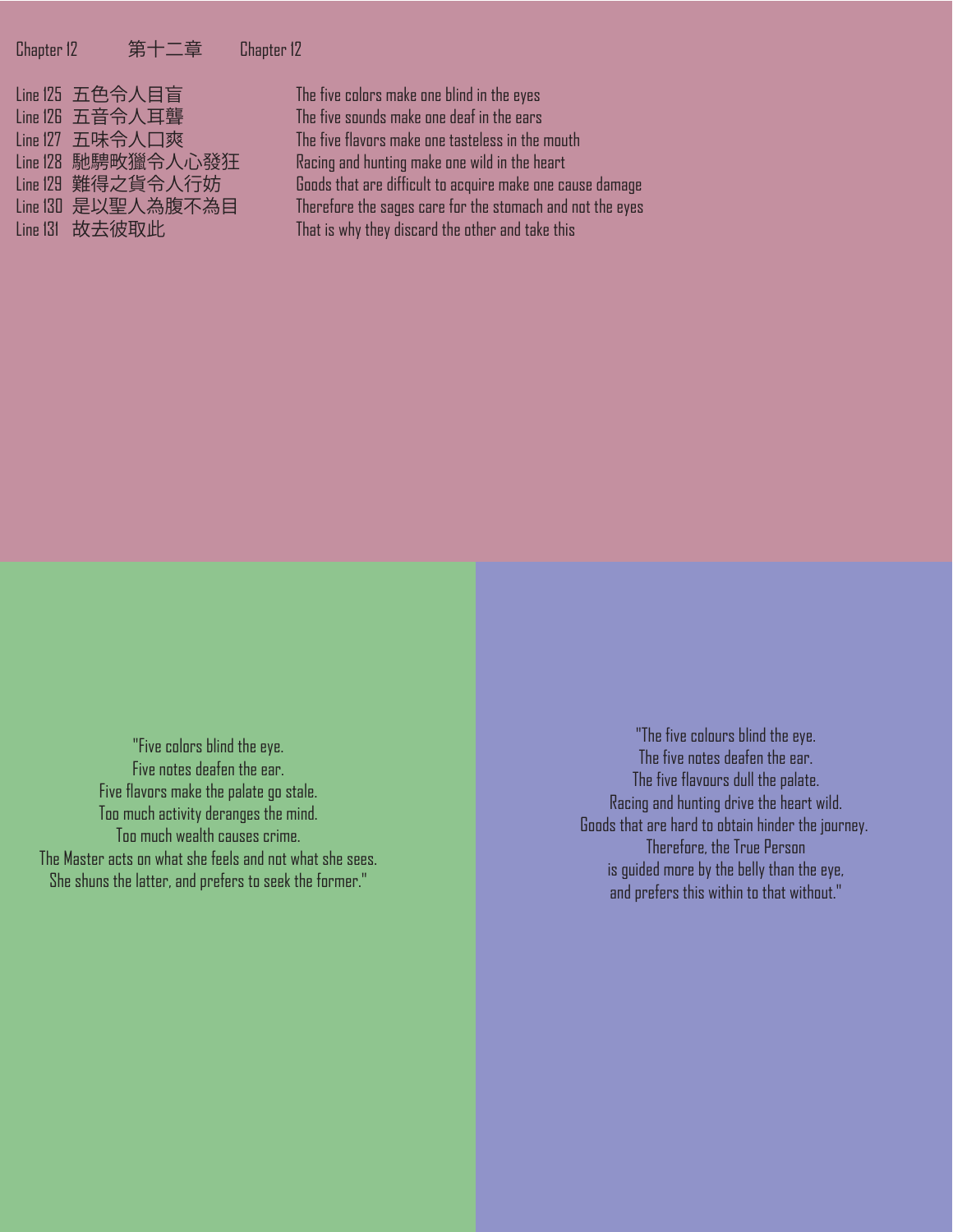## Chapter 12 第十二章 Chapter 12

| Line 125 五色令人目盲    |
|--------------------|
| Line I2G 五音令人耳聾    |
| Line 127 五味令人口爽    |
| Line 128 馳騁畋獵令人心發狂 |
| Line 129 難得之貨令人行妨  |
| Line 130 是以聖人為腹不為目 |
| Line 131 故去彼取此     |

The five colors make one blind in the eyes The five sounds make one deaf in the ears The five flavors make one tasteless in the mouth Racing and hunting make one wild in the heart Goods that are difficult to acquire make one cause damage Therefore the sages care for the stomach and not the eyes That is why they discard the other and take this

"Five colors blind the eye. Five notes deafen the ear. Five flavors make the palate go stale. Too much activity deranges the mind. Too much wealth causes crime. The Master acts on what she feels and not what she sees. She shuns the latter, and prefers to seek the former."

"The five colours blind the eye. The five notes deafen the ear. The five flavours dull the palate. Racing and hunting drive the heart wild. Goods that are hard to obtain hinder the journey. Therefore, the True Person is guided more by the belly than the eye, and prefers this within to that without."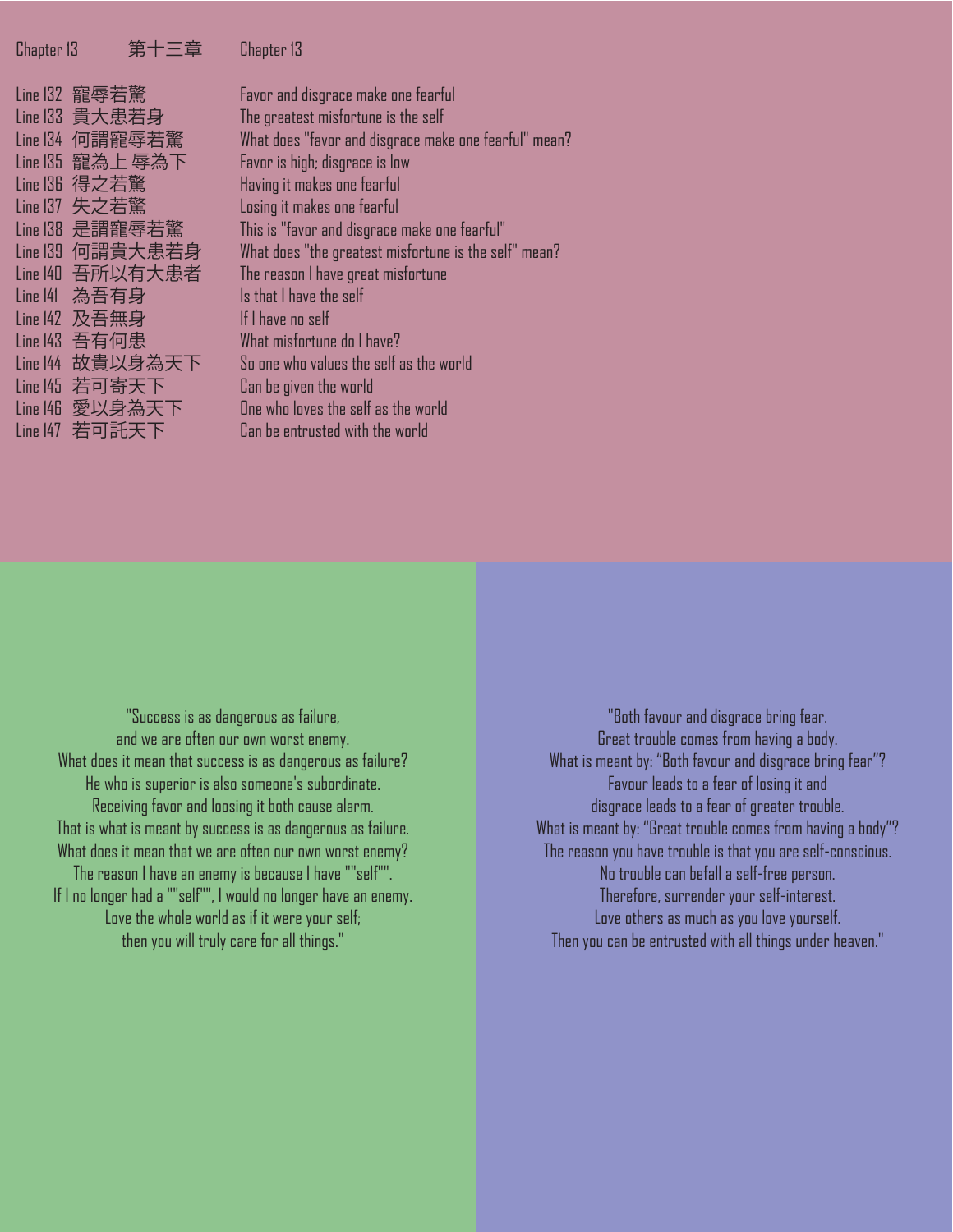| - 第十三章<br>Chapter 13                                                                                                                                                                                                                                                                             | Chapter 13                                                                                                                                                                                                                                                                                                                                                                                                                                                                                                                                                                                                       |
|--------------------------------------------------------------------------------------------------------------------------------------------------------------------------------------------------------------------------------------------------------------------------------------------------|------------------------------------------------------------------------------------------------------------------------------------------------------------------------------------------------------------------------------------------------------------------------------------------------------------------------------------------------------------------------------------------------------------------------------------------------------------------------------------------------------------------------------------------------------------------------------------------------------------------|
| Line 132 寵辱若驚<br>Line I33 貴大患若身<br>Line 134 何謂寵辱若驚<br>Line 135 寵為上辱為下<br>Line I36 得之若驚<br>Line 137 失之若驚<br>Line 138 是謂寵辱若驚<br>Line 133 何謂貴大患若身<br>Line l4D 吾所以有大患者<br>Line 141 為吾有身<br>Line 142 及吾無身<br>Line 143 吾有何患<br>Line l44 故貴以身為天下<br>Line l45 若可寄天下<br>Line l4G 愛以身為天下<br>Line 147 若可託天下 | Favor and disgrace make one fearful<br>The greatest misfortune is the self<br>What does "favor and disgrace make one fearful" mean?<br>Favor is high; disgrace is low<br>Having it makes one fearful<br>Losing it makes one fearful<br>This is "favor and disgrace make one fearful"<br>What does "the greatest misfortune is the self" mean?<br>The reason I have great misfortune<br>Is that I have the self<br>If I have no self<br>What misfortune do I have?<br>So one who values the self as the world<br>Can be given the world<br>One who loves the self as the world<br>Can be entrusted with the world |
|                                                                                                                                                                                                                                                                                                  |                                                                                                                                                                                                                                                                                                                                                                                                                                                                                                                                                                                                                  |

"Success is as dangerous as failure, and we are often our own worst enemy. What does it mean that success is as dangerous as failure? He who is superior is also someone's subordinate. Receiving favor and loosing it both cause alarm. That is what is meant by success is as dangerous as failure. What does it mean that we are often our own worst enemy? The reason I have an enemy is because I have ""self"". If I no longer had a ""self"", I would no longer have an enemy. Love the whole world as if it were your self; then you will truly care for all things."

"Both favour and disgrace bring fear. Great trouble comes from having a body. What is meant by: "Both favour and disgrace bring fear"? Favour leads to a fear of losing it and disgrace leads to a fear of greater trouble. What is meant by: "Great trouble comes from having a body"? The reason you have trouble is that you are self-conscious. No trouble can befall a self-free person. Therefore, surrender your self-interest. Love others as much as you love yourself. Then you can be entrusted with all things under heaven."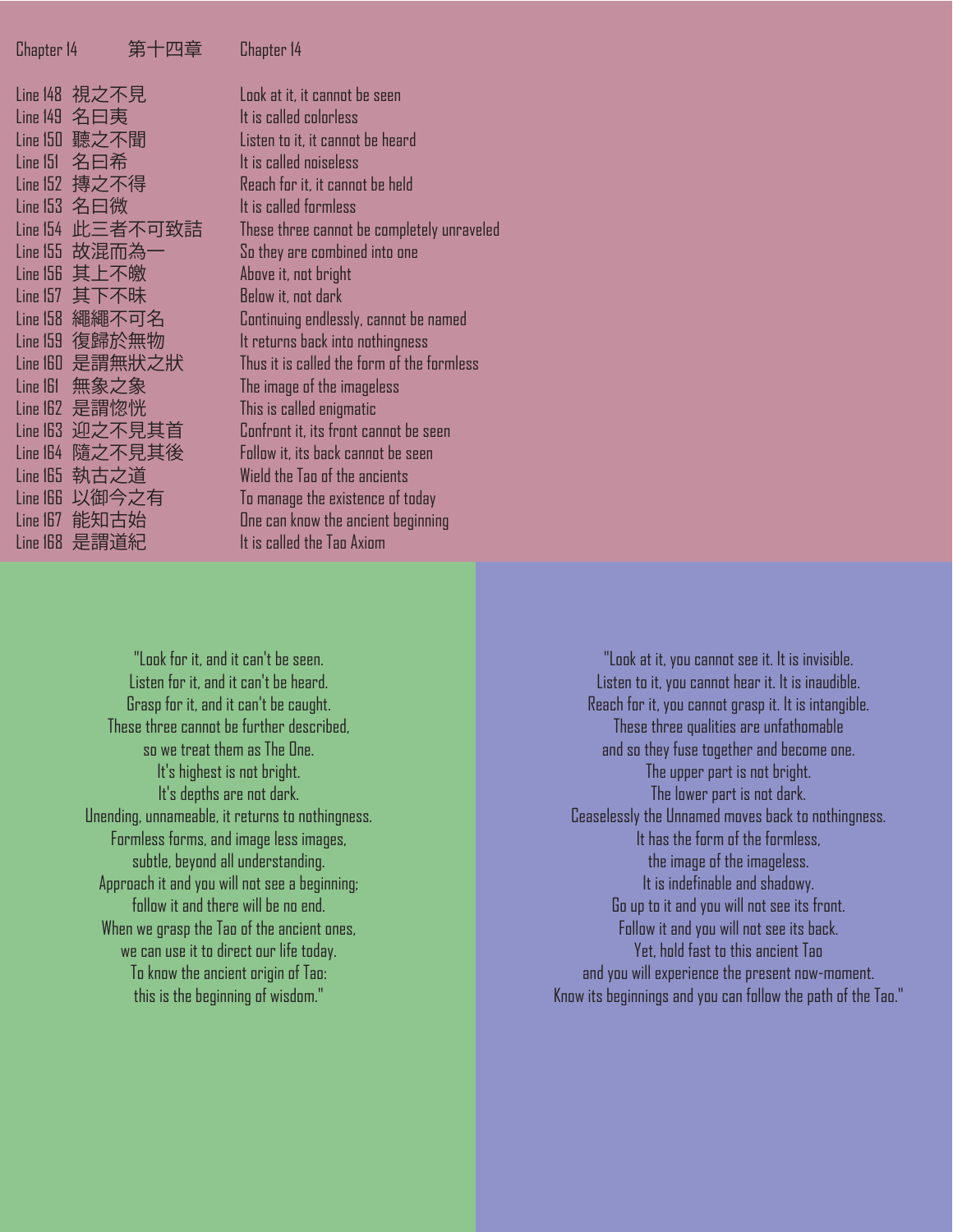| Chapter 14 | 第十四章                                                                                                                                                                                                                                                                                                                                                                        | Chapter 14                                                                                                                                                                                                                                                                                                                                                                                                                                                                                                                                                                                                                                                                                                                  |
|------------|-----------------------------------------------------------------------------------------------------------------------------------------------------------------------------------------------------------------------------------------------------------------------------------------------------------------------------------------------------------------------------|-----------------------------------------------------------------------------------------------------------------------------------------------------------------------------------------------------------------------------------------------------------------------------------------------------------------------------------------------------------------------------------------------------------------------------------------------------------------------------------------------------------------------------------------------------------------------------------------------------------------------------------------------------------------------------------------------------------------------------|
|            | Line l48 視之不見<br>Line l49 名曰夷<br>Line I50 聽之不聞<br>Line l5l 名曰希<br>Line l52 摶之不得<br>Line I53 名曰微<br>Line l54 此三者不可致詰<br>Line l55 故混而為-<br>Line I56 其上不皦<br>Line I57 其下不昧<br>Line I58 繩繩不可名<br>Line I59 復歸於無物<br>Line IGO 是謂無狀之狀<br>Line l6l 無象之象<br>Line IG2 是謂惚恍<br>Line I63 迎之不見其首<br>Line lG4 隨之不見其後<br>Line l65 執古之道<br>Line IGG 以御今之有<br>Line IG7 能知古始<br>Line IG8 是謂道紀 | Look at it, it cannot be seen<br>It is called colorless<br>Listen to it, it cannot be heard<br>It is called noiseless<br>Reach for it, it cannot be held<br>It is called formless<br>These three cannot be completely unraveled<br>So they are combined into one<br>Above it, not bright<br>Below it, not dark<br>Continuing endlessly, cannot be named<br>It returns back into nothingness<br>Thus it is called the form of the formless<br>The image of the imageless<br>This is called enigmatic<br>Confront it, its front cannot be seen<br>Follow it, its back cannot be seen<br>Wield the Tao of the ancients<br>To manage the existence of today<br>One can know the ancient beginning<br>It is called the Tao Axiom |
|            |                                                                                                                                                                                                                                                                                                                                                                             |                                                                                                                                                                                                                                                                                                                                                                                                                                                                                                                                                                                                                                                                                                                             |

"Look for it, and it can't be seen. Listen for it, and it can't be heard. Grasp for it, and it can't be caught. These three cannot be further described, so we treat them as The One. It's highest is not bright. It's depths are not dark. Unending, unnameable, it returns to nothingness. Formless forms, and image less images, subtle, beyond all understanding. Approach it and you will not see a beginning; follow it and there will be no end. When we grasp the Tao of the ancient ones, we can use it to direct our life today. To know the ancient origin of Tao: this is the beginning of wisdom."

"Look at it, you cannot see it. It is invisible. Listen to it, you cannot hear it. It is inaudible. Reach for it, you cannot grasp it. It is intangible. These three qualities are unfathomable and so they fuse together and become one. The upper part is not bright. The lower part is not dark. Ceaselessly the Unnamed moves back to nothingness. It has the form of the formless, the image of the imageless. It is indefinable and shadowy. Go up to it and you will not see its front. Follow it and you will not see its back. Yet, hold fast to this ancient Tao and you will experience the present now-moment. Know its beginnings and you can follow the path of the Tao."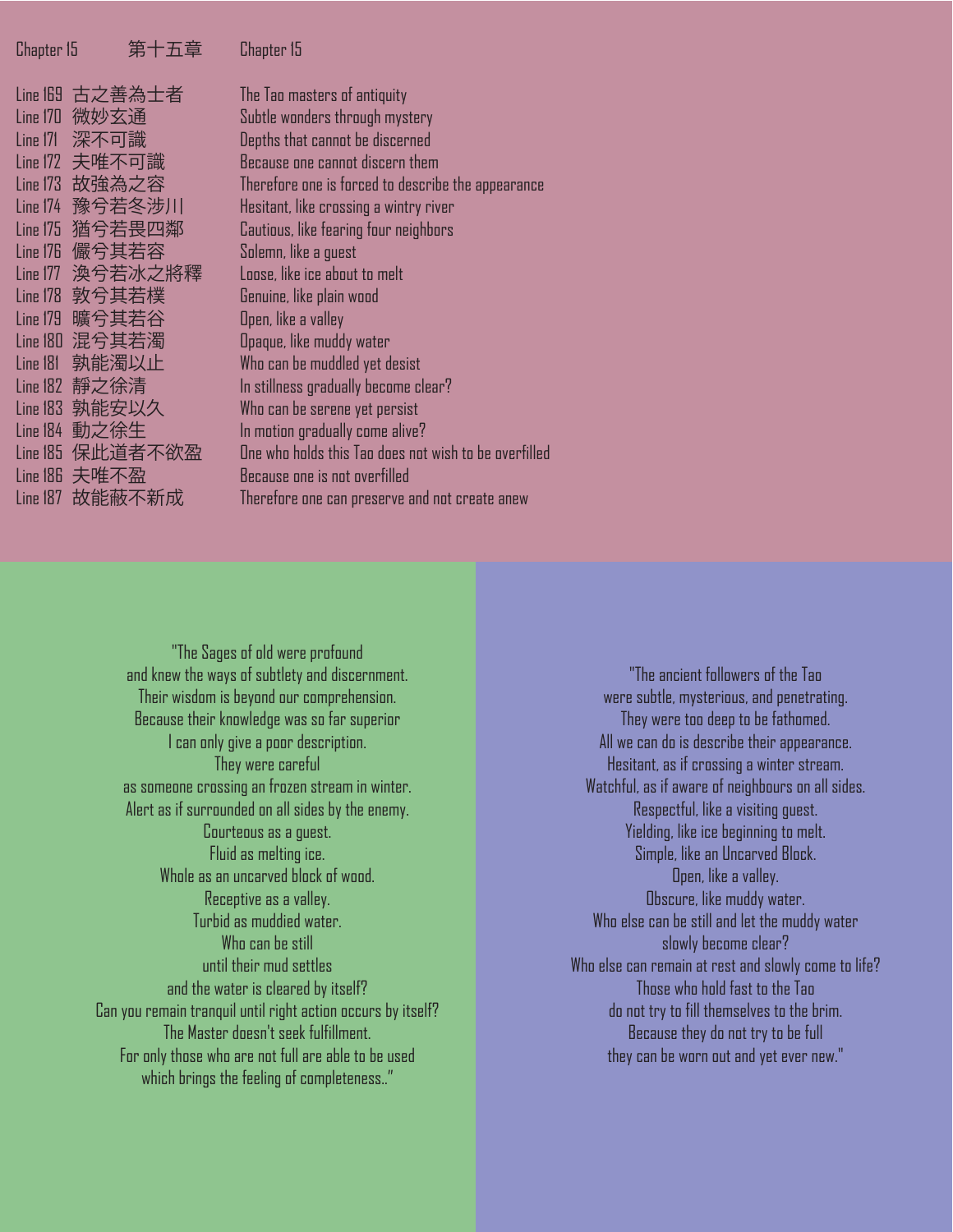| Chapter 15 | 第十五章                                                                | Chapter 15                                                                                                                           |
|------------|---------------------------------------------------------------------|--------------------------------------------------------------------------------------------------------------------------------------|
|            | Line lG9 古之善為士者<br>Line 170 微妙玄通<br>Line 171 深不可識<br>Line 172 夫唯不可識 | The Tao masters of antiquity<br>Subtle wonders through mystery<br>Depths that cannot be discerned<br>Because one cannot discern them |
|            | Line 173 故強為之容<br>Line l74 豫兮若冬涉川                                   | Therefore one is forced to describe the appearance<br>Hesitant, like crossing a wintry river                                         |
|            | Line I75 猶兮若畏四鄰                                                     | Cautious, like fearing four neighbors                                                                                                |
|            | Line I7G 儼兮其若容                                                      | Solemn, like a guest                                                                                                                 |
|            | Line I77 渙兮若冰之將釋                                                    | Loose, like ice about to melt                                                                                                        |
|            | Line178 敦兮其若樸                                                       | Genuine, like plain wood                                                                                                             |
|            | Line I79 曠兮其若谷                                                      | Open, like a valley                                                                                                                  |
|            | Line I8O 混兮其若濁                                                      | Opaque, like muddy water                                                                                                             |
|            | Line I81 孰能濁以止                                                      | Who can be muddled yet desist                                                                                                        |
|            | Line l82 靜之徐清                                                       | In stillness gradually become clear?                                                                                                 |
|            | Line I83 孰能安以久                                                      | Who can be serene yet persist                                                                                                        |
|            | Line 184 動之徐生                                                       | In motion gradually come alive?                                                                                                      |
|            | Line l85 保此道者不欲盈                                                    | One who holds this Tao does not wish to be overfilled                                                                                |
|            | Line 186 夫唯不盈                                                       | Because one is not overfilled                                                                                                        |
|            | Line 187 故能蔽不新成                                                     | Therefore one can preserve and not create anew                                                                                       |

"The Sages of old were profound and knew the ways of subtlety and discernment. Their wisdom is beyond our comprehension. Because their knowledge was so far superior I can only give a poor description. They were careful as someone crossing an frozen stream in winter. Alert as if surrounded on all sides by the enemy. Courteous as a guest. Fluid as melting ice. Whole as an uncarved block of wood. Receptive as a valley. Turbid as muddied water. Who can be still until their mud settles and the water is cleared by itself? Can you remain tranquil until right action occurs by itself? The Master doesn't seek fulfillment. For only those who are not full are able to be used which brings the feeling of completeness.."

"The ancient followers of the Tao were subtle, mysterious, and penetrating. They were too deep to be fathomed. All we can do is describe their appearance. Hesitant, as if crossing a winter stream. Watchful, as if aware of neighbours on all sides. Respectful, like a visiting guest. Yielding, like ice beginning to melt. Simple, like an Uncarved Block. Open, like a valley. Obscure, like muddy water. Who else can be still and let the muddy water slowly become clear? Who else can remain at rest and slowly come to life? Those who hold fast to the Tao do not try to fill themselves to the brim. Because they do not try to be full they can be worn out and yet ever new."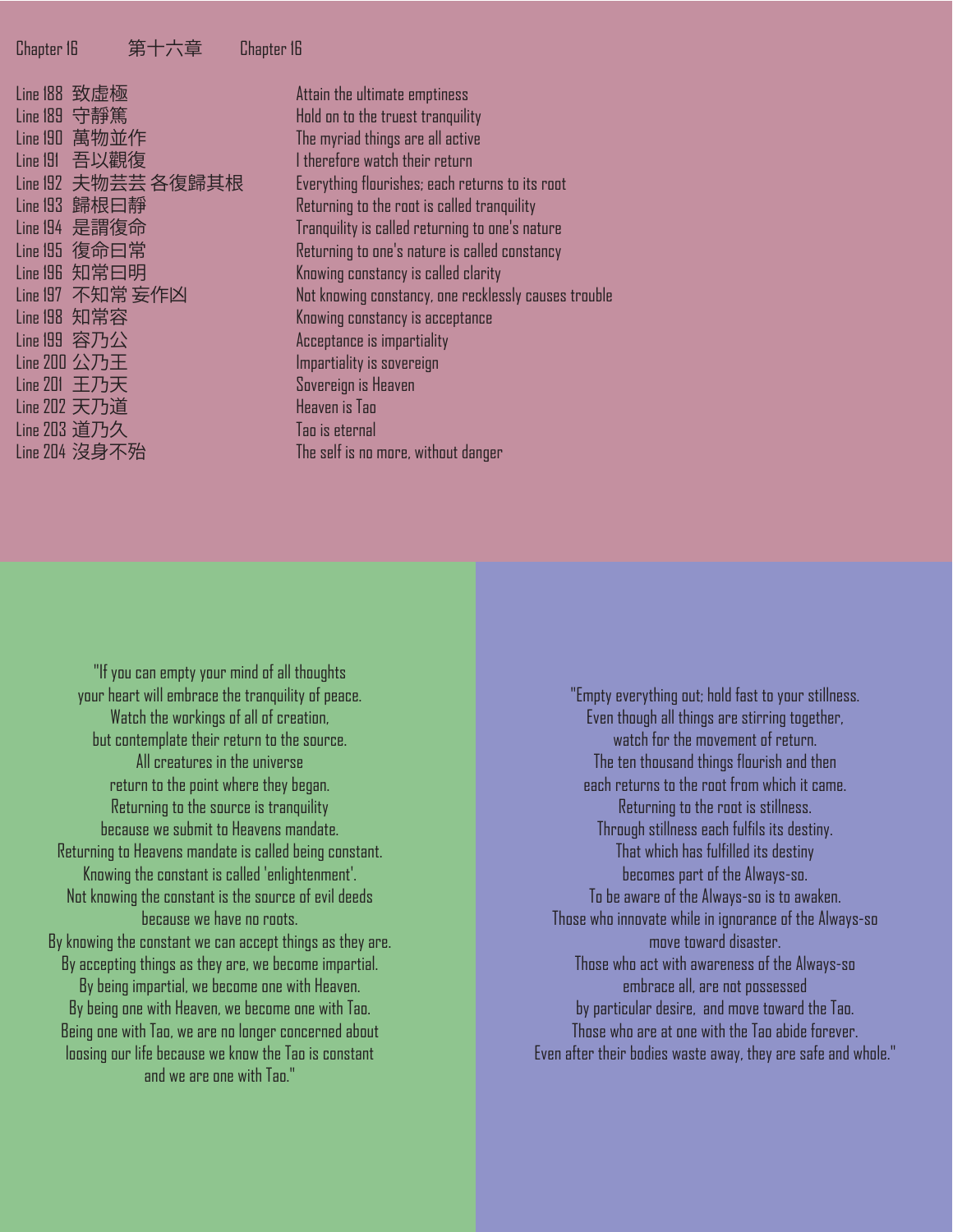| <b>Chapter 16</b> | 第十六章 | <b>Chapter 16</b> |
|-------------------|------|-------------------|
|                   |      |                   |

| Line 188 致虚極        | Attain the ultimate emptiness                        |
|---------------------|------------------------------------------------------|
| Line 189 守靜篤        | Hold on to the truest tranquility                    |
| Line I90 萬物並作       | The myriad things are all active                     |
| Line ISI 吾以觀復       | I therefore watch their return                       |
| Line l92 夫物芸芸 各復歸其根 | Everything flourishes; each returns to its root      |
| Line 193 歸根曰靜       | Returning to the root is called tranquility          |
| Line l94 是謂復命       | Tranquility is called returning to one's nature      |
| Line I95 復命曰常       | Returning to one's nature is called constancy        |
| Line I96 知常曰明       | Knowing constancy is called clarity                  |
| Line 197 不知常 妄作凶    | Not knowing constancy, one recklessly causes trouble |
| Line 198 知常容        | Knowing constancy is acceptance                      |
| Line 199 容乃公        | Acceptance is impartiality                           |
| Line 200 公乃王        | Impartiality is sovereign                            |
| Line 201 王乃天        | Sovereign is Heaven                                  |
| Line 202 天乃道        | Heaven is Tao                                        |
| Line 203 道乃久        | Tao is eternal                                       |
| Line 204 沒身不殆       | The self is no more, without danger                  |
|                     |                                                      |

"If you can empty your mind of all thoughts your heart will embrace the tranquility of peace. Watch the workings of all of creation, but contemplate their return to the source. All creatures in the universe return to the point where they began. Returning to the source is tranquility because we submit to Heavens mandate. Returning to Heavens mandate is called being constant. Knowing the constant is called 'enlightenment'. Not knowing the constant is the source of evil deeds because we have no roots. By knowing the constant we can accept things as they are. By accepting things as they are, we become impartial. By being impartial, we become one with Heaven. By being one with Heaven, we become one with Tao. Being one with Tao, we are no longer concerned about loosing our life because we know the Tao is constant and we are one with Tao."

"Empty everything out; hold fast to your stillness. Even though all things are stirring together, watch for the movement of return. The ten thousand things flourish and then each returns to the root from which it came. Returning to the root is stillness. Through stillness each fulfils its destiny. That which has fulfilled its destiny becomes part of the Always-so. To be aware of the Always-so is to awaken. Those who innovate while in ignorance of the Always-so move toward disaster. Those who act with awareness of the Always-so embrace all, are not possessed by particular desire, and move toward the Tao. Those who are at one with the Tao abide forever. Even after their bodies waste away, they are safe and whole."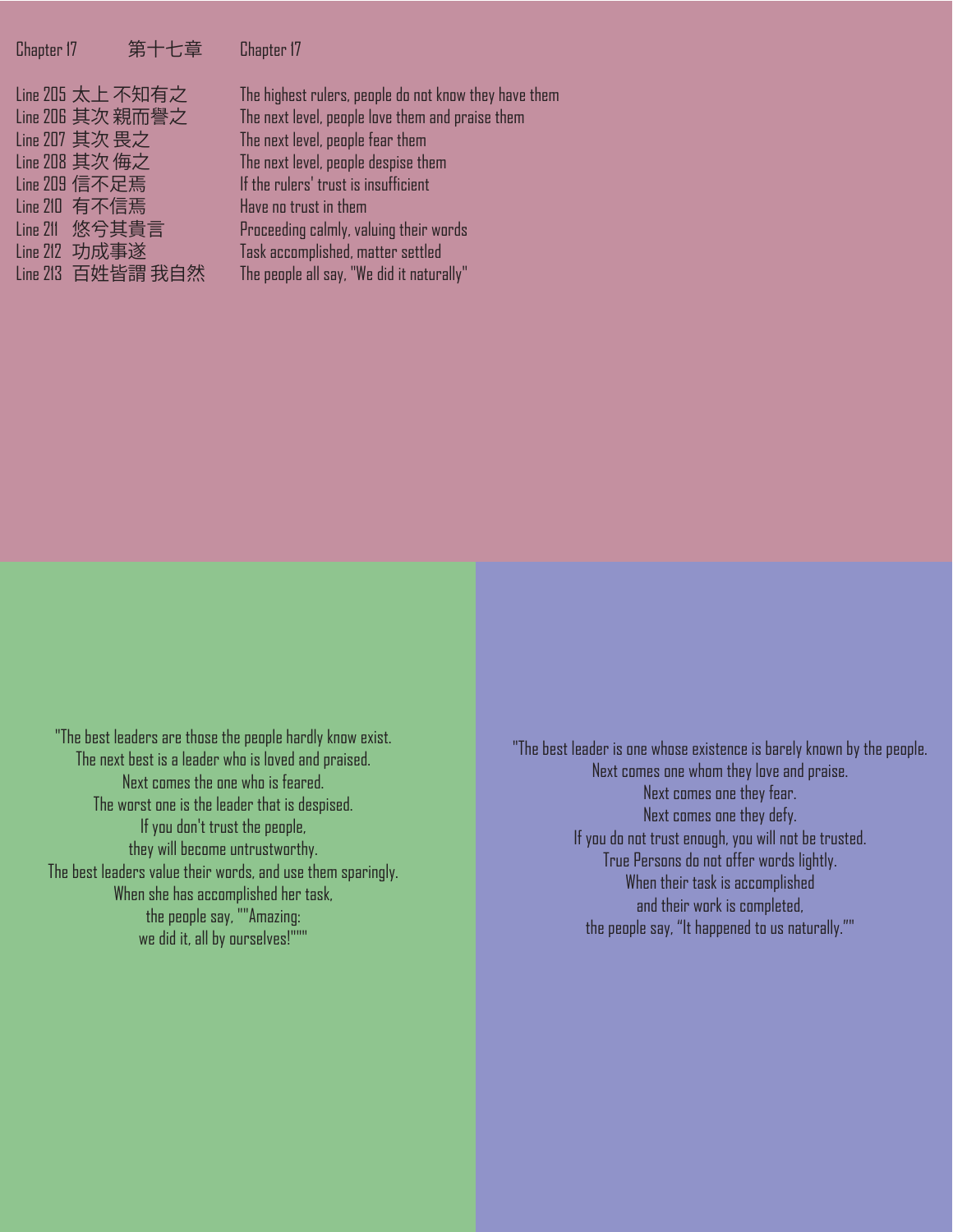| Chapter 17 | 第十七章 | Chapter 17 |
|------------|------|------------|
|            |      |            |

| Line 205 太上 不知有之<br>Line 206 其次親而譽之 |                   | The highest rulers, people do not know they have them<br>The next level, people love them and praise them |
|-------------------------------------|-------------------|-----------------------------------------------------------------------------------------------------------|
| Line 207 其次 畏之                      |                   | The next level, people fear them                                                                          |
| Line 208 其次 侮之                      |                   | The next level, people despise them                                                                       |
|                                     |                   | If the rulers' trust is insufficient                                                                      |
| Line 209 信不足焉                       |                   |                                                                                                           |
| Line 210 有不信焉                       |                   | Have no trust in them                                                                                     |
| Line 211 悠兮其貴言                      |                   | Proceeding calmly, valuing their words                                                                    |
| Line 212 功成事遂                       |                   | Task accomplished, matter settled                                                                         |
|                                     | Line 213 百姓皆謂 我自然 | The people all say, "We did it naturally"                                                                 |
|                                     |                   |                                                                                                           |

"The best leaders are those the people hardly know exist. The next best is a leader who is loved and praised. Next comes the one who is feared. The worst one is the leader that is despised. If you don't trust the people, they will become untrustworthy. The best leaders value their words, and use them sparingly. When she has accomplished her task, the people say, ""Amazing: we did it, all by ourselves!"""

"The best leader is one whose existence is barely known by the people. Next comes one whom they love and praise. Next comes one they fear. Next comes one they defy. If you do not trust enough, you will not be trusted. True Persons do not offer words lightly. When their task is accomplished and their work is completed, the people say, "It happened to us naturally.""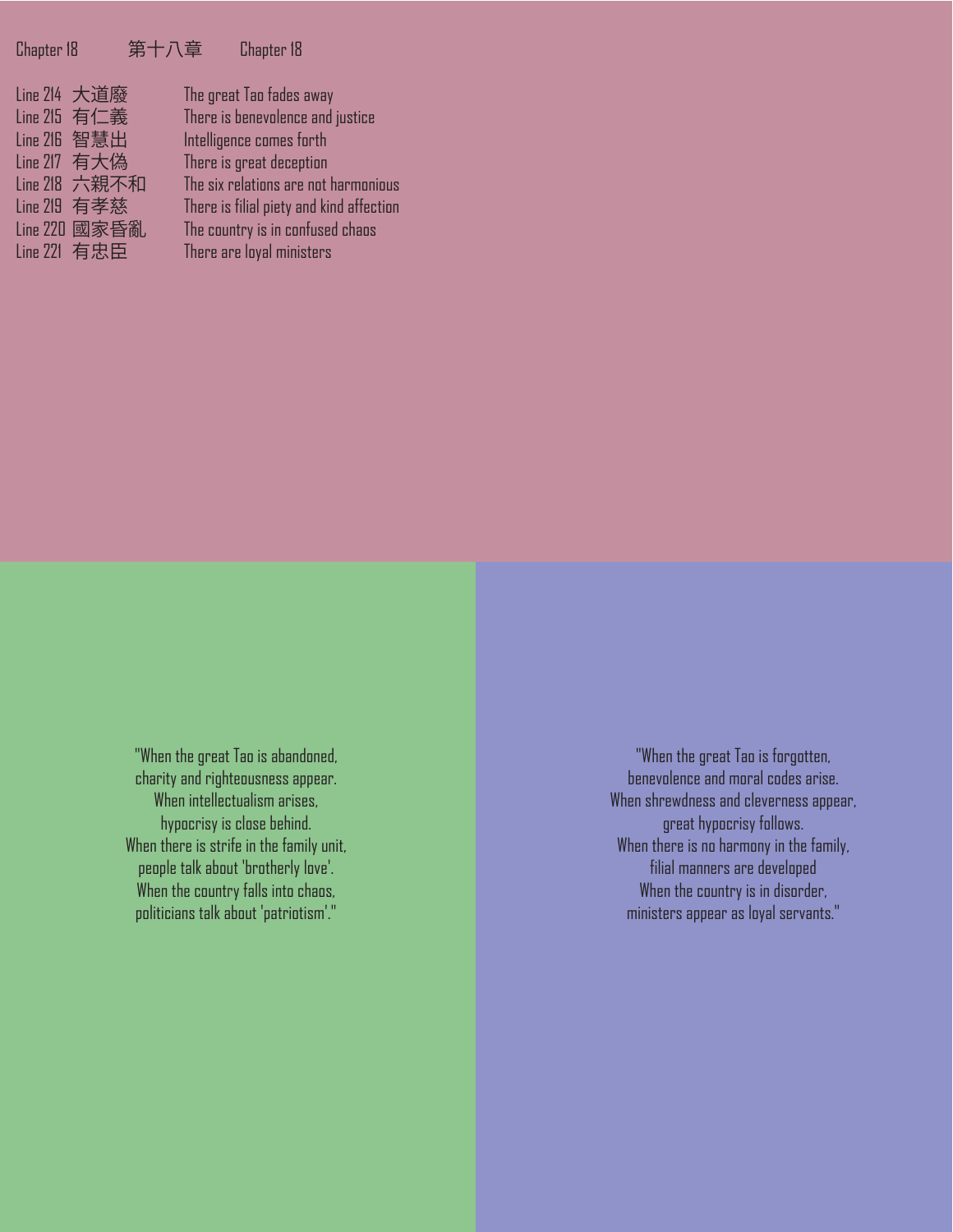| Chapter 18 | 第十八章 | Chapter 18 |
|------------|------|------------|
|------------|------|------------|

| Line 214 大道廢  | The great Tao fades away                 |
|---------------|------------------------------------------|
| Line 215 有仁義  | There is benevolence and justice         |
| Line 216 智慧出  | Intelligence comes forth                 |
| Line 217 有大偽  | There is great deception                 |
| Line 218 六親不和 | The six relations are not harmonious     |
| Line 219 有孝慈  | There is filial piety and kind affection |
| Line 220 國家昏亂 | The country is in confused chaos         |
| Line 221 有忠臣  | There are loyal ministers                |

"When the great Tao is abandoned, charity and righteousness appear. When intellectualism arises, hypocrisy is close behind. When there is strife in the family unit, people talk about 'brotherly love'. When the country falls into chaos, politicians talk about 'patriotism'."

"When the great Tao is forgotten, benevolence and moral codes arise. When shrewdness and cleverness appear, great hypocrisy follows. When there is no harmony in the family, filial manners are developed When the country is in disorder, ministers appear as loyal servants."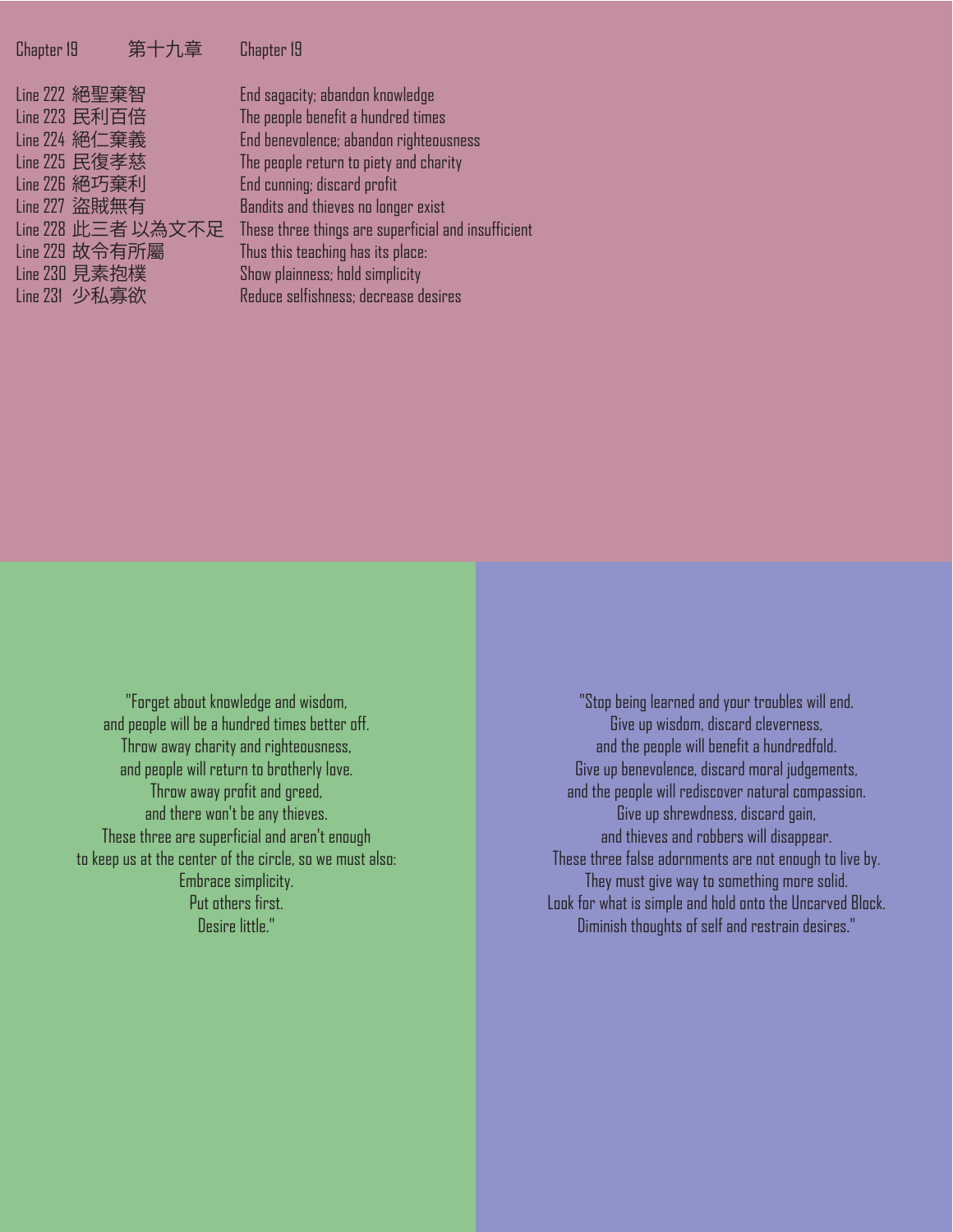| Chapter 19                                                                                                                                             | 第十九章               | Chapter 19                                                                                                                                                                                                                                                                                                                                                                                             |
|--------------------------------------------------------------------------------------------------------------------------------------------------------|--------------------|--------------------------------------------------------------------------------------------------------------------------------------------------------------------------------------------------------------------------------------------------------------------------------------------------------------------------------------------------------------------------------------------------------|
| Line 222 絕聖棄智<br>Line 223 民利百倍<br>Line 224 絕仁棄義<br>Line 225 民復孝慈<br>Line 226 絕巧棄利<br>Line 227 盗賊無有<br>Line 229 故令有所屬<br>Line 230 見素抱樸<br>Line 231 少私寡欲 | Line 228 此三者 以為文不足 | End sagacity; abandon knowledge<br>The people benefit a hundred times<br>End benevolence; abandon righteousness<br>The people return to piety and charity<br>End cunning; discard profit<br>Bandits and thieves no longer exist<br>These three things are superficial and insufficient<br>Thus this teaching has its place:<br>Show plainness; hold simplicity<br>Reduce selfishness; decrease desires |
|                                                                                                                                                        |                    |                                                                                                                                                                                                                                                                                                                                                                                                        |

"Forget about knowledge and wisdom, and people will be a hundred times better off. Throw away charity and righteousness, and people will return to brotherly love. Throw away profit and greed, and there won't be any thieves. These three are superficial and aren't enough to keep us at the center of the circle, so we must also: Embrace simplicity. Put others first. Desire little."

"Stop being learned and your troubles will end. Give up wisdom, discard cleverness, and the people will benefit a hundredfold. Give up benevolence, discard moral judgements, and the people will rediscover natural compassion. Give up shrewdness, discard gain, and thieves and robbers will disappear. These three false adornments are not enough to live by. They must give way to something more solid. Look for what is simple and hold onto the Uncarved Block. Diminish thoughts of self and restrain desires."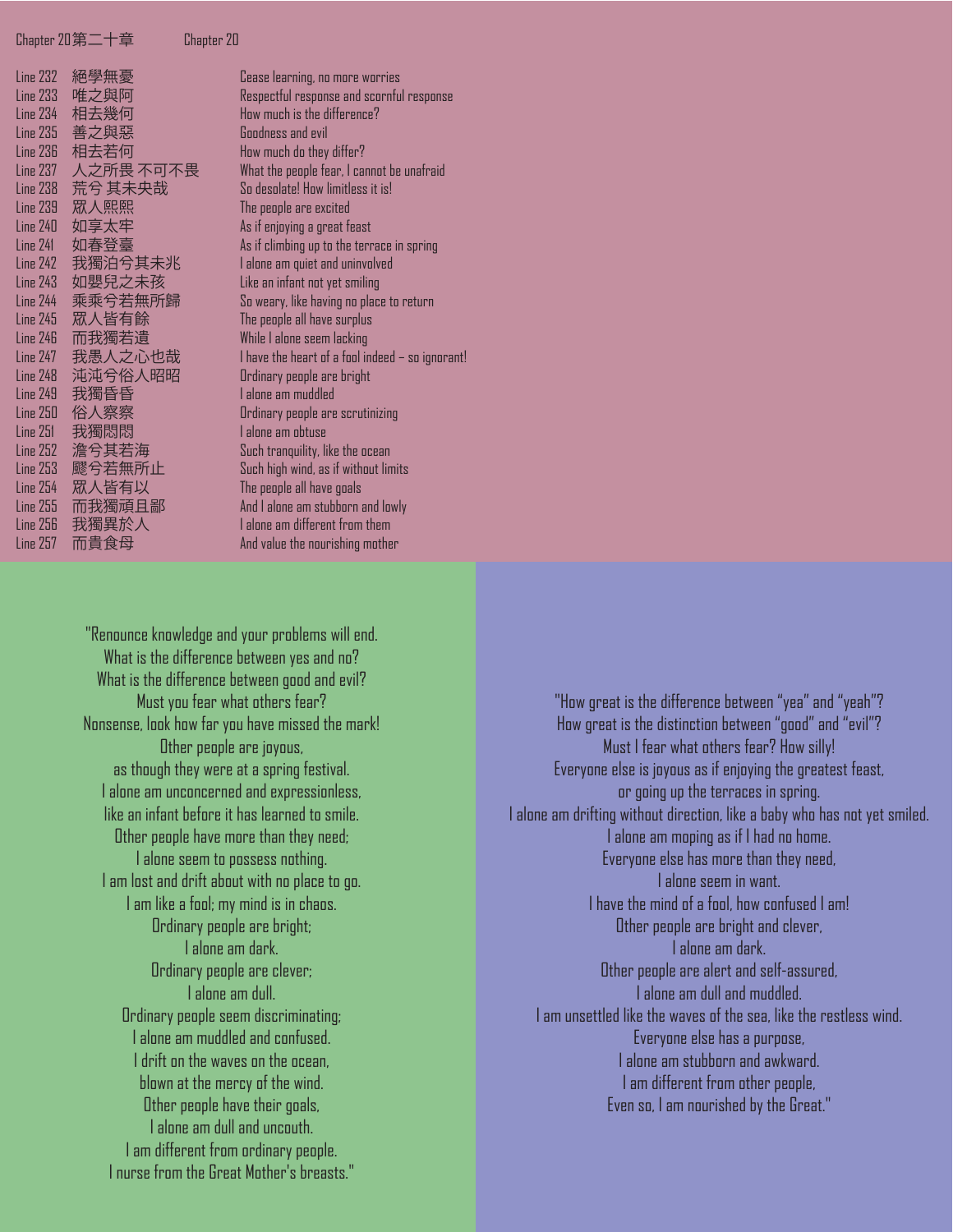|                       | Chapter 20第二十章 | Chapter 20                                       |
|-----------------------|----------------|--------------------------------------------------|
| <b>Line 232</b>       | 絕學無憂           | Cease learning, no more worries                  |
| $\ln e$ 733           | 唯之與阿           | Respectful response and scornful response        |
| Line 234              | 相去幾何           | How much is the difference?                      |
| <b>Line 235</b>       | 善之與惡           | Goodness and evil                                |
| <b>Line 236</b>       | 相去若何           | How much do they differ?                         |
| <b>Line 237</b>       | 人之所畏 不可不畏      | What the people fear, I cannot be unafraid       |
| <b>Line 238</b>       | 荒兮 其未央哉        | So desolate! How limitless it is!                |
| <b>Line 239</b>       | 眾人熙熙           | The people are excited                           |
| Line 240              | 如享太牢           | As if enjoying a great feast                     |
| $\lim_{2}$ 741        | 如春登臺           | As if climbing up to the terrace in spring       |
| <b>Line 242</b>       | 我獨泊兮其未兆        | I alone am quiet and uninvolved                  |
| <b>Line 243</b>       | 如嬰兒之未孩         | Like an infant not yet smiling                   |
| <b>Line 244</b>       | 乘乘兮若無所歸        | So weary, like having no place to return         |
| <b>Line 245</b>       | 眾人皆有餘          | The people all have surplus                      |
| $\ln e$ 74 $\ln$      | 而我獨若遺          | While I alone seem lacking                       |
| <b>Line 247</b>       | 我愚人之心也哉        | I have the heart of a fool indeed – so ignorant! |
| <b>Line 248</b>       | 沌沌兮俗人昭昭        | Ordinary people are bright                       |
| Line 249              | 我獨昏昏           | l alone am muddled                               |
| Line 250              | 俗人察察           | Ordinary people are scrutinizing                 |
| $\lim_{\epsilon}$ 751 | 我獨悶悶           | l alone am obtuse                                |
| <b>Line 252</b>       | 澹兮其若海          | Such tranquility, like the ocean                 |
| <b>Line 253</b>       | 飂兮若無所止         | Such high wind, as if without limits             |
| <b>Line 254</b>       | 眾人皆有以          | The people all have goals                        |
| Line 255              | 而我獨頑且鄙         | And I alone am stubborn and lowly                |
| <b>Line 256</b>       | 我獨異於人          | I alone am different from them                   |
| <b>Line 257</b>       | 而貴食母           | And value the nourishing mother                  |

"Renounce knowledge and your problems will end. What is the difference between yes and no? What is the difference between good and evil? Must you fear what others fear? Nonsense, look how far you have missed the mark! Other people are joyous, as though they were at a spring festival. I alone am unconcerned and expressionless, like an infant before it has learned to smile. Other people have more than they need; I alone seem to possess nothing. I am lost and drift about with no place to go. I am like a fool; my mind is in chaos. Ordinary people are bright; I alone am dark. Ordinary people are clever; I alone am dull. Ordinary people seem discriminating; I alone am muddled and confused. I drift on the waves on the ocean, blown at the mercy of the wind. Other people have their goals, I alone am dull and uncouth. I am different from ordinary people. I nurse from the Great Mother's breasts."

"How great is the difference between "yea" and "yeah"? How great is the distinction between "good" and "evil"? Must I fear what others fear? How silly! Everyone else is joyous as if enjoying the greatest feast, or going up the terraces in spring. I alone am drifting without direction, like a baby who has not yet smiled. I alone am moping as if I had no home. Everyone else has more than they need, I alone seem in want. I have the mind of a fool, how confused I am! Other people are bright and clever, I alone am dark. Other people are alert and self-assured, I alone am dull and muddled. I am unsettled like the waves of the sea, like the restless wind. Everyone else has a purpose, I alone am stubborn and awkward. I am different from other people, Even so, I am nourished by the Great."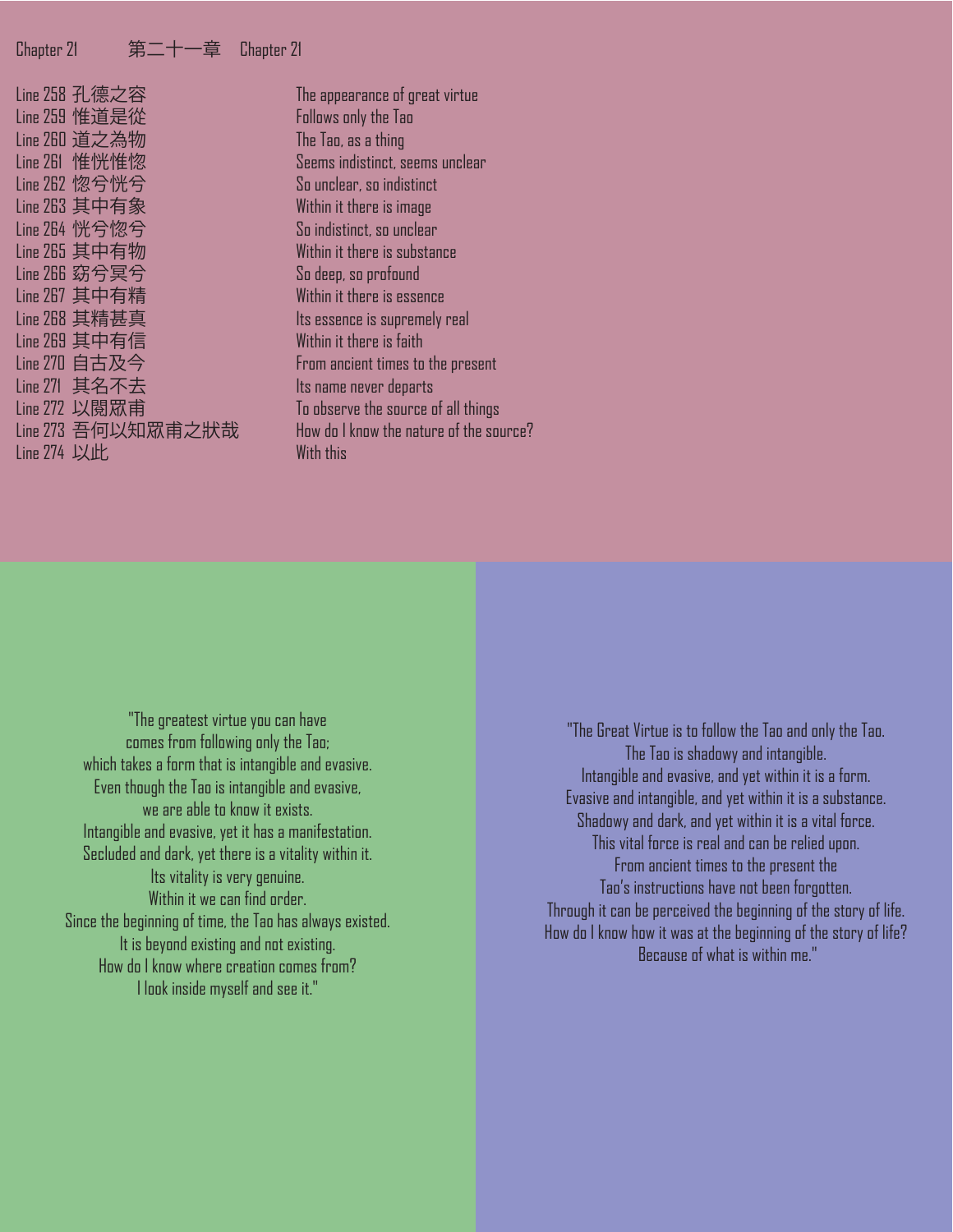#### Chapter 21 第二十一章 Chapter 21

| Line 258 孔德之容      | The appearance of great virtue      |
|--------------------|-------------------------------------|
| Line 259 惟道是從      | Follows only the Tao                |
| Line 260 道之為物      | The Tao, as a thing                 |
| Line 261 惟恍惟惚      | Seems indistinct, seems unclear     |
| Line 262 惚兮恍兮      | So unclear, so indistinct           |
| Line 263 其中有象      | Within it there is image            |
| Line 264 恍兮惚兮      | So indistinct, so unclear           |
| Line 265 其中有物      | Within it there is substance        |
| Line 266 窈兮冥兮      | So deep, so profound                |
| Line 267 其中有精      | Within it there is essence          |
| Line 268 其精甚真      | Its essence is supremely real       |
| Line 269 其中有信      | Within it there is faith            |
| Line 270 自古及今      | From ancient times to the present   |
| Line 271 其名不去      | Its name never departs              |
| Line 272 以閱眾甫      | To observe the source of all things |
| Line 273 吾何以知眾甫之狀哉 | How do I know the nature of the so  |
| $Line 274$ 以此      | With this                           |
|                    |                                     |

the source?

"The greatest virtue you can have comes from following only the Tao; which takes a form that is intangible and evasive. Even though the Tao is intangible and evasive, we are able to know it exists. Intangible and evasive, yet it has a manifestation. Secluded and dark, yet there is a vitality within it. Its vitality is very genuine. Within it we can find order. Since the beginning of time, the Tao has always existed. It is beyond existing and not existing. How do I know where creation comes from? I look inside myself and see it."

"The Great Virtue is to follow the Tao and only the Tao. The Tao is shadowy and intangible. Intangible and evasive, and yet within it is a form. Evasive and intangible, and yet within it is a substance. Shadowy and dark, and yet within it is a vital force. This vital force is real and can be relied upon. From ancient times to the present the Tao's instructions have not been forgotten. Through it can be perceived the beginning of the story of life. How do I know how it was at the beginning of the story of life? Because of what is within me."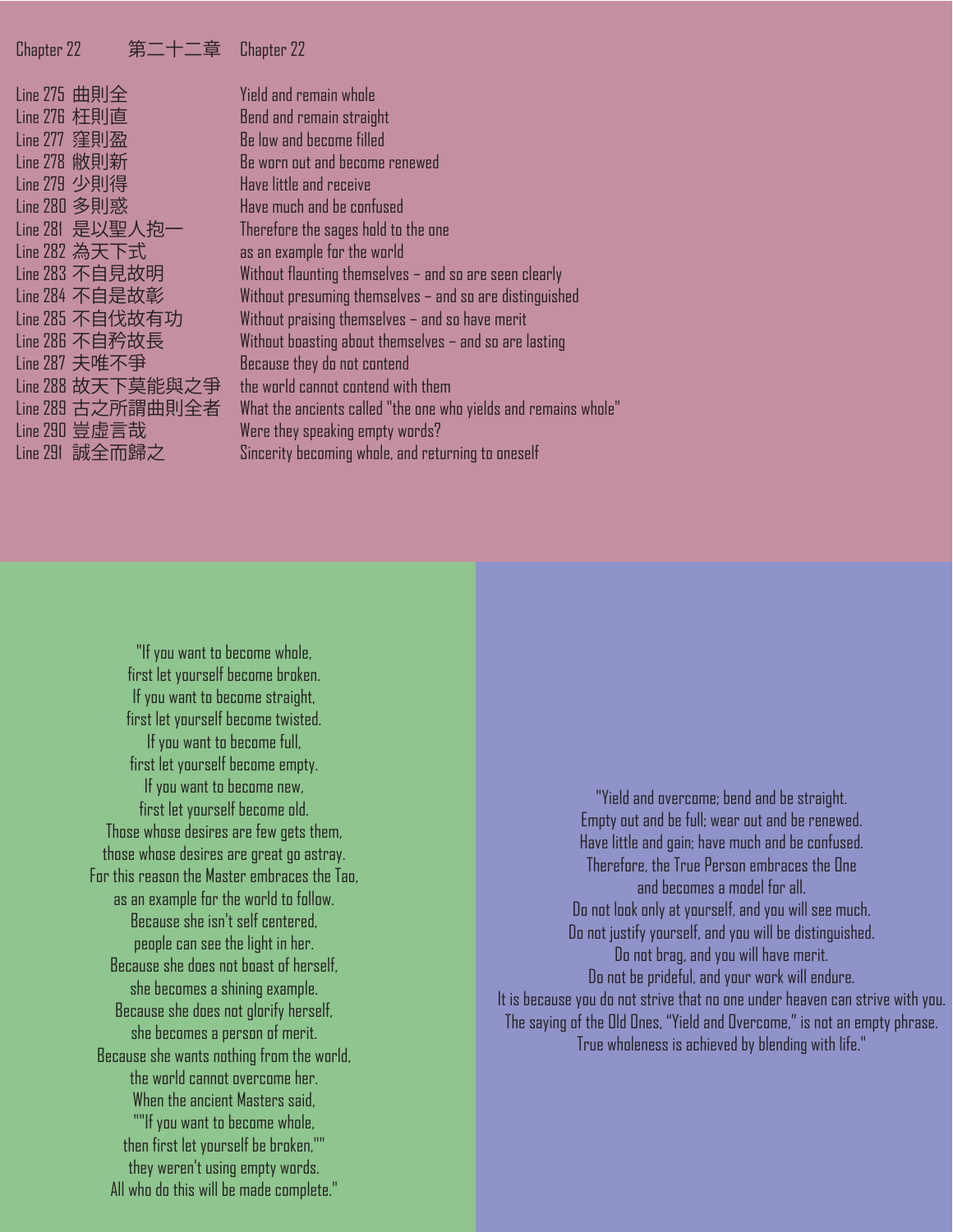Chapter 22 第二十二章 Chapter 22

| Line 275 曲則全      | Yield and remain whole                                          |
|-------------------|-----------------------------------------------------------------|
| Line 276 枉則直      | Bend and remain straight                                        |
| Line 277 窪則盈      | Be low and become filled                                        |
| Line 278 敝則新      | Be worn out and become renewed                                  |
| Line 279 少則得      | Have little and receive                                         |
| Line 280 多則惑      | Have much and be confused                                       |
| Line 281 是以聖人抱一   | Therefore the sages hold to the one                             |
| Line 282 為天下式     | as an example for the world                                     |
| Line 283 不自見故明    | Without flaunting themselves - and so are seen clearly          |
| Line 284 不自是故彰    | Without presuming themselves – and so are distinguished         |
| Line 285 不自伐故有功   | Without praising themselves $-$ and so have merit               |
| Line 286 不自矜故長    | Without boasting about themselves $-$ and so are lasting        |
| Line 287 夫唯不爭     | Because they do not contend                                     |
| Line 288 故天下莫能與之爭 | the world cannot contend with them                              |
| Line 289 古之所謂曲則全者 | What the ancients called "the one who yields and remains whole" |
| Line 290 豈虛言哉     | Were they speaking empty words?                                 |
| Line 291 誠全而歸之    | Sincerity becoming whole, and returning to oneself              |
|                   |                                                                 |

"If you want to become whole, first let yourself become broken. If you want to become straight, first let yourself become twisted. If you want to become full, first let yourself become empty. If you want to become new, first let yourself become old. Those whose desires are few gets them, those whose desires are great go astray. For this reason the Master embraces the Tao, as an example for the world to follow. Because she isn't self centered, people can see the light in her. Because she does not boast of herself, she becomes a shining example. Because she does not glorify herself, she becomes a person of merit. Because she wants nothing from the world, the world cannot overcome her. When the ancient Masters said, ""If you want to become whole, then first let yourself be broken,"" they weren't using empty words. All who do this will be made complete."

"Yield and overcome; bend and be straight. Empty out and be full; wear out and be renewed. Have little and gain; have much and be confused. Therefore, the True Person embraces the One and becomes a model for all. Do not look only at yourself, and you will see much. Do not justify yourself, and you will be distinguished. Do not brag, and you will have merit. Do not be prideful, and your work will endure. It is because you do not strive that no one under heaven can strive with you. The saying of the Old Ones, "Yield and Overcome," is not an empty phrase. True wholeness is achieved by blending with life."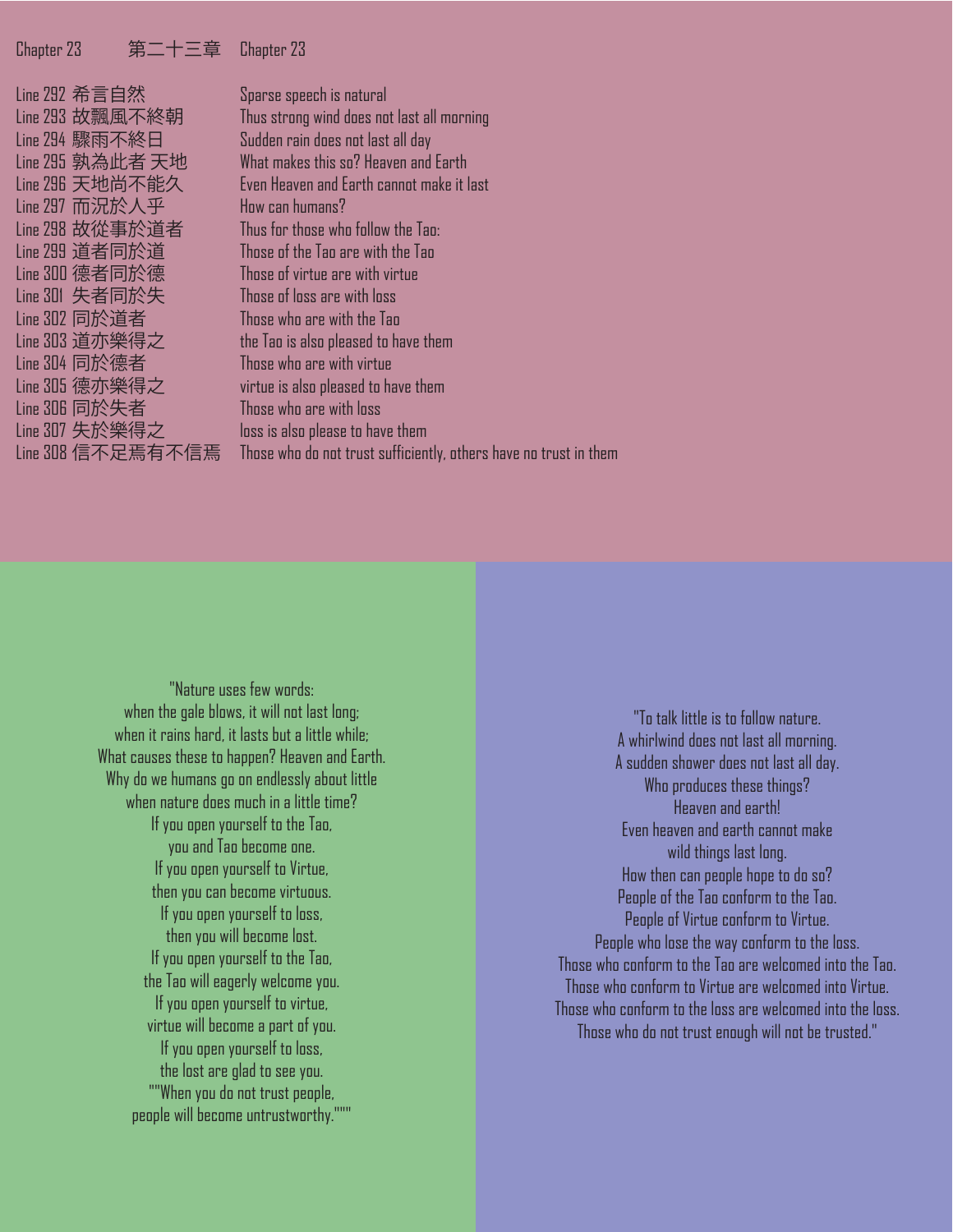Chapter 23 第二十三章 Chapter 23

Line 292 希言自然 Sparse speech is natural Line 293 故飄風不終朝 Thus strong wind does not last all morning Line 294 驟雨不終日 Sudden rain does not last all day Line 295 孰為此者 天地 What makes this so? Heaven and Earth Line 296 天地尚不能久 Even Heaven and Earth cannot make it last Line 297 而況於人乎 How can humans? Line 298 故從事於道者 Thus for those who follow the Tao: Line 299 道者同於道 Those of the Tao are with the Tao Line 300 德者同於德 Those of virtue are with virtue Line 301 失者同於失 Those of loss are with loss Line 302 同於道者 Those who are with the Tao Line  $303$  道亦樂得之 the Tao is also pleased to have them Line 304 同於德者 Those who are with virtue Line 305 德亦樂得之 virtue is also pleased to have them Line 306 同於失者 Those who are with loss Line 307 失於樂得之 loss is also please to have them Line 308 信不足焉有不信焉 Those who do not trust sufficiently, others have no trust in them

> "Nature uses few words: when the gale blows, it will not last long; when it rains hard, it lasts but a little while; What causes these to happen? Heaven and Earth. Why do we humans go on endlessly about little when nature does much in a little time? If you open yourself to the Tao, you and Tao become one. If you open yourself to Virtue, then you can become virtuous. If you open yourself to loss, then you will become lost. If you open yourself to the Tao, the Tao will eagerly welcome you. If you open yourself to virtue, virtue will become a part of you. If you open yourself to loss, the lost are glad to see you. ""When you do not trust people, people will become untrustworthy."""

"To talk little is to follow nature. A whirlwind does not last all morning. A sudden shower does not last all day. Who produces these things? Heaven and earth! Even heaven and earth cannot make wild things last long. How then can people hope to do so? People of the Tao conform to the Tao. People of Virtue conform to Virtue. People who lose the way conform to the loss. Those who conform to the Tao are welcomed into the Tao. Those who conform to Virtue are welcomed into Virtue. Those who conform to the loss are welcomed into the loss. Those who do not trust enough will not be trusted."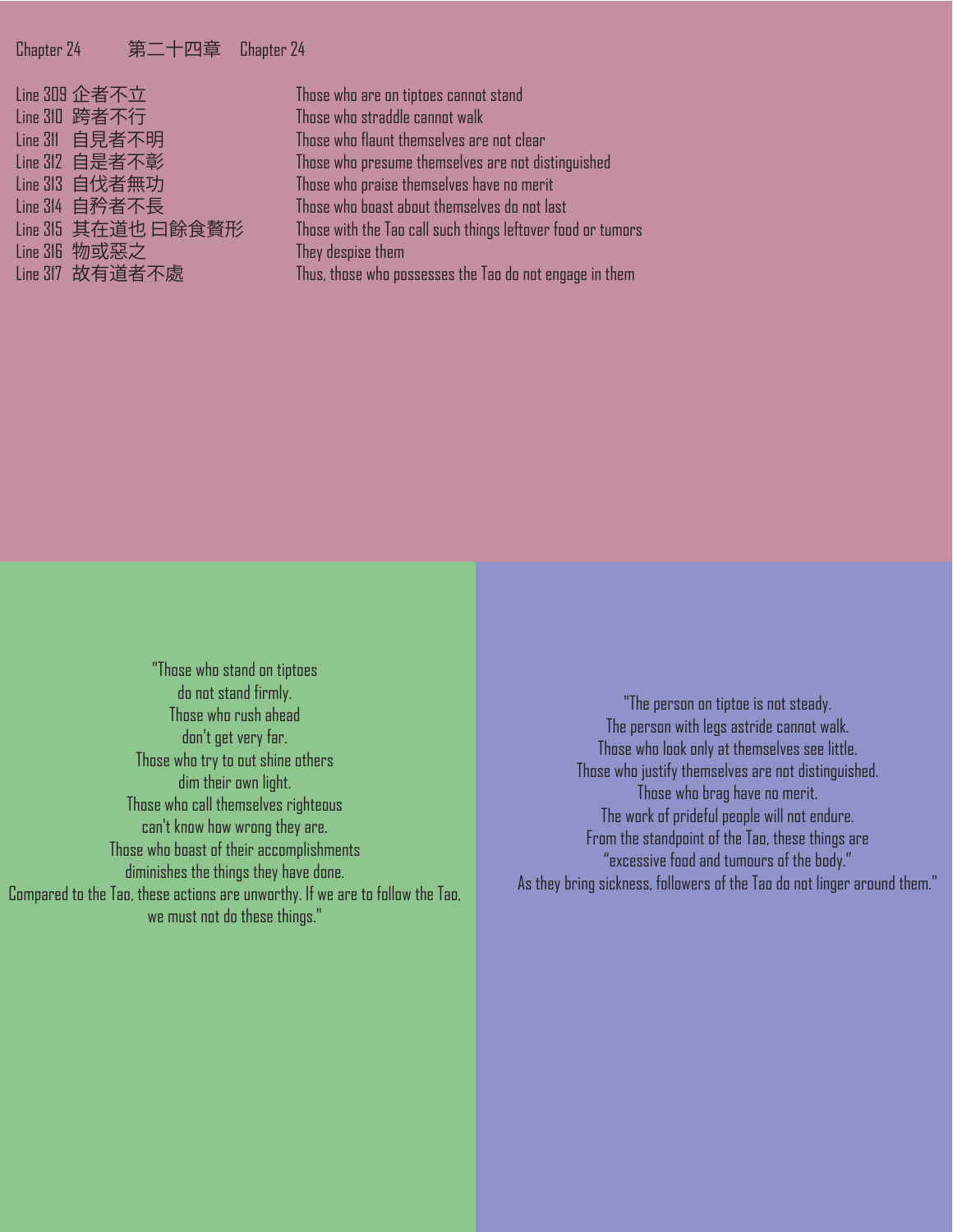#### Chapter 24 第二十四章 Chapter 24

| $\frac{209}{200}$ 企者不立 | Those who are on tiptoes cannot stand                       |
|------------------------|-------------------------------------------------------------|
| Line 310 跨者不行          | Those who straddle cannot walk                              |
| Line 311 自見者不明         | Those who flaunt themselves are not clear                   |
| Line 312 自是者不彰         | Those who presume themselves are not distinguished          |
| Line 313 自伐者無功         | Those who praise themselves have no merit                   |
| Line 314 自矜者不長         | Those who boast about themselves do not last                |
| Line 315 其在道也日餘食贅形     | Those with the Tao call such things leftover food or tumors |
| Line 316 物或惡之          | They despise them                                           |
| Line 317 故有道者不處        | Thus, those who possesses the Tao do not engage in them     |
|                        |                                                             |

"Those who stand on tiptoes do not stand firmly. Those who rush ahead don't get very far. Those who try to out shine others dim their own light. Those who call themselves righteous can't know how wrong they are. Those who boast of their accomplishments diminishes the things they have done. Compared to the Tao, these actions are unworthy. If we are to follow the Tao, we must not do these things."

"The person on tiptoe is not steady. The person with legs astride cannot walk. Those who look only at themselves see little. Those who justify themselves are not distinguished. Those who brag have no merit. The work of prideful people will not endure. From the standpoint of the Tao, these things are "excessive food and tumours of the body." As they bring sickness, followers of the Tao do not linger around them."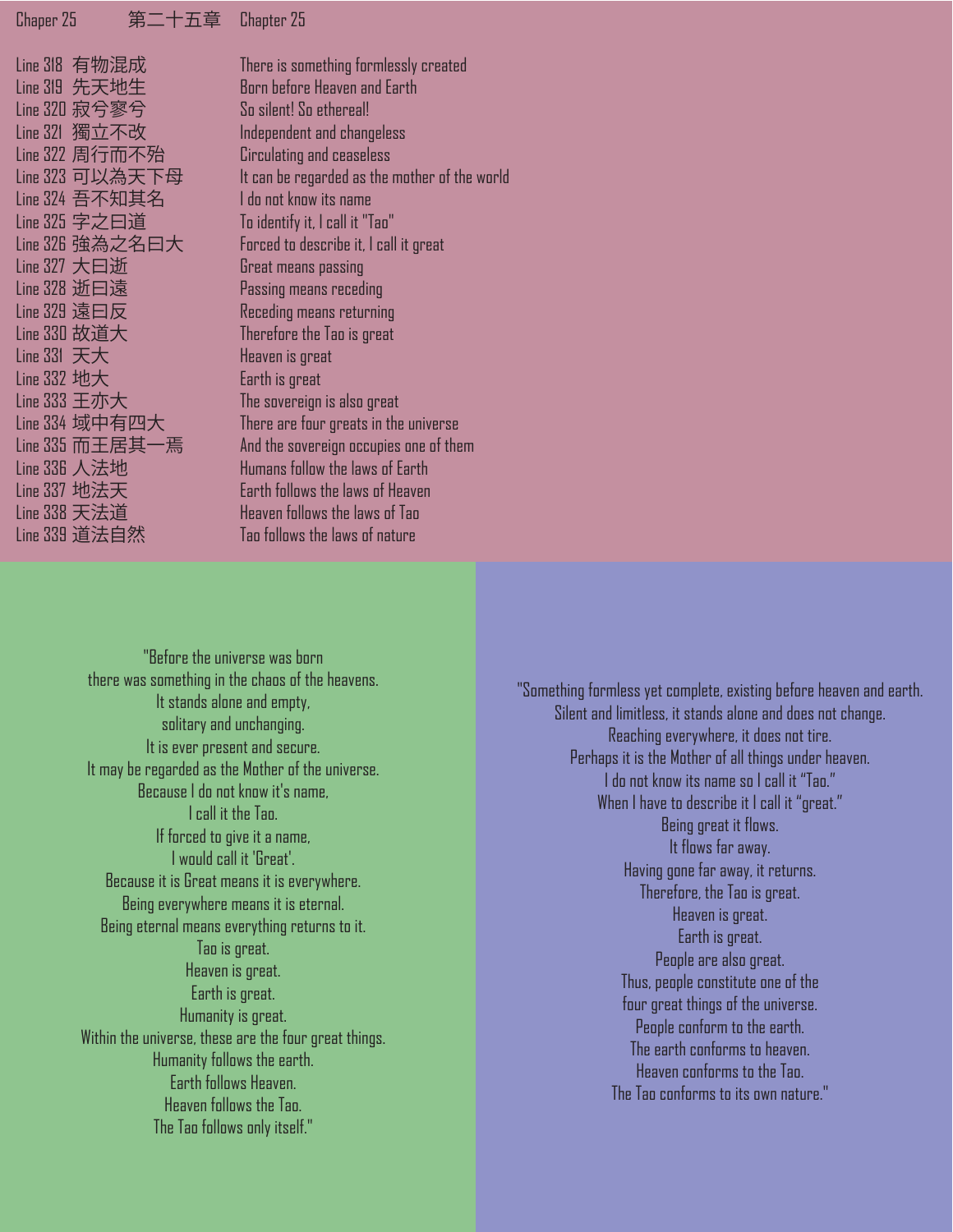| Chaper 25                                                                                                                                                                                                                                              | 第二十五章                                                                                                       | Chapter 25                                                                                                                                                                                                                                                                                                                                                                                                                                                                                                                                                                                                                                                                                     |
|--------------------------------------------------------------------------------------------------------------------------------------------------------------------------------------------------------------------------------------------------------|-------------------------------------------------------------------------------------------------------------|------------------------------------------------------------------------------------------------------------------------------------------------------------------------------------------------------------------------------------------------------------------------------------------------------------------------------------------------------------------------------------------------------------------------------------------------------------------------------------------------------------------------------------------------------------------------------------------------------------------------------------------------------------------------------------------------|
| Line 318 有物混成<br>Line 3l9 先天地生<br>Line 320 寂兮寥兮<br>Line 321 獨立不改<br>Line 325 字之曰道<br>Line 327 大曰逝<br>Line 328 逝曰遠<br>Line 329 遠曰反<br>Line 330 故道大<br>Line 331 天大<br>$\,$ Line $332$ 地大<br>Line 333 王亦大<br>Line 336 人法地<br>Line 337 地法天<br>Line 338 天法道 | Line 322 周行而不殆<br>Line 323 可以為天下母<br>Line 324 吾不知其名<br>Line 326 強為之名曰大<br>Line 334 域中有四大<br>Line 335 而王居其一焉 | There is something formlessly created<br>Born before Heaven and Earth<br>So silent! So ethereal!<br>Independent and changeless<br>Circulating and ceaseless<br>It can be regarded as the mother of the world<br>I do not know its name<br>To identify it, I call it "Tao"<br>Forced to describe it, I call it great<br>Great means passing<br>Passing means receding<br>Receding means returning<br>Therefore the Tao is great<br>Heaven is great<br>Earth is great<br>The sovereign is also great<br>There are four greats in the universe<br>And the sovereign occupies one of them<br>Humans follow the laws of Earth<br>Earth follows the laws of Heaven<br>Heaven follows the laws of Tao |
| Line 339 道法自然                                                                                                                                                                                                                                          |                                                                                                             | Tao follows the laws of nature                                                                                                                                                                                                                                                                                                                                                                                                                                                                                                                                                                                                                                                                 |

"Before the universe was born there was something in the chaos of the heavens. It stands alone and empty, solitary and unchanging. It is ever present and secure. It may be regarded as the Mother of the universe. Because I do not know it's name, I call it the Tao. If forced to give it a name, I would call it 'Great'. Because it is Great means it is everywhere. Being everywhere means it is eternal. Being eternal means everything returns to it. Tao is great. Heaven is great. Earth is great. Humanity is great. Within the universe, these are the four great things. Humanity follows the earth. Earth follows Heaven. Heaven follows the Tao. The Tao follows only itself."

"Something formless yet complete, existing before heaven and earth. Silent and limitless, it stands alone and does not change. Reaching everywhere, it does not tire. Perhaps it is the Mother of all things under heaven. I do not know its name so I call it "Tao." When I have to describe it I call it "great." Being great it flows. It flows far away. Having gone far away, it returns. Therefore, the Tao is great. Heaven is great. Earth is great. People are also great. Thus, people constitute one of the four great things of the universe. People conform to the earth. The earth conforms to heaven. Heaven conforms to the Tao. The Tao conforms to its own nature."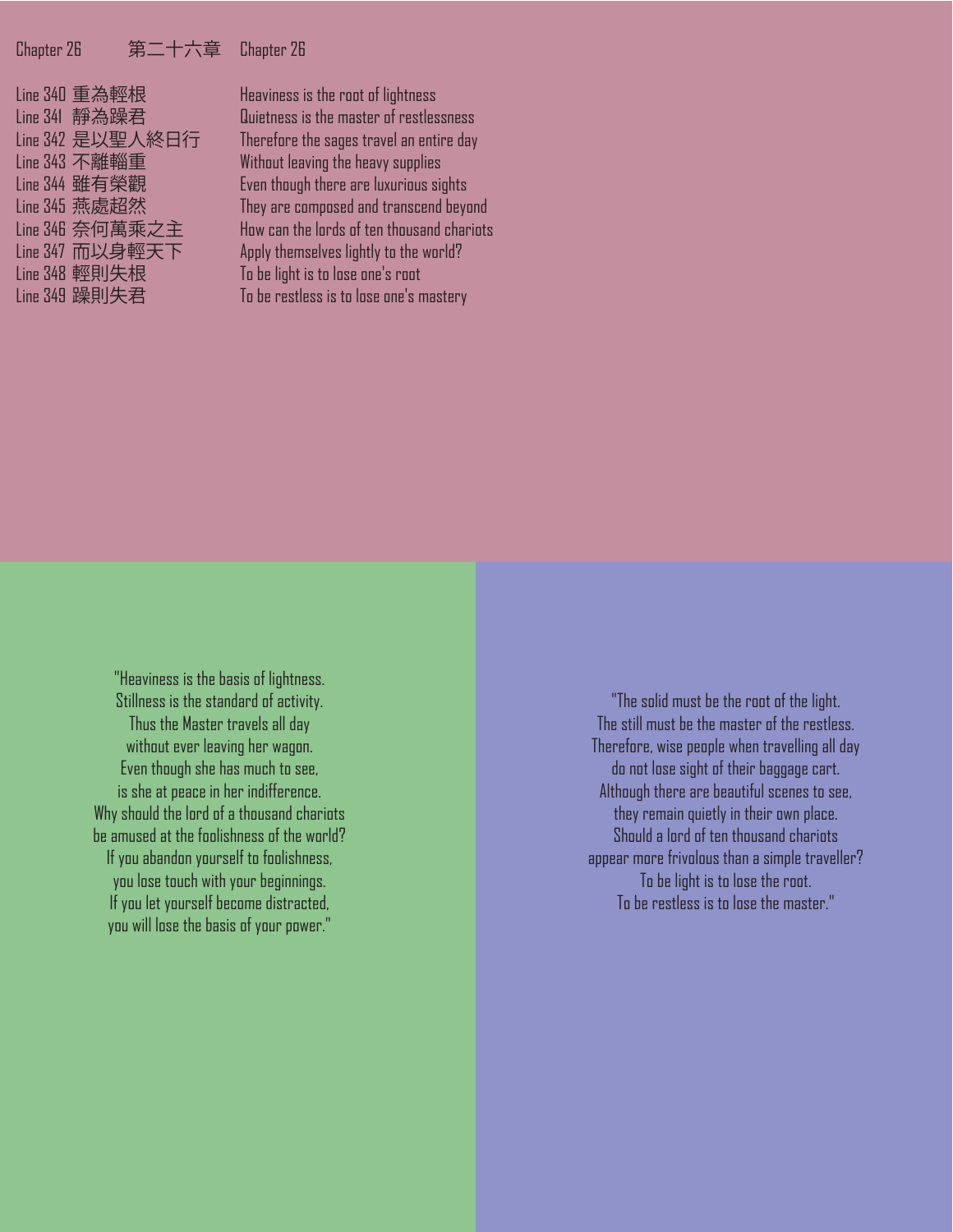#### Chapter 26 第二十六章 Chapter 26

Line 340 重為輕根 Heaviness is the root of lightness Line 348 輕則失根 To be light is to lose one's root Line 349 躁則失君 To be restless is to lose one's mastery

Line 341 靜為躁君 Quietness is the master of restlessness Line 342 是以聖人終日行 Therefore the sages travel an entire day Line 343 不離輜重 Without leaving the heavy supplies Line 344 雖有榮觀 Even though there are luxurious sights Line 345 燕處超然 They are composed and transcend beyond Line 346 奈何萬乘之主 How can the lords of ten thousand chariots Line 347 而以身輕天下 Apply themselves lightly to the world?

> "Heaviness is the basis of lightness. Stillness is the standard of activity. Thus the Master travels all day without ever leaving her wagon. Even though she has much to see, is she at peace in her indifference. Why should the lord of a thousand chariots be amused at the foolishness of the world? If you abandon yourself to foolishness, you lose touch with your beginnings. If you let yourself become distracted, you will lose the basis of your power."

"The solid must be the root of the light. The still must be the master of the restless. Therefore, wise people when travelling all day do not lose sight of their baggage cart. Although there are beautiful scenes to see, they remain quietly in their own place. Should a lord of ten thousand chariots appear more frivolous than a simple traveller? To be light is to lose the root. To be restless is to lose the master."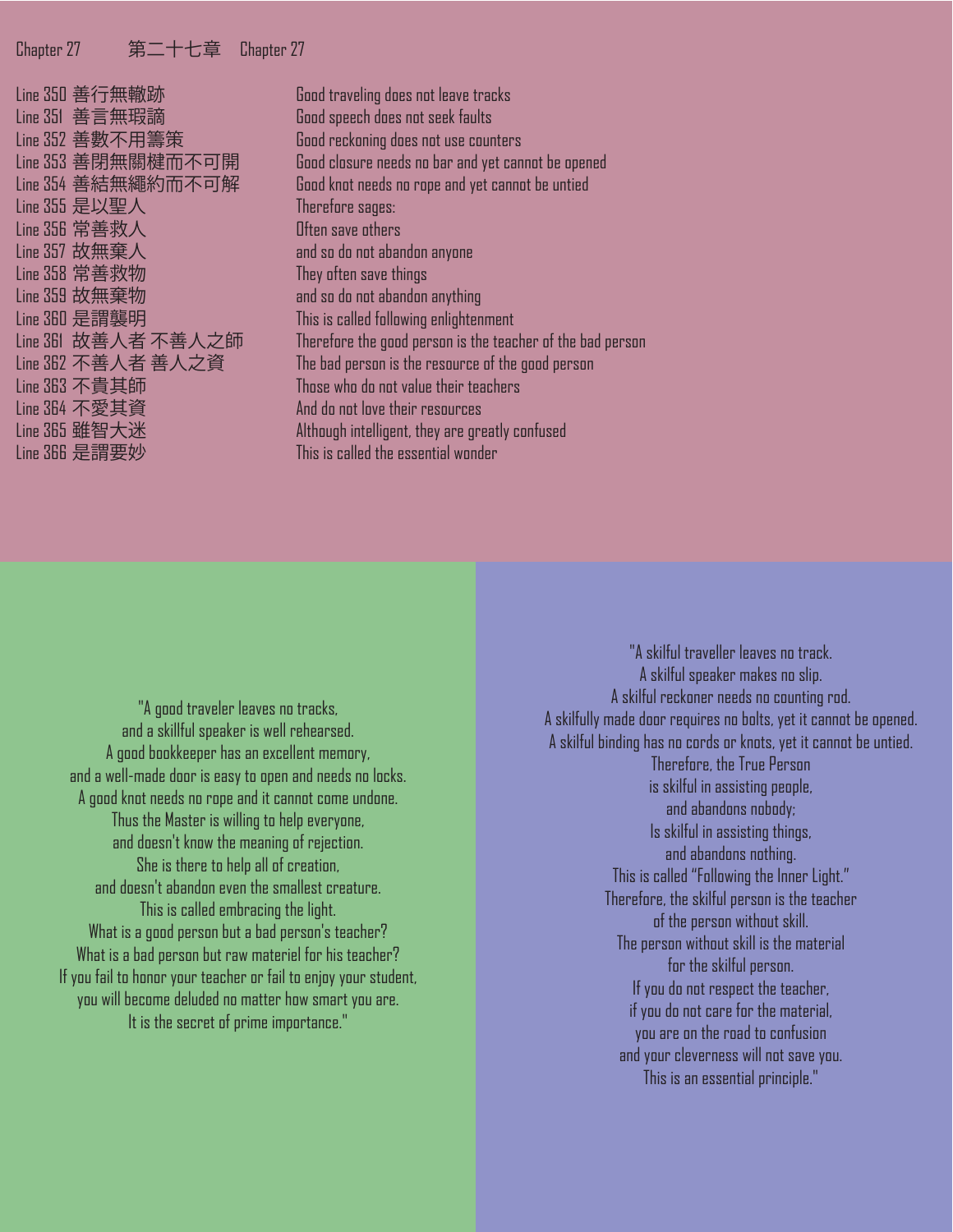#### Chapter 27 第二十七章 Chapter 27

| Line 350 善行無轍跡      | Good traveling does not leave tracks                       |
|---------------------|------------------------------------------------------------|
| Line 351 善言無瑕謫      | Good speech does not seek faults                           |
| Line 352 善數不用籌策     | Good reckoning does not use counters                       |
| Line 353 善閉無關楗而不可開  | Good closure needs no bar and yet cannot be opened         |
| Line 354 善結無繩約而不可解  | Good knot needs no rope and yet cannot be untied           |
| Line 355 是以聖人       | Therefore sages:                                           |
| Line 356 常善救人       | Often save others                                          |
| Line 357 故無棄人       | and so do not abandon anyone                               |
| Line 358 常善救物       | They often save things                                     |
| Line 359 故無棄物       | and so do not abandon anything                             |
| Line 360 是謂襲明       | This is called following enlightenment                     |
| Line 361 故善人者 不善人之師 | Therefore the good person is the teacher of the bad person |
| Line 362 不善人者 善人之資  | The bad person is the resource of the good person          |
| Line 363 不貴其師       | Those who do not value their teachers                      |
| Line 364 不愛其資       | And do not love their resources                            |
| Line 365 雖智大迷       | Although intelligent, they are greatly confused            |
| Line 366 是謂要妙       | This is called the essential wonder                        |
|                     |                                                            |

"A good traveler leaves no tracks, and a skillful speaker is well rehearsed. A good bookkeeper has an excellent memory, and a well-made door is easy to open and needs no locks. A good knot needs no rope and it cannot come undone. Thus the Master is willing to help everyone, and doesn't know the meaning of rejection. She is there to help all of creation, and doesn't abandon even the smallest creature. This is called embracing the light. What is a good person but a bad person's teacher? What is a bad person but raw materiel for his teacher? If you fail to honor your teacher or fail to enjoy your student, you will become deluded no matter how smart you are. It is the secret of prime importance."

"A skilful traveller leaves no track. A skilful speaker makes no slip. A skilful reckoner needs no counting rod. A skilfully made door requires no bolts, yet it cannot be opened. A skilful binding has no cords or knots, yet it cannot be untied. Therefore, the True Person is skilful in assisting people, and abandons nobody; Is skilful in assisting things, and abandons nothing. This is called "Following the Inner Light." Therefore, the skilful person is the teacher of the person without skill. The person without skill is the material for the skilful person. If you do not respect the teacher, if you do not care for the material, you are on the road to confusion and your cleverness will not save you. This is an essential principle."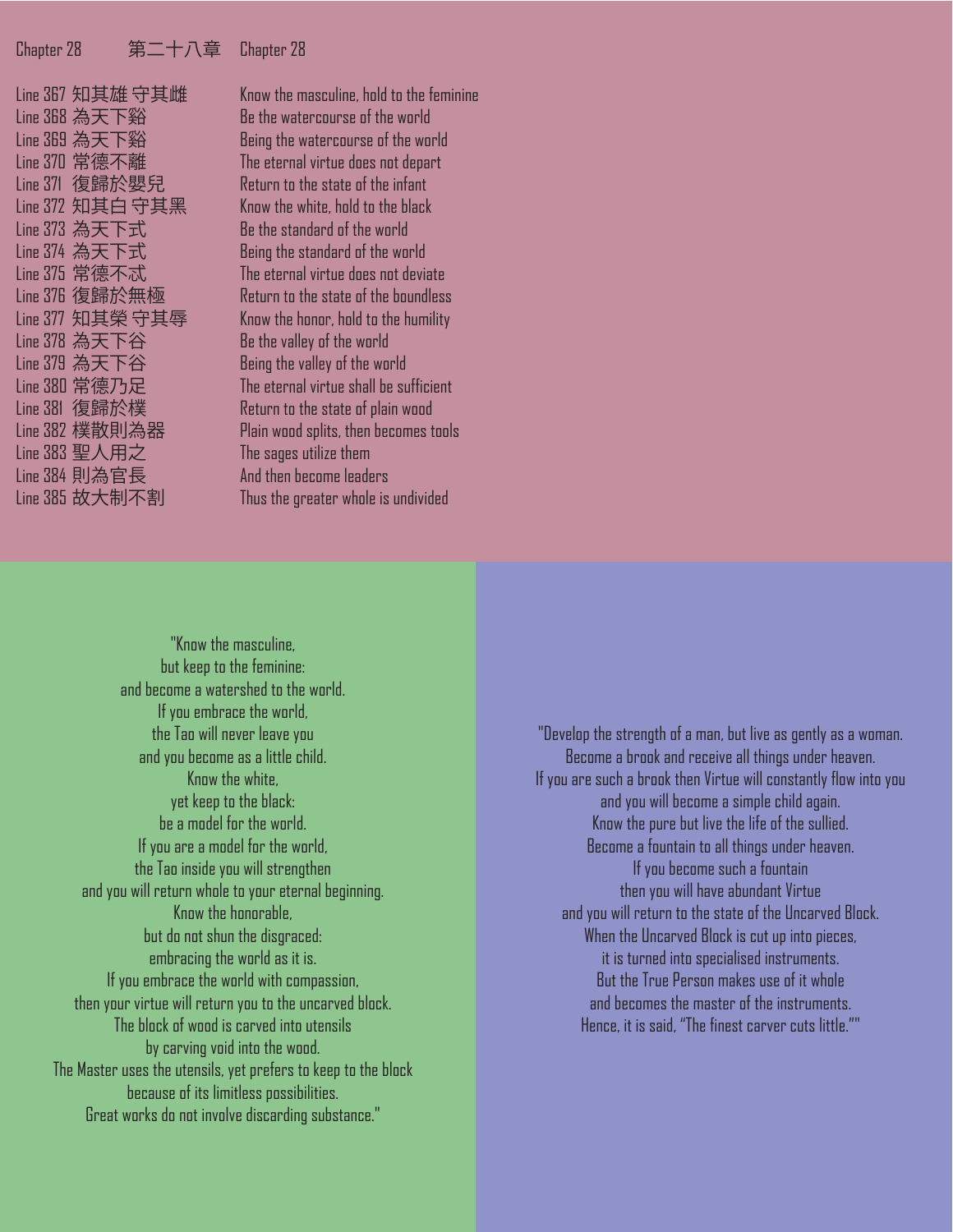## Chapter 28 第二十八章 Chapter 28

Line 373 為天下式 Be the standard of the world Line  $378$  為天下谷 Be the valley of the world Line 379 為天下谷 Being the valley of the world Line 383 聖人用之 The sages utilize them Line 384 則為官長 And then become leaders

Line 367 知其雄 守其雌 Know the masculine, hold to the feminine Line 368 為天下谿 Be the watercourse of the world Line 369 為天下谿 Being the watercourse of the world Line 370 常德不離 The eternal virtue does not depart Line 371 復歸於嬰兒 Return to the state of the infant Line 372 知其白 守其黑 Know the white, hold to the black Line 374 為天下式 Being the standard of the world Line 375 常德不䓒 The eternal virtue does not deviate Line 376 復歸於無極 Return to the state of the boundless Line 377 知其榮 守其辱 Know the honor, hold to the humility Line 380 常德乃足 The eternal virtue shall be sufficient Line 381 復歸於樸 Return to the state of plain wood Line 382 樸散則為器 Plain wood splits, then becomes tools Line 385 故大制不割 Thus the greater whole is undivided

"Know the masculine, but keep to the feminine: and become a watershed to the world. If you embrace the world, the Tao will never leave you and you become as a little child. Know the white, yet keep to the black: be a model for the world. If you are a model for the world, the Tao inside you will strengthen and you will return whole to your eternal beginning. Know the honorable, but do not shun the disgraced: embracing the world as it is. If you embrace the world with compassion, then your virtue will return you to the uncarved block. The block of wood is carved into utensils by carving void into the wood. The Master uses the utensils, yet prefers to keep to the block because of its limitless possibilities. Great works do not involve discarding substance."

"Develop the strength of a man, but live as gently as a woman. Become a brook and receive all things under heaven. If you are such a brook then Virtue will constantly flow into you and you will become a simple child again. Know the pure but live the life of the sullied. Become a fountain to all things under heaven. If you become such a fountain then you will have abundant Virtue and you will return to the state of the Uncarved Block. When the Uncarved Block is cut up into pieces, it is turned into specialised instruments. But the True Person makes use of it whole and becomes the master of the instruments. Hence, it is said, "The finest carver cuts little.""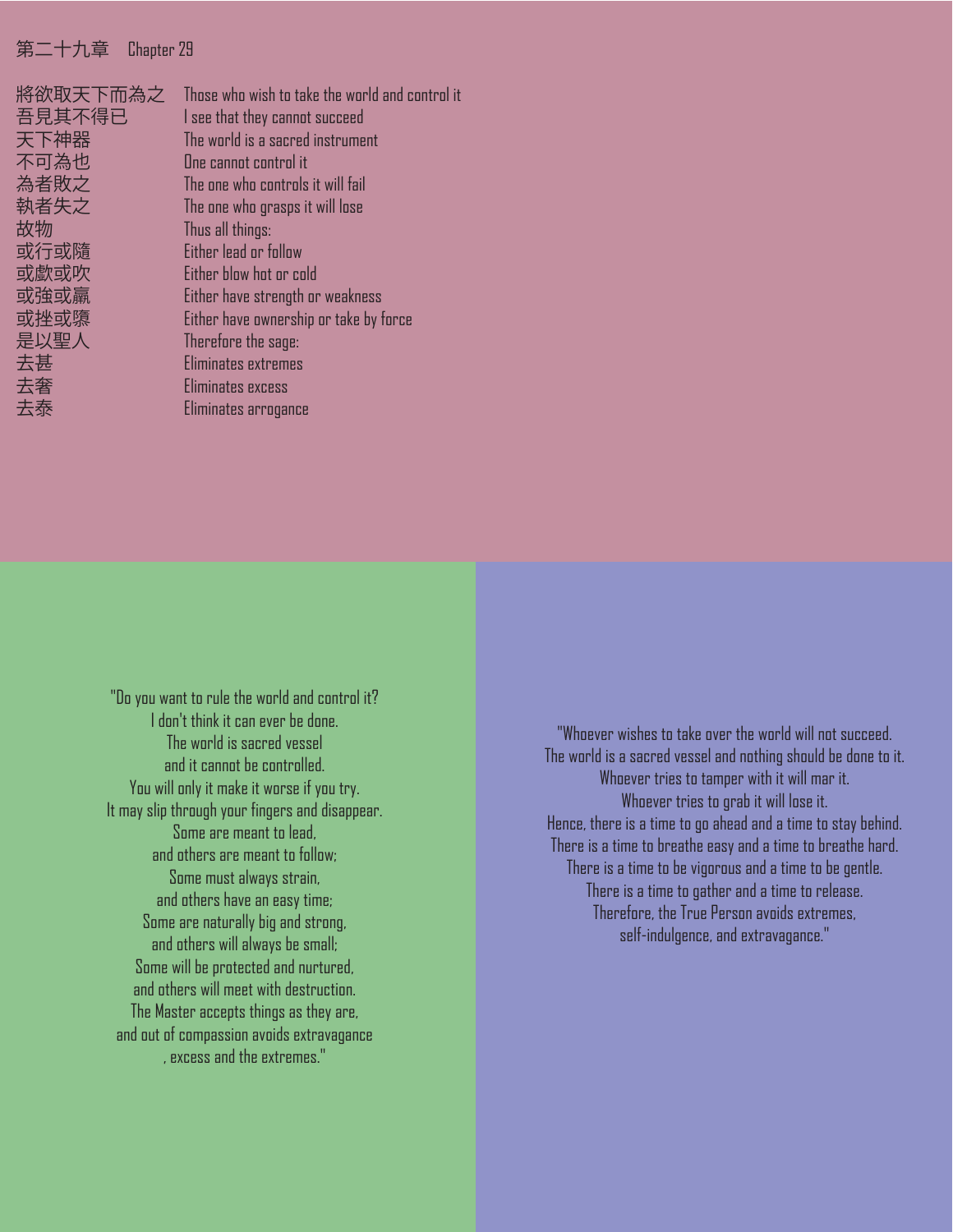## 第二十九章 Chapter 29

| 將欲取天下而為之 | Those who wish to take the world and control it |
|----------|-------------------------------------------------|
| 吾見其不得已   | I see that they cannot succeed                  |
| 天下神器     | The world is a sacred instrument                |
| 不可為也     | One cannot control it                           |
| 為者敗之     | The one who controls it will fail               |
| 執者失之     | The one who grasps it will lose                 |
| 故物       | Thus all things:                                |
| 或行或隨     | Either lead or follow                           |
| 或歔或吹     | Either blow hot or cold                         |
| 或強或羸     | Either have strength or weakness                |
| 或挫或隳     | Either have ownership or take by force          |
| 是以聖人     | Therefore the sage:                             |
| 去甚       | Eliminates extremes                             |
| 去奢       | Eliminates excess                               |
| 去泰       | Eliminates arrogance                            |
|          |                                                 |

"Do you want to rule the world and control it? I don't think it can ever be done. The world is sacred vessel and it cannot be controlled. You will only it make it worse if you try. It may slip through your fingers and disappear. Some are meant to lead, and others are meant to follow; Some must always strain, and others have an easy time; Some are naturally big and strong, and others will always be small; Some will be protected and nurtured, and others will meet with destruction. The Master accepts things as they are, and out of compassion avoids extravagance , excess and the extremes."

"Whoever wishes to take over the world will not succeed. The world is a sacred vessel and nothing should be done to it. Whoever tries to tamper with it will mar it. Whoever tries to grab it will lose it. Hence, there is a time to go ahead and a time to stay behind. There is a time to breathe easy and a time to breathe hard. There is a time to be vigorous and a time to be gentle. There is a time to gather and a time to release. Therefore, the True Person avoids extremes, self-indulgence, and extravagance."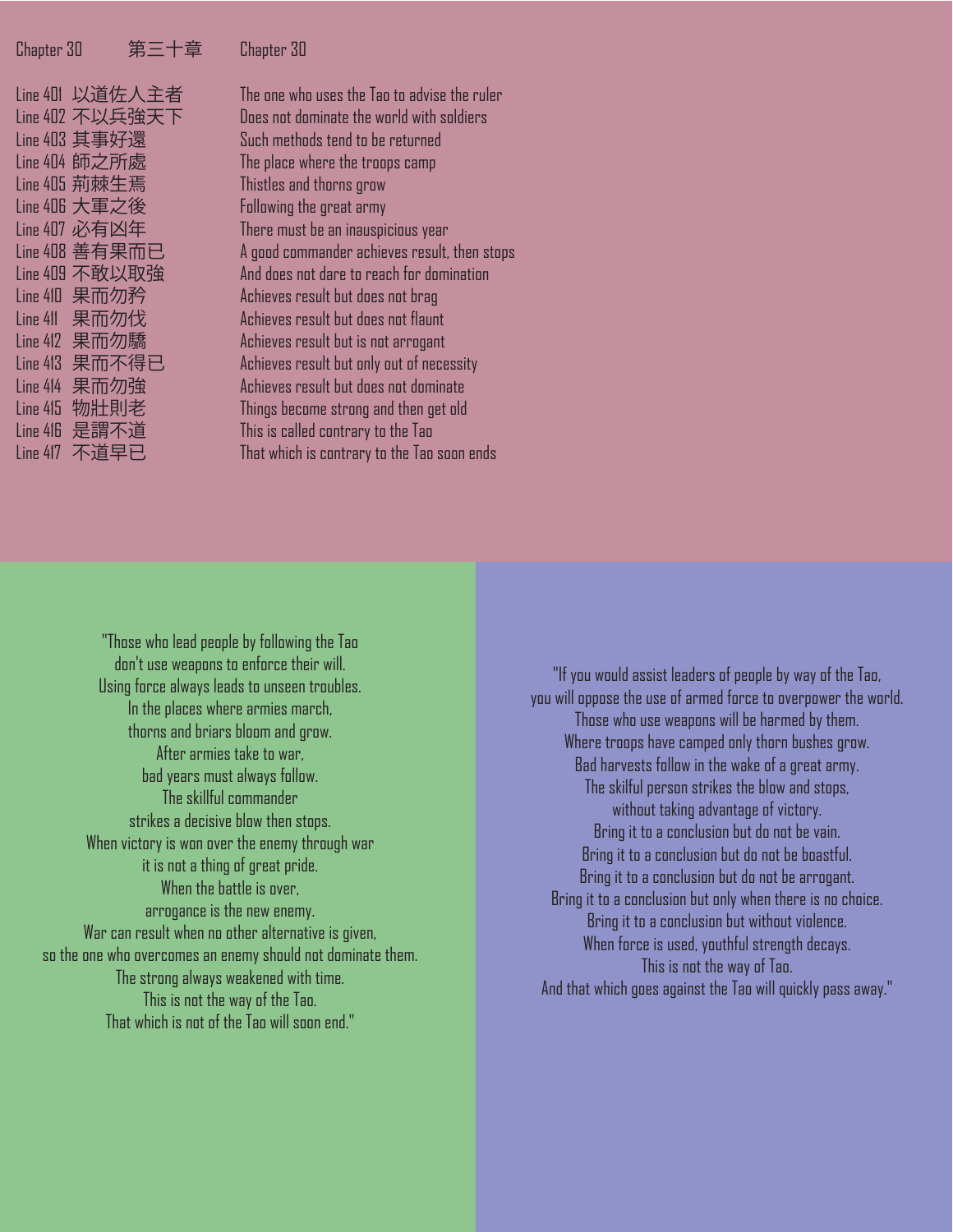| Chapter 30 | 第三十章 |
|------------|------|
|            |      |

Chapter 30

| Line 4D1 以道佐人主者 | The one who uses the Tao to advise the ruler |
|-----------------|----------------------------------------------|
| Line 402 不以兵強天下 | Does not dominate the world with soldiers    |
| Line 403 其事好還   | Such methods tend to be returned             |
| Line 404 師之所處   | The place where the troops camp              |
| Line 405 荊棘生焉   | Thistles and thorns grow                     |
| Line 406 大軍之後   | Following the great army                     |
| Line 407 必有凶年   | There must be an inauspicious year           |
| Line 408 善有果而已  | A good commander achieves result, then stops |
| Line 409 不敢以取強  | And does not dare to reach for domination    |
| Line 40 果而勿矜    | Achieves result but does not brag            |
| Line 4ll 果而勿伐   | Achieves result but does not flaunt          |
| Line 4l2 果而勿驕   | Achieves result but is not arrogant          |
| Line 413 果而不得已  | Achieves result but only out of necessity    |
| Line 414 果而勿強   | Achieves result but does not dominate        |
| Line 415 物壯則老   | Things become strong and then get old        |
| Line 4l6 是謂不道   | This is called contrary to the Tao           |
| Line 417 不道早已   | That which is contrary to the Tao soon ends  |
|                 |                                              |
|                 |                                              |

"Those who lead people by following the Tao don't use weapons to enforce their will. Using force always leads to unseen troubles. In the places where armies march, thorns and briars bloom and grow. After armies take to war, bad years must always follow. The skillful commander strikes a decisive blow then stops. When victory is won over the enemy through war it is not a thing of great pride. When the battle is over, arrogance is the new enemy. War can result when no other alternative is given, so the one who overcomes an enemy should not dominate them. The strong always weakened with time. This is not the way of the Tao. That which is not of the Tao will soon end."

"If you would assist leaders of people by way of the Tao, you will oppose the use of armed force to overpower the world. Those who use weapons will be harmed by them. Where troops have camped only thorn bushes grow. Bad harvests follow in the wake of a great army. The skilful person strikes the blow and stops, without taking advantage of victory. Bring it to a conclusion but do not be vain. Bring it to a conclusion but do not be boastful. Bring it to a conclusion but do not be arrogant. Bring it to a conclusion but only when there is no choice. Bring it to a conclusion but without violence. When force is used, youthful strength decays. This is not the way of Tao. And that which goes against the Tao will quickly pass away."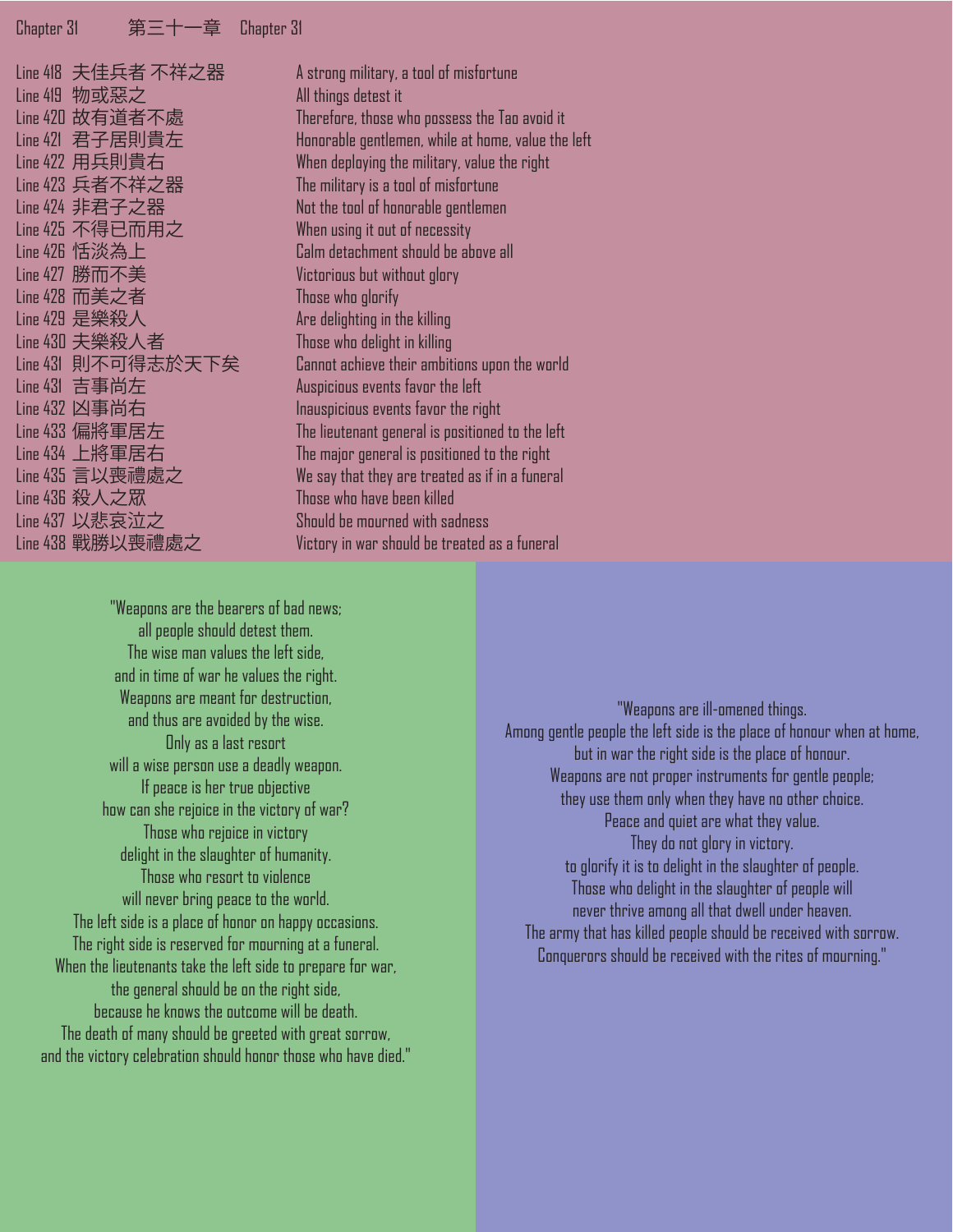Chapter 31 第三十一章 Chapter 31

| Line 418 夫佳兵者 不祥之器<br>Line 4l9 物或惡之                                                                                                                                                                                                                                          | A strong military, a tool of misfortune<br>All things detest it                                                                                                                                                                                                                                                                                                                                                                                                                                                                                                                                                   |
|------------------------------------------------------------------------------------------------------------------------------------------------------------------------------------------------------------------------------------------------------------------------------|-------------------------------------------------------------------------------------------------------------------------------------------------------------------------------------------------------------------------------------------------------------------------------------------------------------------------------------------------------------------------------------------------------------------------------------------------------------------------------------------------------------------------------------------------------------------------------------------------------------------|
| Line 420 故有道者不處<br>Line 421 君子居則貴左<br>Line 422 用兵則貴右<br>Line 423 兵者不祥之器<br>Line 424 非君子之器<br>Line 425 不得已而用之<br>Line 426 恬淡為上<br>Line 427 勝而不美<br>Line 428 而美之者<br>Line 429 是樂殺人<br>Line 430 夫樂殺人者<br>Line 431 則不可得志於天下矣<br>Line 431 吉事尚左<br>Line 432 凶事尚右<br>Line 433 偏將軍居左 | Therefore, those who possess the Tao avoid it<br>Honorable gentlemen, while at home, value the left<br>When deploying the military, value the right<br>The military is a tool of misfortune<br>Not the tool of honorable gentlemen<br>When using it out of necessity<br>Calm detachment should be above all<br>Victorious but without glory<br>Those who glorify<br>Are delighting in the killing<br>Those who delight in killing<br>Cannot achieve their ambitions upon the world<br>Auspicious events favor the left<br>Inauspicious events favor the right<br>The lieutenant general is positioned to the left |
| Line 434 上將軍居右<br>Line 435 言以喪禮處之<br>Line 436 殺人之眾<br>Line 437 以悲哀泣之<br>Line 438 戰勝以喪禮處之                                                                                                                                                                                     | The major general is positioned to the right<br>We say that they are treated as if in a funeral<br>Those who have been killed<br>Should be mourned with sadness<br>Victory in war should be treated as a funeral                                                                                                                                                                                                                                                                                                                                                                                                  |
|                                                                                                                                                                                                                                                                              |                                                                                                                                                                                                                                                                                                                                                                                                                                                                                                                                                                                                                   |

"Weapons are the bearers of bad news; all people should detest them. The wise man values the left side, and in time of war he values the right. Weapons are meant for destruction, and thus are avoided by the wise. Only as a last resort will a wise person use a deadly weapon. If peace is her true objective how can she rejoice in the victory of war? Those who rejoice in victory delight in the slaughter of humanity. Those who resort to violence will never bring peace to the world. The left side is a place of honor on happy occasions. The right side is reserved for mourning at a funeral. When the lieutenants take the left side to prepare for war, the general should be on the right side, because he knows the outcome will be death. The death of many should be greeted with great sorrow, and the victory celebration should honor those who have died."

"Weapons are ill-omened things. Among gentle people the left side is the place of honour when at home, but in war the right side is the place of honour. Weapons are not proper instruments for gentle people; they use them only when they have no other choice. Peace and quiet are what they value. They do not glory in victory. to glorify it is to delight in the slaughter of people. Those who delight in the slaughter of people will never thrive among all that dwell under heaven. The army that has killed people should be received with sorrow. Conquerors should be received with the rites of mourning."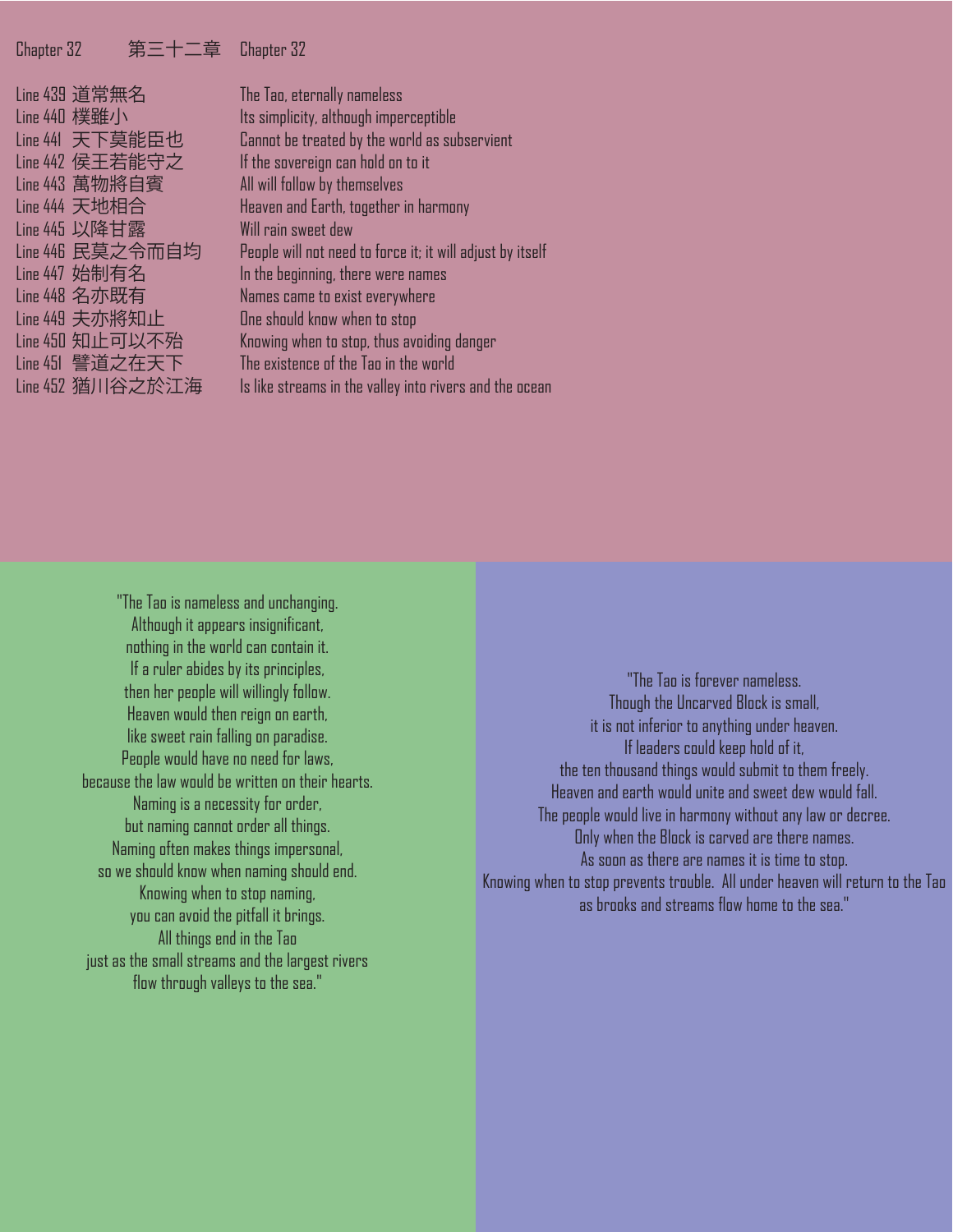Chapter 32 第三十二章 Chapter 32 Line 439 道常無名 The Tao, eternally nameless Line 440 樸雖小 Its simplicity, although imperceptible Line 441 天下莫能臣也 Cannot be treated by the world as subservient Line 442 侯王若能守之 If the sovereign can hold on to it Line 443 萬物將自賓 All will follow by themselves Line 444 天地相合 Heaven and Earth, together in harmony Line 445 以降甘露 Will rain sweet dew Line 446 民莫之令而自均 People will not need to force it; it will adjust by itself Line 447 始制有名  $\blacksquare$  In the beginning, there were names Line 448 名亦既有 Names came to exist everywhere Line 449 夫亦將知止 One should know when to stop Line 450 知止可以不殆 Knowing when to stop, thus avoiding danger Line 451 譬道之在天下 The existence of the Tao in the world Line 452 猶川谷之於江海 Is like streams in the valley into rivers and the ocean

> "The Tao is nameless and unchanging. Although it appears insignificant, nothing in the world can contain it. If a ruler abides by its principles, then her people will willingly follow. Heaven would then reign on earth, like sweet rain falling on paradise. People would have no need for laws, because the law would be written on their hearts. Naming is a necessity for order, but naming cannot order all things. Naming often makes things impersonal, so we should know when naming should end. Knowing when to stop naming, you can avoid the pitfall it brings. All things end in the Tao just as the small streams and the largest rivers flow through valleys to the sea."

"The Tao is forever nameless. Though the Uncarved Block is small, it is not inferior to anything under heaven. If leaders could keep hold of it, the ten thousand things would submit to them freely. Heaven and earth would unite and sweet dew would fall. The people would live in harmony without any law or decree. Only when the Block is carved are there names. As soon as there are names it is time to stop. Knowing when to stop prevents trouble. All under heaven will return to the Tao as brooks and streams flow home to the sea."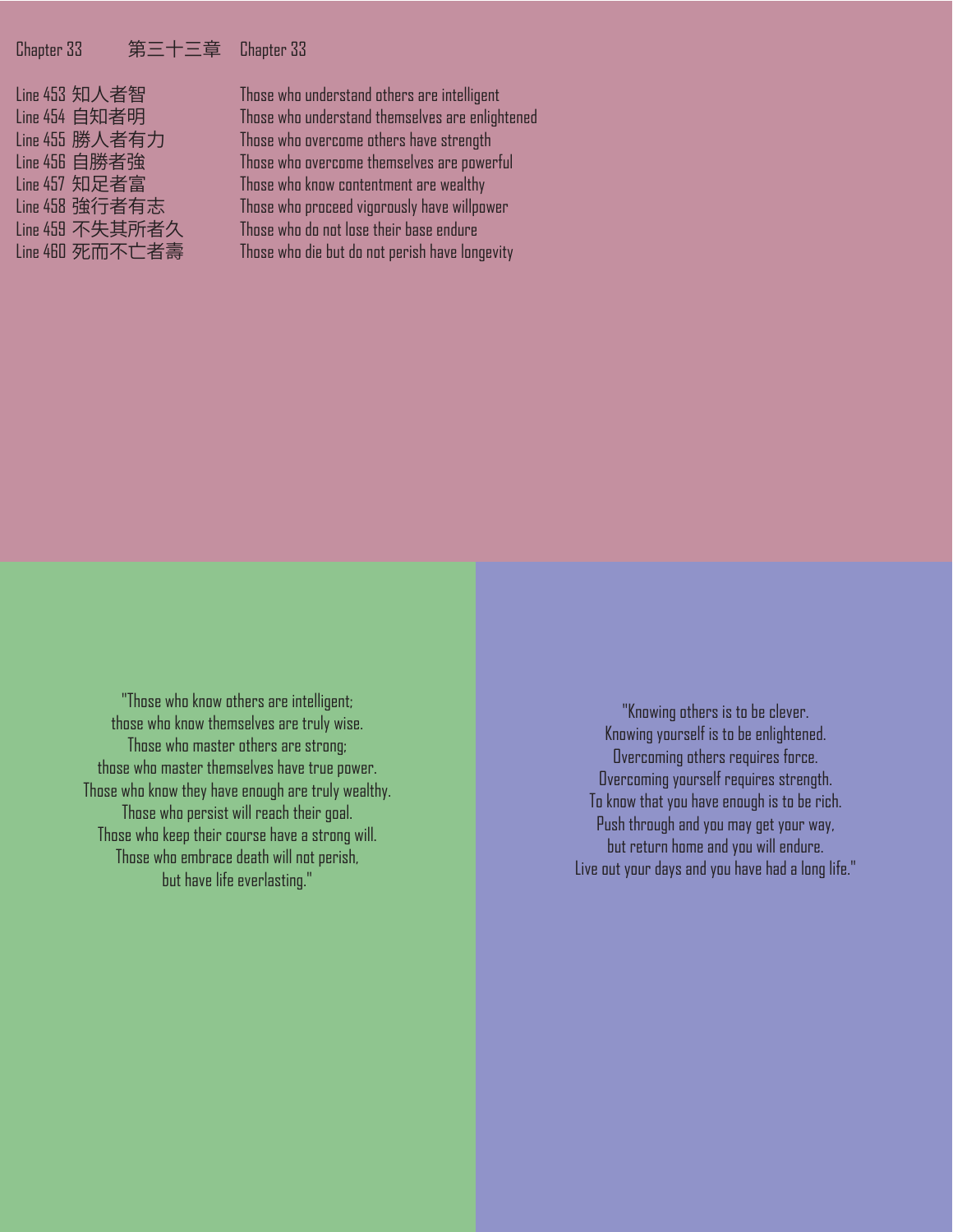## Chapter 33 第三十三章 Chapter 33

Line 453 知人者智 Those who understand others are intelligent Line 454 自知者明 Those who understand themselves are enlightened Line 455 勝人者有力 Those who overcome others have strength Line 456 自勝者強 Those who overcome themselves are powerful Line 457 知足者富 Those who know contentment are wealthy Line 458 強行者有志 Those who proceed vigorously have willpower Line 459 不失其所者久 Those who do not lose their base endure Line 460 死而不亡者壽 Those who die but do not perish have longevity

> "Those who know others are intelligent; those who know themselves are truly wise. Those who master others are strong; those who master themselves have true power. Those who know they have enough are truly wealthy. Those who persist will reach their goal. Those who keep their course have a strong will. Those who embrace death will not perish, but have life everlasting."

"Knowing others is to be clever. Knowing yourself is to be enlightened. Overcoming others requires force. Overcoming yourself requires strength. To know that you have enough is to be rich. Push through and you may get your way, but return home and you will endure. Live out your days and you have had a long life."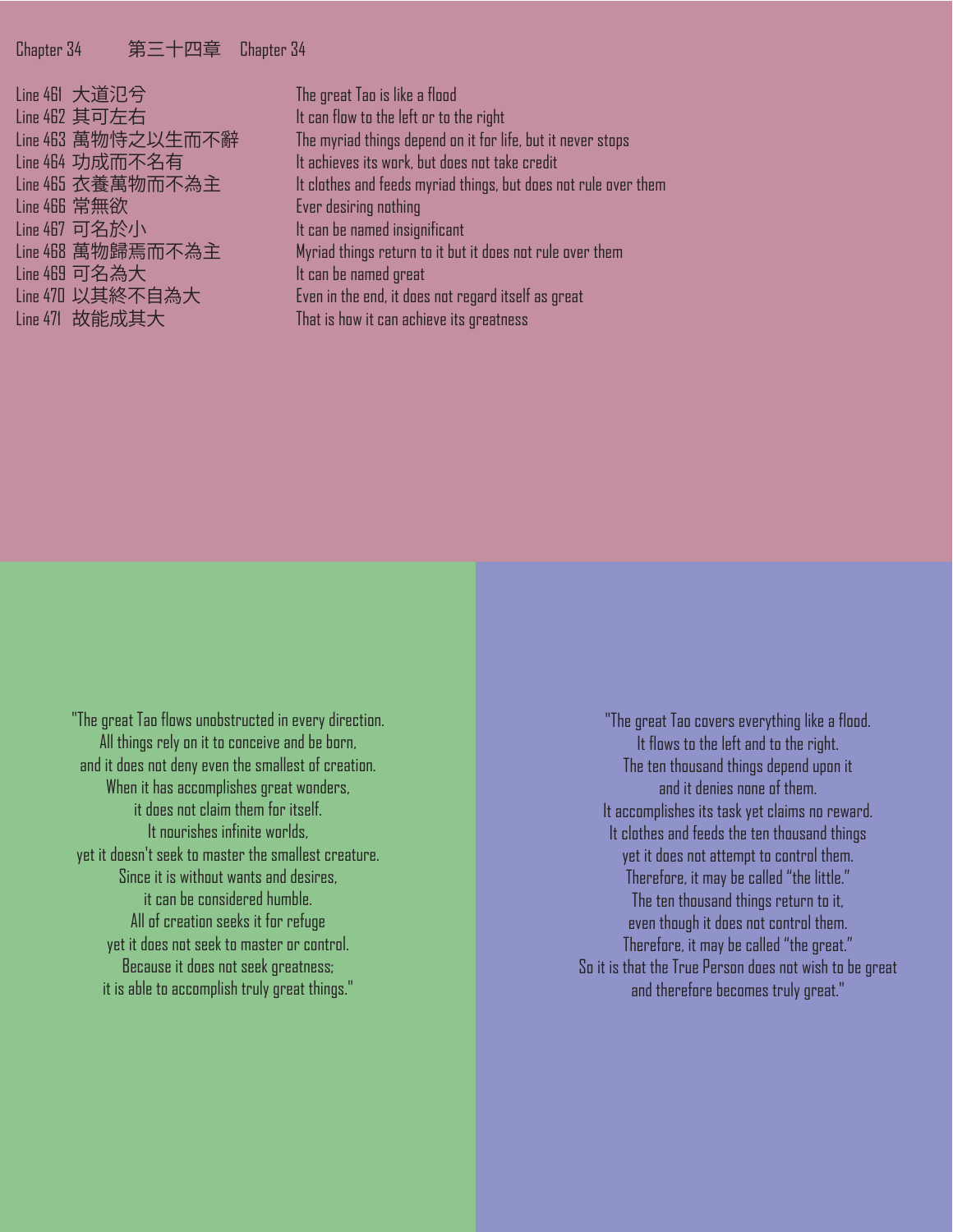#### Chapter 34 第三十四章 Chapter 34

| Line 461 大道氾兮      | The great Tao is like a flood                   |
|--------------------|-------------------------------------------------|
| Line 462 其可左右      | It can flow to the left or to the right         |
| Line 463 萬物恃之以生而不辭 | The myriad things depend on it for life, but it |
| Line 464 功成而不名有    | It achieves its work, but does not take credit  |
| Line 465 衣養萬物而不為主  | It clothes and feeds myriad things, but does    |
| Line 466 常無欲       | Ever desiring nothing                           |
| Line 467 可名於小      | It can be named insignificant                   |
| Line 468 萬物歸焉而不為主  | Myriad things return to it but it does not rule |
| Line 469 可名為大      | It can be named great                           |
| Line 470 以其終不自為大   | Even in the end, it does not regard itself as g |
| Line 471 故能成其大     | That is how it can achieve its greatness        |

| Line 461 大道氾兮,             | The great Tao is like a flood                                   |
|----------------------------|-----------------------------------------------------------------|
| Line 462 其可左右              | It can flow to the left or to the right                         |
| Line 463 萬物恃之以生而不辭         | The myriad things depend on it for life, but it never stops     |
| Line 464 功成而不名有            | It achieves its work, but does not take credit                  |
| Line 465 衣養萬物而不為主          | It clothes and feeds myriad things, but does not rule over them |
| Line 466 常無欲               | Ever desiring nothing                                           |
| Line 467 可名於小              | It can be named insignificant                                   |
| Line 468 萬物歸焉而不為主          | Myriad things return to it but it does not rule over them       |
| Line 469 可名為大              | It can be named great                                           |
| Line 470 以其終不自為大           | Even in the end, it does not regard itself as great             |
| $\mathsf{I}$ ine 471 故能成其大 | That is how it can achieve its oreatness                        |

"The great Tao flows unobstructed in every direction. All things rely on it to conceive and be born, and it does not deny even the smallest of creation. When it has accomplishes great wonders, it does not claim them for itself. It nourishes infinite worlds, yet it doesn't seek to master the smallest creature. Since it is without wants and desires, it can be considered humble. All of creation seeks it for refuge yet it does not seek to master or control. Because it does not seek greatness; it is able to accomplish truly great things."

"The great Tao covers everything like a flood. It flows to the left and to the right. The ten thousand things depend upon it and it denies none of them. It accomplishes its task yet claims no reward. It clothes and feeds the ten thousand things yet it does not attempt to control them. Therefore, it may be called "the little." The ten thousand things return to it, even though it does not control them. Therefore, it may be called "the great." So it is that the True Person does not wish to be great and therefore becomes truly great."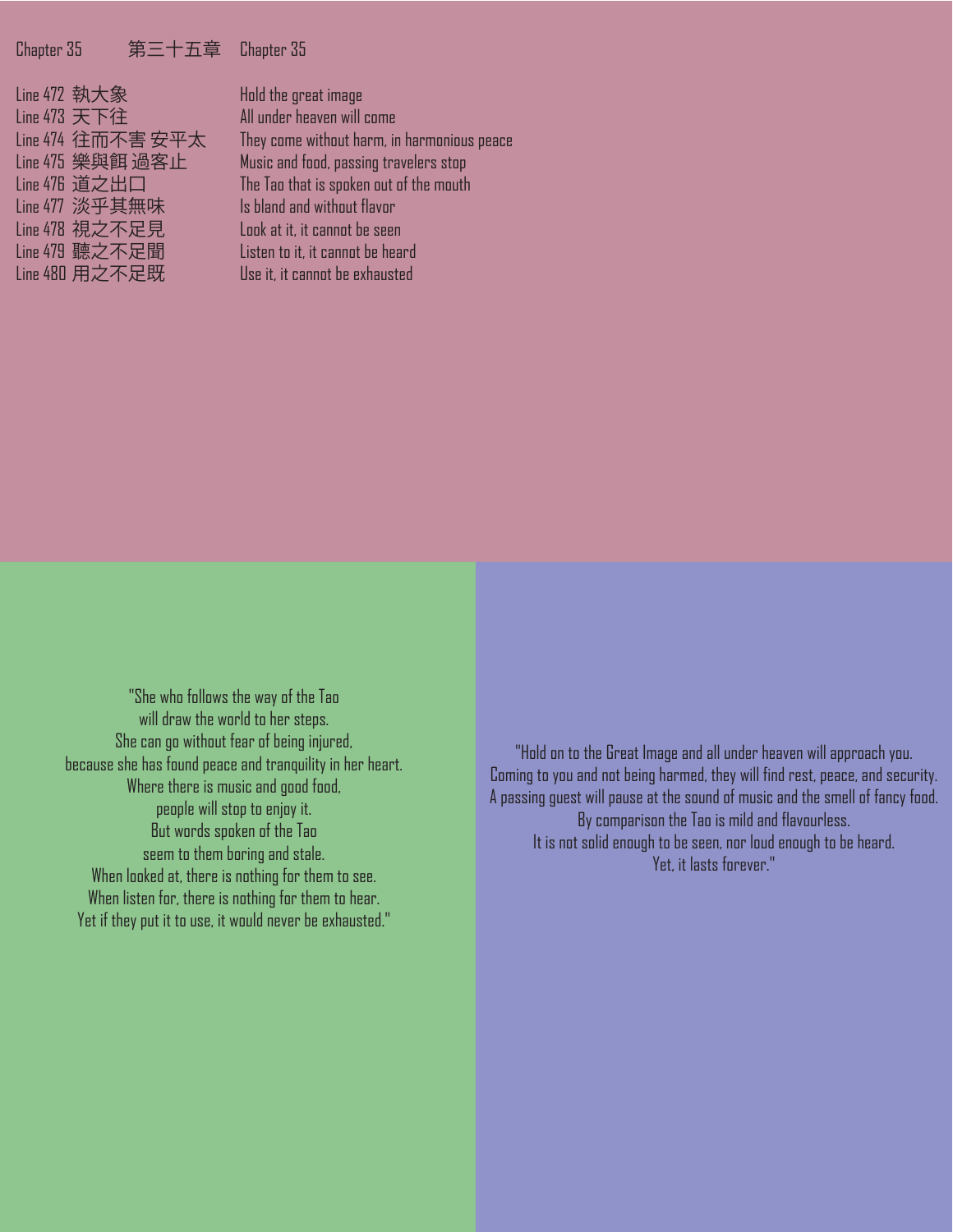Chapter 35 第三十五章 Chapter 35

| Line 472 執大象      |
|-------------------|
| Line 473 天下往      |
| Line 474 往而不害 安平太 |
| Line 475 樂與餌 過客止  |
| Line 476 道之出口     |
| Line 477 淡平其無味    |
| Line 478 視之不足見    |
| Line 479 聽之不足聞    |
| ling 480 田之不足既    |

Hold the great image All under heaven will come They come without harm, in harmonious peace Music and food, passing travelers stop The Tao that is spoken out of the mouth Is bland and without flavor Look at it, it cannot be seen Listen to it, it cannot be heard Line 480 用之不足既 Use it, it cannot be exhausted

"She who follows the way of the Tao will draw the world to her steps. She can go without fear of being injured, because she has found peace and tranquility in her heart. Where there is music and good food, people will stop to enjoy it. But words spoken of the Tao seem to them boring and stale. When looked at, there is nothing for them to see. When listen for, there is nothing for them to hear. Yet if they put it to use, it would never be exhausted."

"Hold on to the Great Image and all under heaven will approach you. Coming to you and not being harmed, they will find rest, peace, and security. A passing guest will pause at the sound of music and the smell of fancy food. By comparison the Tao is mild and flavourless. It is not solid enough to be seen, nor loud enough to be heard. Yet, it lasts forever."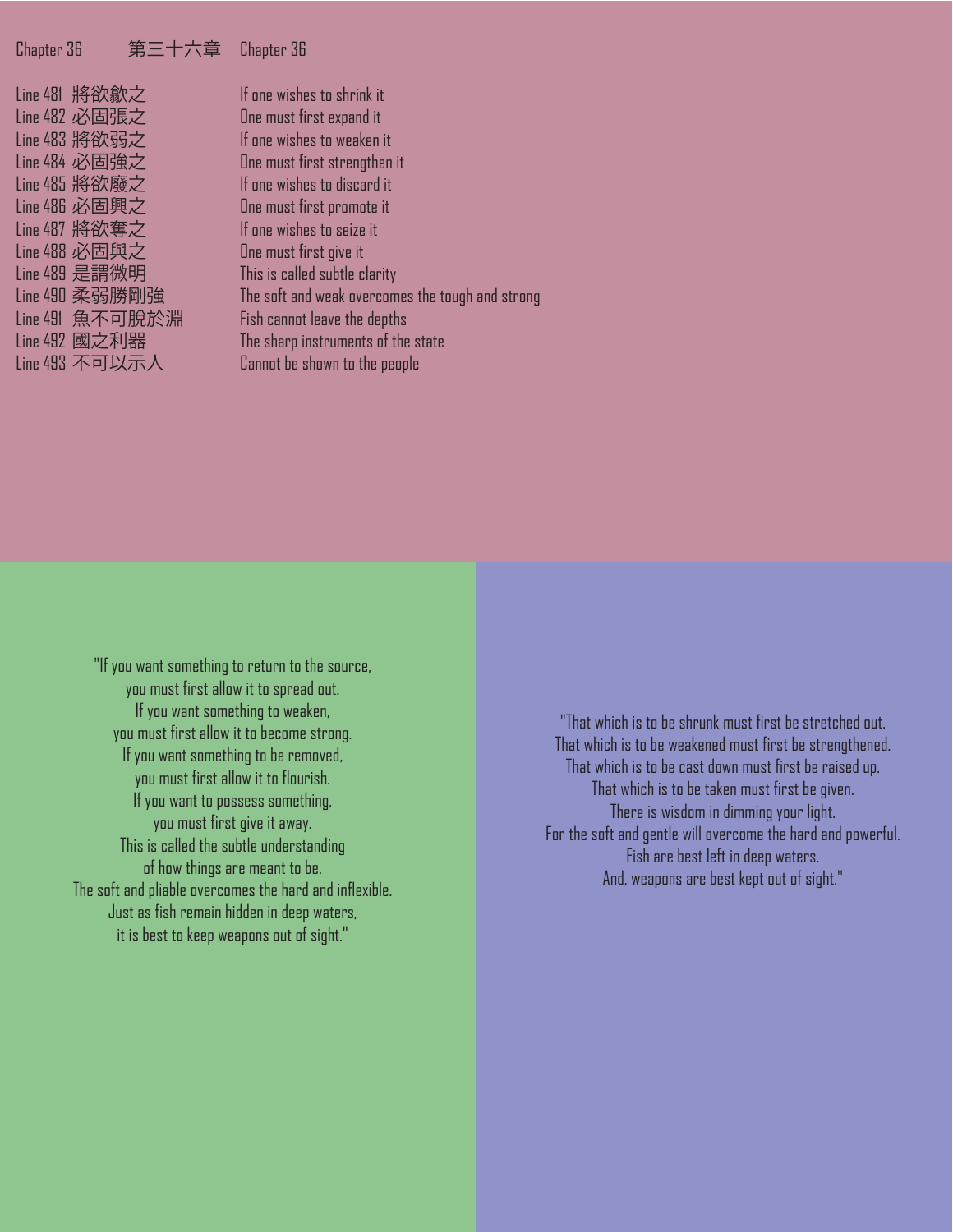| Chapter 36                                                                                                                                                                                 | 第三十六章 Chapter 36 |                                                                                                                                                                                                                                                                                                                                                              |
|--------------------------------------------------------------------------------------------------------------------------------------------------------------------------------------------|------------------|--------------------------------------------------------------------------------------------------------------------------------------------------------------------------------------------------------------------------------------------------------------------------------------------------------------------------------------------------------------|
| Line 481 將欲歙之<br>Line 482 必固張之<br>Line 483 將欲弱之<br>Line 484 必固強之<br>Line 485 將欲廢之<br>Line 486 必固興之<br>Line 487 將欲奪之<br>Line 488 必固與之<br>Line 489 是謂微明<br>Line 490 柔弱勝剛強<br>Line 491 魚不可脫於淵 |                  | If one wishes to shrink it<br>One must first expand it<br>If one wishes to weaken it<br>One must first strengthen it<br>If one wishes to discard it<br>One must first promote it<br>If one wishes to seize it<br>One must first give it<br>This is called subtle clarity<br>The soft and weak overcomes the tough and strong<br>Fish cannot leave the depths |
| Line 492 國之利器<br>Line 493 不可以示人                                                                                                                                                            |                  | The sharp instruments of the state<br>Cannot be shown to the people                                                                                                                                                                                                                                                                                          |
|                                                                                                                                                                                            |                  |                                                                                                                                                                                                                                                                                                                                                              |

"If you want something to return to the source, you must first allow it to spread out. If you want something to weaken, you must first allow it to become strong. If you want something to be removed, you must first allow it to flourish. If you want to possess something, you must first give it away. This is called the subtle understanding of how things are meant to be. The soft and pliable overcomes the hard and inflexible. Just as fish remain hidden in deep waters, it is best to keep weapons out of sight."

"That which is to be shrunk must first be stretched out. That which is to be weakened must first be strengthened. That which is to be cast down must first be raised up. That which is to be taken must first be given. There is wisdom in dimming your light. For the soft and gentle will overcome the hard and powerful. Fish are best left in deep waters. And, weapons are best kept out of sight."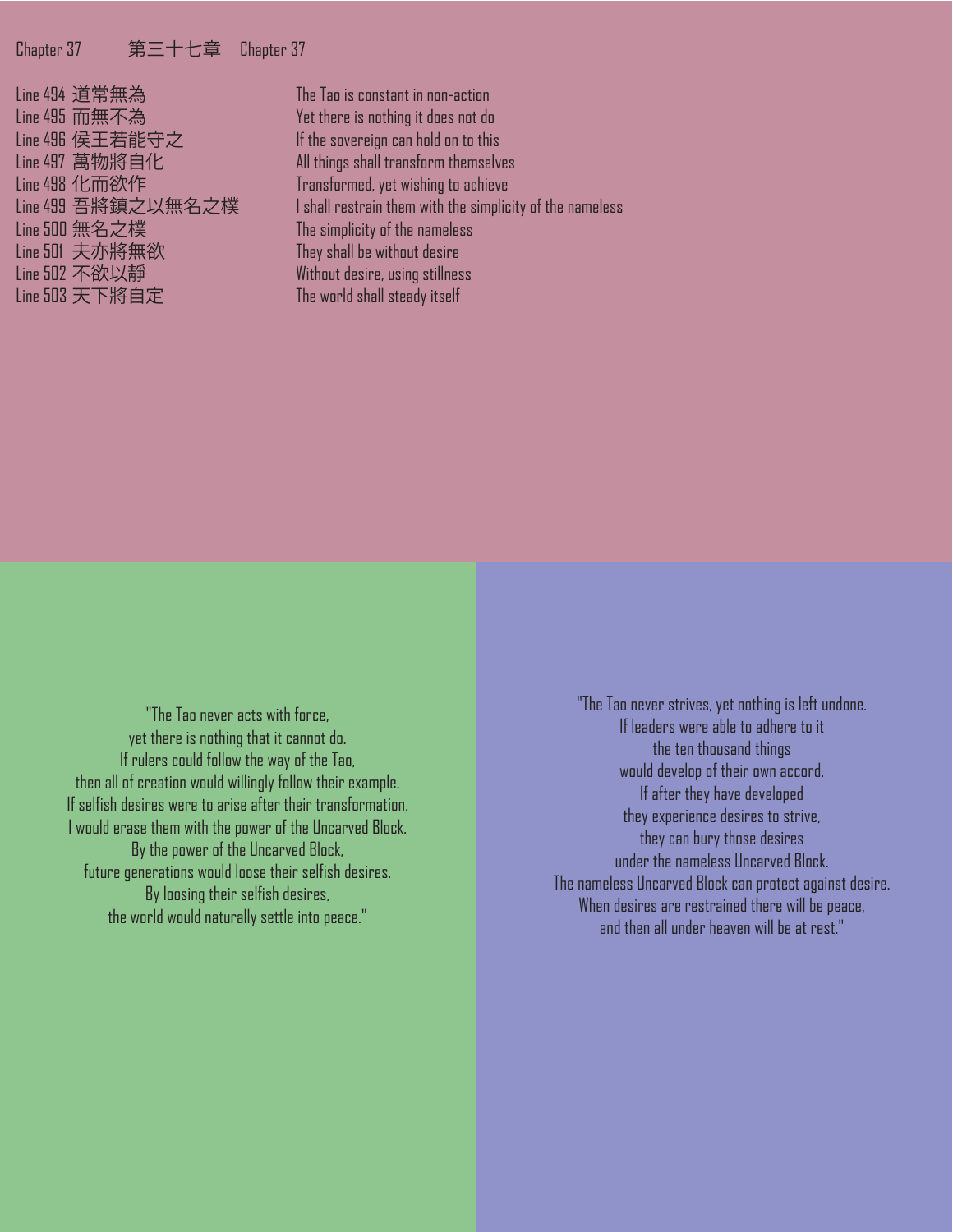# Chapter 37 第三十七章 Chapter 37

Line 494 道常無為 The Tao is constant in non-action Line 495 而無不為 Yet there is nothing it does not do Line 496 侯王若能守之 If the sovereign can hold on to this Line 497 萬物將自化 All things shall transform themselves<br>Line 498 化而欲作 Transformed, yet wishing to achieve Line 500 無名之樸 The simplicity of the nameless Line 501 夫亦將無欲 They shall be without desire Line 502 不欲以靜 Without desire, using stillness Line 503 天下將自定 The world shall steady itself

Transformed, yet wishing to achieve Line 499 吾將鎮之以無名之樸 I shall restrain them with the simplicity of the nameless

"The Tao never acts with force, yet there is nothing that it cannot do. If rulers could follow the way of the Tao, then all of creation would willingly follow their example. If selfish desires were to arise after their transformation, I would erase them with the power of the Uncarved Block. By the power of the Uncarved Block, future generations would loose their selfish desires. By loosing their selfish desires, the world would naturally settle into peace."

"The Tao never strives, yet nothing is left undone. If leaders were able to adhere to it the ten thousand things would develop of their own accord. If after they have developed they experience desires to strive, they can bury those desires under the nameless Uncarved Block. The nameless Uncarved Block can protect against desire. When desires are restrained there will be peace, and then all under heaven will be at rest."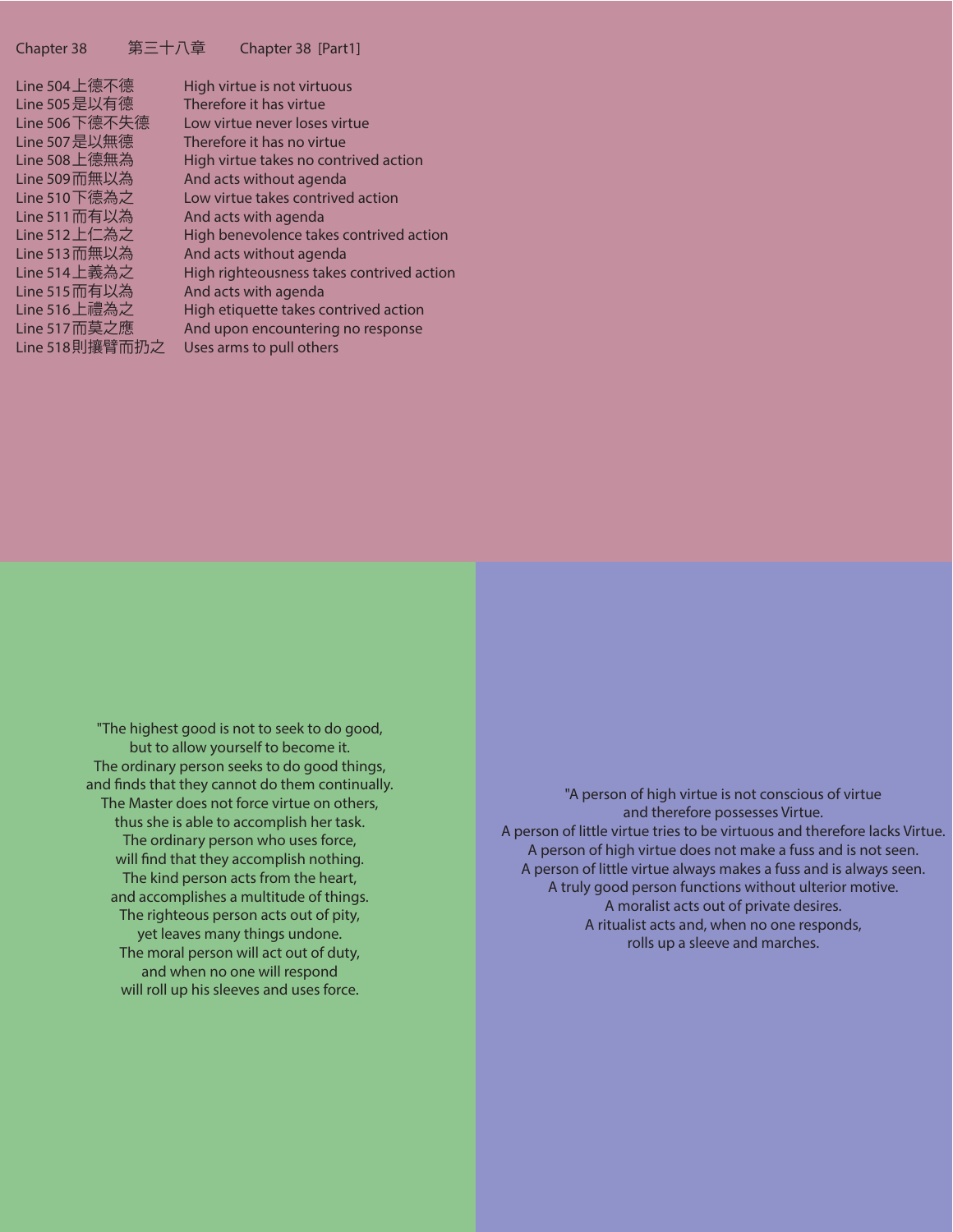#### Chapter 38 第三十八章 Chapter 38 [Part1]

| Line 504 上德不德  | High virtue is not virtuous               |
|----------------|-------------------------------------------|
| Line 505 是以有德  | Therefore it has virtue                   |
| Line 506 下德不失德 | Low virtue never loses virtue             |
| Line 507 是以無德  | Therefore it has no virtue                |
| Line 508 上德無為  | High virtue takes no contrived action     |
| Line 509而無以為   | And acts without agenda                   |
| Line 510 下德為之  | Low virtue takes contrived action         |
| Line 511 而有以為  | And acts with agenda                      |
| Line 512上仁為之   | High benevolence takes contrived action   |
| Line 513 而無以為  | And acts without agenda                   |
| Line 514 上義為之  | High righteousness takes contrived action |
| Line 515 而有以為  | And acts with agenda                      |
| Line 516上禮為之   | High etiquette takes contrived action     |
| Line 517 而莫之應  | And upon encountering no response         |
| Line 518則攘臂而扔之 | Uses arms to pull others                  |

"The highest good is not to seek to do good, but to allow yourself to become it. The ordinary person seeks to do good things, and finds that they cannot do them continually. The Master does not force virtue on others, thus she is able to accomplish her task. The ordinary person who uses force, will find that they accomplish nothing. The kind person acts from the heart, and accomplishes a multitude of things. The righteous person acts out of pity, yet leaves many things undone. The moral person will act out of duty, and when no one will respond will roll up his sleeves and uses force.

"A person of high virtue is not conscious of virtue and therefore possesses Virtue. A person of little virtue tries to be virtuous and therefore lacks Virtue. A person of high virtue does not make a fuss and is not seen. A person of little virtue always makes a fuss and is always seen. A truly good person functions without ulterior motive. A moralist acts out of private desires. A ritualist acts and, when no one responds, rolls up a sleeve and marches.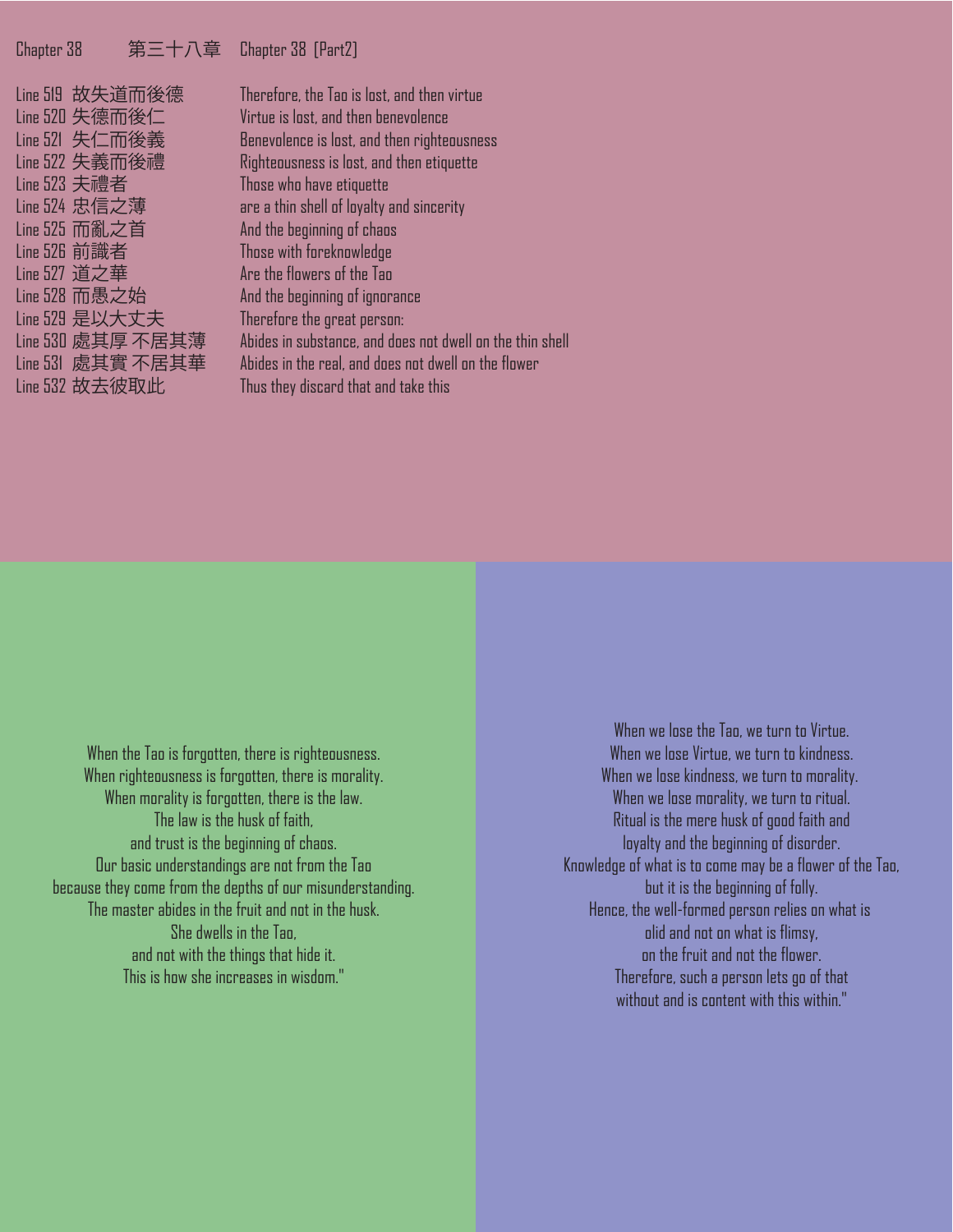# Chapter 38 第三十八章 Chapter 38 [Part2]

| Line 5l9 故失道而後德   | Therefore, the Tao is lost, and then virtue               |
|-------------------|-----------------------------------------------------------|
| Line 520 失德而後仁    | Virtue is lost, and then benevolence                      |
| Line 521 失仁而後義    | Benevolence is lost, and then righteousness               |
| Line 522 失義而後禮    | Righteousness is lost, and then etiquette                 |
| Line 523 夫禮者      | Those who have etiquette                                  |
| Line 524 忠信之薄     | are a thin shell of loyalty and sincerity                 |
| Line 525 而亂之首     | And the beginning of chaos                                |
| Line 526 前識者      | Those with foreknowledge                                  |
| Line 527 道之華      | Are the flowers of the Tao                                |
| Line 528 而愚之始     | And the beginning of ignorance                            |
| Line 529 是以大丈夫    | Therefore the great person:                               |
| Line 530 處其厚 不居其薄 | Abides in substance, and does not dwell on the thin shell |
| Line 531 處其實 不居其華 | Abides in the real, and does not dwell on the flower      |
| Line 532 故去彼取此    | Thus they discard that and take this                      |
|                   |                                                           |

When the Tao is forgotten, there is righteousness. When righteousness is forgotten, there is morality. When morality is forgotten, there is the law. The law is the husk of faith, and trust is the beginning of chaos. Our basic understandings are not from the Tao because they come from the depths of our misunderstanding. The master abides in the fruit and not in the husk. She dwells in the Tao, and not with the things that hide it. This is how she increases in wisdom."

When we lose the Tao, we turn to Virtue. When we lose Virtue, we turn to kindness. When we lose kindness, we turn to morality. When we lose morality, we turn to ritual. Ritual is the mere husk of good faith and loyalty and the beginning of disorder. Knowledge of what is to come may be a flower of the Tao, but it is the beginning of folly. Hence, the well-formed person relies on what is olid and not on what is flimsy, on the fruit and not the flower. Therefore, such a person lets go of that without and is content with this within."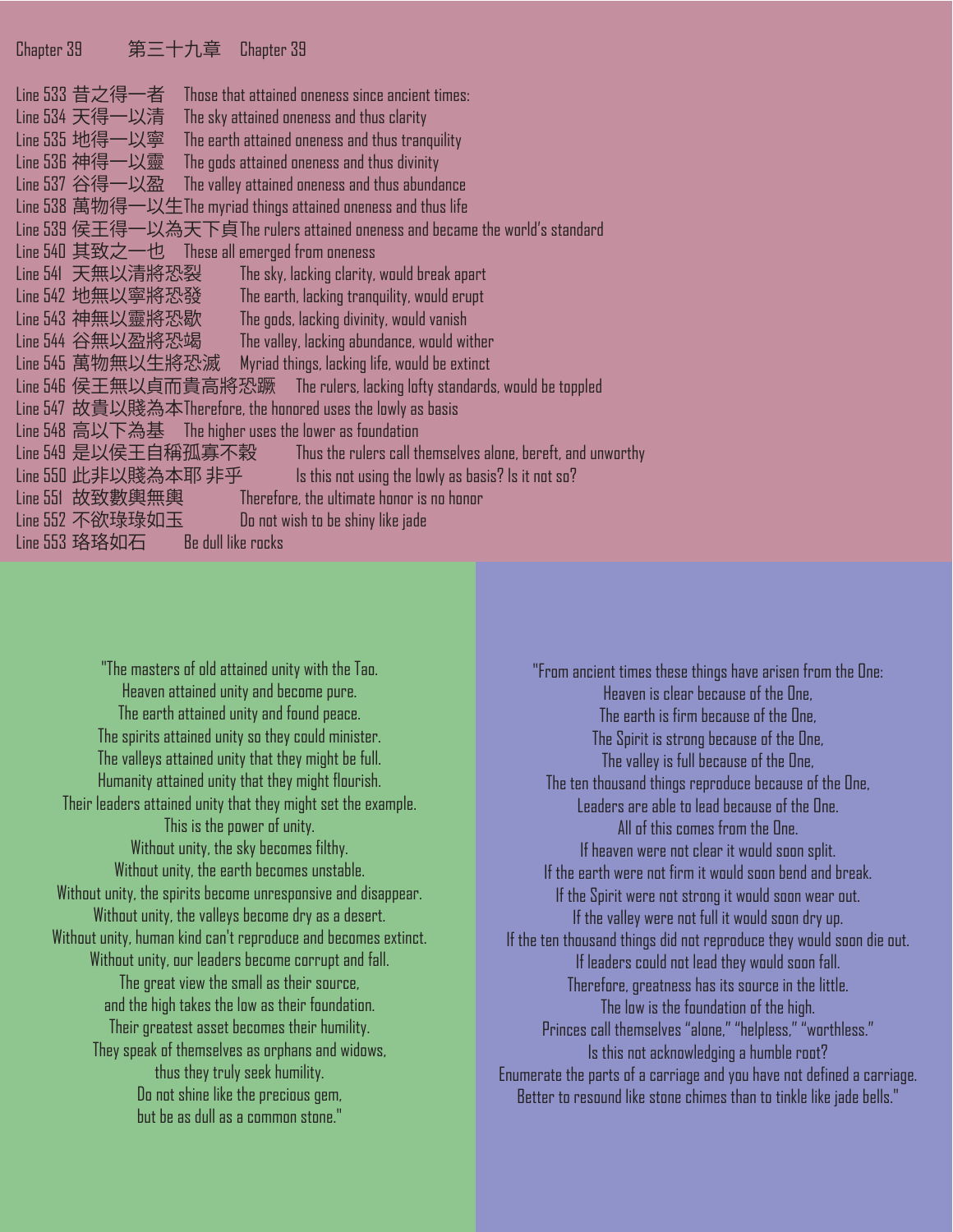Chapter 39 第三十九章 Chapter 39

| Line 533 昔之得一者                   | Those that attained oneness since ancient times:                                |
|----------------------------------|---------------------------------------------------------------------------------|
| Line 534 天得一以清                   | The sky attained oneness and thus clarity                                       |
| Line 535 地得一以寧                   | The earth attained oneness and thus tranquility                                 |
| Line 536 神得一以靈                   | The gods attained oneness and thus divinity                                     |
|                                  | Line 537 谷得一以盈 The valley attained oneness and thus abundance                   |
|                                  | Line 538 萬物得一以生The myriad things attained oneness and thus life                 |
|                                  | Line 539 侯王得一以為天下貞The rulers attained oneness and became the world's standard   |
|                                  | Line 540 其致之一也 These all emerged from oneness                                   |
| Line 541 天無以清將恐裂                 | The sky, lacking clarity, would break apart                                     |
| Line 542 地無以寧將恐發                 | The earth, lacking tranquility, would erupt                                     |
| Line 543 神無以靈將恐歇                 | The gods, lacking divinity, would vanish                                        |
| Line 544 谷無以盈將恐竭                 | The valley, lacking abundance, would wither                                     |
| line 545 萬物無以生將恐滅                | Myriad things, lacking life, would be extinct                                   |
|                                  | Line 546 侯王無以貞而貴高將恐蹶 The rulers, lacking lofty standards, would be toppled      |
|                                  | Line 547 故貴以賤為本Therefore, the honored uses the lowly as basis                   |
|                                  | Line 548 高以下為基 The higher uses the lower as foundation                          |
|                                  | Line 549 是以侯王自稱孤寡不穀 Thus the rulers call themselves alone, bereft, and unworthy |
|                                  | Line 550 此非以賤為本耶 非乎 lsthis not using the lowly as basis? Is it not so?          |
|                                  | Line 551 故致數輿無輿     Therefore, the ultimate honor is no honor                   |
|                                  | Line 552 不欲琭琭如玉 Do not wish to be shiny like jade                               |
| Line 553 珞珞如石 Be dull like rocks |                                                                                 |

"The masters of old attained unity with the Tao. Heaven attained unity and become pure. The earth attained unity and found peace. The spirits attained unity so they could minister. The valleys attained unity that they might be full. Humanity attained unity that they might flourish. Their leaders attained unity that they might set the example. This is the power of unity. Without unity, the sky becomes filthy. Without unity, the earth becomes unstable. Without unity, the spirits become unresponsive and disappear. Without unity, the valleys become dry as a desert. Without unity, human kind can't reproduce and becomes extinct. Without unity, our leaders become corrupt and fall. The great view the small as their source, and the high takes the low as their foundation. Their greatest asset becomes their humility. They speak of themselves as orphans and widows, thus they truly seek humility. Do not shine like the precious gem, but be as dull as a common stone."

"From ancient times these things have arisen from the One: Heaven is clear because of the One, The earth is firm because of the One, The Spirit is strong because of the One, The valley is full because of the One, The ten thousand things reproduce because of the One, Leaders are able to lead because of the One. All of this comes from the One. If heaven were not clear it would soon split. If the earth were not firm it would soon bend and break. If the Spirit were not strong it would soon wear out. If the valley were not full it would soon dry up. If the ten thousand things did not reproduce they would soon die out. If leaders could not lead they would soon fall. Therefore, greatness has its source in the little. The low is the foundation of the high. Princes call themselves "alone," "helpless," "worthless." Is this not acknowledging a humble root? Enumerate the parts of a carriage and you have not defined a carriage. Better to resound like stone chimes than to tinkle like jade bells."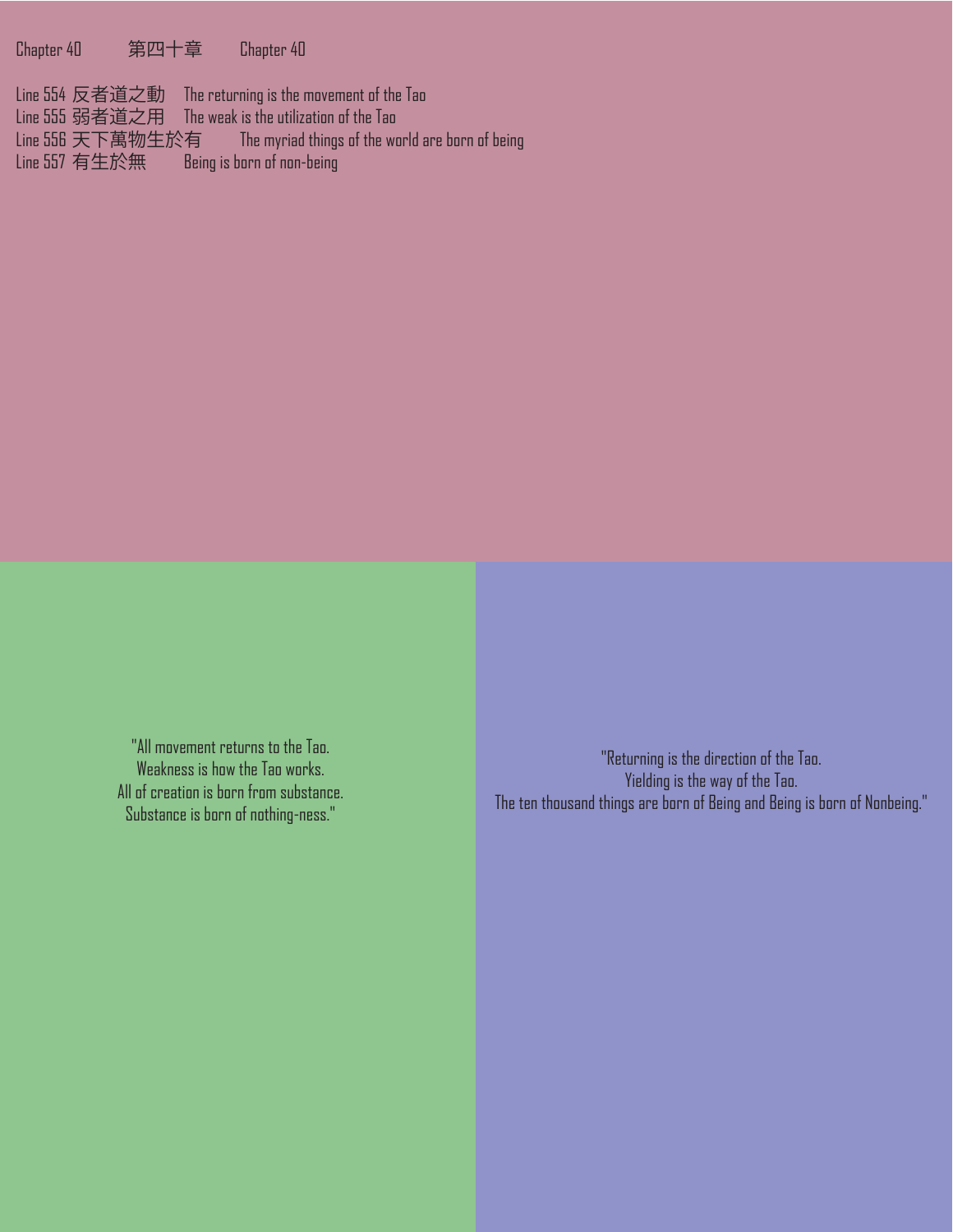Chapter 40 第四十章 Chapter 40

Line 554 反者道之動 The returning is the movement of the Tao<br>Line 555 弱者道之用 The weak is the utilization of the Tao Line 555 弱者道之用 The weak is the utilization of the Tao<br>Line 556 天下萬物生於有 The myriad things of the wo The myriad things of the world are born of being Line 557 有生於無 Being is born of non-being

> "All movement returns to the Tao. Weakness is how the Tao works. All of creation is born from substance. Substance is born of nothing-ness."

"Returning is the direction of the Tao. Yielding is the way of the Tao. The ten thousand things are born of Being and Being is born of Nonbeing."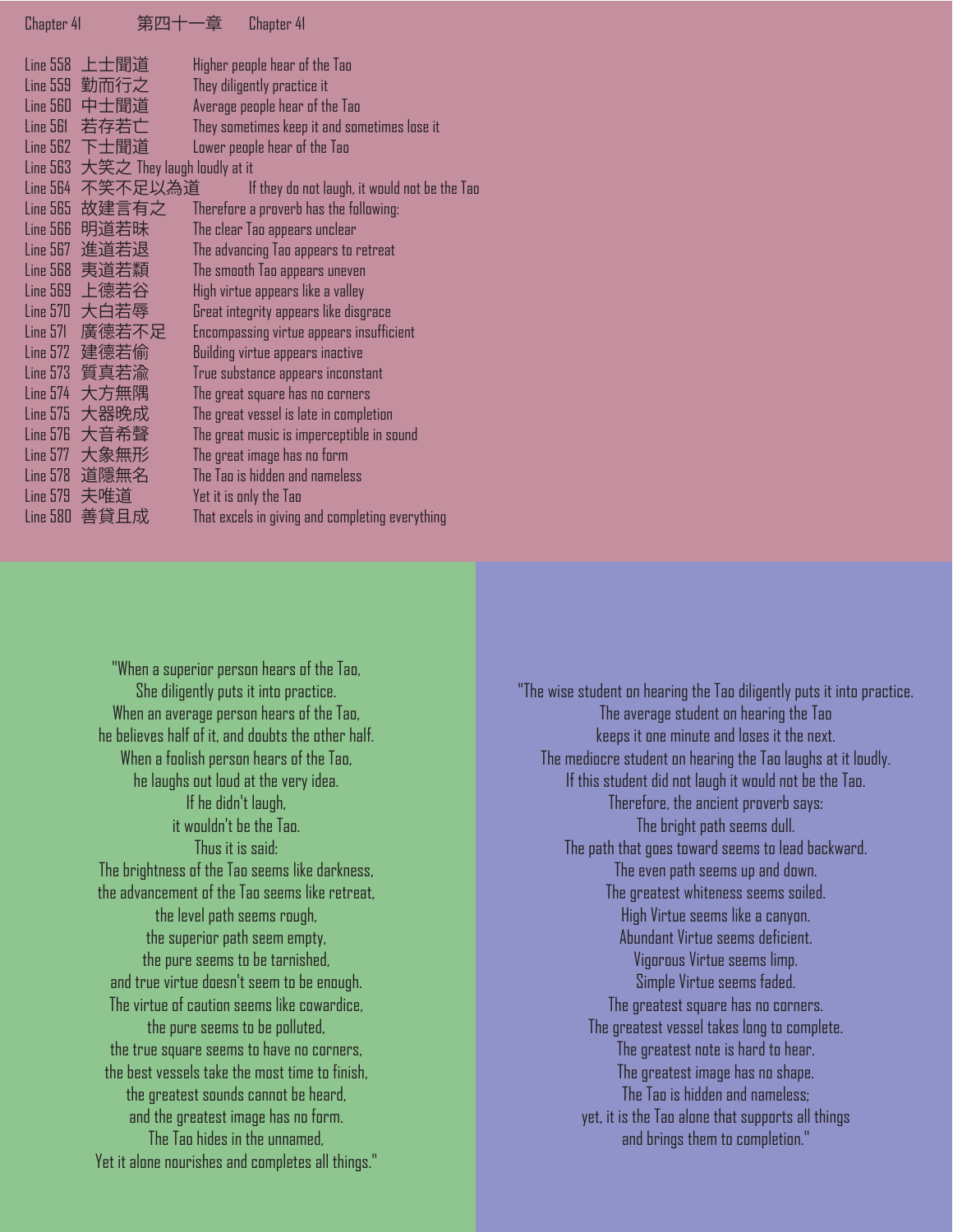| Chapter 41      | 第四十-                        | -童<br>Chapter 41                                |
|-----------------|-----------------------------|-------------------------------------------------|
| <b>Line 558</b> | 上士聞道                        | Higher people hear of the Tao                   |
| <b>Line 559</b> | 勤而行之                        | They diligently practice it                     |
| Line 560        | 中士聞道                        | Average people hear of the Tao                  |
|                 | Line 561 若存若亡               | They sometimes keep it and sometimes lose it    |
| Line 562        | 下士聞道                        | Lower people hear of the Tao                    |
| Line 563        | 大笑之 They laugh loudly at it |                                                 |
| Line 564        | 不笑不足以為道                     | If they do not laugh, it would not be the Tao   |
| <b>Line 565</b> | 故建言有之                       | Therefore a proverb has the following:          |
| Line 566        | 明道若昧                        | The clear Tao appears unclear                   |
| <b>Line 567</b> | 進道若退                        | The advancing Tao appears to retreat            |
| Line 568        | 夷道若纇                        | The smooth Tao appears uneven                   |
| <b>Line 569</b> | 上德若谷                        | High virtue appears like a valley               |
| <b>Line 570</b> | 大白若辱                        | Great integrity appears like disgrace           |
| <b>Line 571</b> | 廣德若不足                       | Encompassing virtue appears insufficient        |
| <b>Line 572</b> | 建德若偷                        | Building virtue appears inactive                |
| <b>Line 573</b> | 質真若渝                        | True substance appears inconstant               |
| <b>Line 574</b> | 大方無隅                        | The great square has no corners                 |
| <b>Line 575</b> | 大器晚成                        | The great vessel is late in completion          |
| <b>Line 576</b> | 大音希聲                        | The great music is imperceptible in sound       |
| <b>Line 577</b> | 大象無形                        | The great image has no form                     |
| <b>Line 578</b> | 道隱無名                        | The Tao is hidden and nameless                  |
| <b>Line 579</b> | 夫唯道                         | Yet it is only the Tao                          |
| <b>Line 580</b> | 善貸且成                        | That excels in giving and completing everything |
|                 |                             |                                                 |

"When a superior person hears of the Tao, She diligently puts it into practice. When an average person hears of the Tao, he believes half of it, and doubts the other half. When a foolish person hears of the Tao, he laughs out loud at the very idea. If he didn't laugh, it wouldn't be the Tan. Thus it is said: The brightness of the Tao seems like darkness, the advancement of the Tao seems like retreat, the level path seems rough, the superior path seem empty, the pure seems to be tarnished, and true virtue doesn't seem to be enough. The virtue of caution seems like cowardice, the pure seems to be polluted, the true square seems to have no corners, the best vessels take the most time to finish, the greatest sounds cannot be heard, and the greatest image has no form. The Tao hides in the unnamed, Yet it alone nourishes and completes all things."

"The wise student on hearing the Tao diligently puts it into practice. The average student on hearing the Tao keeps it one minute and loses it the next. The mediocre student on hearing the Tao laughs at it loudly. If this student did not laugh it would not be the Tao. Therefore, the ancient proverb says: The bright path seems dull. The path that goes toward seems to lead backward. The even path seems up and down. The greatest whiteness seems soiled. High Virtue seems like a canyon. Abundant Virtue seems deficient. Vigorous Virtue seems limp. Simple Virtue seems faded. The greatest square has no corners. The greatest vessel takes long to complete. The greatest note is hard to hear. The greatest image has no shape. The Tao is hidden and nameless; yet, it is the Tao alone that supports all things and brings them to completion."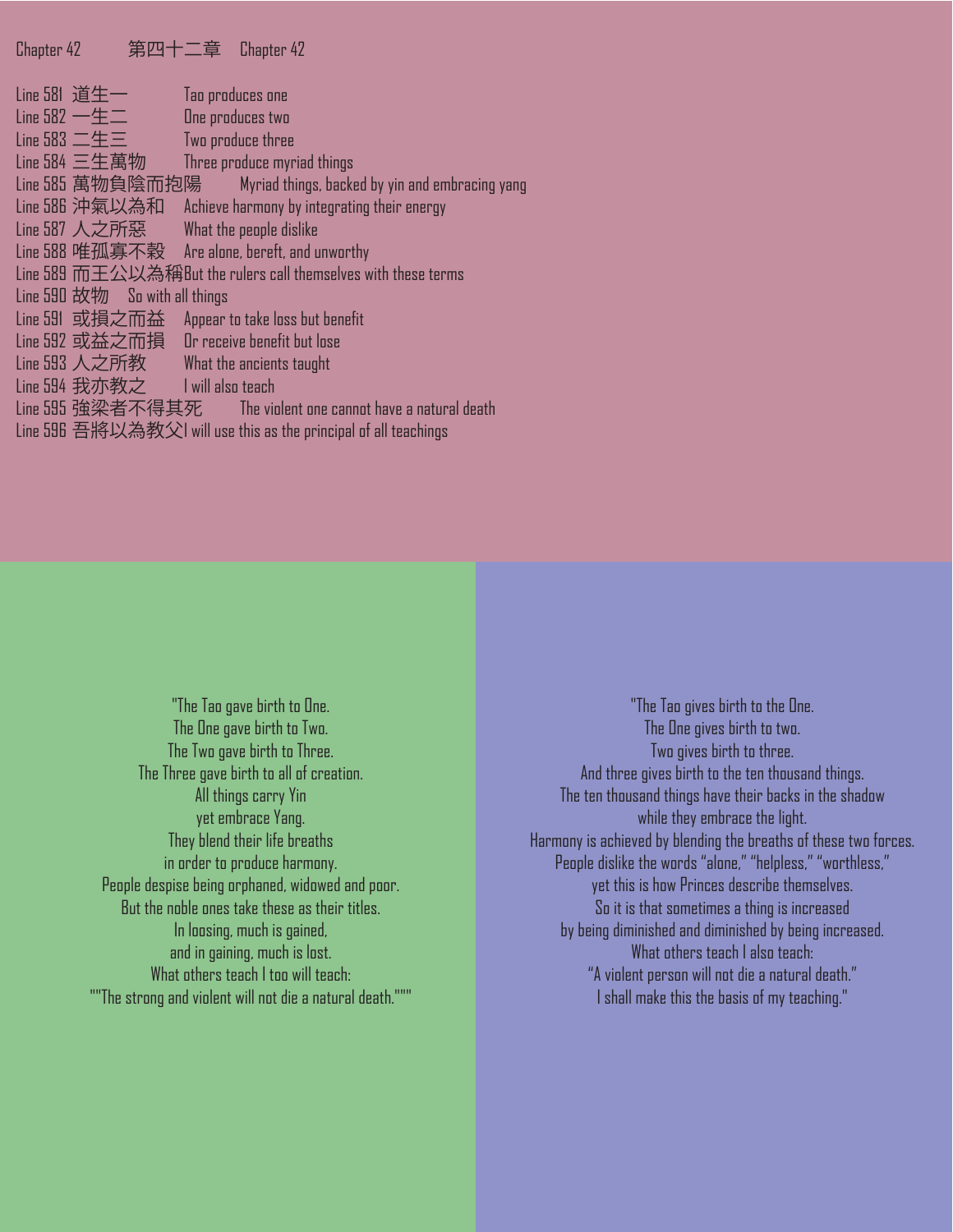Chapter 42 第四十二章 Chapter 42

Line 581 道生一 Tao produces one  $\frac{1}{100}$  582 一生二 One produces two Line 583 二生三 Two produce three Line 584 三生萬物 Three produce myriad things Line 585 萬物負陰而抱陽 Myriad things, backed by yin and embracing yang Line 586 沖氣以為和 Achieve harmony by integrating their energy Line 587 人之所惡 What the people dislike Line 588 唯孤寡不穀 Are alone, bereft, and unworthy Line 589 而王公以為稱But the rulers call themselves with these terms Line 590 故物 So with all things Line 591 或損之而益 Appear to take loss but benefit Line 592 或益之而損 Or receive benefit but lose Line 593 人之所教 What the ancients taught Line 594 我亦教之 I will also teach Line 595 強梁者不得其死 The violent one cannot have a natural death Line 596 吾將以為教父I will use this as the principal of all teachings

> "The Tao gave birth to One. The One gave birth to Two. The Two gave birth to Three. The Three gave birth to all of creation. All things carry Yin yet embrace Yang. They blend their life breaths in order to produce harmony. People despise being orphaned, widowed and poor. But the noble ones take these as their titles. In loosing, much is gained, and in gaining, much is lost. What others teach I too will teach: ""The strong and violent will not die a natural death."""

"The Tao gives birth to the One. The One gives birth to two. Two gives birth to three. And three gives birth to the ten thousand things. The ten thousand things have their backs in the shadow while they embrace the light. Harmony is achieved by blending the breaths of these two forces. People dislike the words "alone," "helpless," "worthless," yet this is how Princes describe themselves. So it is that sometimes a thing is increased by being diminished and diminished by being increased. What others teach I also teach: "A violent person will not die a natural death." I shall make this the basis of my teaching."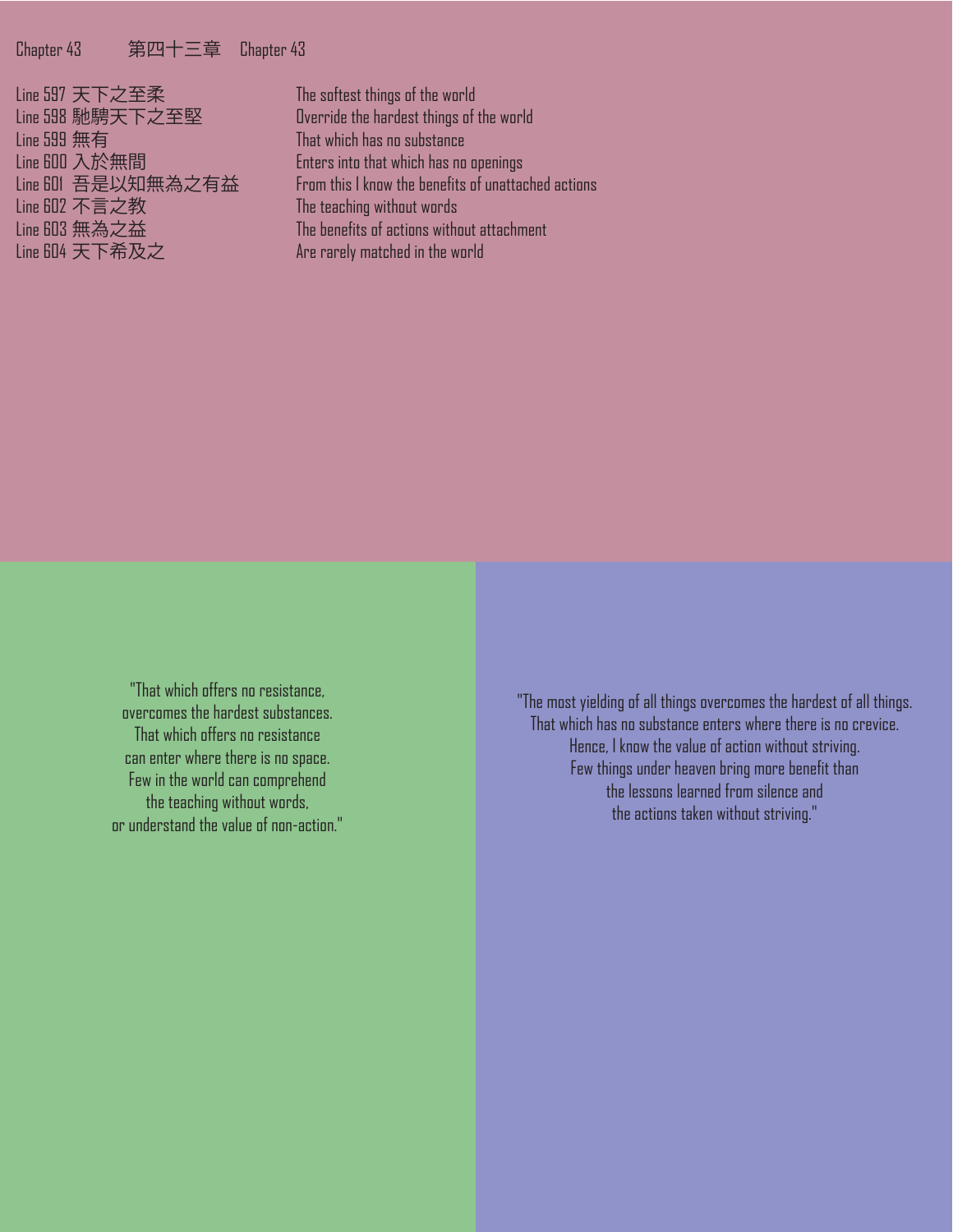# Chapter 43 第四十三章 Chapter 43

Line 597 天下之至柔 The softest things of the world Line 599 無有  $\blacksquare$  That which has no substance Line 600 入於無間 Enters into that which has no openings Line 602 不言之教 The teaching without words

Line 598 馳騁天下之至堅 Override the hardest things of the world Line 601 吾是以知無為之有益 From this I know the benefits of unattached actions Line 603 無為之益 The benefits of actions without attachment<br>Line 604 天下希及之 The rarely matched in the world Are rarely matched in the world

> "That which offers no resistance, overcomes the hardest substances. That which offers no resistance can enter where there is no space. Few in the world can comprehend the teaching without words, or understand the value of non-action."

"The most yielding of all things overcomes the hardest of all things. That which has no substance enters where there is no crevice. Hence, I know the value of action without striving. Few things under heaven bring more benefit than the lessons learned from silence and the actions taken without striving."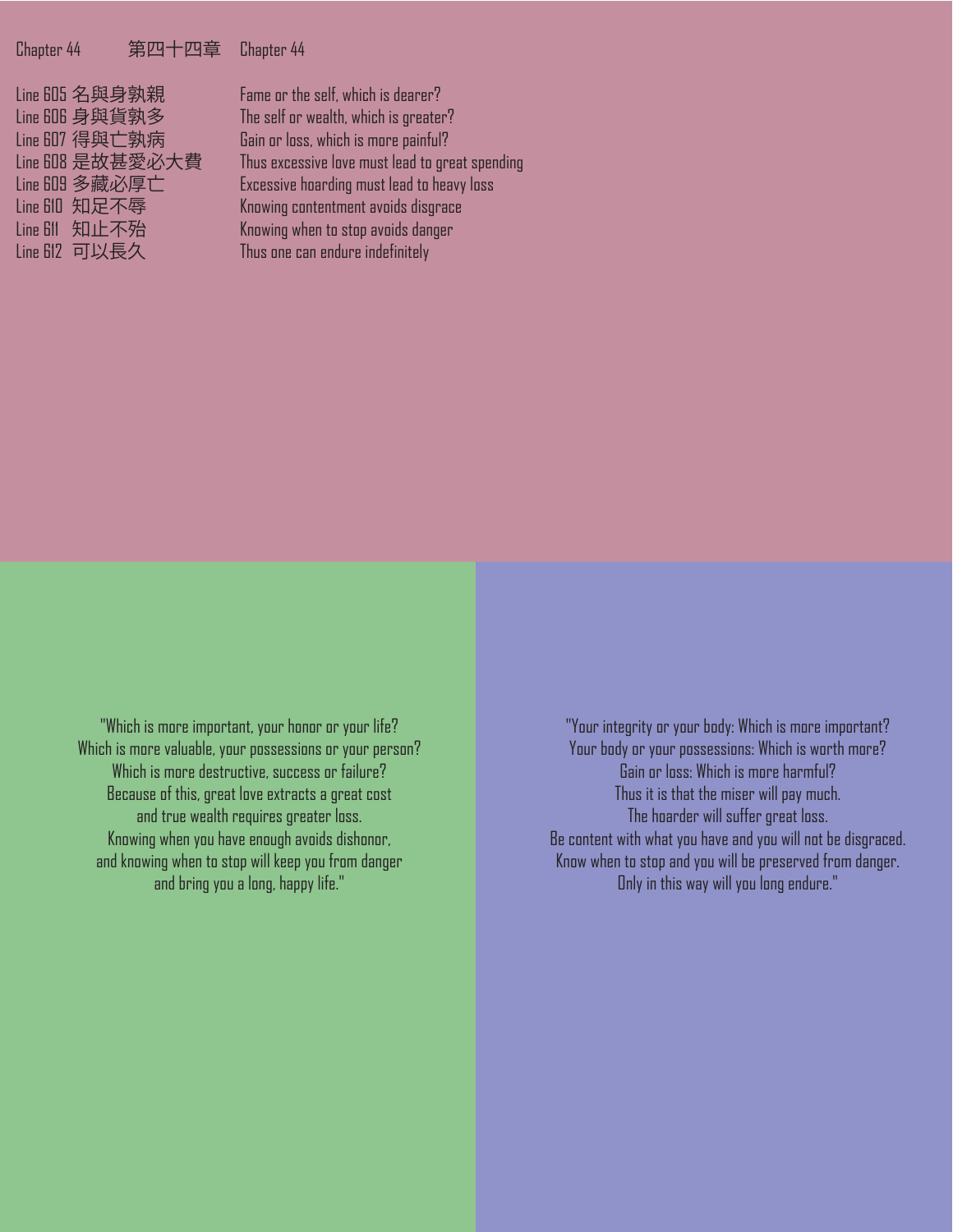Chapter 44 第四十四章 Chapter 44

| Line GD5 名與身孰親<br>Line EUG 身與貨孰多<br>Line 607 得與亡孰病<br>Line 608 是故甚愛必大費<br>Line 609 多藏必厚亡<br>Line 610 知足不辱 | Fame or the self, which is dearer?<br>The self or wealth, which is greater?<br>Gain or loss, which is more painful?<br>Thus excessive love must lead to great spending<br>Excessive hoarding must lead to heavy loss<br>Knowing contentment avoids disgrace |
|-----------------------------------------------------------------------------------------------------------|-------------------------------------------------------------------------------------------------------------------------------------------------------------------------------------------------------------------------------------------------------------|
| Line GII 知止不殆                                                                                             | Knowing when to stop avoids danger                                                                                                                                                                                                                          |
| Line 612 可以長久                                                                                             | Thus one can endure indefinitely                                                                                                                                                                                                                            |
|                                                                                                           |                                                                                                                                                                                                                                                             |

"Which is more important, your honor or your life? Which is more valuable, your possessions or your person? Which is more destructive, success or failure? Because of this, great love extracts a great cost and true wealth requires greater loss. Knowing when you have enough avoids dishonor, and knowing when to stop will keep you from danger and bring you a long, happy life."

"Your integrity or your body: Which is more important? Your body or your possessions: Which is worth more? Gain or loss: Which is more harmful? Thus it is that the miser will pay much. The hoarder will suffer great loss. Be content with what you have and you will not be disgraced. Know when to stop and you will be preserved from danger. Only in this way will you long endure."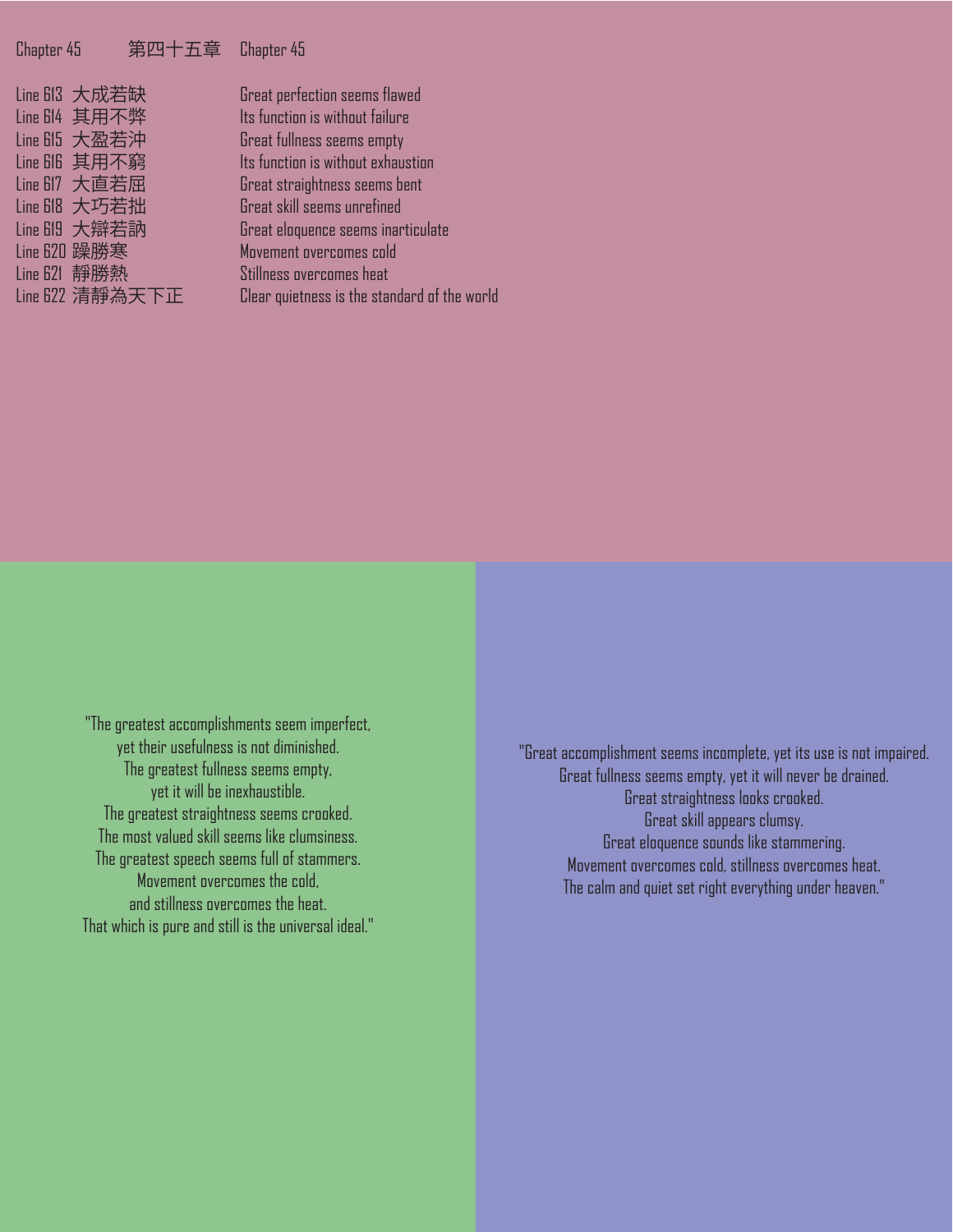| Chapter 45                                                                                                                                                             | 第四十五章 Chapter 45 |                                                                                                                                                                                                                                                                                                                                                   |
|------------------------------------------------------------------------------------------------------------------------------------------------------------------------|------------------|---------------------------------------------------------------------------------------------------------------------------------------------------------------------------------------------------------------------------------------------------------------------------------------------------------------------------------------------------|
| Line 613 大成若缺<br>Line 614 其用不弊<br>Line 615 大盈若沖<br>Line GIG 其用不窮<br>Line 617 大直若屈<br>Line 618 大巧若拙<br>Line 619 大辯若訥<br>Line 620 躁勝寒<br>Line 621 靜勝熱<br>Line 622 清靜為天下正 |                  | Great perfection seems flawed<br>Its function is without failure<br>Great fullness seems empty<br>Its function is without exhaustion<br>Great straightness seems bent<br>Great skill seems unrefined<br>Great eloquence seems inarticulate<br>Movement overcomes cold<br>Stillness overcomes heat<br>Clear quietness is the standard of the world |
|                                                                                                                                                                        |                  |                                                                                                                                                                                                                                                                                                                                                   |

"The greatest accomplishments seem imperfect, yet their usefulness is not diminished. The greatest fullness seems empty, yet it will be inexhaustible. The greatest straightness seems crooked. The most valued skill seems like clumsiness. The greatest speech seems full of stammers. Movement overcomes the cold, and stillness overcomes the heat. That which is pure and still is the universal ideal."

"Great accomplishment seems incomplete, yet its use is not impaired. Great fullness seems empty, yet it will never be drained. Great straightness looks crooked. Great skill appears clumsy. Great eloquence sounds like stammering. Movement overcomes cold, stillness overcomes heat. The calm and quiet set right everything under heaven."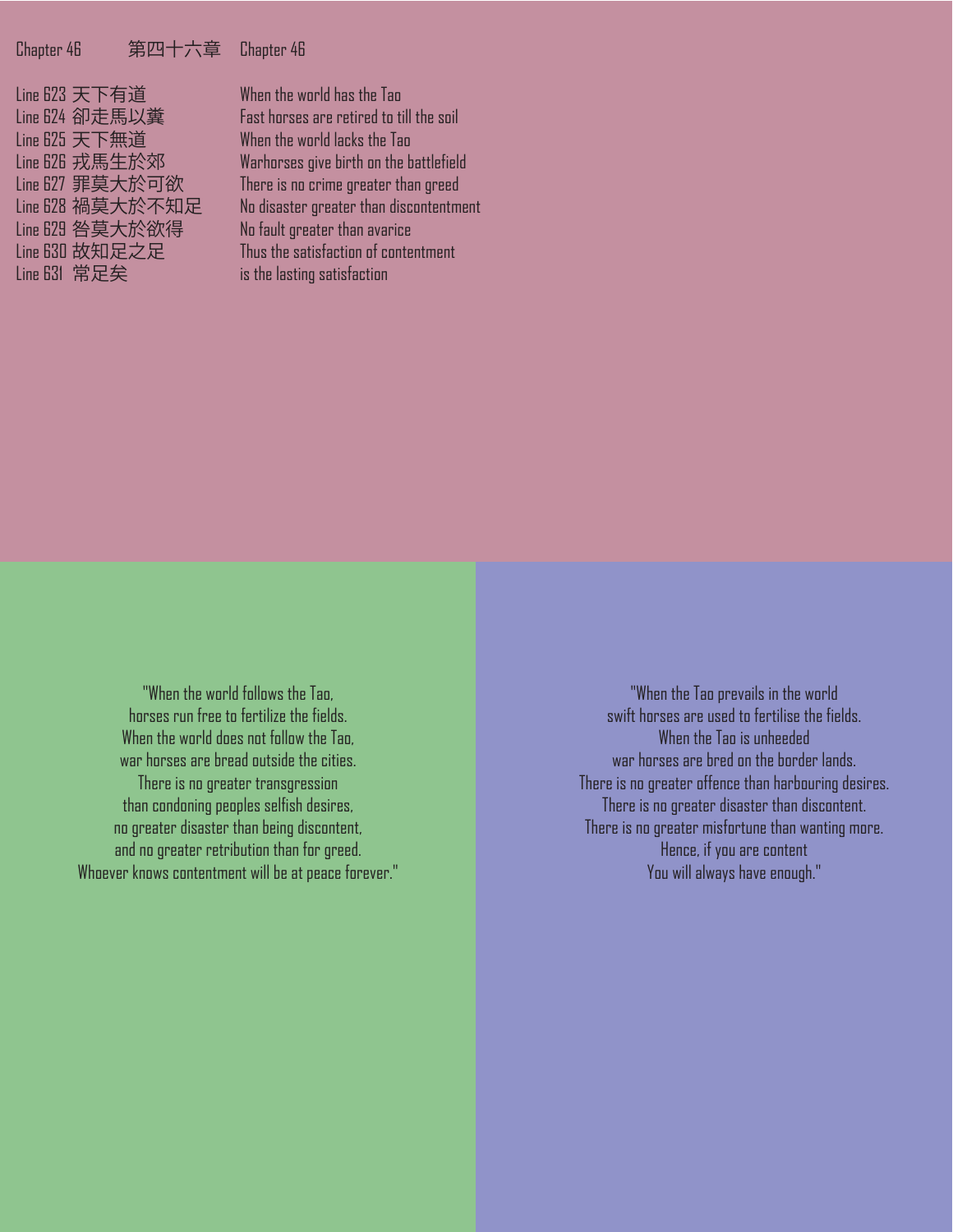Chapter 46 第四十六章 Chapter 46

Line 623 天下有道 When the world has the Tao Line 625 天下無道 When the world lacks the Tao Line 629 咎莫大於欲得 No fault greater than avarice Line  $631$  常足矣 is the lasting satisfaction

Line 624 卻走馬以糞 Fast horses are retired to till the soil Line 626 戎馬生於郊 Warhorses give birth on the battlefield<br>Line 627 罪莫大於可欲 There is no crime greater than greed There is no crime greater than greed Line 628 禍莫大於不知足 No disaster greater than discontentment Line 630 故知足之足 Thus the satisfaction of contentment

> "When the world follows the Tao, horses run free to fertilize the fields. When the world does not follow the Tao, war horses are bread outside the cities. There is no greater transgression than condoning peoples selfish desires, no greater disaster than being discontent, and no greater retribution than for greed. Whoever knows contentment will be at peace forever."

"When the Tao prevails in the world swift horses are used to fertilise the fields. When the Tao is unheeded war horses are bred on the border lands. There is no greater offence than harbouring desires. There is no greater disaster than discontent. There is no greater misfortune than wanting more. Hence, if you are content You will always have enough."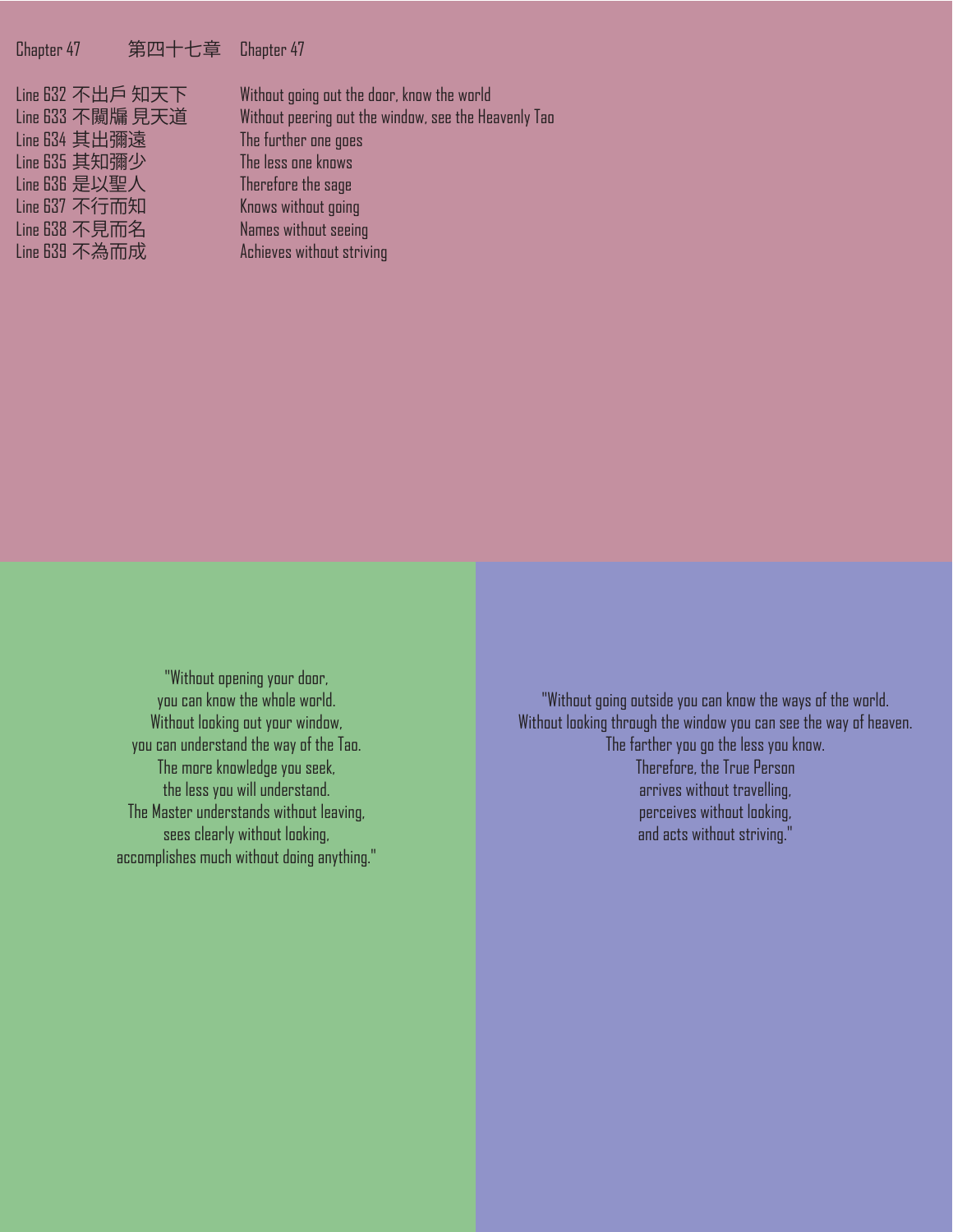Chapter 47 第四十七章 Chapter 47

| Line 632 不出戶 知天下 | Without going out the door, know the world           |
|------------------|------------------------------------------------------|
| Line 633 不闚牖 見天道 | Without peering out the window, see the Heavenly Tao |
| Line 634 其出彌遠    | The further one goes                                 |
| Line 635 其知彌少    | The less one knows                                   |
| Line 636 是以聖人    | Therefore the sage                                   |
| Line 637 不行而知    | Knows without going                                  |
| Line 638 不見而名    | Names without seeing                                 |
| Line 639 不為而成    | Achieves without striving                            |
|                  |                                                      |

"Without opening your door, you can know the whole world. Without looking out your window, you can understand the way of the Tao. The more knowledge you seek, the less you will understand. The Master understands without leaving, sees clearly without looking, accomplishes much without doing anything."

"Without going outside you can know the ways of the world. Without looking through the window you can see the way of heaven. The farther you go the less you know. Therefore, the True Person arrives without travelling, perceives without looking, and acts without striving."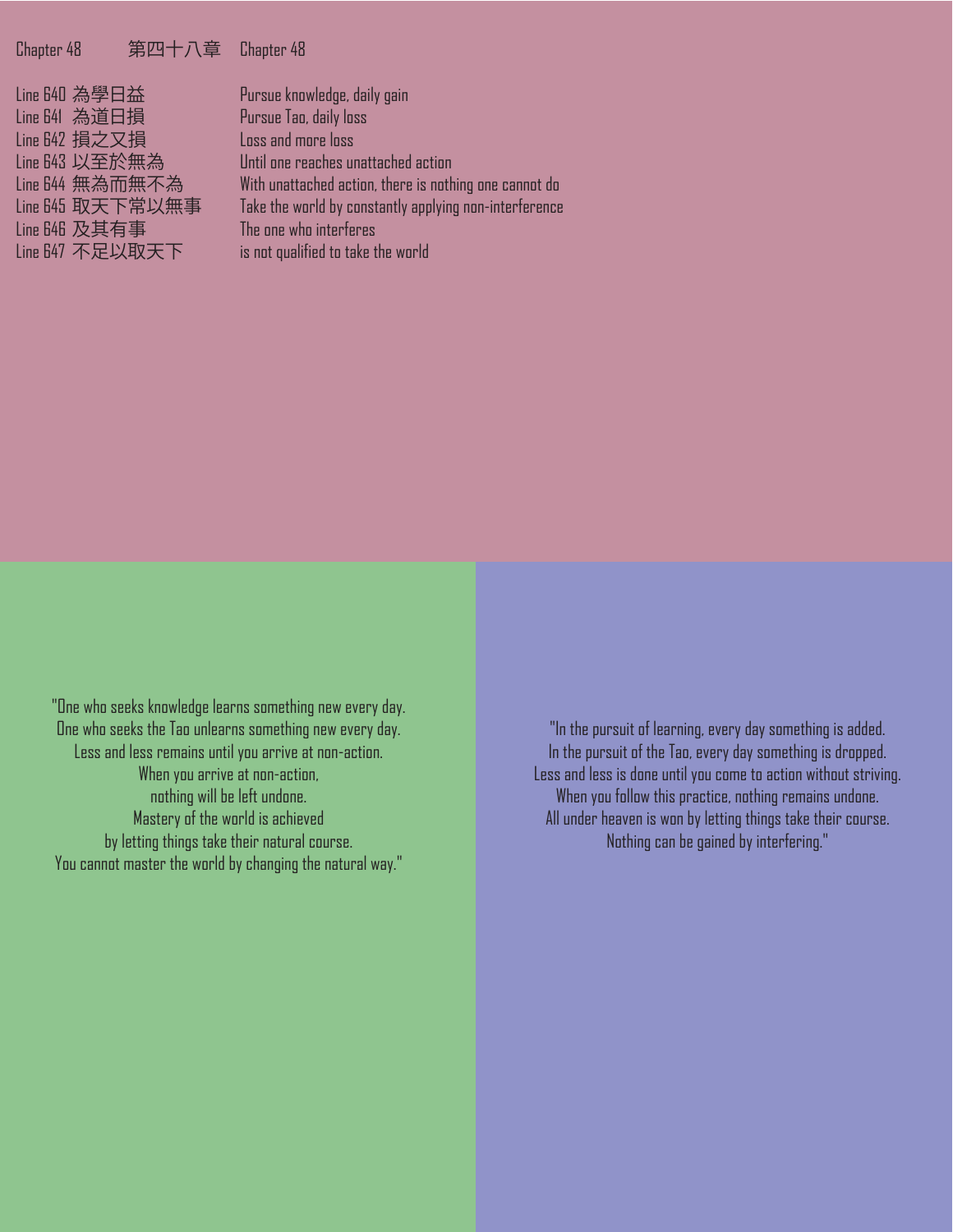Chapter 48 第四十八章 Chapter 48

| Line G40 為學日益<br>Line G41 為道日損<br>Line G42 損之又損<br>Line 643 以至於無為<br>Line 644 無為而無不為<br>Line 645 取天下常以無事 | Pursue knowledge, daily gain<br>Pursue Tao, daily loss<br>Loss and more loss<br>Until one reaches unattached action<br>With unattached action, there is nothing one cannot do<br>Take the world by constantly applying non-interference |
|----------------------------------------------------------------------------------------------------------|-----------------------------------------------------------------------------------------------------------------------------------------------------------------------------------------------------------------------------------------|
| Line 646 及其有事                                                                                            | The one who interferes                                                                                                                                                                                                                  |
| Line 647 不足以取天下                                                                                          | is not qualified to take the world                                                                                                                                                                                                      |

"One who seeks knowledge learns something new every day. One who seeks the Tao unlearns something new every day. Less and less remains until you arrive at non-action. When you arrive at non-action, nothing will be left undone. Mastery of the world is achieved by letting things take their natural course. You cannot master the world by changing the natural way."

"In the pursuit of learning, every day something is added. In the pursuit of the Tao, every day something is dropped. Less and less is done until you come to action without striving. When you follow this practice, nothing remains undone. All under heaven is won by letting things take their course. Nothing can be gained by interfering."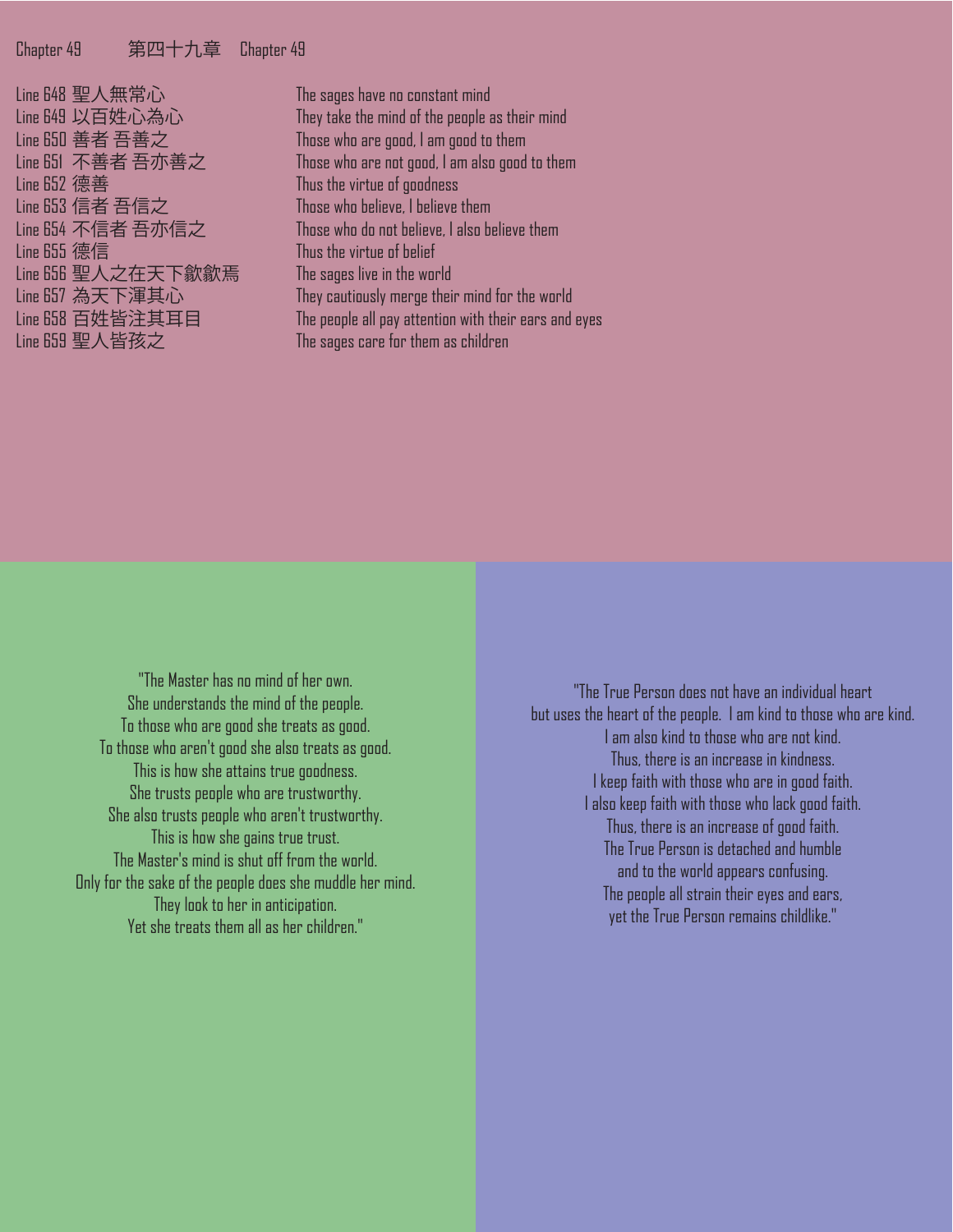# Chapter 49 第四十九章 Chapter 49

Line 648 聖人無常心 The sages have no constant mind Line 652 德善 Thus the virtue of goodness Line 653 信者 吾信之 Those who believe, I believe them Line 655 德信 Thus the virtue of belief Line 656 聖人之在天下歙歙焉 The sages live in the world

Line 649 以百姓心為心 They take the mind of the people as their mind Line 650 善者 吾善之 Those who are good, I am good to them Line 651 不善者 吾亦善之 Those who are not good, I am also good to them Line 654 不信者 吾亦信之 Those who do not believe, I also believe them Line 657 為天下渾其心 They cautiously merge their mind for the world Line 658 百姓皆注其耳目 The people all pay attention with their ears and eyes<br>Line 659 聖人皆孩之 The sages care for them as children The sages care for them as children

> "The Master has no mind of her own. She understands the mind of the people. To those who are good she treats as good. To those who aren't good she also treats as good. This is how she attains true goodness. She trusts people who are trustworthy. She also trusts people who aren't trustworthy. This is how she gains true trust. The Master's mind is shut off from the world. Only for the sake of the people does she muddle her mind. They look to her in anticipation. Yet she treats them all as her children."

"The True Person does not have an individual heart but uses the heart of the people. I am kind to those who are kind. I am also kind to those who are not kind. Thus, there is an increase in kindness. I keep faith with those who are in good faith. I also keep faith with those who lack good faith. Thus, there is an increase of good faith. The True Person is detached and humble and to the world appears confusing. The people all strain their eyes and ears, yet the True Person remains childlike."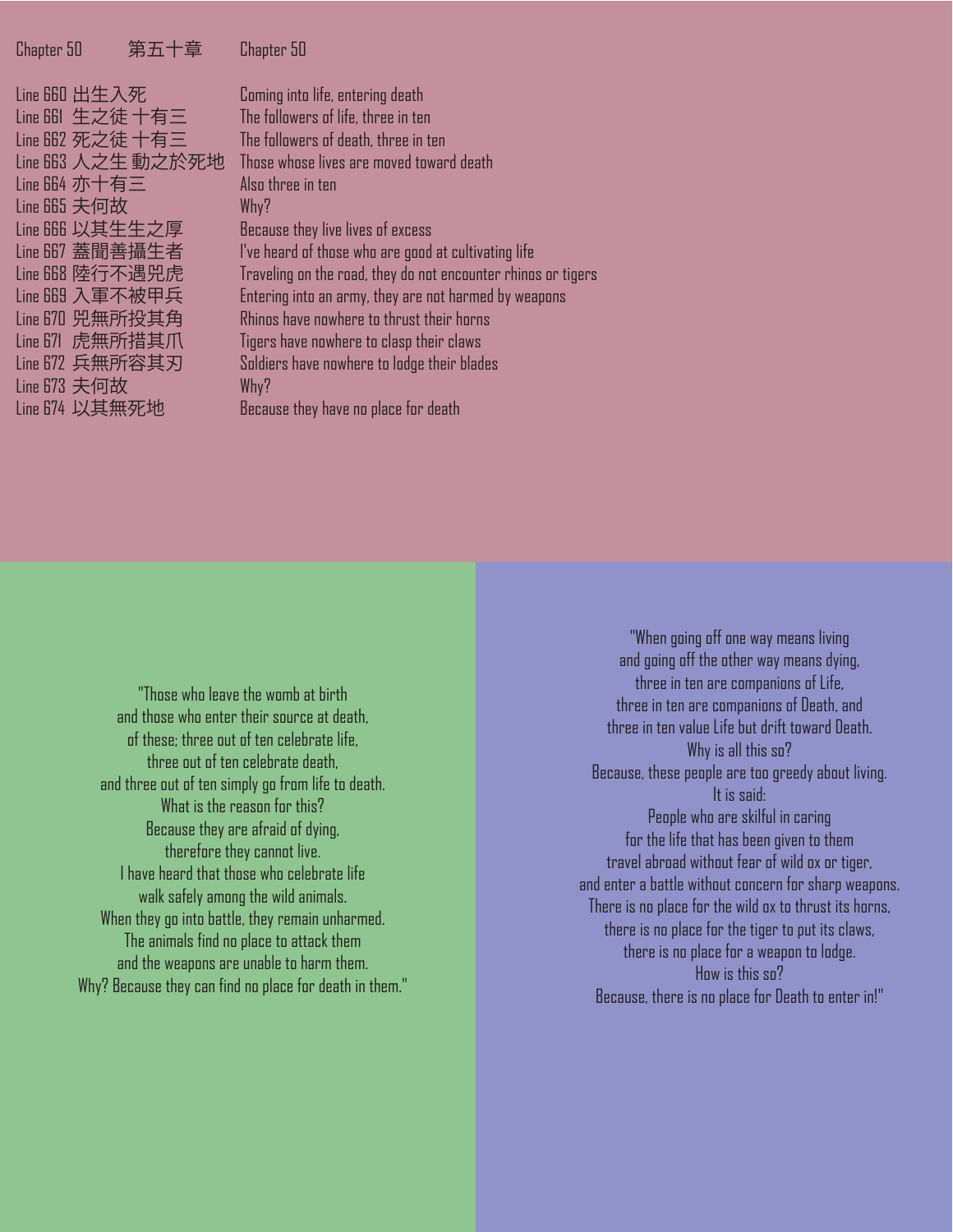| - 第五十章<br>Chapter 50                                                                                                                                                                                                                                              | Chapter 50                                                                                                                                                                                                                                                                                                                                                                                                                                                                                                                                                      |
|-------------------------------------------------------------------------------------------------------------------------------------------------------------------------------------------------------------------------------------------------------------------|-----------------------------------------------------------------------------------------------------------------------------------------------------------------------------------------------------------------------------------------------------------------------------------------------------------------------------------------------------------------------------------------------------------------------------------------------------------------------------------------------------------------------------------------------------------------|
| Line GGO 出生入死<br>Line GGI 生之徒 十有三<br>Line GG2 死之徒 十有三<br>Line 663 人之生 動之於死地<br>Line 664 亦十有三<br>Line GG5 夫何故<br>Line GGG 以其生生之厚<br>Line GG7 蓋聞善攝生者<br>Line GG8 陸行不遇兕虎<br>Line GG9 入軍不被甲兵<br>Line 670 兕無所投其角<br>Line 671 虎無所措其爪<br>Line 672 兵無所容其刃<br>Line 673 夫何故 | Coming into life, entering death<br>The followers of life, three in ten<br>The followers of death, three in ten<br>Those whose lives are moved toward death<br>Also three in ten<br>Why?<br>Because they live lives of excess<br>I've heard of those who are good at cultivating life<br>Traveling on the road, they do not encounter rhinos or tigers<br>Entering into an army, they are not harmed by weapons<br>Rhinos have nowhere to thrust their horns<br>Tigers have nowhere to clasp their claws<br>Soldiers have nowhere to lodge their blades<br>Why? |
| Line 674 以其無死地                                                                                                                                                                                                                                                    | Because they have no place for death                                                                                                                                                                                                                                                                                                                                                                                                                                                                                                                            |

"Those who leave the womb at birth and those who enter their source at death, of these; three out of ten celebrate life, three out of ten celebrate death, and three out of ten simply go from life to death. What is the reason for this? Because they are afraid of dying, therefore they cannot live. I have heard that those who celebrate life walk safely among the wild animals. When they go into battle, they remain unharmed. The animals find no place to attack them and the weapons are unable to harm them. Why? Because they can find no place for death in them."

"When going off one way means living and going off the other way means dying, three in ten are companions of Life, three in ten are companions of Death, and three in ten value Life but drift toward Death. Why is all this so? Because, these people are too greedy about living. It is said: People who are skilful in caring for the life that has been given to them travel abroad without fear of wild ox or tiger, and enter a battle without concern for sharp weapons. There is no place for the wild ox to thrust its horns, there is no place for the tiger to put its claws, there is no place for a weapon to lodge. How is this so? Because, there is no place for Death to enter in!"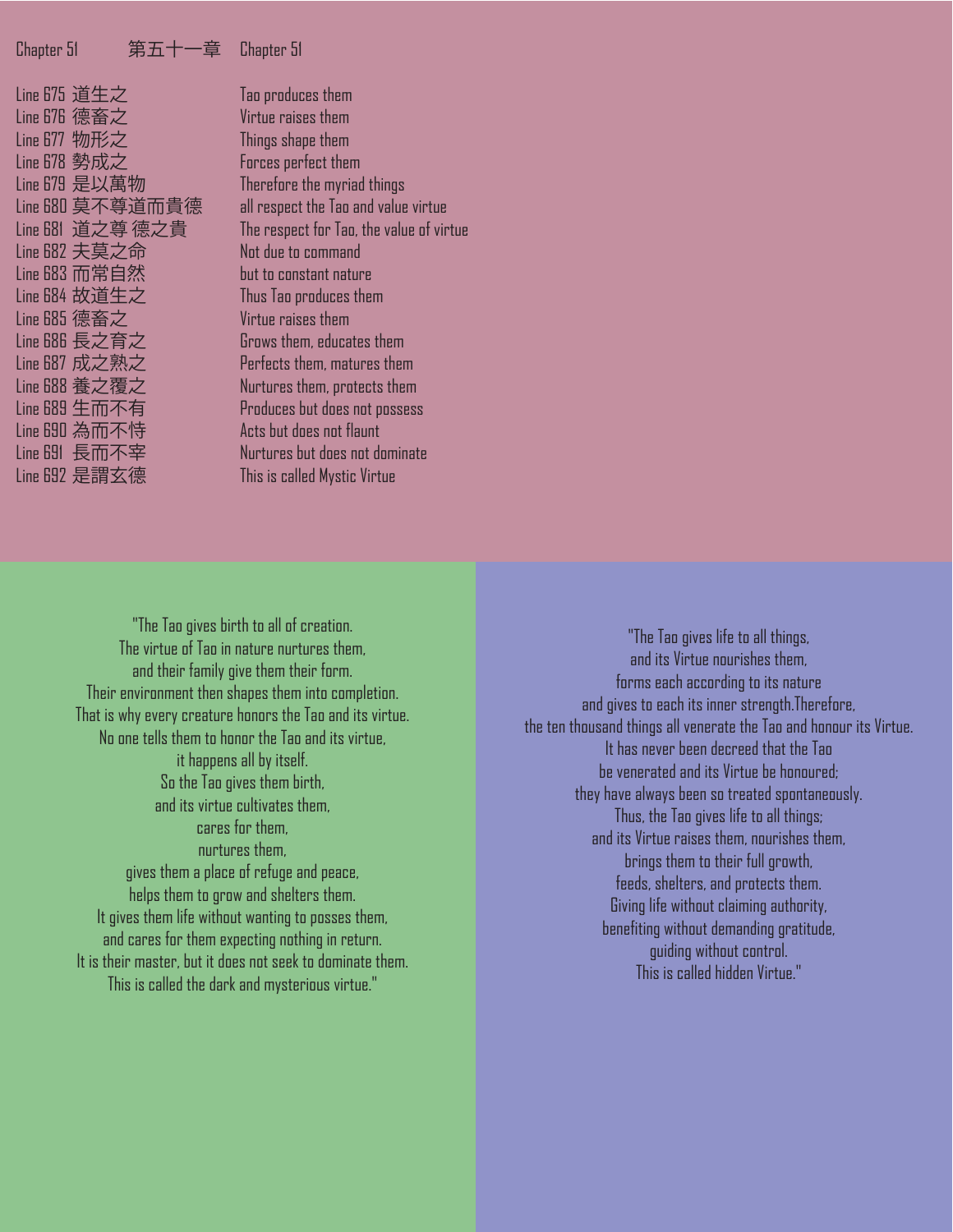| 第五十一章 Chapter 51<br>Chapter 51                                                                                                                                                                                                                                                                                  |                                                                                                                                                                                                                                                                                                                                                                                                                                                                                                                                   |
|-----------------------------------------------------------------------------------------------------------------------------------------------------------------------------------------------------------------------------------------------------------------------------------------------------------------|-----------------------------------------------------------------------------------------------------------------------------------------------------------------------------------------------------------------------------------------------------------------------------------------------------------------------------------------------------------------------------------------------------------------------------------------------------------------------------------------------------------------------------------|
| Line 675 道生之<br>Line 676 德畜之<br>Line 677 物形之<br>Line 678 勢成之<br>Line 679 是以萬物<br>Line 680 莫不尊道而貴德<br>Line G81 道之尊 德之貴<br>Line 682 夫莫之命<br>Line 683 而常自然<br>Line 684 故道生之<br>Line 685 德畜之<br>Line 686 長之育之<br>Line 687 成之熟之<br>Line 688 養之覆之<br>Line 689 生而不有<br>Line 690 為而不恃<br>Line 691 長而不宰<br>Line 692 是謂玄德 | Tao produces them<br>Virtue raises them<br>Things shape them<br>Forces perfect them<br>Therefore the myriad things<br>all respect the Tao and value virtue<br>The respect for Tao, the value of virtue<br>Not due to command<br>but to constant nature<br>Thus Tao produces them<br>Virtue raises them<br>Grows them, educates them<br>Perfects them, matures them<br>Nurtures them, protects them<br>Produces but does not possess<br>Acts but does not flaunt<br>Nurtures but does not dominate<br>This is called Mystic Virtue |
|                                                                                                                                                                                                                                                                                                                 |                                                                                                                                                                                                                                                                                                                                                                                                                                                                                                                                   |

"The Tao gives birth to all of creation. The virtue of Tao in nature nurtures them, and their family give them their form. Their environment then shapes them into completion. That is why every creature honors the Tao and its virtue. No one tells them to honor the Tao and its virtue, it happens all by itself. So the Tao gives them birth, and its virtue cultivates them, cares for them, nurtures them, gives them a place of refuge and peace, helps them to grow and shelters them. It gives them life without wanting to posses them, and cares for them expecting nothing in return. It is their master, but it does not seek to dominate them. This is called the dark and mysterious virtue."

"The Tao gives life to all things, and its Virtue nourishes them, forms each according to its nature and gives to each its inner strength.Therefore, the ten thousand things all venerate the Tao and honour its Virtue. It has never been decreed that the Tao be venerated and its Virtue be honoured; they have always been so treated spontaneously. Thus, the Tao gives life to all things; and its Virtue raises them, nourishes them, brings them to their full growth, feeds, shelters, and protects them. Giving life without claiming authority, benefiting without demanding gratitude, guiding without control. This is called hidden Virtue."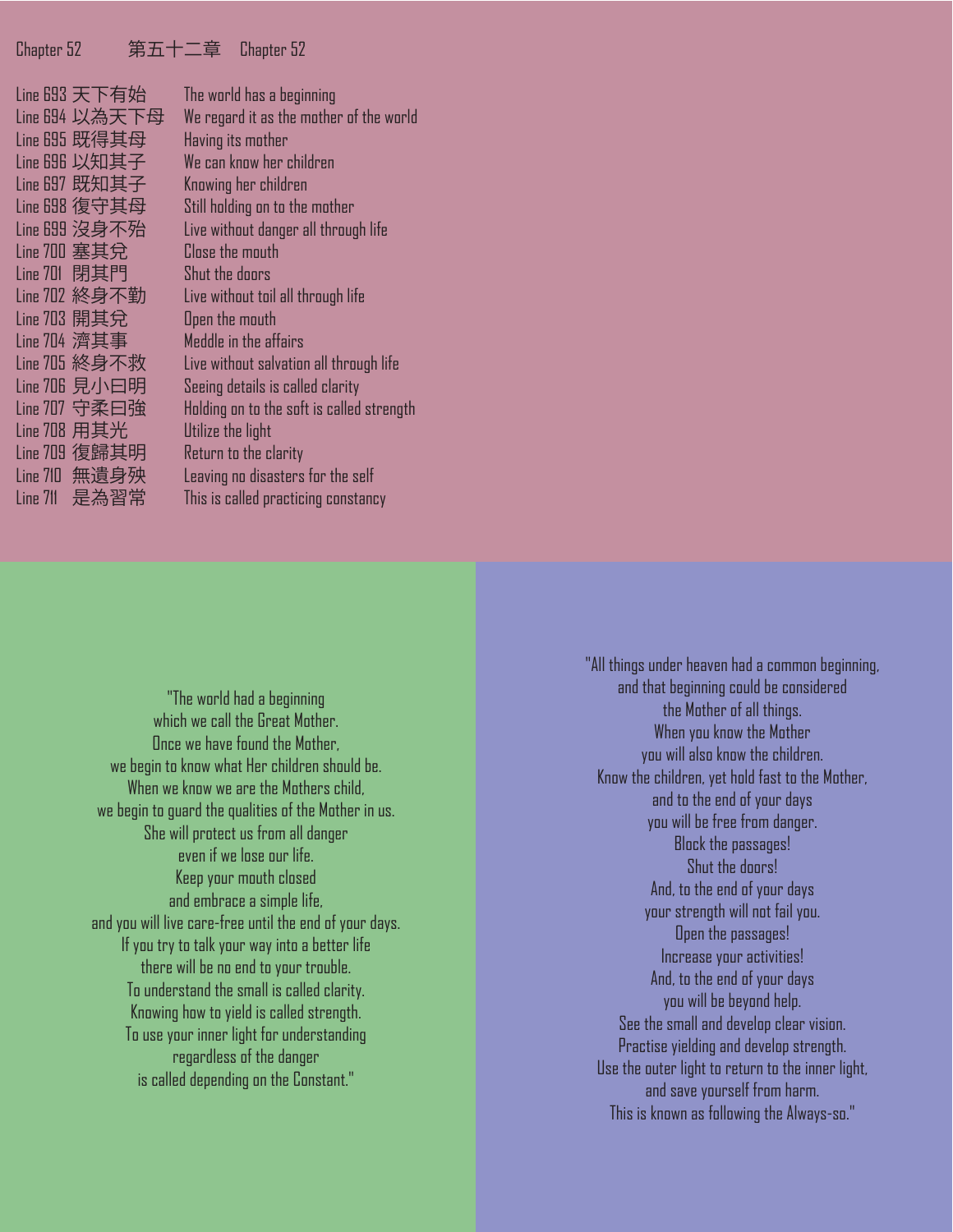# Chapter 52 第五十二章 Chapter 52

|  | Line 693 天下有始  | The world has a beginning                 |
|--|----------------|-------------------------------------------|
|  | Line 694 以為天下母 | We regard it as the mother of the world   |
|  | Line 695 既得其母  | Having its mother                         |
|  | Line 696 以知其子  | We can know her children                  |
|  | Line 697 既知其子  | Knowing her children                      |
|  | Line 698 復守其母  | Still holding on to the mother            |
|  | Line 699 沒身不殆  | Live without danger all through life      |
|  | Line 700 塞其兌   | <b>Close the mouth</b>                    |
|  | Line 701 閉其門   | Shut the doors                            |
|  | Line 702 終身不勤  | Live without toil all through life        |
|  | Line 703 開其兌   | Open the mouth                            |
|  | Line 704 濟其事   | Meddle in the affairs                     |
|  | Line 705 終身不救  | Live without salvation all through life   |
|  | Line 706 見小曰明  | Seeing details is called clarity          |
|  | Line 707 守柔曰強  | Holding on to the soft is called strength |
|  | Line 708 用其光   | Utilize the light                         |
|  | Line 709 復歸其明  | Return to the clarity                     |
|  | Line710 無遺身殃   | Leaving no disasters for the self         |
|  | Line 711 是為習常  | This is called practicing constancy       |
|  |                |                                           |

"The world had a beginning which we call the Great Mother. Once we have found the Mother, we begin to know what Her children should be. When we know we are the Mothers child, we begin to guard the qualities of the Mother in us. She will protect us from all danger even if we lose our life. Keep your mouth closed and embrace a simple life, and you will live care-free until the end of your days. If you try to talk your way into a better life there will be no end to your trouble. To understand the small is called clarity. Knowing how to yield is called strength. To use your inner light for understanding regardless of the danger is called depending on the Constant."

"All things under heaven had a common beginning, and that beginning could be considered the Mother of all things. When you know the Mother you will also know the children. Know the children, yet hold fast to the Mother, and to the end of your days you will be free from danger. Block the passages! Shut the doors! And, to the end of your days your strength will not fail you. Open the passages! Increase your activities! And, to the end of your days you will be beyond help. See the small and develop clear vision. Practise yielding and develop strength. Use the outer light to return to the inner light, and save yourself from harm. This is known as following the Always-so."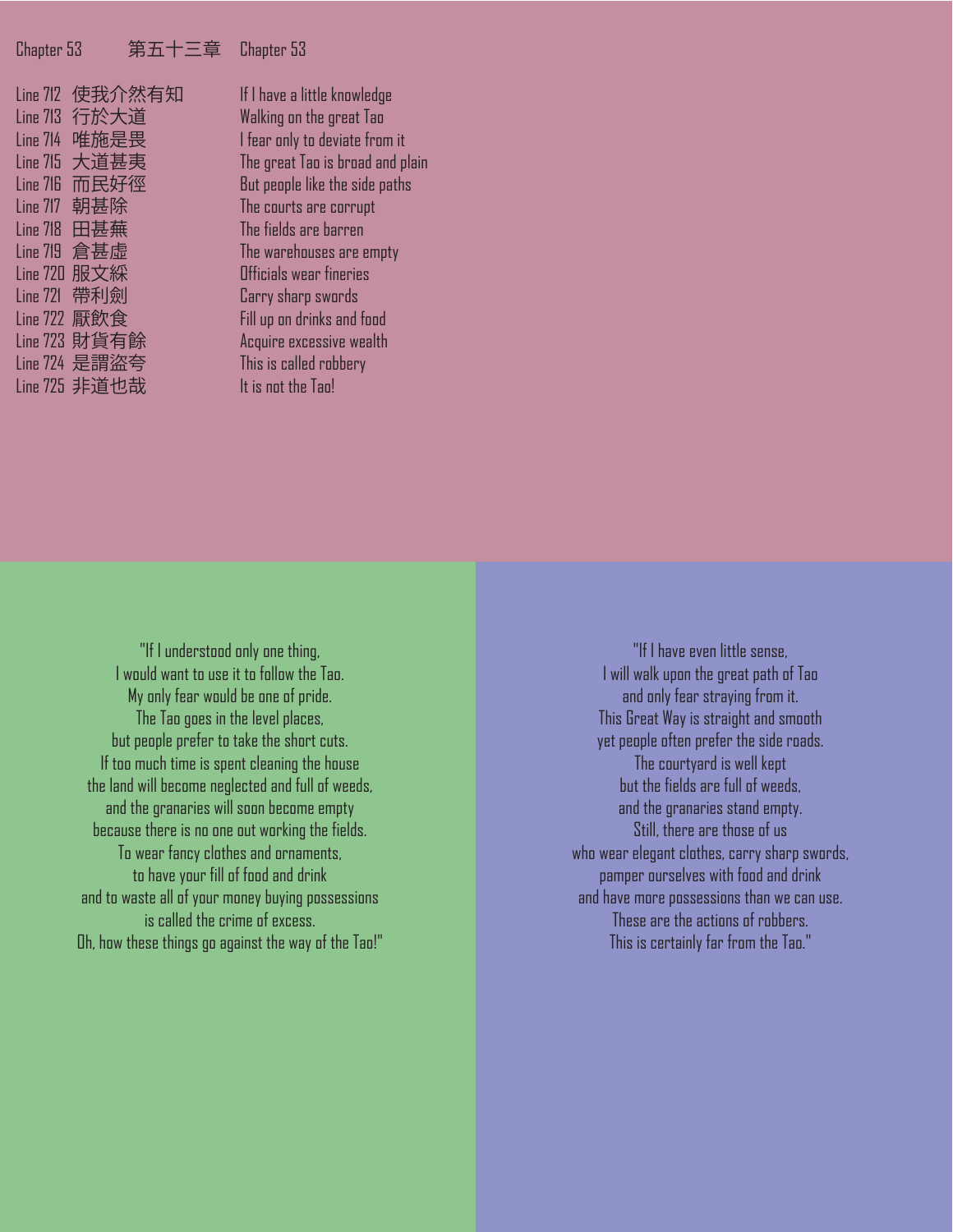| Chapter 53 | 第五十三章 Chapter 53 |  |
|------------|------------------|--|
|------------|------------------|--|

| Line 712 使我介然有知 | If I have a little knowledge     |
|-----------------|----------------------------------|
| Line 713 行於大道   | Walking on the great Tao         |
| Line 714 唯施是畏   | I fear only to deviate from it   |
| Line 715 大道甚夷   | The great Tao is broad and plain |
| Line 716 而民好徑   | But people like the side paths   |
| Line 717 朝甚除    | The courts are corrupt           |
| Line 718 田甚蕪    | The fields are barren            |
| line 7l9 倉甚虛    | The warehouses are empty         |
| Line 720 服文綵    | Officials wear fineries          |
| Line 721 帶利劍    | Carry sharp swords               |
| Line 722 厭飲食    | Fill up on drinks and food       |
| Line 723 財貨有餘   | Acquire excessive wealth         |
| Line 724 是謂盜夸   | This is called robbery           |
| Line 725 非道也哉   | It is not the Tao!               |

"If I understood only one thing, I would want to use it to follow the Tao. My only fear would be one of pride. The Tao goes in the level places, but people prefer to take the short cuts. If too much time is spent cleaning the house the land will become neglected and full of weeds, and the granaries will soon become empty because there is no one out working the fields. To wear fancy clothes and ornaments, to have your fill of food and drink and to waste all of your money buying possessions is called the crime of excess. Oh, how these things go against the way of the Tao!"

"If I have even little sense, I will walk upon the great path of Tao and only fear straying from it. This Great Way is straight and smooth yet people often prefer the side roads. The courtyard is well kept but the fields are full of weeds, and the granaries stand empty. Still, there are those of us who wear elegant clothes, carry sharp swords, pamper ourselves with food and drink and have more possessions than we can use. These are the actions of robbers. This is certainly far from the Tao."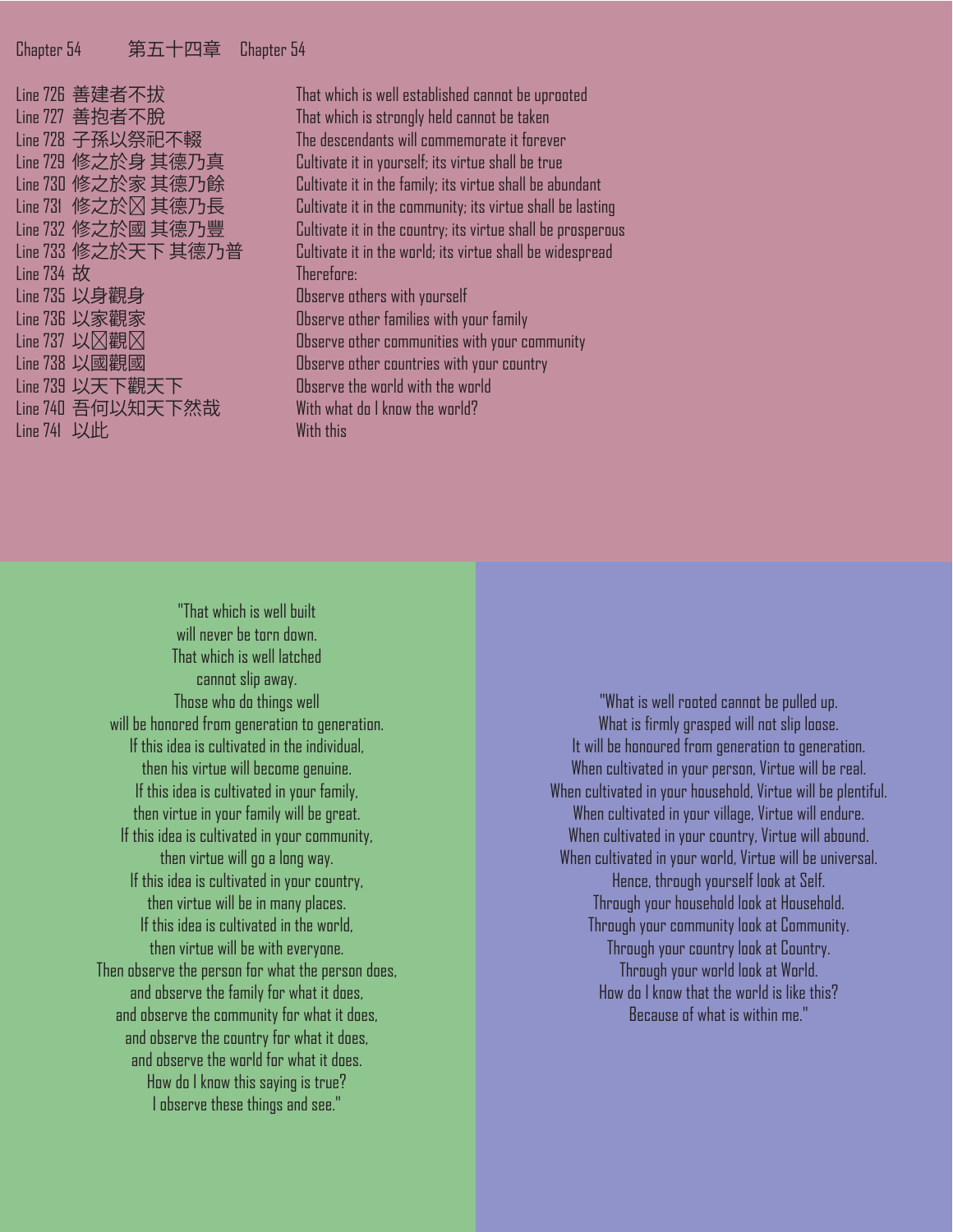# Chapter 54 第五十四章 Chapter 54

|              | Line 726 善建者不拔                                      |
|--------------|-----------------------------------------------------|
|              | Line 727 善抱者不脫                                      |
|              | Line 728 子孫以祭祀不輟                                    |
|              | Line 729 修之於身 其德乃真                                  |
|              | Line 730 修之於家 其德乃餘                                  |
|              | Line 731 修之於风 其德乃長                                  |
|              | Line 732 修之於國 其德乃豐                                  |
|              | Line 733 修之於天下 其德乃普                                 |
| $Line 734$ 故 |                                                     |
|              | Line 735 以身觀身                                       |
|              | Line 736 以家觀家                                       |
|              | $\mathop{\sf Line}$ 737 以 $\boxtimes$ 觀 $\boxtimes$ |
|              | Line 738 以國觀國                                       |
|              | Line 739 以天下觀天下                                     |
|              | Line 740 吾何以知天下然哉                                   |
|              | $\lfloor$ ine 741 以此                                |

That which is well established cannot be uprooted That which is strongly held cannot be taken The descendants will commemorate it forever Cultivate it in yourself; its virtue shall be true Cultivate it in the family; its virtue shall be abundant Cultivate it in the community; its virtue shall be lasting Cultivate it in the country; its virtue shall be prosperous Cultivate it in the world; its virtue shall be widespread Therefore: Observe others with yourself Dbserve other families with your family Observe other communities with your community Observe other countries with your country Observe the world with the world With what do I know the world? With this

"That which is well built will never be torn down. That which is well latched cannot slip away. Those who do things well will be honored from generation to generation. If this idea is cultivated in the individual, then his virtue will become genuine. If this idea is cultivated in your family, then virtue in your family will be great. If this idea is cultivated in your community, then virtue will go a long way. If this idea is cultivated in your country, then virtue will be in many places. If this idea is cultivated in the world, then virtue will be with everyone. Then observe the person for what the person does, and observe the family for what it does, and observe the community for what it does, and observe the country for what it does, and observe the world for what it does. How do I know this saying is true? I observe these things and see."

"What is well rooted cannot be pulled up. What is firmly grasped will not slip loose. It will be honoured from generation to generation. When cultivated in your person, Virtue will be real. When cultivated in your household, Virtue will be plentiful. When cultivated in your village, Virtue will endure. When cultivated in your country, Virtue will abound. When cultivated in your world, Virtue will be universal. Hence, through yourself look at Self. Through your household look at Household. Through your community look at Community. Through your country look at Country. Through your world look at World. How do I know that the world is like this? Because of what is within me."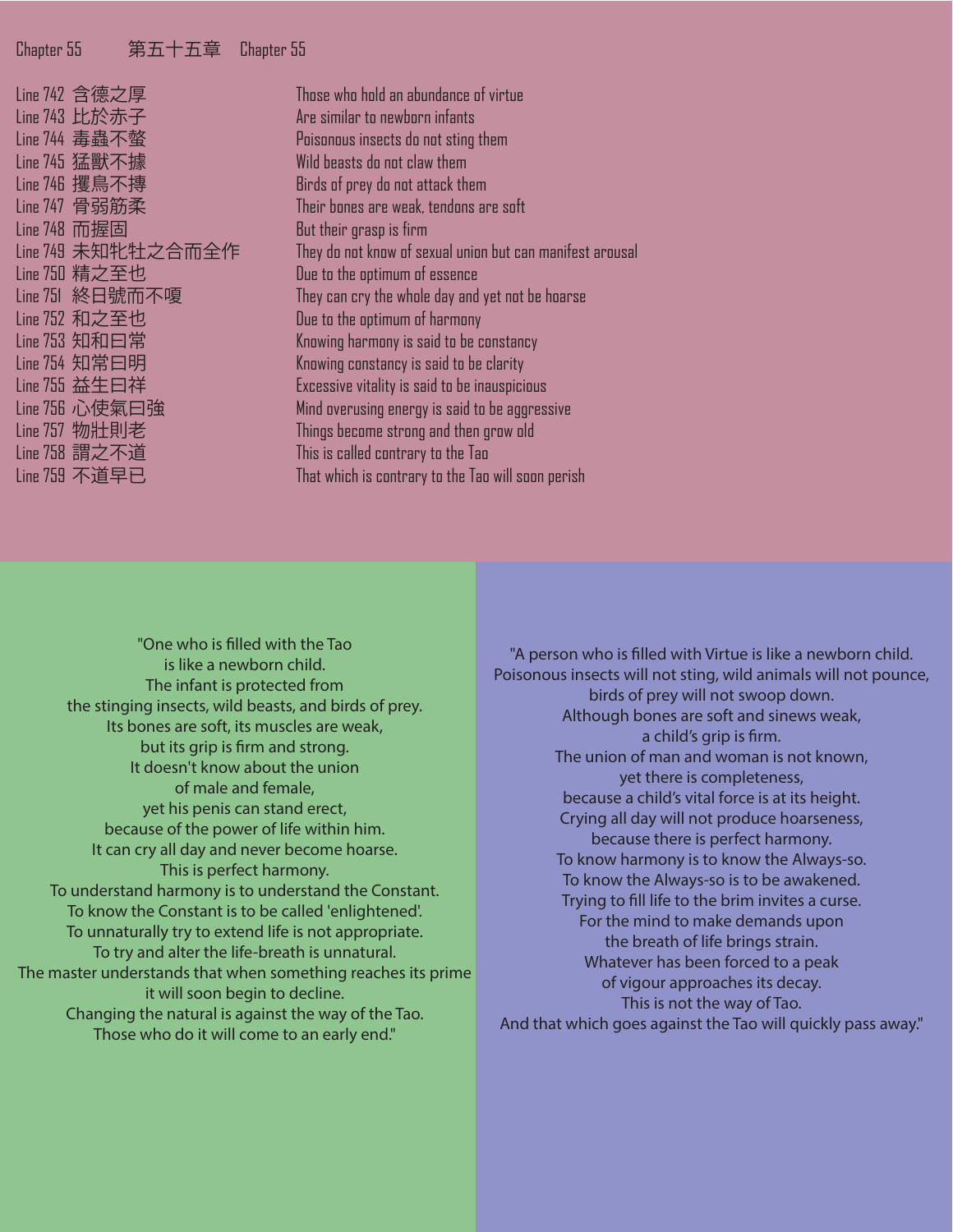### Chapter 55 第五十五章 Chapter 55

| Line 742 含德之厚      | Those who hold an abundance of virtue                     |
|--------------------|-----------------------------------------------------------|
| Line 743 比於赤子      | Are similar to newborn infants                            |
| Line 744 毒蟲不螫      | Poisonous insects do not sting them                       |
| Line 745 猛獸不據      | Wild beasts do not claw them                              |
| Line 746 攫鳥不摶      | Birds of prey do not attack them                          |
| Line 747 骨弱筋柔      | Their bones are weak, tendons are soft                    |
| Line 748 而握固       | But their grasp is firm                                   |
| Line 749 未知牝牡之合而全作 | They do not know of sexual union but can manifest arousal |
| Line 750 精之至也      | Due to the optimum of essence                             |
| Line 751 終日號而不嗄    | They can cry the whole day and yet not be hoarse          |
| Line 752 和之至也      | Due to the optimum of harmony                             |
| Line 753 知和曰常      | Knowing harmony is said to be constancy                   |
| Line 754 知常曰明      | Knowing constancy is said to be clarity                   |
| Line 755 益生曰祥      | Excessive vitality is said to be inauspicious             |
| Line 756 心使氣曰強     | Mind overusing energy is said to be aggressive            |
| Line 757 物壯則老      | Things become strong and then grow old                    |
| Line 758 謂之不道      | This is called contrary to the Tao                        |
| Line 759 不道早已      | That which is contrary to the Tao will soon perish        |
|                    |                                                           |

"One who is filled with the Tao is like a newborn child. The infant is protected from the stinging insects, wild beasts, and birds of prey. Its bones are soft, its muscles are weak, but its grip is firm and strong. It doesn't know about the union of male and female, yet his penis can stand erect, because of the power of life within him. It can cry all day and never become hoarse. This is perfect harmony. To understand harmony is to understand the Constant. To know the Constant is to be called 'enlightened'. To unnaturally try to extend life is not appropriate. To try and alter the life-breath is unnatural. The master understands that when something reaches its prime it will soon begin to decline. Changing the natural is against the way of the Tao. Those who do it will come to an early end."

"A person who is filled with Virtue is like a newborn child. Poisonous insects will not sting, wild animals will not pounce, birds of prey will not swoop down. Although bones are soft and sinews weak, a child's grip is firm. The union of man and woman is not known, yet there is completeness, because a child's vital force is at its height. Crying all day will not produce hoarseness, because there is perfect harmony. To know harmony is to know the Always-so. To know the Always-so is to be awakened. Trying to fill life to the brim invites a curse. For the mind to make demands upon the breath of life brings strain. Whatever has been forced to a peak of vigour approaches its decay. This is not the way of Tao. And that which goes against the Tao will quickly pass away."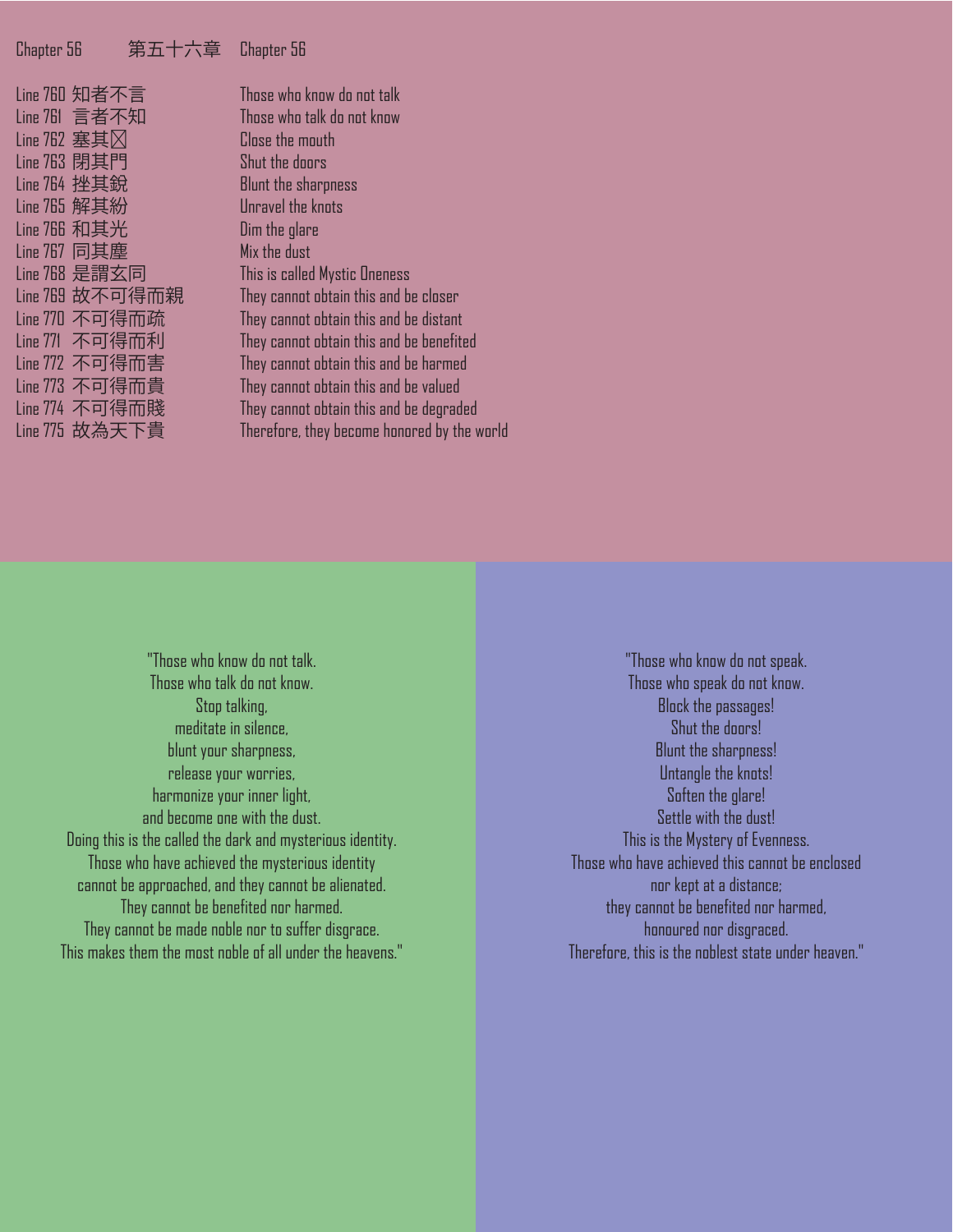| Chapter 56                                                                                                                                                                                                                                                                         | 第五十六章 | Chapter 56                                                                                                                                                                                                                                                                                                                                                                                                                                                                     |
|------------------------------------------------------------------------------------------------------------------------------------------------------------------------------------------------------------------------------------------------------------------------------------|-------|--------------------------------------------------------------------------------------------------------------------------------------------------------------------------------------------------------------------------------------------------------------------------------------------------------------------------------------------------------------------------------------------------------------------------------------------------------------------------------|
| Line 760 知者不言<br>Line 761 言者不知<br>$\mathsf{Line}$ 762 塞其 $\boxtimes$<br>Line 763 閉其門<br>Line 764 挫其銳<br>Line 765 解其紛<br>Line 766 和其光<br>Line 767 同其塵<br>Line 768 是謂玄同<br>Line 769 故不可得而親<br>Line 770 不可得而疏<br>Line 771 不可得而利<br>Line 772 不可得而害<br>Line 773 不可得而貴<br>Line 774 不可得而賤 |       | Those who know do not talk<br>Those who talk do not know<br>Close the mouth<br>Shut the doors<br><b>Blunt the sharpness</b><br>Unravel the knots<br>Dim the glare<br>Mix the dust<br>This is called Mystic Oneness<br>They cannot obtain this and be closer<br>They cannot obtain this and be distant<br>They cannot obtain this and be benefited<br>They cannot obtain this and be harmed<br>They cannot obtain this and be valued<br>They cannot obtain this and be degraded |
| Line 775 故為天下貴                                                                                                                                                                                                                                                                     |       | Therefore, they become honored by the world                                                                                                                                                                                                                                                                                                                                                                                                                                    |

"Those who know do not talk. Those who talk do not know. Stop talking, meditate in silence, blunt your sharpness, release your worries, harmonize your inner light, and become one with the dust. Doing this is the called the dark and mysterious identity. Those who have achieved the mysterious identity cannot be approached, and they cannot be alienated. They cannot be benefited nor harmed. They cannot be made noble nor to suffer disgrace. This makes them the most noble of all under the heavens."

"Those who know do not speak. Those who speak do not know. Block the passages! Shut the doors! Blunt the sharpness! Untangle the knots! Soften the glare! Settle with the dust! This is the Mystery of Evenness. Those who have achieved this cannot be enclosed nor kept at a distance; they cannot be benefited nor harmed, honoured nor disgraced. Therefore, this is the noblest state under heaven."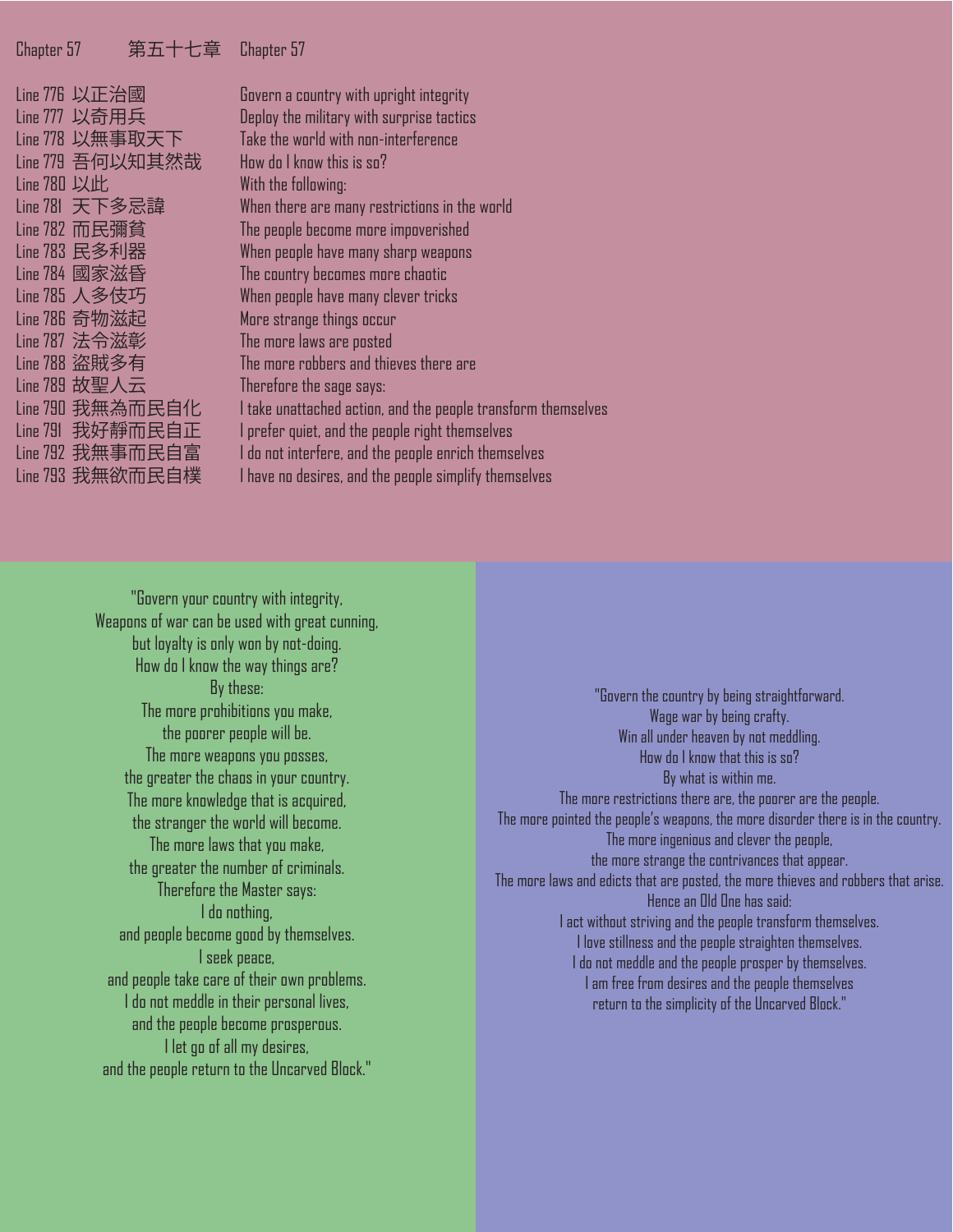|  | Chapter 57 | 第五十七章 | Chapter 57 |
|--|------------|-------|------------|
|--|------------|-------|------------|

|               | Line 776 以正治國    | Govern a country with upright integrity                       |
|---------------|------------------|---------------------------------------------------------------|
|               | Line 777 以奇用兵    | Deploy the military with surprise tactics                     |
|               | Line 778 以無事取天下  | Take the world with non-interference                          |
|               | Line 779 吾何以知其然哉 | How do I know this is so?                                     |
| $Line$ 780 以此 |                  | With the following:                                           |
|               | Line 781 天下多忌諱   | When there are many restrictions in the world                 |
|               | Line 782 而民彌貧    | The people become more impoverished                           |
|               | Line 783 民多利器    | When people have many sharp weapons                           |
|               | Line 784 國家滋昏    | The country becomes more chaotic                              |
|               | Line 785 人多伎巧    | When people have many clever tricks                           |
|               | Line 786 奇物滋起    | More strange things occur                                     |
|               | Line 787 法令滋彰    | The more laws are posted                                      |
|               | Line 788 盜賊多有    | The more robbers and thieves there are                        |
|               | Line 789 故聖人云    | Therefore the sage says:                                      |
|               | Line 790 我無為而民自化 | I take unattached action, and the people transform themselves |
|               | Line 791 我好靜而民自正 | I prefer quiet, and the people right themselves               |
|               | Line 792 我無事而民自富 | I do not interfere, and the people enrich themselves          |
|               | Line 793 我無欲而民自樸 | I have no desires, and the people simplify themselves         |
|               |                  |                                                               |

"Govern your country with integrity, Weapons of war can be used with great cunning, but loyalty is only won by not-doing. How do I know the way things are? By these: The more prohibitions you make, the poorer people will be. The more weapons you posses, the greater the chaos in your country. The more knowledge that is acquired, the stranger the world will become. The more laws that you make, the greater the number of criminals. Therefore the Master says: I do nothing, and people become good by themselves. I seek peace, and people take care of their own problems. I do not meddle in their personal lives, and the people become prosperous. I let go of all my desires, and the people return to the Uncarved Block."

"Govern the country by being straightforward. Wage war by being crafty. Win all under heaven by not meddling. How do I know that this is so? By what is within me. The more restrictions there are, the poorer are the people. The more pointed the people's weapons, the more disorder there is in the country. The more ingenious and clever the people, the more strange the contrivances that appear. The more laws and edicts that are posted, the more thieves and robbers that arise. Hence an Old One has said: I act without striving and the people transform themselves. I love stillness and the people straighten themselves. I do not meddle and the people prosper by themselves. I am free from desires and the people themselves return to the simplicity of the Uncarved Block."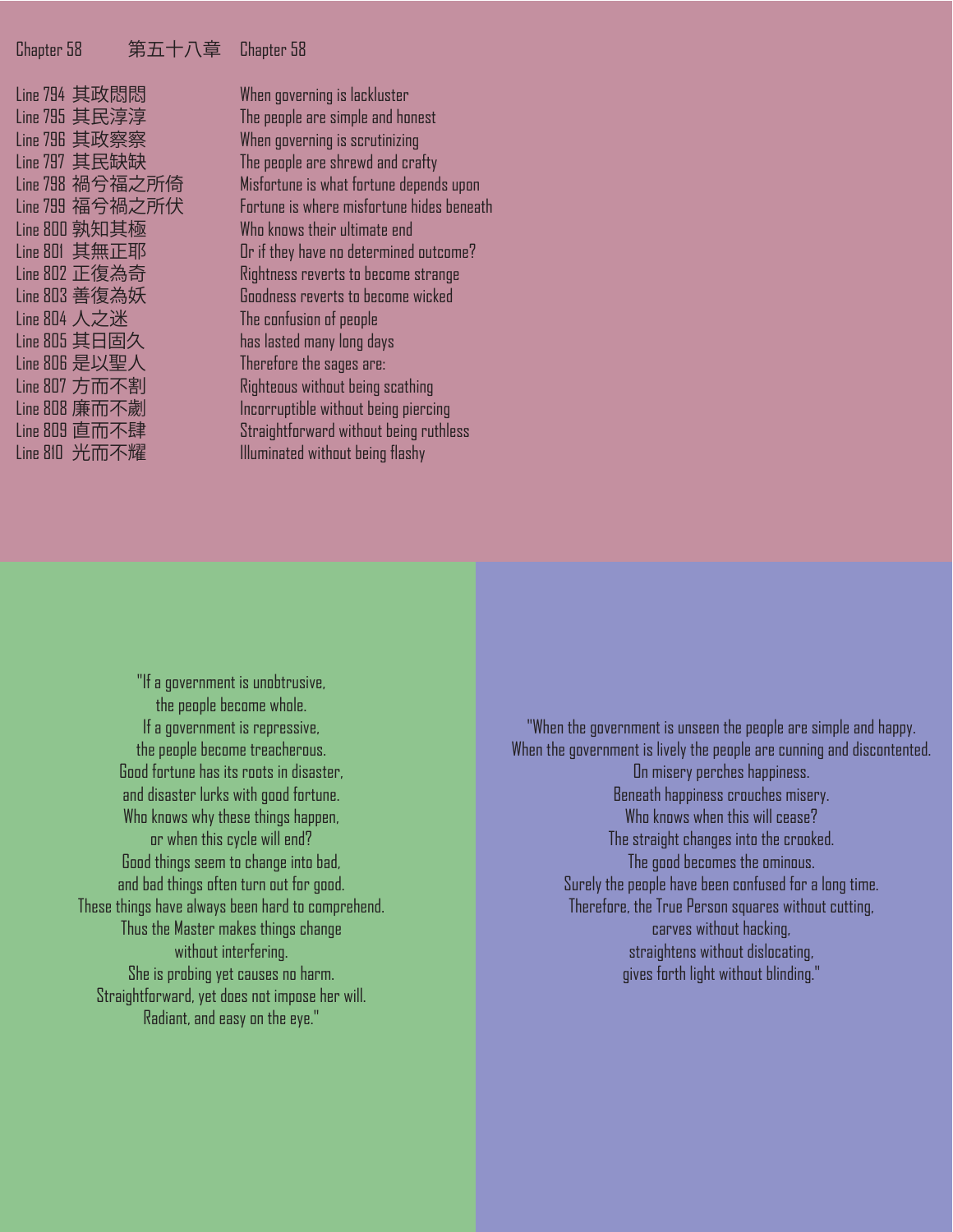# Chapter 58 第五十八章 Chapter 58

|  | Line 794 其政悶悶                        |
|--|--------------------------------------|
|  | Line 795 其民淳淳                        |
|  | Line 796 其政察察                        |
|  | Line 797 其民缺缺                        |
|  | Line 798 禍兮福之所倚                      |
|  | Line 799 福兮禍之所仂                      |
|  | Line 800 孰知其極                        |
|  | Line 801 其無正耶                        |
|  | Line 802 正復為奇                        |
|  | Line 803 善復為妖                        |
|  | $\mathop{\rm Line}\nolimits$ 804 人之迷 |
|  | Line 805 其日固久                        |
|  | Line 806 是以聖人                        |
|  | Line 807 方而不割                        |
|  | Line 808 廉而不劌                        |
|  | Line 809 直而不肆                        |
|  | ling 810 光而不耀                        |

When governing is lackluster The people are simple and honest When governing is scrutinizing The people are shrewd and crafty Misfortune is what fortune depends upon Fortune is where misfortune hides beneath Who knows their ultimate end Dr if they have no determined outcome? Rightness reverts to become strange Goodness reverts to become wicked The confusion of people has lasted many long days Therefore the sages are: Righteous without being scathing Incorruptible without being piercing Straightforward without being ruthless Illuminated without being flashy

"If a government is unobtrusive, the people become whole. If a government is repressive, the people become treacherous. Good fortune has its roots in disaster, and disaster lurks with good fortune. Who knows why these things happen, or when this cycle will end? Good things seem to change into bad, and bad things often turn out for good. These things have always been hard to comprehend. Thus the Master makes things change without interfering. She is probing yet causes no harm. Straightforward, yet does not impose her will. Radiant, and easy on the eye."

"When the government is unseen the people are simple and happy. When the government is lively the people are cunning and discontented. On misery perches happiness. Beneath happiness crouches misery. Who knows when this will cease? The straight changes into the crooked. The good becomes the ominous. Surely the people have been confused for a long time. Therefore, the True Person squares without cutting, carves without hacking, straightens without dislocating, gives forth light without blinding."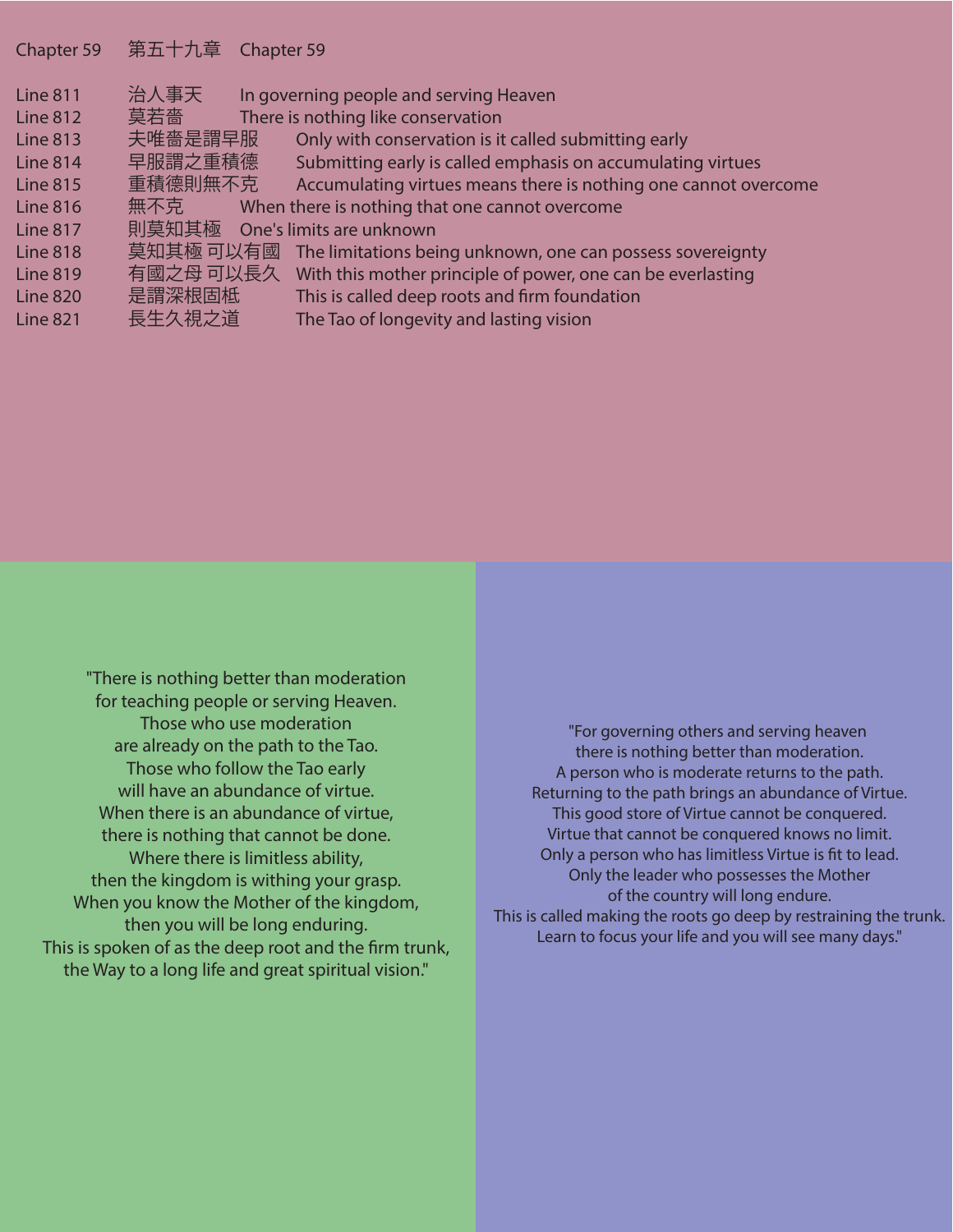Chapter 59 第五十九章 Chapter 59

| Line 811        | 治人事天      | In governing people and serving Heaven                                |
|-----------------|-----------|-----------------------------------------------------------------------|
| <b>Line 812</b> | 莫若嗇       | There is nothing like conservation                                    |
| <b>Line 813</b> | 夫唯嗇是謂早服   | Only with conservation is it called submitting early                  |
| <b>Line 814</b> | 早服謂之重積德   | Submitting early is called emphasis on accumulating virtues           |
| <b>Line 815</b> | 重積德則無不克   | Accumulating virtues means there is nothing one cannot overcome       |
| <b>Line 816</b> | 無不克       | When there is nothing that one cannot overcome                        |
| <b>Line 817</b> |           | 則莫知其極 One's limits are unknown                                        |
| <b>Line 818</b> | 莫知其極 可以有國 | The limitations being unknown, one can possess sovereignty            |
| <b>Line 819</b> |           | 有國之母 可以長久 With this mother principle of power, one can be everlasting |
| <b>Line 820</b> | 是謂深根固柢    | This is called deep roots and firm foundation                         |
| <b>Line 821</b> | 長生久視之道    | The Tao of longevity and lasting vision                               |

"There is nothing better than moderation for teaching people or serving Heaven. Those who use moderation are already on the path to the Tao. Those who follow the Tao early will have an abundance of virtue. When there is an abundance of virtue, there is nothing that cannot be done. Where there is limitless ability, then the kingdom is withing your grasp. When you know the Mother of the kingdom, then you will be long enduring. This is spoken of as the deep root and the firm trunk, the Way to a long life and great spiritual vision."

"For governing others and serving heaven there is nothing better than moderation. A person who is moderate returns to the path. Returning to the path brings an abundance of Virtue. This good store of Virtue cannot be conquered. Virtue that cannot be conquered knows no limit. Only a person who has limitless Virtue is fit to lead. Only the leader who possesses the Mother of the country will long endure. This is called making the roots go deep by restraining the trunk. Learn to focus your life and you will see many days."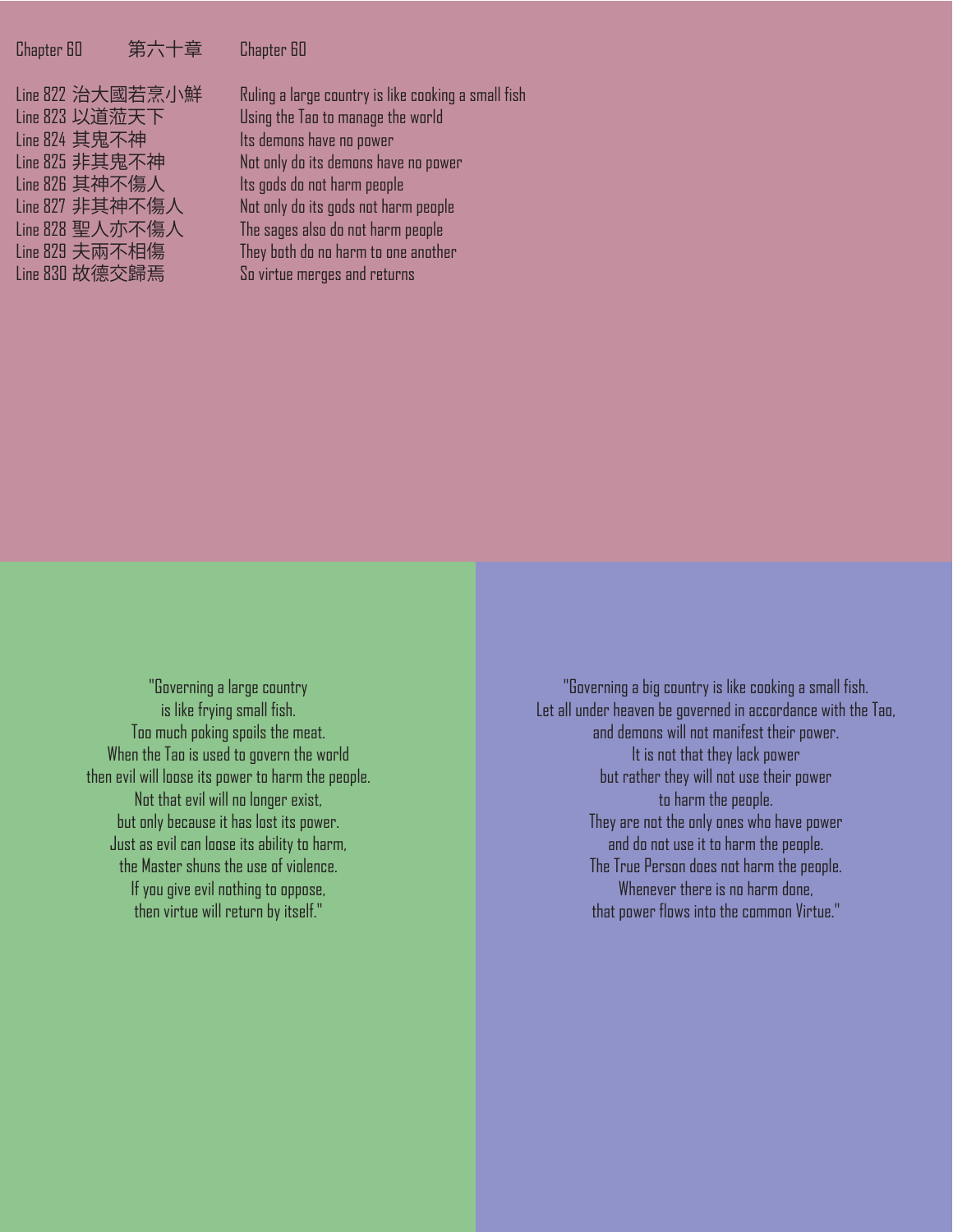| Chapter 60 | 第六十章 |  |
|------------|------|--|

Chapter 60

Line 824 其鬼不神 Its demons have no power Line 826 其神不傷人 Its gods do not harm people

Line 822 治大國若烹小鮮 Ruling a large country is like cooking a small fish Line 823 以道蒞天下 Using the Tao to manage the world Line 825 非其鬼不神 Not only do its demons have no power Line 827 非其神不傷人 Not only do its gods not harm people Line 828 聖人亦不傷人 The sages also do not harm people Line 829 夫兩不相傷 They both do no harm to one another Line 830 故德交歸焉 So virtue merges and returns

> "Governing a large country is like frying small fish. Too much poking spoils the meat. When the Tao is used to govern the world then evil will loose its power to harm the people. Not that evil will no longer exist, but only because it has lost its power. Just as evil can loose its ability to harm, the Master shuns the use of violence. If you give evil nothing to oppose, then virtue will return by itself."

"Governing a big country is like cooking a small fish. Let all under heaven be governed in accordance with the Tao, and demons will not manifest their power. It is not that they lack power but rather they will not use their power to harm the people. They are not the only ones who have power and do not use it to harm the people. The True Person does not harm the people. Whenever there is no harm done, that power flows into the common Virtue."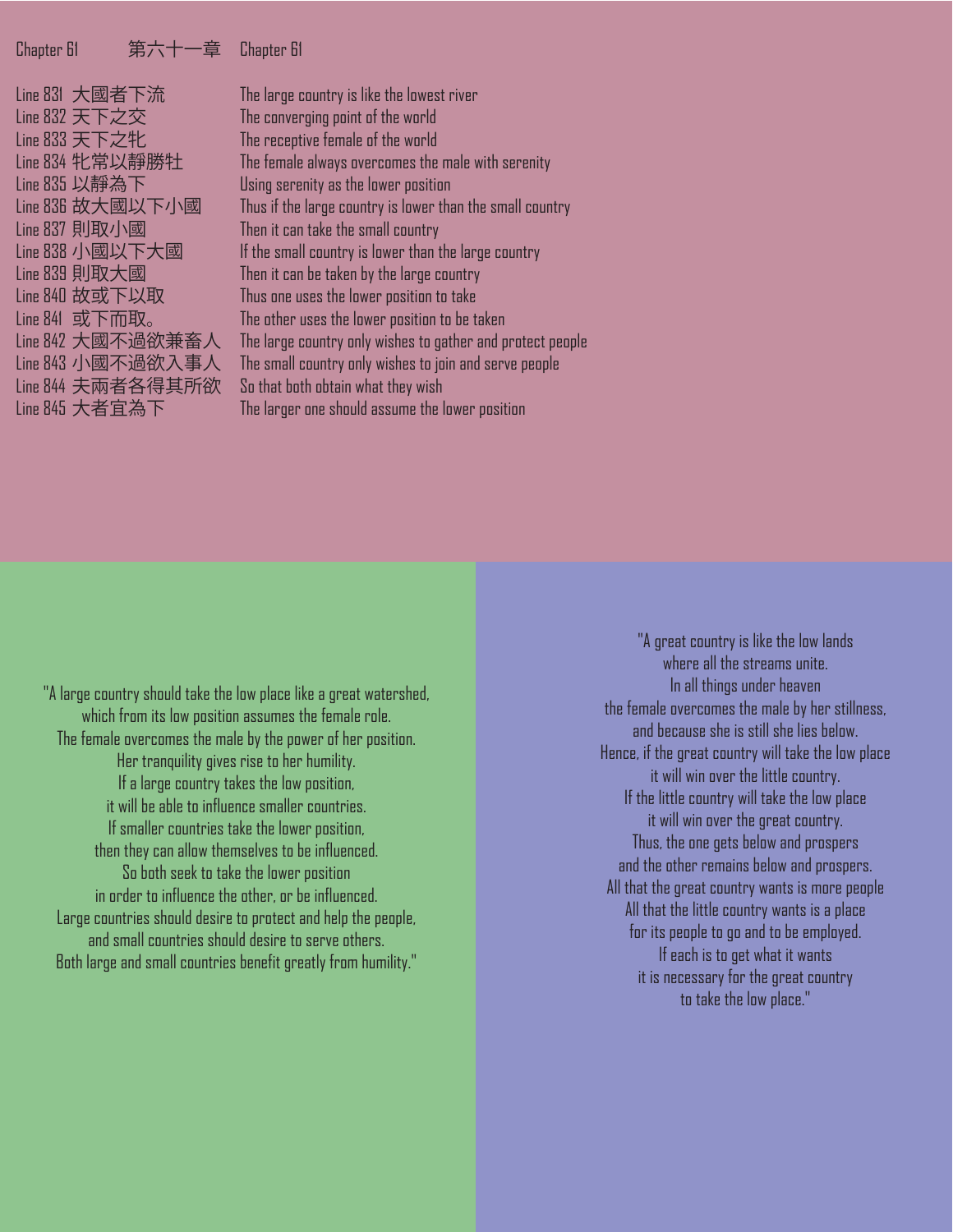Chapter 61 第六十一章 Chapter 61

Line 832 天下之交  $\qquad \qquad$  The converging point of the world Line 833 天下之牝 The receptive female of the world Line 835 以靜為下 Using serenity as the lower position Line 837 則取小國 Then it can take the small country Line 844 夫兩者各得其所欲 So that both obtain what they wish

Line 831 大國者下流 The large country is like the lowest river Line 834 牝常以靜勝牡 The female always overcomes the male with serenity Line 836 故大國以下小國 Thus if the large country is lower than the small country Line 838 小國以下大國 If the small country is lower than the large country Line 839 則取大國 Then it can be taken by the large country Line 840 故或下以取 Thus one uses the lower position to take Line 841 或下而取。 The other uses the lower position to be taken Line 842 大國不過欲兼畜人 The large country only wishes to gather and protect people Line 843 小國不過欲入事人 The small country only wishes to join and serve people Line 845 大者宜為下 The larger one should assume the lower position

"A large country should take the low place like a great watershed, which from its low position assumes the female role. The female overcomes the male by the power of her position. Her tranquility gives rise to her humility. If a large country takes the low position, it will be able to influence smaller countries. If smaller countries take the lower position, then they can allow themselves to be influenced. So both seek to take the lower position in order to influence the other, or be influenced. Large countries should desire to protect and help the people, and small countries should desire to serve others. Both large and small countries benefit greatly from humility."

"A great country is like the low lands where all the streams unite. In all things under heaven the female overcomes the male by her stillness, and because she is still she lies below. Hence, if the great country will take the low place it will win over the little country. If the little country will take the low place it will win over the great country. Thus, the one gets below and prospers and the other remains below and prospers. All that the great country wants is more people All that the little country wants is a place for its people to go and to be employed. If each is to get what it wants it is necessary for the great country to take the low place."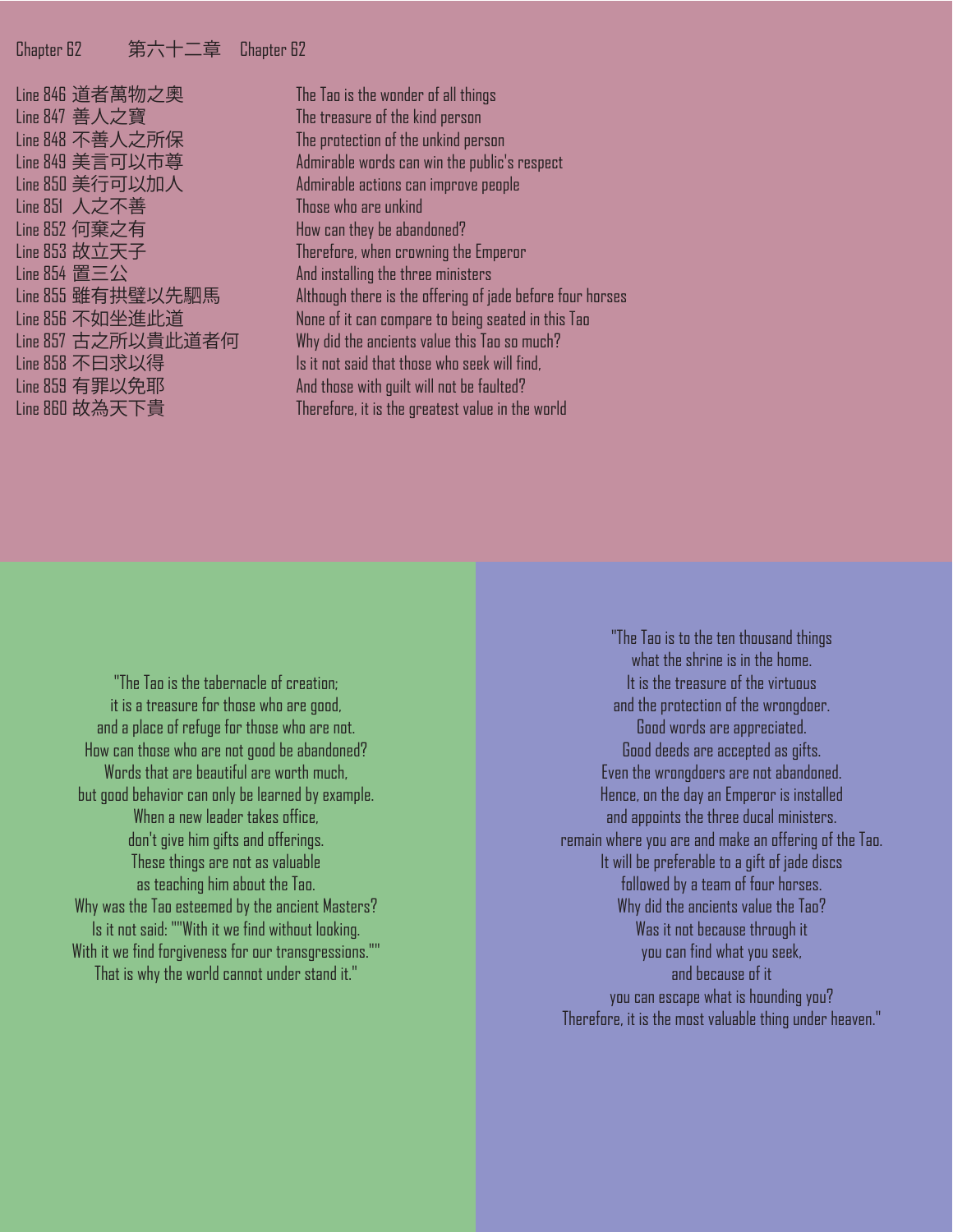# Chapter 62 第六十二章 Chapter 62

Line 847 善人之寶 The treasure of the kind person Line 848 不善人之所保 The protection of the unkind person Line 851 人之不善 Those who are unkind Line 852 何棄之有  $\blacksquare$  How can they be abandoned? Line 854 置三公  $\blacksquare$ 

Line 846 道者萬物之奧 The Tao is the wonder of all things Line 849 美言可以市尊 Admirable words can win the public's respect Line 850 美行可以加人  $\blacksquare$  Admirable actions can improve people Line 853 故立天子  $\blacksquare$  Therefore, when crowning the Emperor Line 855 雖有拱璧以先駟馬 Although there is the offering of jade before four horses Line 856 不如坐進此道 None of it can compare to being seated in this Tao Line 857 古之所以貴此道者何 Why did the ancients value this Tao so much? Line 858 不曰求以得 Is it not said that those who seek will find, Line 859 有罪以免耶 And those with guilt will not be faulted? Line 860 故為天下貴 Therefore, it is the greatest value in the world

"The Tao is the tabernacle of creation; it is a treasure for those who are good, and a place of refuge for those who are not. How can those who are not good be abandoned? Words that are beautiful are worth much, but good behavior can only be learned by example. When a new leader takes office, don't give him gifts and offerings. These things are not as valuable as teaching him about the Tao. Why was the Tao esteemed by the ancient Masters? Is it not said: ""With it we find without looking. With it we find forgiveness for our transgressions."" That is why the world cannot under stand it."

"The Tao is to the ten thousand things what the shrine is in the home. It is the treasure of the virtuous and the protection of the wrongdoer. Good words are appreciated. Good deeds are accepted as gifts. Even the wrongdoers are not abandoned. Hence, on the day an Emperor is installed and appoints the three ducal ministers. remain where you are and make an offering of the Tao. It will be preferable to a gift of jade discs followed by a team of four horses. Why did the ancients value the Tao? Was it not because through it you can find what you seek, and because of it you can escape what is hounding you? Therefore, it is the most valuable thing under heaven."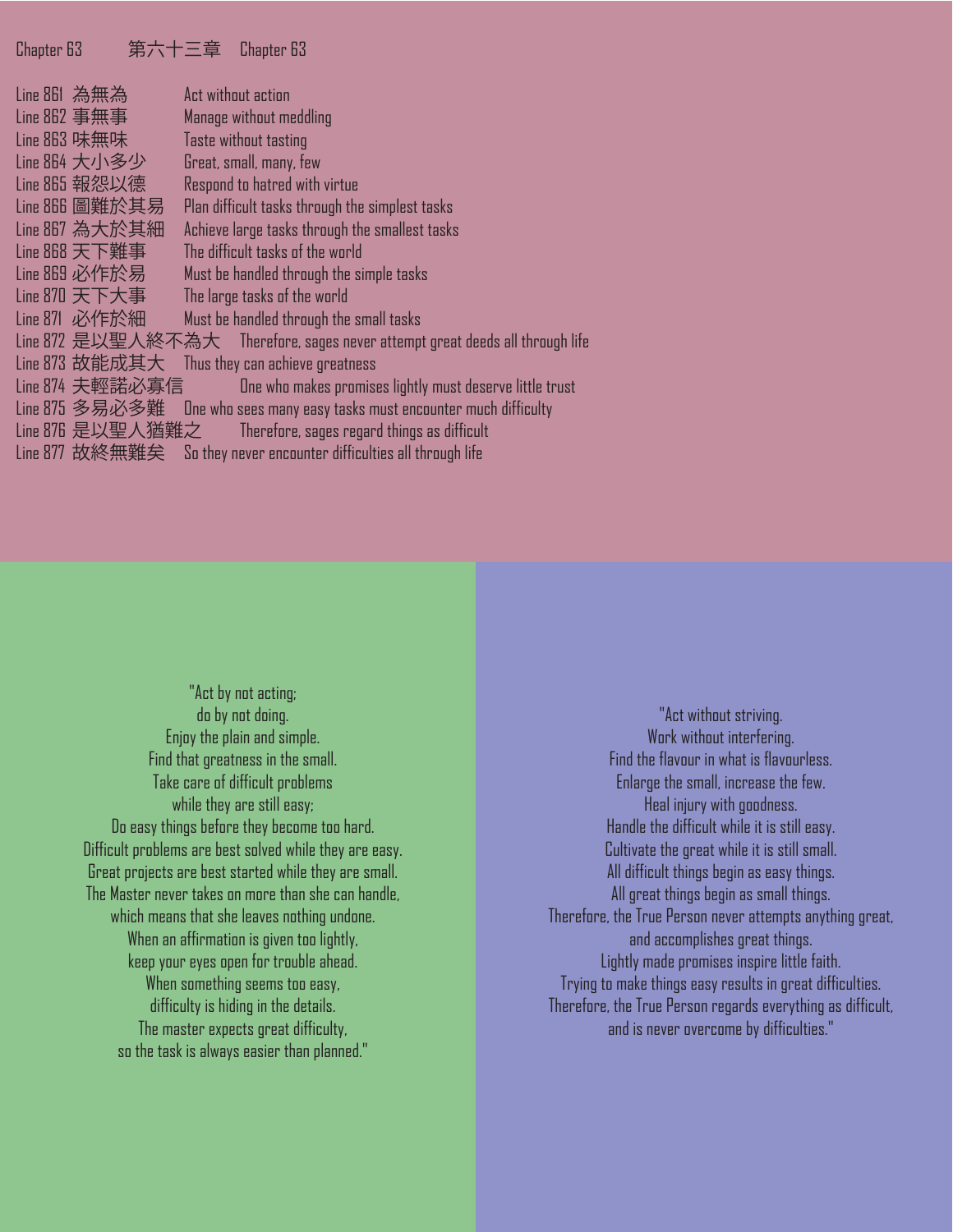Chapter 63 第六十三章 Chapter 63

| Line 861 為無為   | Act without action                                                                    |
|----------------|---------------------------------------------------------------------------------------|
| Line 862 事無事   | Manage without meddling                                                               |
| Line 863 味無味   | Taste without tasting                                                                 |
| Line 864 大小多少  | Great, small, many, few                                                               |
| Line 865 報怨以德  | Respond to hatred with virtue                                                         |
| Line 8GG 圖難於其易 | Plan difficult tasks through the simplest tasks                                       |
| Line 867 為大於其細 | Achieve large tasks through the smallest tasks                                        |
| Line 868 天下難事  | The difficult tasks of the world                                                      |
| Line 869 必作於易  | Must be handled through the simple tasks                                              |
| Line 870 天下大事  | The large tasks of the world                                                          |
| Line 871 必作於細  | Must be handled through the small tasks                                               |
|                | Line 872 是以聖人終不為大 Therefore, sages never attempt great deeds all through life         |
|                | Line 873 故能成其大 Thus they can achieve greatness                                        |
|                | Line 874 夫輕諾必寡信              One who makes promises lightly must deserve little trust |
|                | Line 875 多易必多難 One who sees many easy tasks must encounter much difficulty            |
|                | Line 876 是以聖人猶難之  Therefore, sages regard things as difficult                         |
|                | Line 877 故終無難矣 So they never encounter difficulties all through life                  |
|                |                                                                                       |

"Act by not acting; do by not doing. Enjoy the plain and simple. Find that greatness in the small. Take care of difficult problems while they are still easy; Do easy things before they become too hard. Difficult problems are best solved while they are easy. Great projects are best started while they are small. The Master never takes on more than she can handle, which means that she leaves nothing undone. When an affirmation is given too lightly, keep your eyes open for trouble ahead. When something seems too easy, difficulty is hiding in the details. The master expects great difficulty, so the task is always easier than planned."

"Act without striving. Work without interfering. Find the flavour in what is flavourless. Enlarge the small, increase the few. Heal injury with goodness. Handle the difficult while it is still easy. Cultivate the great while it is still small. All difficult things begin as easy things. All great things begin as small things. Therefore, the True Person never attempts anything great, and accomplishes great things. Lightly made promises inspire little faith. Trying to make things easy results in great difficulties. Therefore, the True Person regards everything as difficult, and is never overcome by difficulties."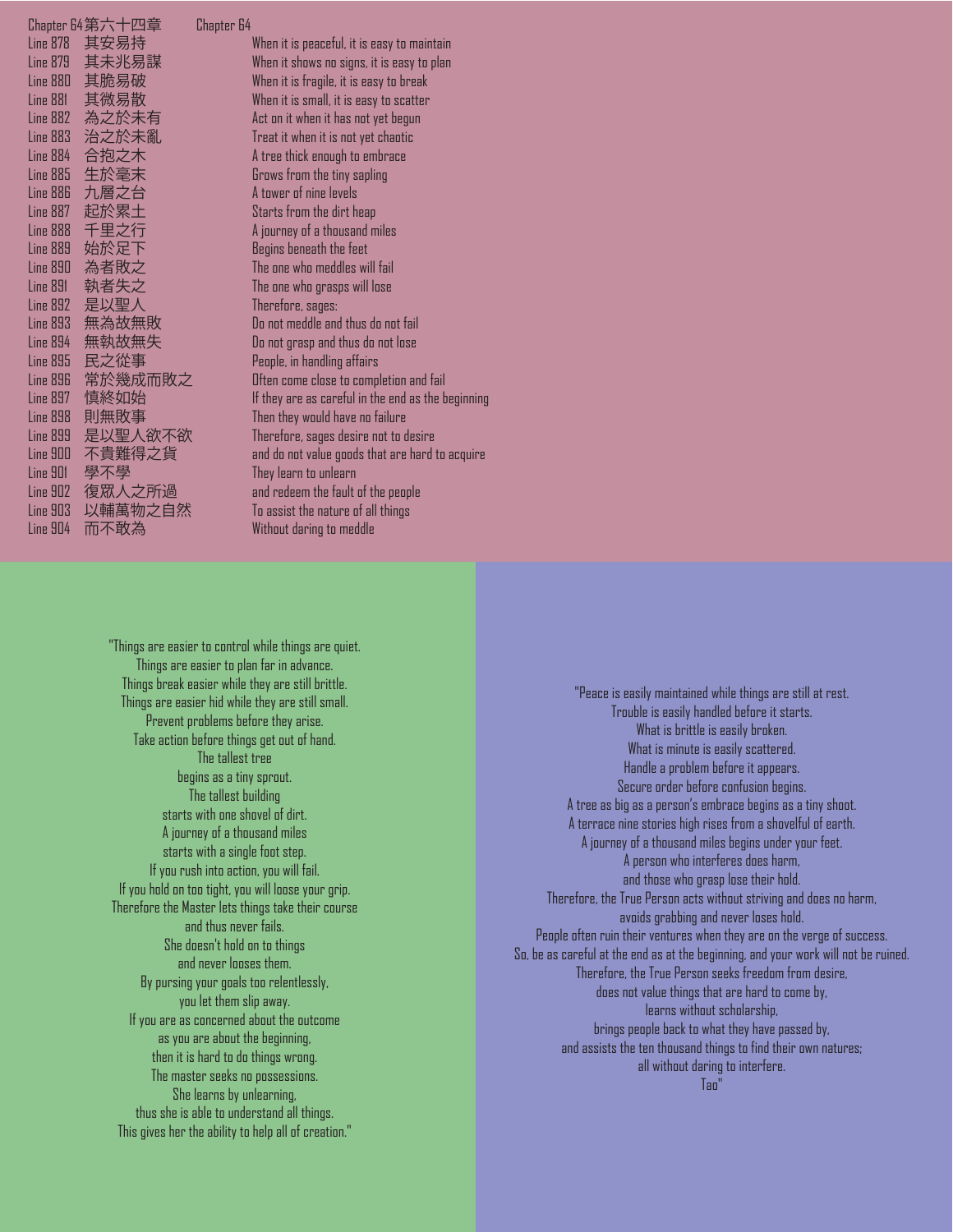|                 | Chapter 64第六十四章 | Chapter 64                                         |
|-----------------|-----------------|----------------------------------------------------|
| <b>Line 878</b> | 其安易持            | When it is peaceful, it is easy to maintain        |
|                 | Line 879 其未兆易謀  | When it shows no signs, it is easy to plan         |
| Line 880        | 其脆易破            | When it is fragile, it is easy to break            |
|                 | Line 881 其微易散   | When it is small, it is easy to scatter            |
|                 | Line 882 為之於未有  | Act on it when it has not yet begun                |
| <b>Line 883</b> | 治之於未亂           | Treat it when it is not yet chaotic                |
|                 | Line 884 合抱之木   | A tree thick enough to embrace                     |
| <b>Line 885</b> | 生於毫末            | Grows from the tiny sapling                        |
| Line 886        | 九層之台            | A tower of nine levels                             |
| Line 887        | 起於累土            | Starts from the dirt heap                          |
| <b>Line 888</b> | 千里之行            | A journey of a thousand miles                      |
| <b>Line 889</b> | 始於足下            | Begins beneath the feet                            |
| $\lim_{R}$ 890  | 為者敗之            | The one who meddles will fail                      |
| Line 891        | 執者失之            | The one who grasps will lose                       |
| <b>Line 892</b> | 是以聖人            | Therefore, sages:                                  |
| <b>Line 893</b> | 無為故無敗           | On not meddle and thus do not fail                 |
| <b>Line 894</b> | 無執故無失           | Do not grasp and thus do not lose                  |
| <b>Line 895</b> | 民之從事            | People, in handling affairs                        |
| <b>Line 896</b> | 常於幾成而敗之         | Often come close to completion and fail            |
| Line 897        | 慎終如始            | If they are as careful in the end as the beginning |
| <b>Line 898</b> | 則無敗事            | Then they would have no failure                    |
| <b>Line 899</b> | 是以聖人欲不欲         | Therefore, sages desire not to desire              |
| <b>Line 900</b> | 不貴難得之貨          | and do not value goods that are hard to acquire    |
| $Line$ $901$    | 學不學             | They learn to unlearn                              |
| <b>Line 902</b> | 復眾人之所過          | and redeem the fault of the people                 |
| Line 903        | 以輔萬物之自然         | To assist the nature of all things                 |
| <b>Line 904</b> | 而不敢為            | Without daring to meddle                           |
|                 |                 |                                                    |

"Things are easier to control while things are quiet. Things are easier to plan far in advance. Things break easier while they are still brittle. Things are easier hid while they are still small. Prevent problems before they arise. Take action before things get out of hand. The tallest tree begins as a tiny sprout. The tallest building starts with one shovel of dirt. A journey of a thousand miles starts with a single foot step. If you rush into action, you will fail. If you hold on too tight, you will loose your grip. Therefore the Master lets things take their course and thus never fails. She doesn't hold on to things and never looses them. By pursing your goals too relentlessly, you let them slip away. If you are as concerned about the outcome as you are about the beginning, then it is hard to do things wrong. The master seeks no possessions. She learns by unlearning, thus she is able to understand all things. This gives her the ability to help all of creation."

"Peace is easily maintained while things are still at rest. Trouble is easily handled before it starts. What is brittle is easily broken. What is minute is easily scattered. Handle a problem before it appears. Secure order before confusion begins. A tree as big as a person's embrace begins as a tiny shoot. A terrace nine stories high rises from a shovelful of earth. A journey of a thousand miles begins under your feet. A person who interferes does harm, and those who grasp lose their hold. Therefore, the True Person acts without striving and does no harm, avoids grabbing and never loses hold. People often ruin their ventures when they are on the verge of success. So, be as careful at the end as at the beginning, and your work will not be ruined. Therefore, the True Person seeks freedom from desire, does not value things that are hard to come by, learns without scholarship, brings people back to what they have passed by, and assists the ten thousand things to find their own natures; all without daring to interfere. Tao"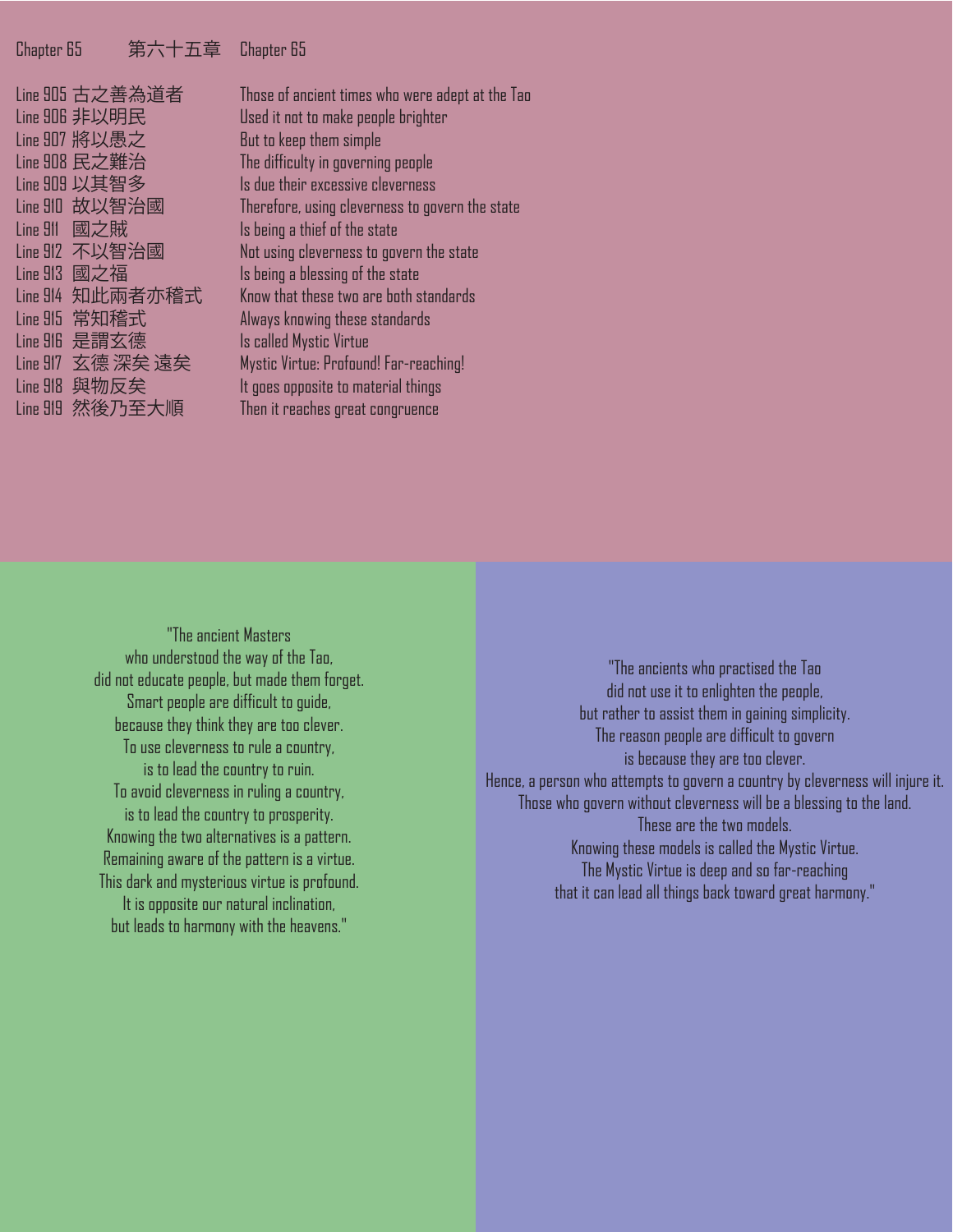# Chapter 65 第六十五章 Chapter 65

| Line 905 古之善為道者   | Those of ancient times who    |
|-------------------|-------------------------------|
| Line 906 非以明民     | Used it not to make people    |
| Line 907 將以愚之     | But to keep them simple       |
| Line 908 民之難治     | The difficulty in governing p |
| Line 909 以其智多     | Is due their excessive cleve  |
| Line 910 故以智治國    | Therefore, using clevernes    |
| Line 911 國之賊      | Is being a thief of the state |
| Line 912 不以智治國    | Not using cleverness to got   |
| Line 913 國之福      | Is being a blessing of the st |
| Line 914 知此兩者亦稽式  | Know that these two are bo    |
| Line 915 常知稽式     | Always knowing these stan     |
| Line 916 是謂玄德     | Is called Mystic Virtue       |
| Line 917 玄德 深矣 遠矣 | Mystic Virtue: Profound! Fa   |
| Line 918 與物反矣     | It goes opposite to materia   |
| Line 919 然後乃至大順   | Then it reaches great cong    |

 $\mathbf s$  who were adept at the Tao eople brighter ning people<sup>r</sup> e cleverness erness to govern the state to govern the state the state are both standards e standards i nd! Far-reaching! aterial things congruence

"The ancient Masters who understood the way of the Tao, did not educate people, but made them forget. Smart people are difficult to guide, because they think they are too clever. To use cleverness to rule a country, is to lead the country to ruin. To avoid cleverness in ruling a country, is to lead the country to prosperity. Knowing the two alternatives is a pattern. Remaining aware of the pattern is a virtue. This dark and mysterious virtue is profound. It is opposite our natural inclination, but leads to harmony with the heavens."

"The ancients who practised the Tao did not use it to enlighten the people, but rather to assist them in gaining simplicity. The reason people are difficult to govern is because they are too clever. Hence, a person who attempts to govern a country by cleverness will injure it. Those who govern without cleverness will be a blessing to the land. These are the two models. Knowing these models is called the Mystic Virtue. The Mystic Virtue is deep and so far-reaching that it can lead all things back toward great harmony."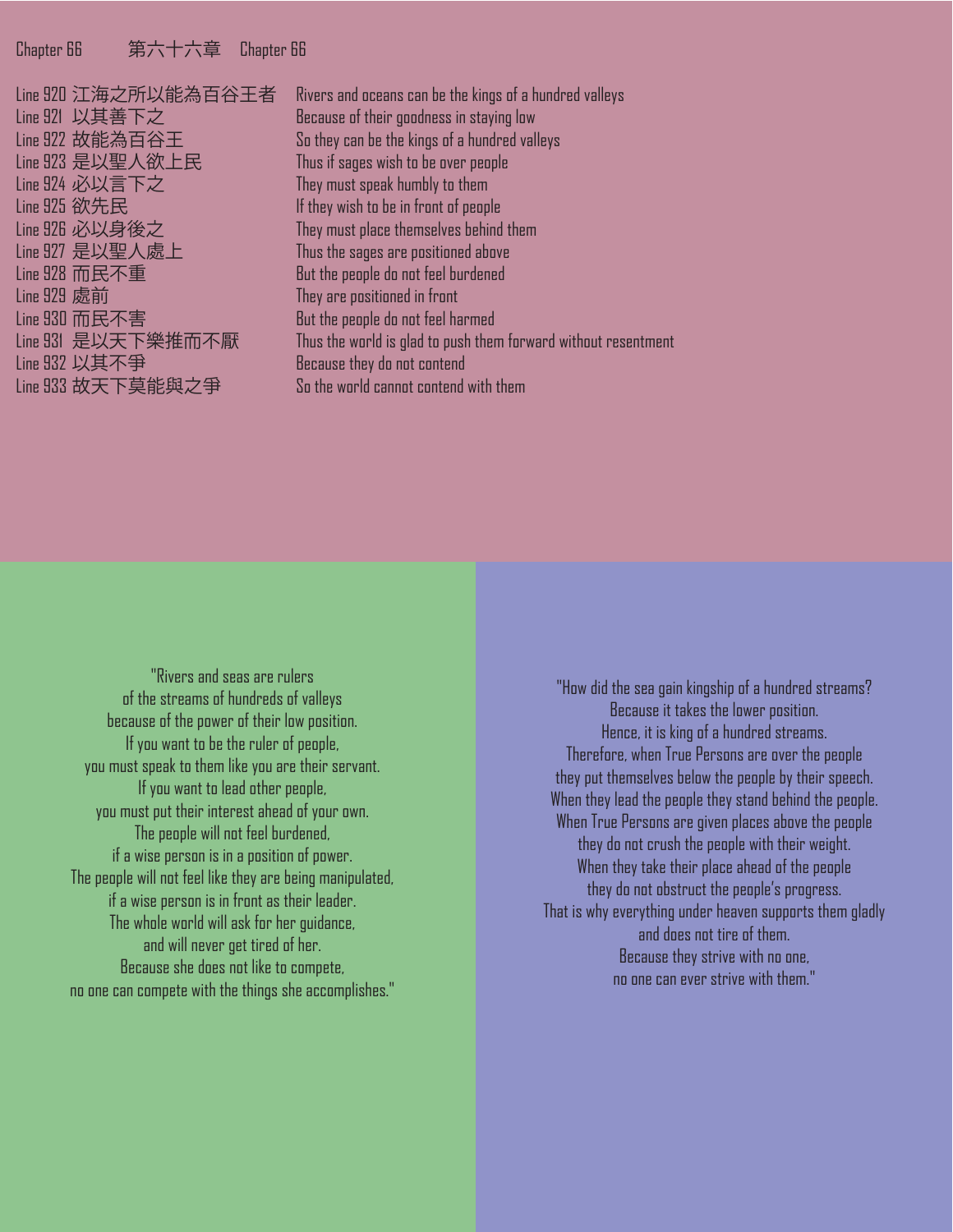# Chapter 66 第六十六章 Chapter 66

| Line 920 江海之所以能為百谷王者 | Rivers and oceans can be the kings of a hundred valleys        |
|----------------------|----------------------------------------------------------------|
| Line 921 以其善下之       | Because of their goodness in staying low                       |
| Line 922 故能為百谷王      | So they can be the kings of a hundred valleys                  |
| Line 923 是以聖人欲上民     | Thus if sages wish to be over people                           |
| Line 924 必以言下之       | They must speak humbly to them                                 |
| Line 925 欲先民         | If they wish to be in front of people                          |
| Line 926 必以身後之       | They must place themselves behind them                         |
| Line 927 是以聖人處上      | Thus the sages are positioned above                            |
| Line 928 而民不重        | But the people do not feel burdened                            |
| Line 929 處前          | They are positioned in front                                   |
| Line 930 而民不害        | But the people do not feel harmed                              |
| Line 931 是以天下樂推而不厭   | Thus the world is glad to push them forward without resentment |
| Line 932 以其不爭        | Because they do not contend                                    |
| Line 933 故天下莫能與之爭    | So the world cannot contend with them                          |
|                      |                                                                |

"Rivers and seas are rulers of the streams of hundreds of valleys because of the power of their low position. If you want to be the ruler of people, you must speak to them like you are their servant. If you want to lead other people, you must put their interest ahead of your own. The people will not feel burdened, if a wise person is in a position of power. The people will not feel like they are being manipulated, if a wise person is in front as their leader. The whole world will ask for her guidance, and will never get tired of her. Because she does not like to compete, no one can compete with the things she accomplishes."

"How did the sea gain kingship of a hundred streams? Because it takes the lower position. Hence, it is king of a hundred streams. Therefore, when True Persons are over the people they put themselves below the people by their speech. When they lead the people they stand behind the people. When True Persons are given places above the people they do not crush the people with their weight. When they take their place ahead of the people they do not obstruct the people's progress. That is why everything under heaven supports them gladly and does not tire of them. Because they strive with no one, no one can ever strive with them."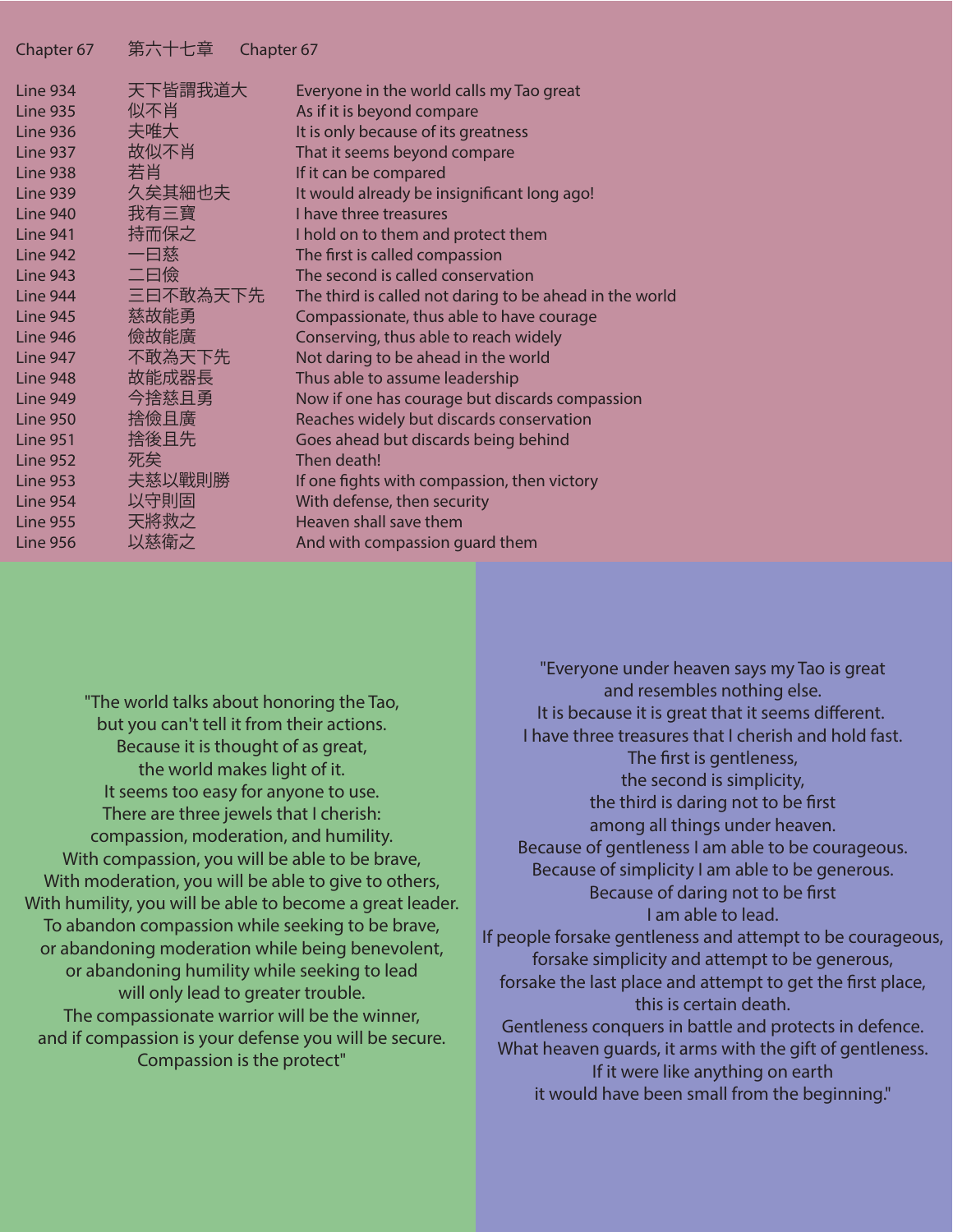Chapter 67 第六十七章 Chapter 67

| <b>Line 934</b> | 天下皆謂我道大  | Everyone in the world calls my Tao great                |
|-----------------|----------|---------------------------------------------------------|
| <b>Line 935</b> | 似不肖      | As if it is beyond compare                              |
| <b>Line 936</b> | 夫唯大      | It is only because of its greatness                     |
| <b>Line 937</b> | 故似不肖     | That it seems beyond compare                            |
| <b>Line 938</b> | 若肖       | If it can be compared                                   |
| <b>Line 939</b> | 久矣其細也夫   | It would already be insignificant long ago!             |
| Line 940        | 我有三寶     | I have three treasures                                  |
| Line 941        | 持而保之     | I hold on to them and protect them                      |
| Line 942        | 一曰慈      | The first is called compassion                          |
| <b>Line 943</b> | 二曰儉      | The second is called conservation                       |
| Line 944        | 三曰不敢為天下先 | The third is called not daring to be ahead in the world |
| <b>Line 945</b> | 慈故能勇     | Compassionate, thus able to have courage                |
| <b>Line 946</b> | 儉故能廣     | Conserving, thus able to reach widely                   |
| <b>Line 947</b> | 不敢為天下先   | Not daring to be ahead in the world                     |
| Line 948        | 故能成器長    | Thus able to assume leadership                          |
| <b>Line 949</b> | 今捨慈且勇    | Now if one has courage but discards compassion          |
| <b>Line 950</b> | 捨儉且廣     | Reaches widely but discards conservation                |
| <b>Line 951</b> | 捨後且先     | Goes ahead but discards being behind                    |
| <b>Line 952</b> | 死矣       | Then death!                                             |
| <b>Line 953</b> | 夫慈以戰則勝   | If one fights with compassion, then victory             |
| <b>Line 954</b> | 以守則固     | With defense, then security                             |
| <b>Line 955</b> | 天將救之     | Heaven shall save them                                  |
| <b>Line 956</b> | 以慈衛之     | And with compassion guard them                          |
|                 |          |                                                         |

"The world talks about honoring the Tao, but you can't tell it from their actions. Because it is thought of as great, the world makes light of it. It seems too easy for anyone to use. There are three jewels that I cherish: compassion, moderation, and humility. With compassion, you will be able to be brave, With moderation, you will be able to give to others, With humility, you will be able to become a great leader. To abandon compassion while seeking to be brave, or abandoning moderation while being benevolent, or abandoning humility while seeking to lead will only lead to greater trouble. The compassionate warrior will be the winner, and if compassion is your defense you will be secure. Compassion is the protect"

"Everyone under heaven says my Tao is great and resembles nothing else. It is because it is great that it seems different. I have three treasures that I cherish and hold fast. The first is gentleness, the second is simplicity, the third is daring not to be first among all things under heaven. Because of gentleness I am able to be courageous. Because of simplicity I am able to be generous. Because of daring not to be first I am able to lead. If people forsake gentleness and attempt to be courageous, forsake simplicity and attempt to be generous, forsake the last place and attempt to get the first place, this is certain death. Gentleness conquers in battle and protects in defence. What heaven guards, it arms with the gift of gentleness. If it were like anything on earth it would have been small from the beginning."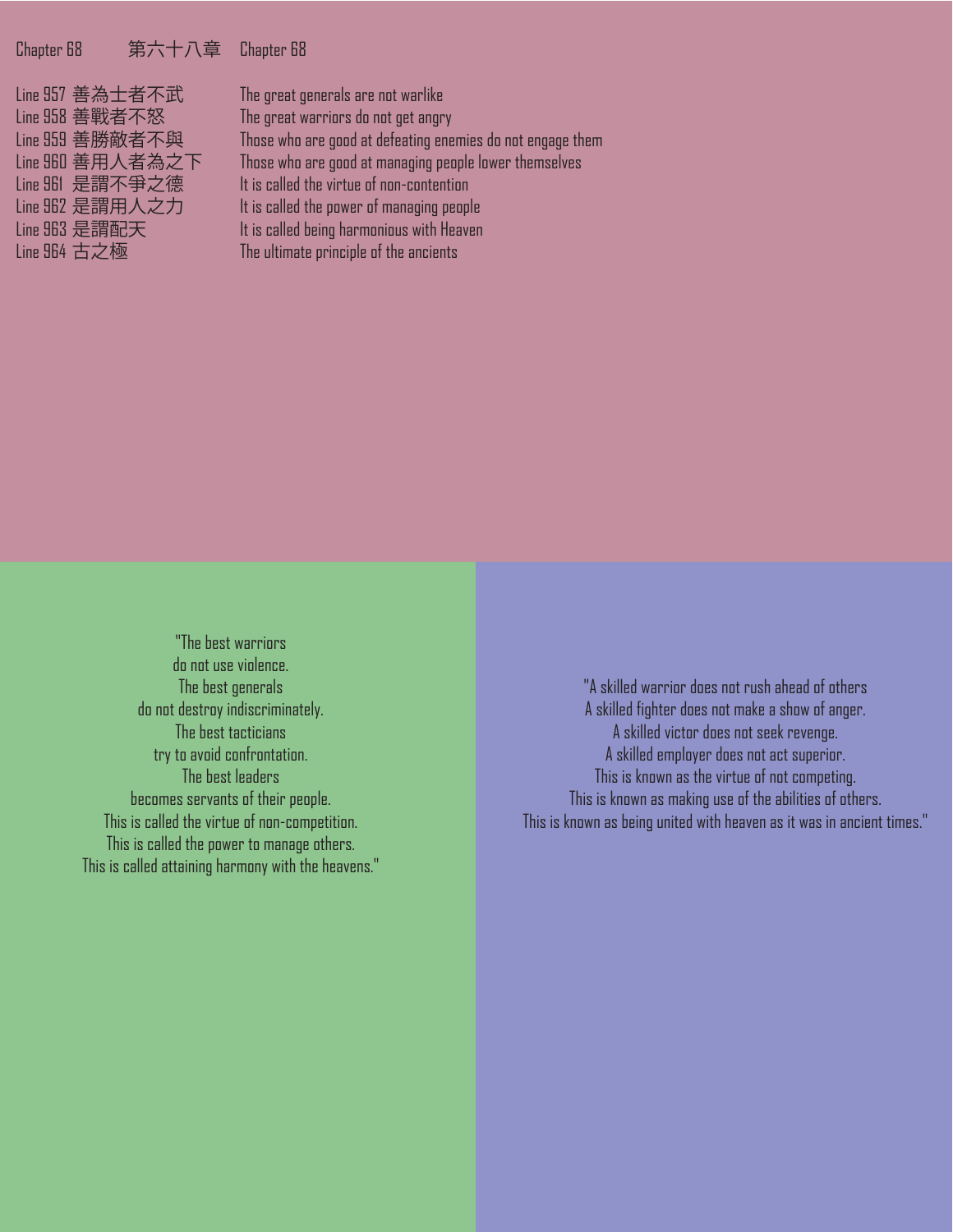# Chapter 68 第六十八章 Chapter 68

Line 960 善用人者為之下 Those who are good at managing people lower themselves<br>Line 961 是謂不爭之德 It is called the virtue of non-contention Line 962 是謂用人之力 lt is called the power of managing people

Line 957 善為士者不武 The great generals are not warlike

Line 958 善戰者不怒 The great warriors do not get angry

Line 959 善勝敵者不與 Those who are good at defeating enemies do not engage them

It is called the virtue of non-contention

Line 963 是謂配天 It is called being harmonious with Heaven

Line 964 古之極 The ultimate principle of the ancients

"The best warriors do not use violence. The best generals do not destroy indiscriminately. The best tacticians try to avoid confrontation. The best leaders becomes servants of their people. This is called the virtue of non-competition. This is called the power to manage others. This is called attaining harmony with the heavens."

"A skilled warrior does not rush ahead of others A skilled fighter does not make a show of anger. A skilled victor does not seek revenge. A skilled employer does not act superior. This is known as the virtue of not competing. This is known as making use of the abilities of others. This is known as being united with heaven as it was in ancient times."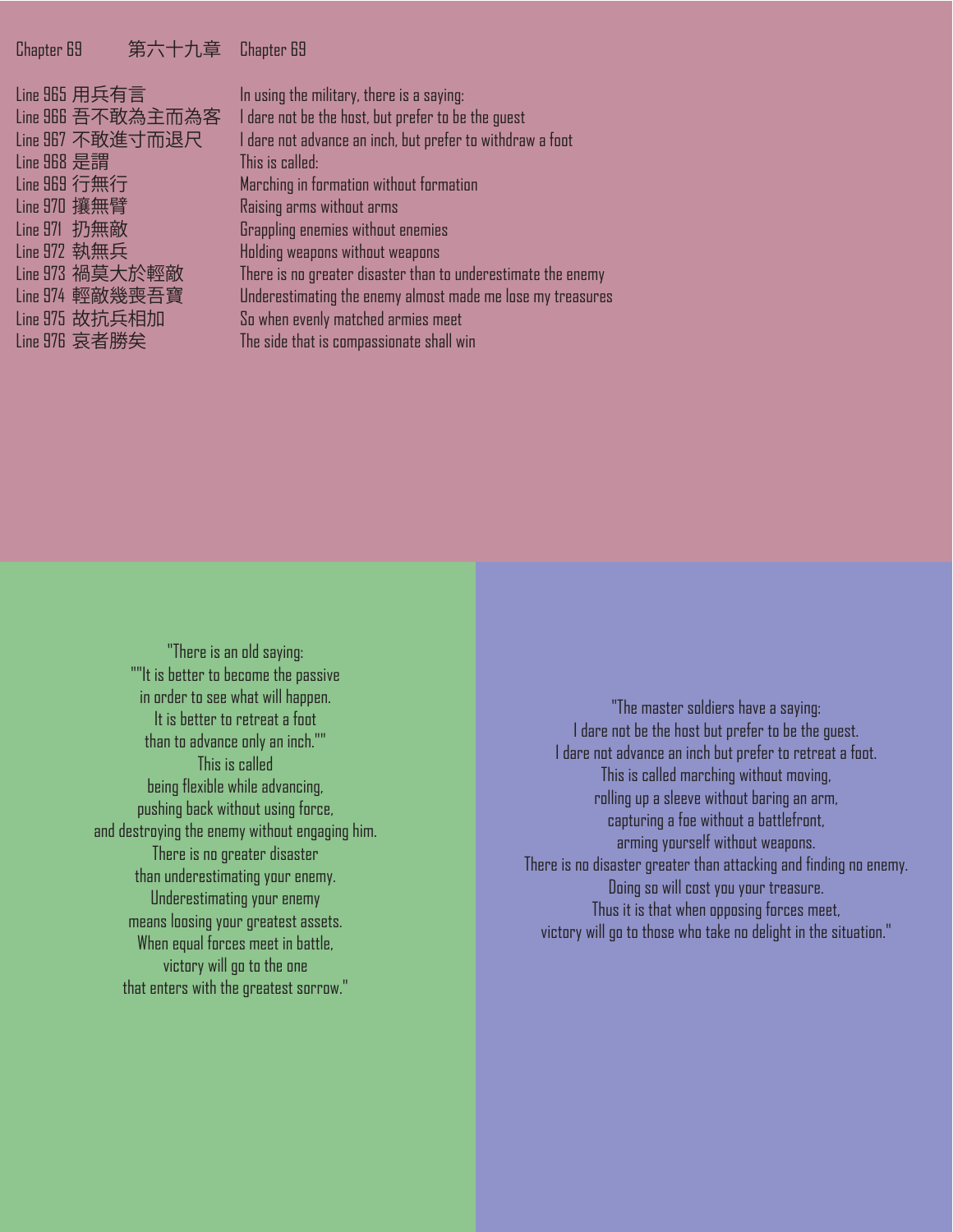# Chapter 69 第六十九章 Chapter 69

| Line 965 用兵有言     | In using the military, there is a saying: |
|-------------------|-------------------------------------------|
| Line 966 吾不敢為主而為客 | I dare not be the host, but prefer to be  |
| Line 967 不敢進寸而退尺  | I dare not advance an inch, but prefer    |
| Line 968 是謂       | This is called:                           |
| Line 969 行無行      | Marching in formation without formati     |
| Line 970 攘無臂      | Raising arms without arms                 |
| Line 971 扔無敵      | Grappling enemies without enemies         |
| Line 972 執無兵      | Holding weapons without weapons           |
| Line 973 禍莫大於輕敵   | There is no greater disaster than to ur   |
| Line 974 輕敵幾喪吾寶   | Underestimating the enemy almost ma       |
| Line 975 故抗兵相加    | So when evenly matched armies meet        |
| Line 976 哀者勝矣     | The side that is compassionate shall w    |

|  | Line 965 用兵有言     | In using the military, there is a saying:                    |
|--|-------------------|--------------------------------------------------------------|
|  | Line 966 吾不敢為主而為客 | I dare not be the host, but prefer to be the guest           |
|  | Line 967 不敢進寸而退尺  | I dare not advance an inch, but prefer to withdraw a foot    |
|  | Line 968 是謂       | This is called:                                              |
|  | Line 969 行無行      | Marching in formation without formation                      |
|  | Line 970 攘無臂      | Raising arms without arms                                    |
|  | Line 971 扔無敵      | Grappling enemies without enemies                            |
|  | Line 972 執無兵      | Holding weapons without weapons                              |
|  | Line 973 禍莫大於輕敵   | There is no greater disaster than to underestimate the enemy |
|  | Line 974 輕敵幾喪吾寶   | Underestimating the enemy almost made me lose my treasures   |
|  | Line 975 故抗兵相加    | So when evenly matched armies meet                           |
|  | Line 976 哀者勝矣     | The side that is compassionate shall win                     |
|  |                   |                                                              |

"There is an old saying: ""It is better to become the passive in order to see what will happen. It is better to retreat a foot than to advance only an inch."" This is called being flexible while advancing, pushing back without using force, and destroying the enemy without engaging him. There is no greater disaster than underestimating your enemy. Underestimating your enemy means loosing your greatest assets. When equal forces meet in battle, victory will go to the one that enters with the greatest sorrow."

"The master soldiers have a saying: I dare not be the host but prefer to be the guest. I dare not advance an inch but prefer to retreat a foot. This is called marching without moving, rolling up a sleeve without baring an arm, capturing a foe without a battlefront, arming yourself without weapons. There is no disaster greater than attacking and finding no enemy. Doing so will cost you your treasure. Thus it is that when opposing forces meet, victory will go to those who take no delight in the situation."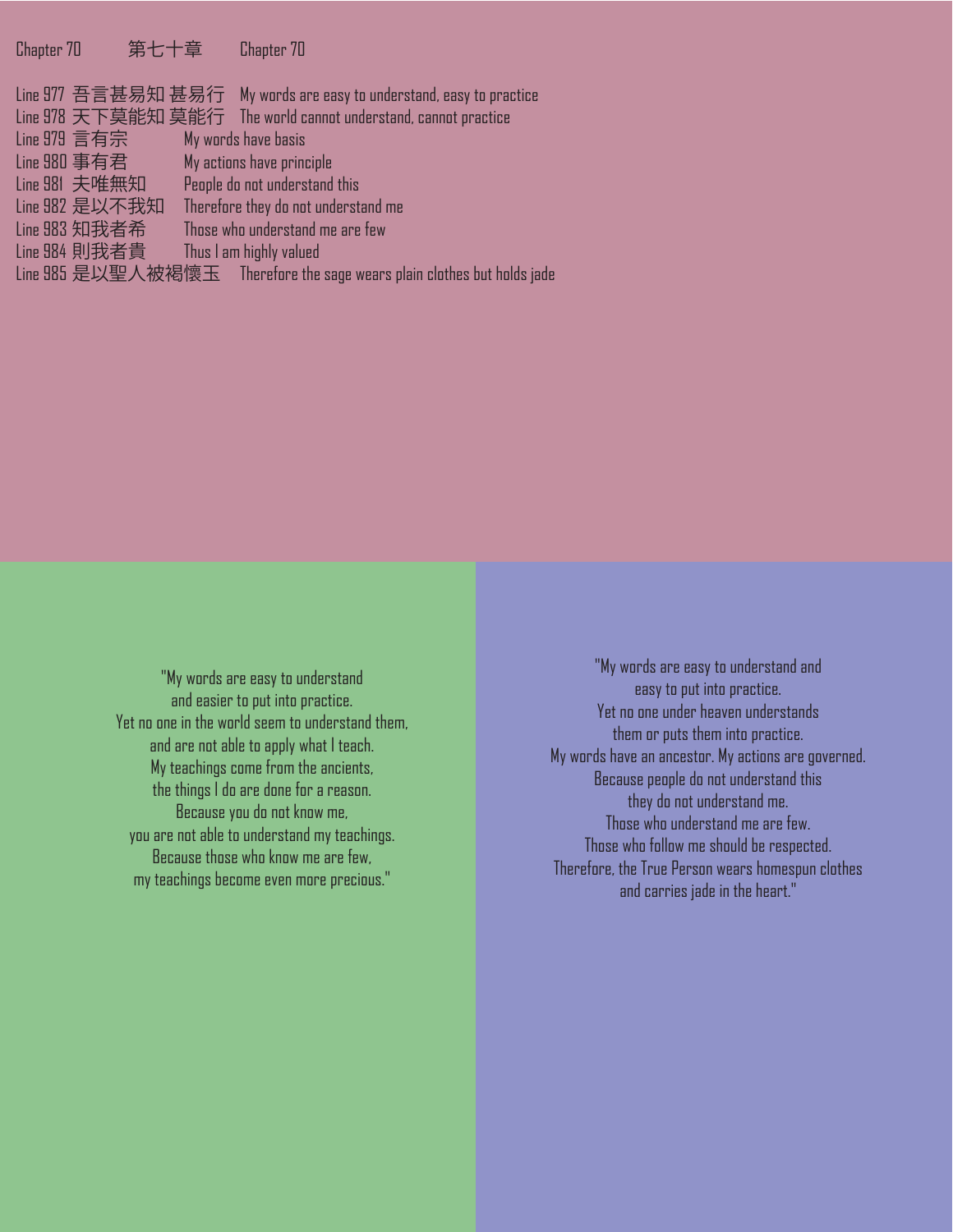Chapter 70 第七十章 Chapter 70

Line 977 吾言甚易知 甚易行 My words are easy to understand, easy to practice Line 978 天下莫能知 莫能行 The world cannot understand, cannot practice Line 979 言有宗 My words have basis Line 980 事有君 My actions have principle Line 981 夫唯無知 People do not understand this Line 982 是以不我知 Therefore they do not understand me Line 983 知我者希 Those who understand me are few Line 984 則我者貴 Thus I am highly valued Line 985 是以聖人被褐懷玉 Therefore the sage wears plain clothes but holds jade

> "My words are easy to understand and easier to put into practice. Yet no one in the world seem to understand them, and are not able to apply what I teach. My teachings come from the ancients, the things I do are done for a reason. Because you do not know me, you are not able to understand my teachings. Because those who know me are few, my teachings become even more precious."

"My words are easy to understand and easy to put into practice. Yet no one under heaven understands them or puts them into practice. My words have an ancestor. My actions are governed. Because people do not understand this they do not understand me. Those who understand me are few. Those who follow me should be respected. Therefore, the True Person wears homespun clothes and carries jade in the heart."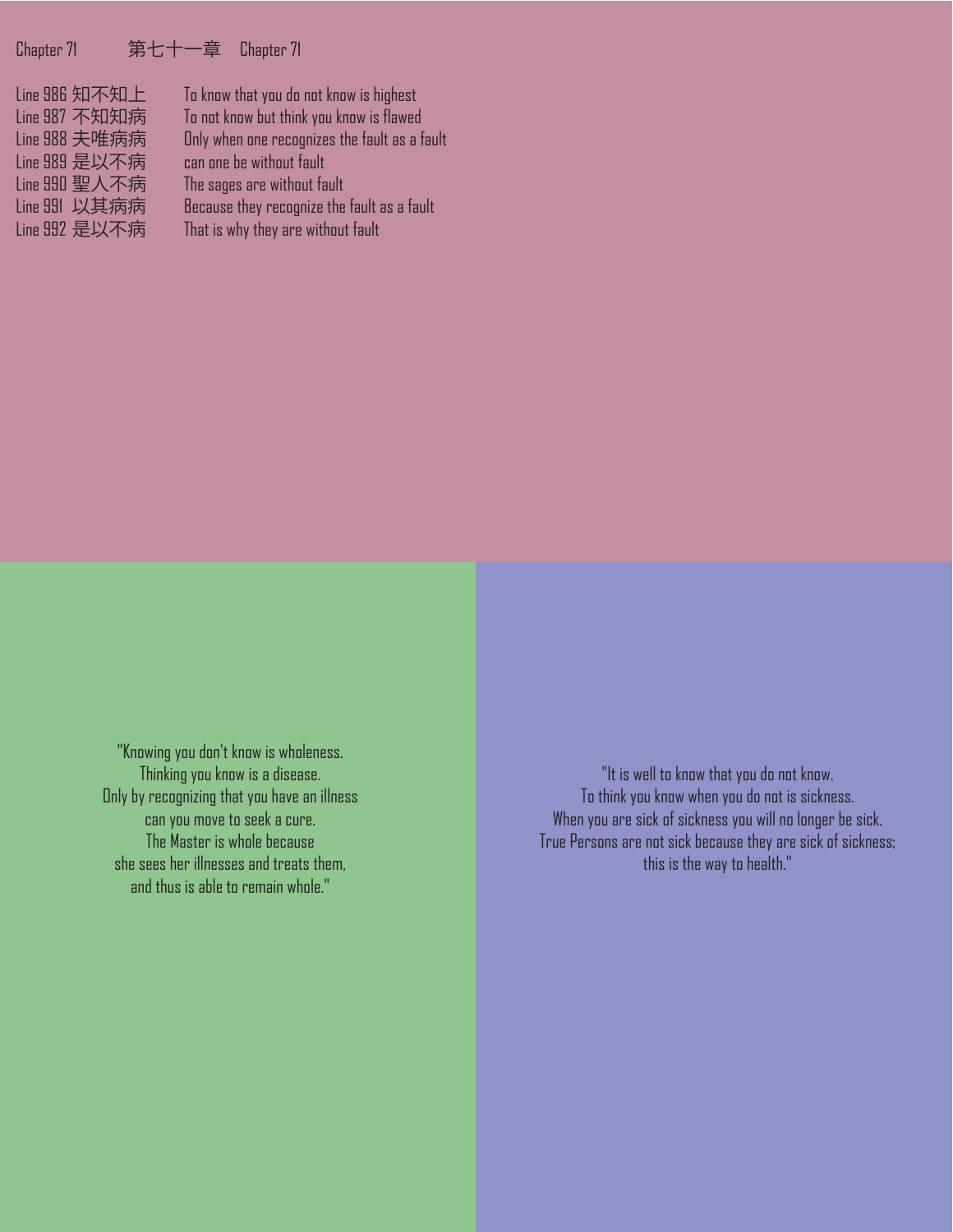Chapter 71 第七十一章 Chapter 71

| Line 986 知不知上 | To know that you do not know is highest       |
|---------------|-----------------------------------------------|
| Line 987 不知知病 | To not know but think you know is flawed      |
| Line 988 夫唯病病 | Only when one recognizes the fault as a fault |
| Line 989 是以不病 | can one be without fault                      |
| Line 990 聖人不病 | The sages are without fault                   |
| Line 991 以其病病 | Because they recognize the fault as a fault   |
| Line 992 是以不病 | That is why they are without fault            |

"Knowing you don't know is wholeness. Thinking you know is a disease. Only by recognizing that you have an illness can you move to seek a cure. The Master is whole because she sees her illnesses and treats them, and thus is able to remain whole."

"It is well to know that you do not know. To think you know when you do not is sickness. When you are sick of sickness you will no longer be sick. True Persons are not sick because they are sick of sickness; this is the way to health."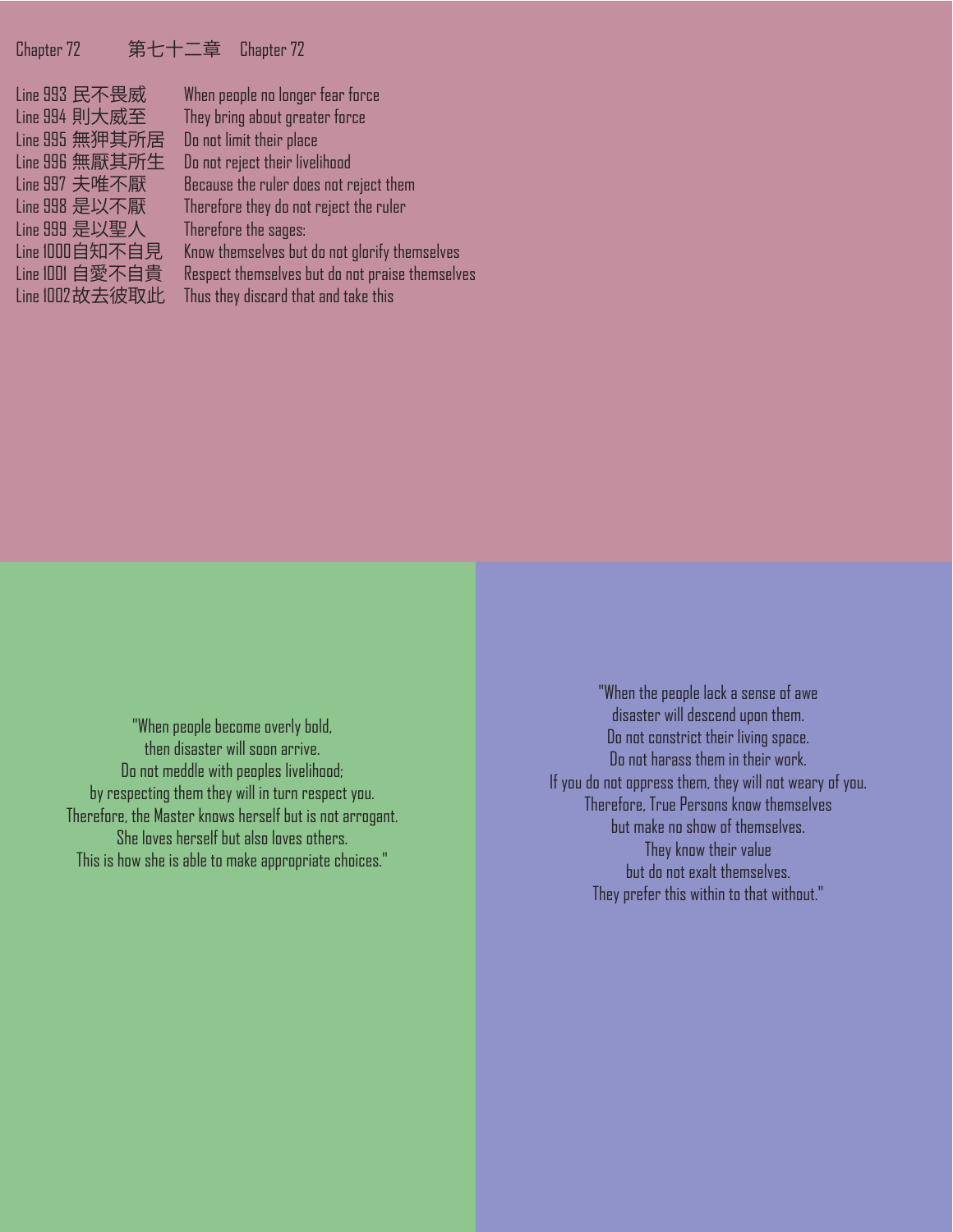# Chapter 72 第七十二章 Chapter 72

| Line 993 民不畏威   | When people no longer fear force                |
|-----------------|-------------------------------------------------|
| Line 994 則大威至   | They bring about greater force                  |
| Line 995 無狎其所居  | Do not limit their place                        |
| Line 996 無厭其所生  | Do not reject their livelihood                  |
| Line 997 夫唯不厭   | Because the ruler does not reject them          |
| Line 998 是以不厭   | Therefore they do not reject the ruler          |
| Line 999 是以聖人   | Therefore the sages:                            |
| Line 1000自知不自見  | Know themselves but do not glorify themselves   |
| Line IOOI 自愛不自貴 | Respect themselves but do not praise themselves |
| Line IOO2故去彼取此  | Thus they discard that and take this            |
|                 |                                                 |

"When people become overly bold, then disaster will soon arrive. Do not meddle with peoples livelihood; by respecting them they will in turn respect you. Therefore, the Master knows herself but is not arrogant. She loves herself but also loves others. This is how she is able to make appropriate choices."

"When the people lack a sense of awe disaster will descend upon them. Do not constrict their living space. Do not harass them in their work. If you do not oppress them, they will not weary of you. Therefore, True Persons know themselves but make no show of themselves. They know their value but do not exalt themselves. They prefer this within to that without."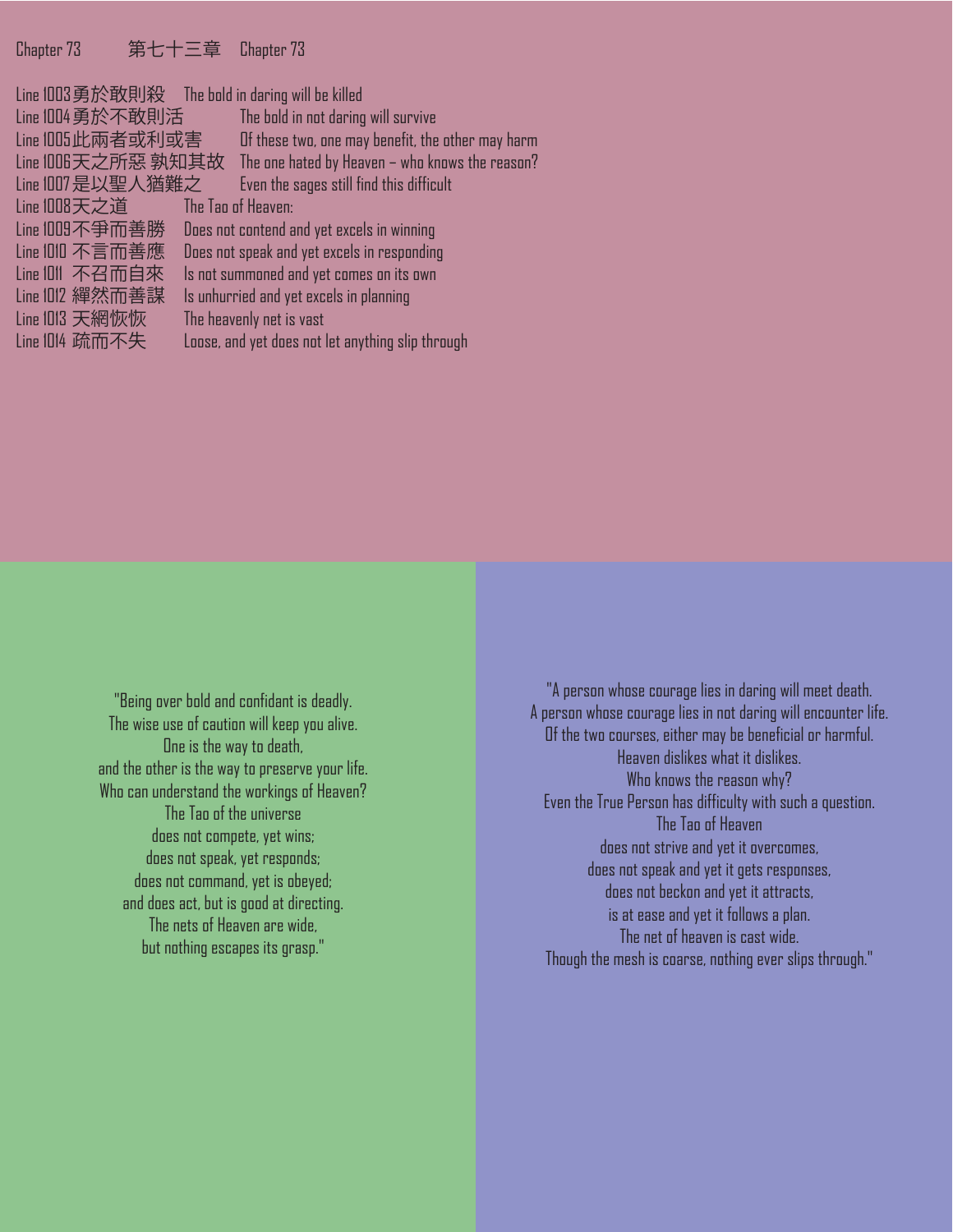## Chapter 73 第七十三章 Chapter 73

| Line 1003勇於敢則殺 The bold in daring will be killed |                                                   |
|--------------------------------------------------|---------------------------------------------------|
| Line IOD4勇於不敢則活                                  | The bold in not daring will survive               |
| Line IOO5此兩者或利或害                                 | Of these two, one may benefit, the other may harm |
| Line IOOG天之所惡 孰知其故                               | The one hated by Heaven - who knows the reason?   |
| Line IOO7是以聖人猶難之                                 | Even the sages still find this difficult          |
| Line IDD8天之道                                     | The Tao of Heaven:                                |
| Line IOO9不爭而善勝                                   | Does not contend and yet excels in winning        |
| Line IDIO 不言而善應                                  | Does not speak and yet excels in responding       |
| Line IOII 不召而自來                                  | Is not summoned and yet comes on its own          |
| Line IDI2 繟然而善謀                                  | Is unhurried and yet excels in planning           |
| Line IDI3 天網恢恢                                   | The heavenly net is vast                          |
| Line IDI4 疏而不失                                   | Loose, and yet does not let anything slip through |
|                                                  |                                                   |

"Being over bold and confidant is deadly. The wise use of caution will keep you alive. One is the way to death, and the other is the way to preserve your life. Who can understand the workings of Heaven? The Tao of the universe does not compete, yet wins; does not speak, yet responds; does not command, yet is obeyed; and does act, but is good at directing. The nets of Heaven are wide, but nothing escapes its grasp."

"A person whose courage lies in daring will meet death. A person whose courage lies in not daring will encounter life. Of the two courses, either may be beneficial or harmful. Heaven dislikes what it dislikes. Who knows the reason why? Even the True Person has difficulty with such a question. The Tao of Heaven does not strive and yet it overcomes, does not speak and yet it gets responses, does not beckon and yet it attracts, is at ease and yet it follows a plan. The net of heaven is cast wide. Though the mesh is coarse, nothing ever slips through."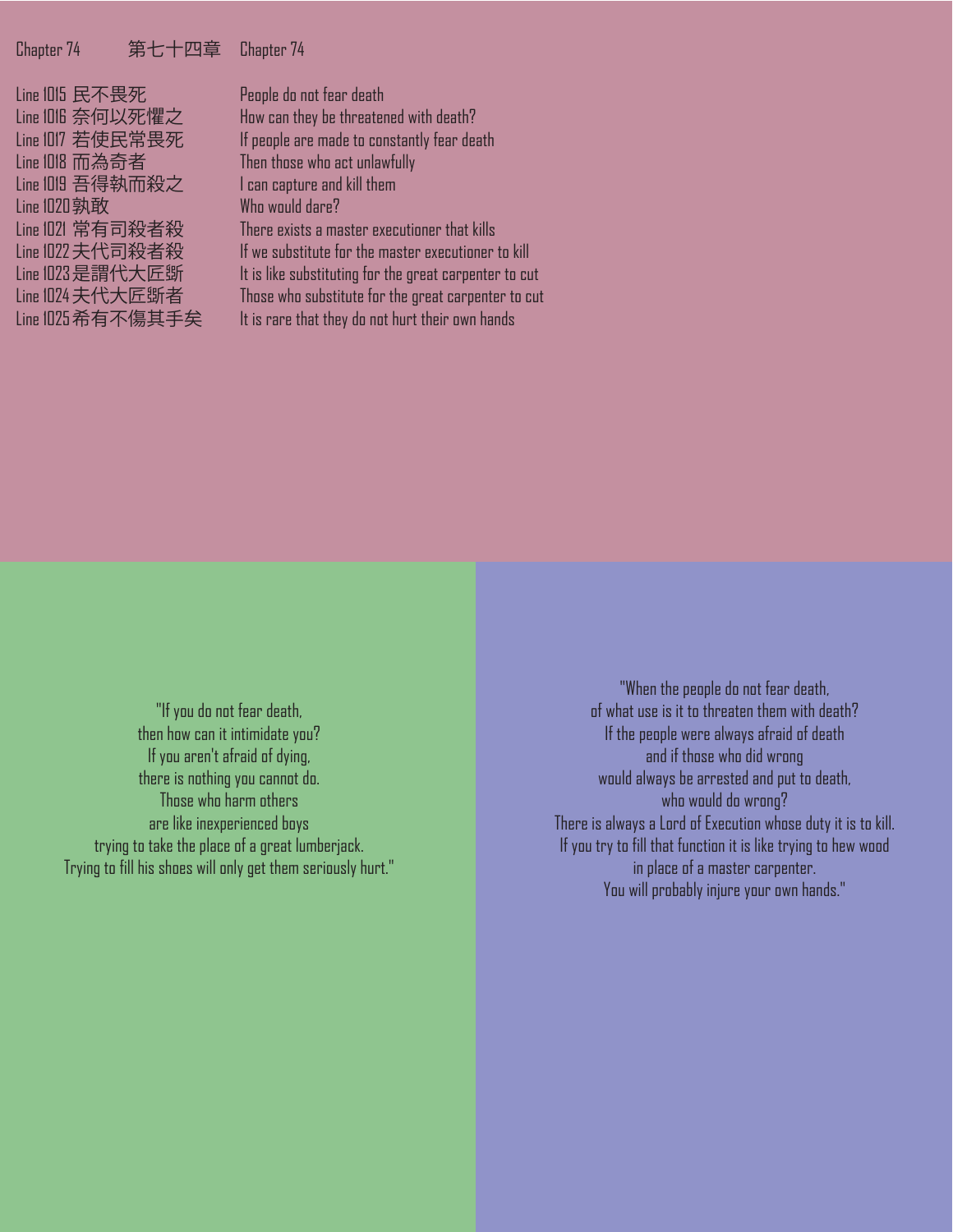Chapter 74 第七十四章 Chapter 74

Line 1015 民不畏死 People do not fear death Line IOI8 而為奇者 Then those who act unlawfully Line 1019 吾得執而殺之 I can capture and kill them Line 1020 孰敢 Who would dare?

Line IDI6 奈何以死懼之 How can they be threatened with death? Line IOI7 若使民常畏死 If people are made to constantly fear death Line IO21 常有司殺者殺 There exists a master executioner that kills Line IO22 夫代司殺者殺 If we substitute for the master executioner to kill Line 1023 是謂代大匠斲 It is like substituting for the great carpenter to cut Line 1024夫代大匠斲者 Those who substitute for the great carpenter to cut Line IO25 希有不傷其手矣 It is rare that they do not hurt their own hands

"If you do not fear death, then how can it intimidate you? If you aren't afraid of dying, there is nothing you cannot do. Those who harm others are like inexperienced boys trying to take the place of a great lumberjack. Trying to fill his shoes will only get them seriously hurt."

"When the people do not fear death, of what use is it to threaten them with death? If the people were always afraid of death and if those who did wrong would always be arrested and put to death, who would do wrong? There is always a Lord of Execution whose duty it is to kill. If you try to fill that function it is like trying to hew wood in place of a master carpenter. You will probably injure your own hands."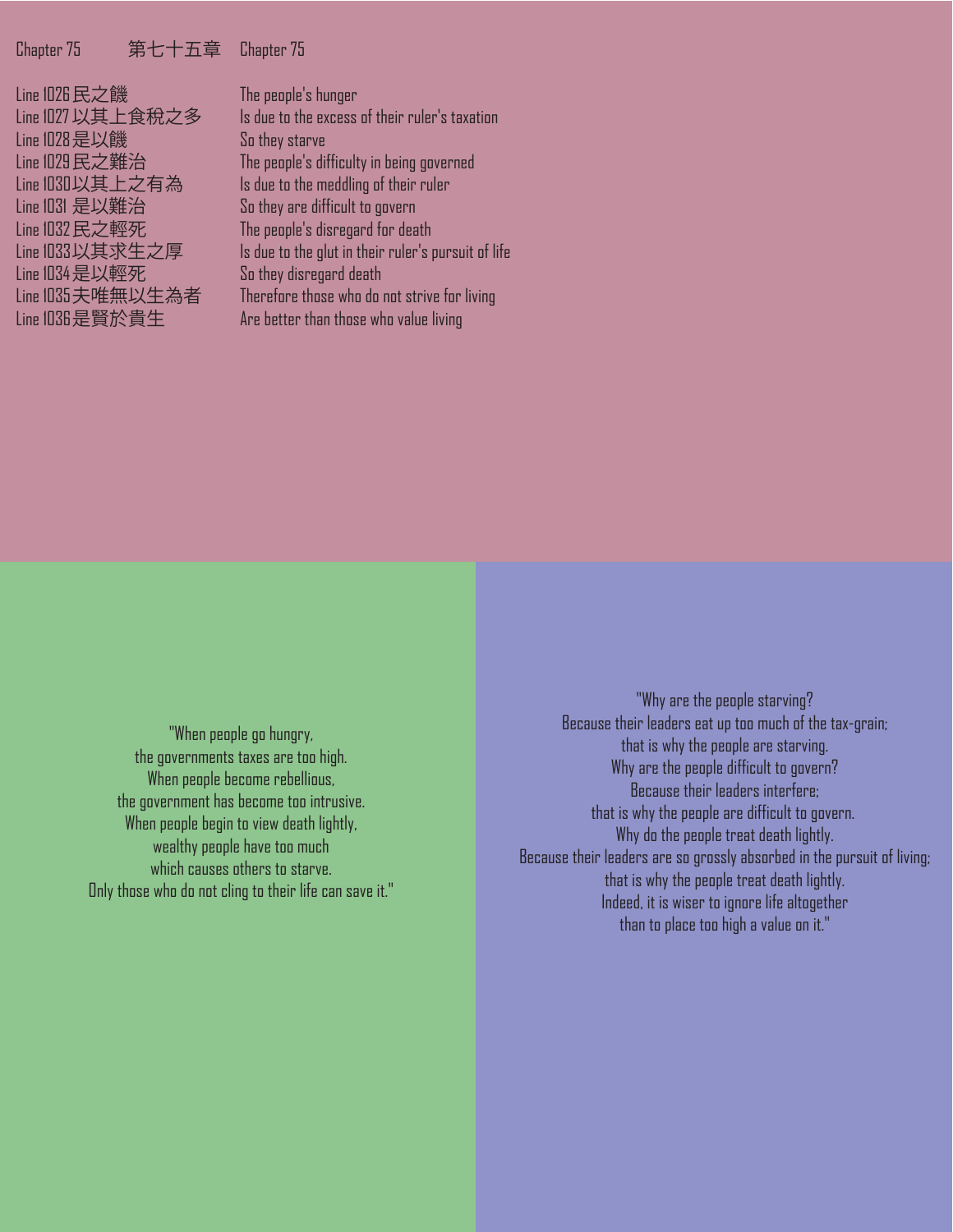#### Chapter 75 第七十五章 Chapter 75

Line 1026 民之饑 The people's hunger Line IO28 是以饑 So they starve Line 1031 是以難治 So they are difficult to govern Line IO34是以輕死 So they disregard death<br>Line IO35夫唯無以生為者 Therefore those who do

Line 1027 以其上食稅之多 Is due to the excess of their ruler's taxation Line 1029 民之難治 The people's difficulty in being governed Line ID3D以其上之有為 Is due to the meddling of their ruler Line 1032 民之輕死 The people's disregard for death<br>Line 1033以其求生之厚 Is due to the glut in their ruler's i Is due to the glut in their ruler's pursuit of life Therefore those who do not strive for living Line 1036 是賢於貴生 Are better than those who value living

> "When people go hungry, the governments taxes are too high. When people become rebellious, the government has become too intrusive. When people begin to view death lightly, wealthy people have too much which causes others to starve. Only those who do not cling to their life can save it."

"Why are the people starving? Because their leaders eat up too much of the tax-grain; that is why the people are starving. Why are the people difficult to govern? Because their leaders interfere; that is why the people are difficult to govern. Why do the people treat death lightly. Because their leaders are so grossly absorbed in the pursuit of living; that is why the people treat death lightly. Indeed, it is wiser to ignore life altogether than to place too high a value on it."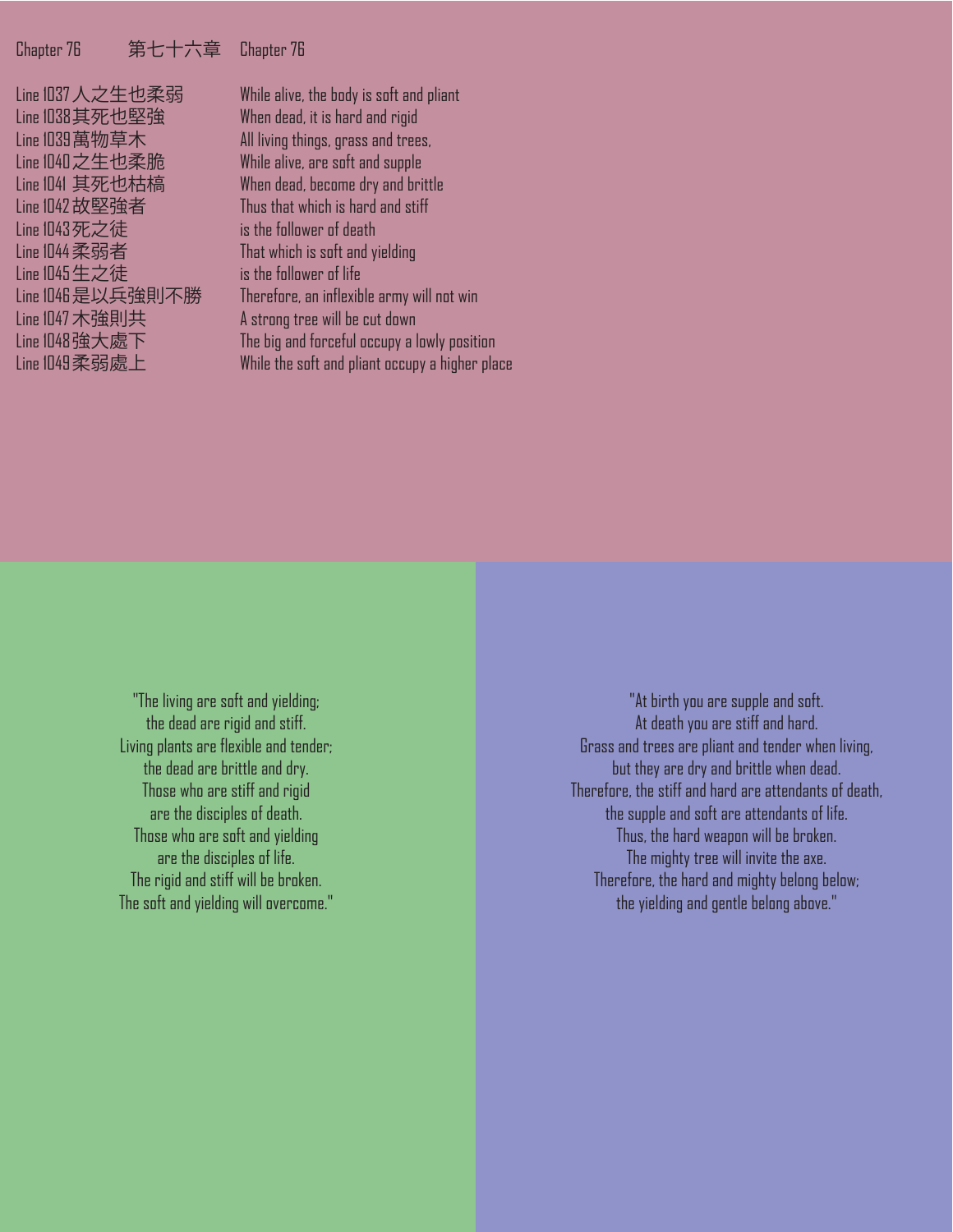# Chapter 76 第七十六章 Chapter 76

| Line IO37人之生也柔弱  |
|------------------|
| Line 1038其死也堅強   |
| Line 1039萬物草木    |
| Line 1040之生也柔脆   |
| Line 1041 其死也枯槁  |
| Line l042故堅強者    |
| Line 1043死之徒     |
| Line ID44柔弱者     |
| Line 1045生之徒     |
| Line ID46是以兵強則不勝 |
| Line ID47木強則共    |
| Line 1048強大處下    |
| Line 1049柔弱處上    |

While alive, the body is soft and pliant When dead, it is hard and rigid All living things, grass and trees, While alive, are soft and supple When dead, become dry and brittle Thus that which is hard and stiff is the follower of death That which is soft and yielding is the follower of life Therefore, an inflexible army will not win A strong tree will be cut down The big and forceful occupy a lowly position While the soft and pliant occupy a higher place

"The living are soft and yielding; the dead are rigid and stiff. Living plants are flexible and tender; the dead are brittle and dry. Those who are stiff and rigid are the disciples of death. Those who are soft and yielding are the disciples of life. The rigid and stiff will be broken. The soft and yielding will overcome."

"At birth you are supple and soft. At death you are stiff and hard. Grass and trees are pliant and tender when living, but they are dry and brittle when dead. Therefore, the stiff and hard are attendants of death, the supple and soft are attendants of life. Thus, the hard weapon will be broken. The mighty tree will invite the axe. Therefore, the hard and mighty belong below; the yielding and gentle belong above."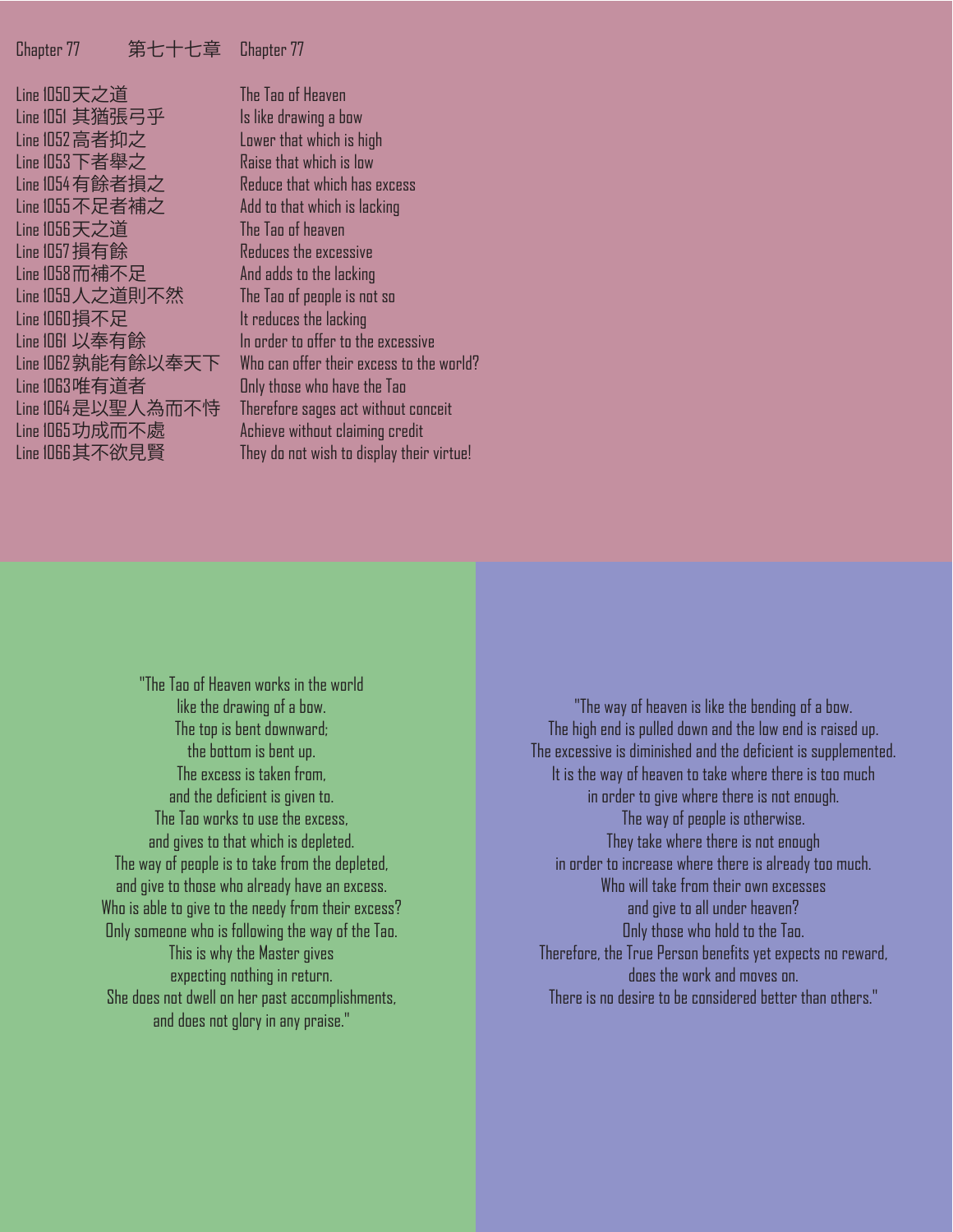## Chapter 77 第七十七章 Chapter 77

Line 1050 天之道 The Tao of Heaven Line IO5I 其猶張弓乎 Is like drawing a bow Line 1052 高者抑之 Lower that which is high Line 1053下者舉之  $\blacksquare$  Raise that which is low Line IO54 有餘者損之 Reduce that which has excess Line 1055 不足者補之 Add to that which is lacking Line 1056 天之道 The Tao of heaven Line 1057 損有餘 Reduces the excessive Line 1058 而補不足 And adds to the lacking Line 1059 人之道則不然 The Tao of people is not so Line 1060 損不足 It reduces the lacking Line 1061 以奉有餘 In order to offer to the excessive Line IO63唯有道者 Only those who have the Tao Line 1065 功成而不處 Achieve without claiming credit

Line 1062 孰能有餘以奉天下 Who can offer their excess to the world? Line 1064 是以聖人為而不恃 Therefore sages act without conceit Line 1066 其不欲見賢 They do not wish to display their virtue!

> "The Tao of Heaven works in the world like the drawing of a bow. The top is bent downward; the bottom is bent up. The excess is taken from, and the deficient is given to. The Tao works to use the excess, and gives to that which is depleted. The way of people is to take from the depleted, and give to those who already have an excess. Who is able to give to the needy from their excess? Only someone who is following the way of the Tao. This is why the Master gives expecting nothing in return. She does not dwell on her past accomplishments, and does not glory in any praise."

"The way of heaven is like the bending of a bow. The high end is pulled down and the low end is raised up. The excessive is diminished and the deficient is supplemented. It is the way of heaven to take where there is too much in order to give where there is not enough. The way of people is otherwise. They take where there is not enough in order to increase where there is already too much. Who will take from their own excesses and give to all under heaven? Only those who hold to the Tao. Therefore, the True Person benefits yet expects no reward, does the work and moves on. There is no desire to be considered better than others."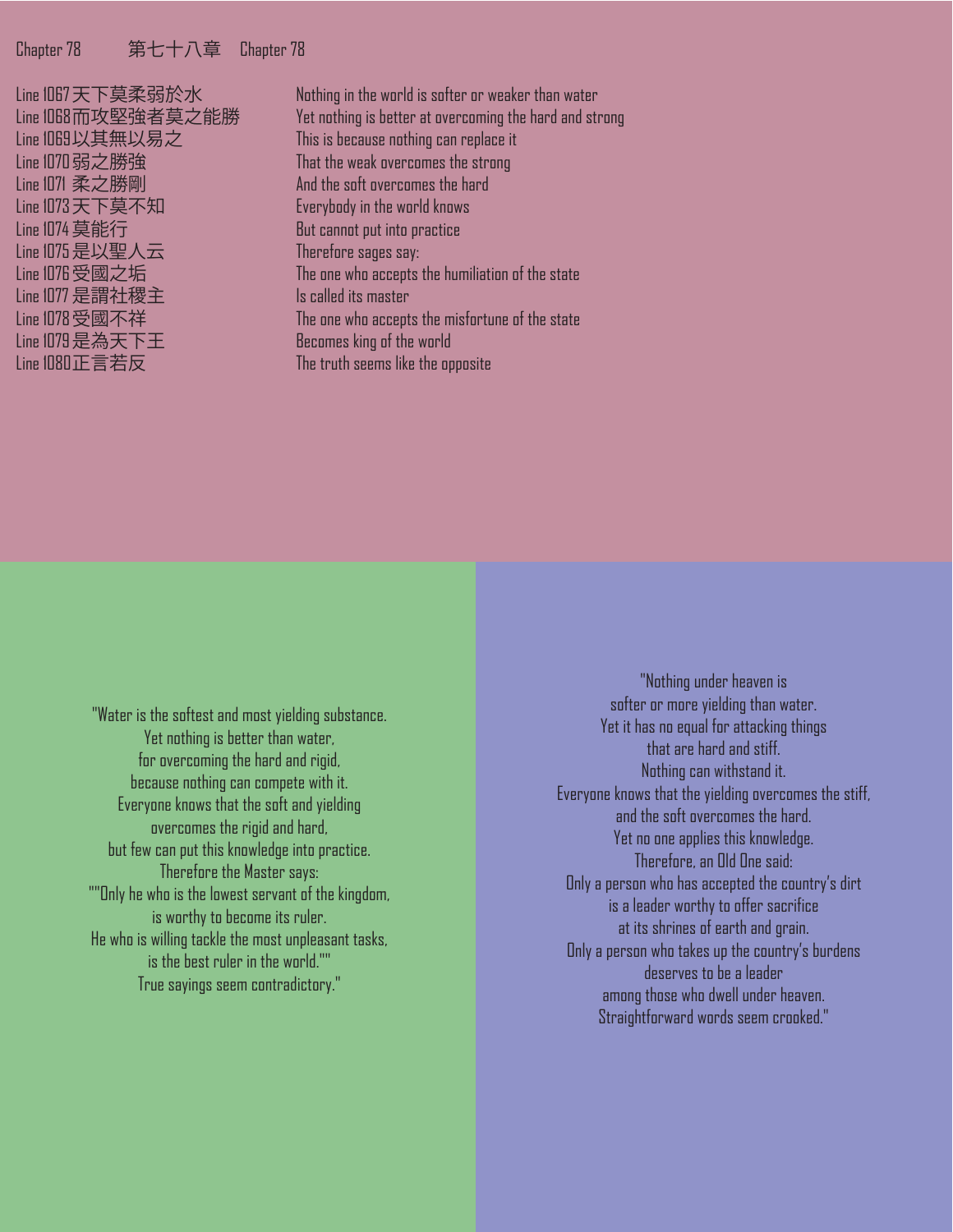#### Chapter 78 第七十八章 Chapter 78

| Line IOG7天下莫柔弱於水   | Nothing in the world is softer or weaker than water     |
|--------------------|---------------------------------------------------------|
| Line IOGB而攻堅強者莫之能勝 | Yet nothing is better at overcoming the hard and strong |
| Line IDEB以其無以易之    | This is because nothing can replace it                  |
| Line ID70弱之勝強      | That the weak overcomes the strong                      |
| Line IO7I 柔之勝剛     | And the soft overcomes the hard                         |
| Line 1073天下莫不知     | Everybody in the world knows                            |
| Line 1074 莫能行      | But cannot put into practice                            |
| Line IO75 是以聖人云    | Therefore sages say:                                    |
| Line ID7G受國之垢      | The one who accepts the humiliation of the state        |
| Line IO77 是謂社稷主    | Is called its master                                    |
| Line ID78受國不祥      | The one who accepts the misfortune of the state         |
| Line ID79 是為天下王    | Becomes king of the world                               |
| Line 1080正言若反      | The truth seems like the opposite                       |
|                    |                                                         |

"Water is the softest and most yielding substance. Yet nothing is better than water, for overcoming the hard and rigid, because nothing can compete with it. Everyone knows that the soft and yielding overcomes the rigid and hard, but few can put this knowledge into practice. Therefore the Master says: ""Only he who is the lowest servant of the kingdom, is worthy to become its ruler. He who is willing tackle the most unpleasant tasks, is the best ruler in the world."" True sayings seem contradictory."

"Nothing under heaven is softer or more yielding than water. Yet it has no equal for attacking things that are hard and stiff. Nothing can withstand it. Everyone knows that the yielding overcomes the stiff, and the soft overcomes the hard. Yet no one applies this knowledge. Therefore, an Old One said: Only a person who has accepted the country's dirt is a leader worthy to offer sacrifice at its shrines of earth and grain. Only a person who takes up the country's burdens deserves to be a leader among those who dwell under heaven. Straightforward words seem crooked."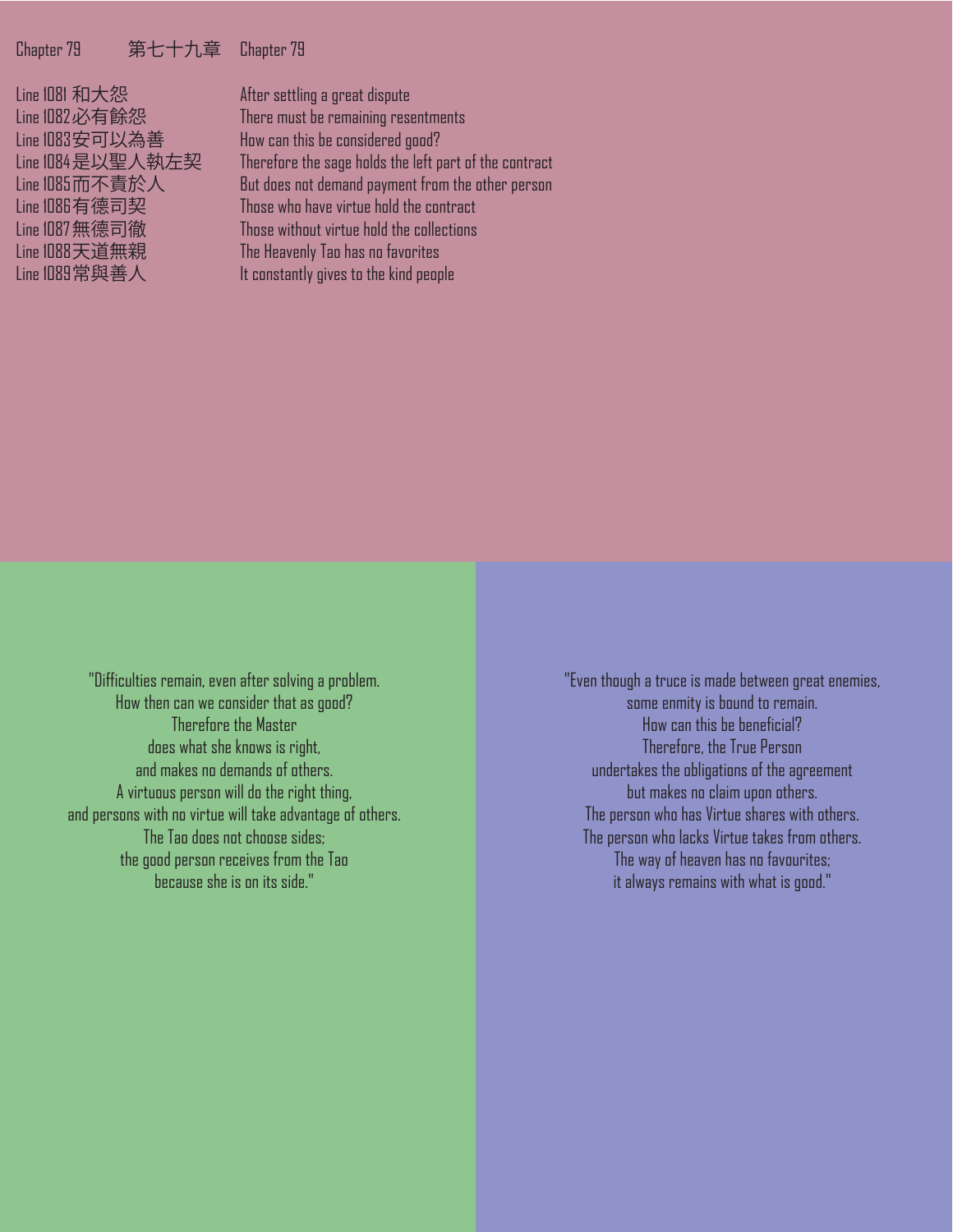# Chapter 79 第七十九章 Chapter 79

Line 1081 和大怨 After settling a great dispute

Line 1082 必有餘怨 There must be remaining resentments Line 1083 安可以為善 How can this be considered good? Line 1084 是以聖人執左契 Therefore the sage holds the left part of the contract Line IO85而不責於人 But does not demand payment from the other person Line 1086 有德司契 Those who have virtue hold the contract Line 1087 無德司徹 Those without virtue hold the collections Line 1088 天道無親 The Heavenly Tao has no favorites Line 1089 常與善人 It constantly gives to the kind people

"Difficulties remain, even after solving a problem. How then can we consider that as good? Therefore the Master does what she knows is right, and makes no demands of others. A virtuous person will do the right thing, and persons with no virtue will take advantage of others. The Tao does not choose sides; the good person receives from the Tao because she is on its side."

"Even though a truce is made between great enemies, some enmity is bound to remain. How can this be beneficial? Therefore, the True Person undertakes the obligations of the agreement but makes no claim upon others. The person who has Virtue shares with others. The person who lacks Virtue takes from others. The way of heaven has no favourites; it always remains with what is good."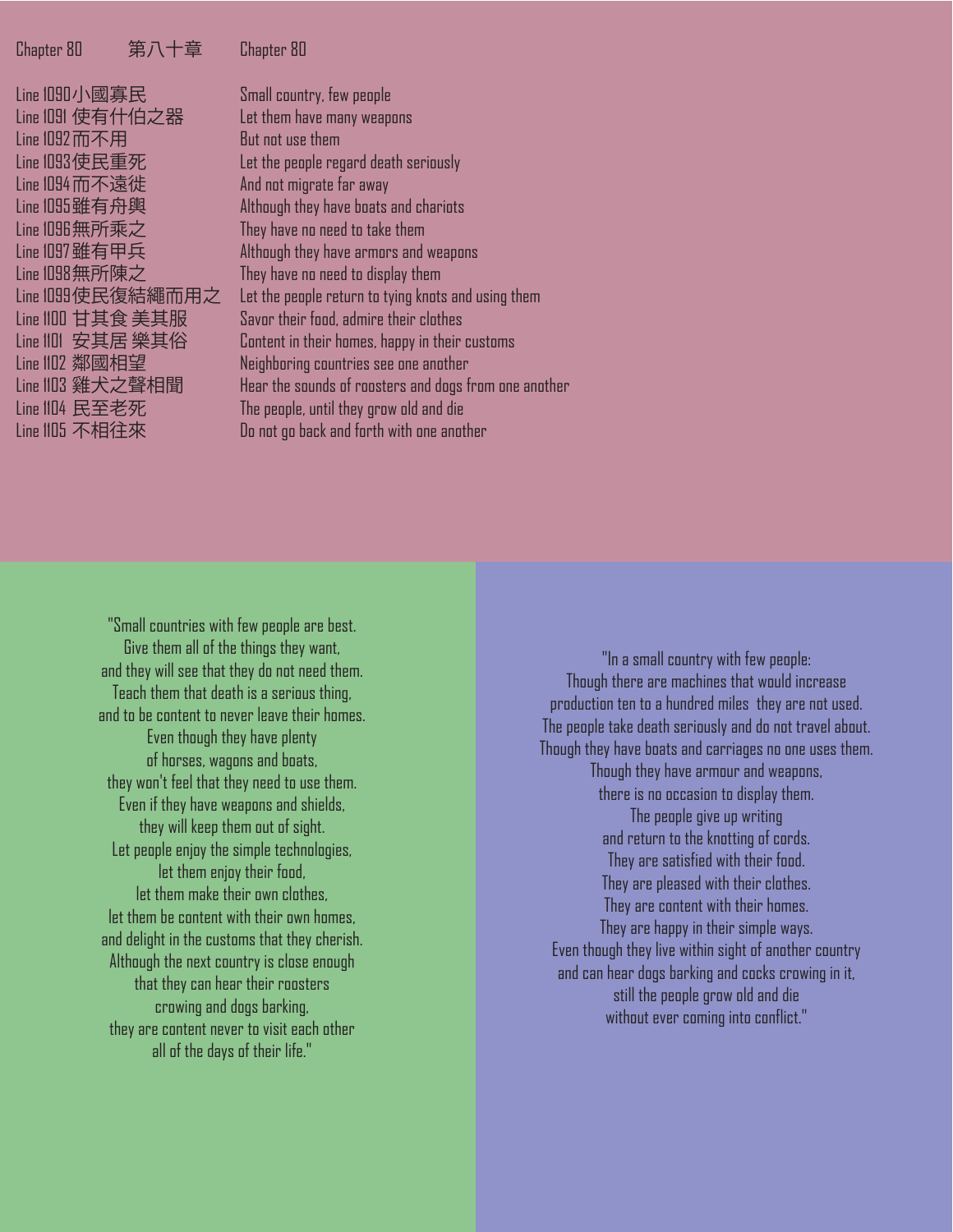Chapter 80 第八十章 Chapter 80

Line 1090 小國寡民 Small country, few people Line 1091 使有什伯之器 Let them have many weapons Line 1092而不用 But not use them Line 1094 而不遠徙 And not migrate far away Line 1096 無所乘之 They have no need to take them Line 1098 無所陳之 They have no need to display them

Line 1093 使民重死 Let the people regard death seriously Line 1095 雖有舟輿 Although they have boats and chariots Line 1097 雖有甲兵 Although they have armors and weapons Line 1099 使民復結繩而用之 Let the people return to tying knots and using them Line 1100 甘其食 美其服 Savor their food, admire their clothes Line 1101 安其居 樂其俗 Content in their homes, happy in their customs Line 1102 鄰國相望 Neighboring countries see one another Line IIO3 雞犬之聲相聞 hear the sounds of roosters and dogs from one another Line 1104 民至老死 The people, until they grow old and die Line 1105 不相往來 Do not go back and forth with one another

> "Small countries with few people are best. Give them all of the things they want, and they will see that they do not need them. Teach them that death is a serious thing, and to be content to never leave their homes. Even though they have plenty of horses, wagons and boats, they won't feel that they need to use them. Even if they have weapons and shields, they will keep them out of sight. Let people enjoy the simple technologies, let them enjoy their food, let them make their own clothes, let them be content with their own homes, and delight in the customs that they cherish. Although the next country is close enough that they can hear their roosters crowing and dogs barking, they are content never to visit each other all of the days of their life."

"In a small country with few people: Though there are machines that would increase production ten to a hundred miles they are not used. The people take death seriously and do not travel about. Though they have boats and carriages no one uses them. Though they have armour and weapons, there is no occasion to display them. The people give up writing and return to the knotting of cords. They are satisfied with their food. They are pleased with their clothes. They are content with their homes. They are happy in their simple ways. Even though they live within sight of another country and can hear dogs barking and cocks crowing in it, still the people grow old and die without ever coming into conflict."